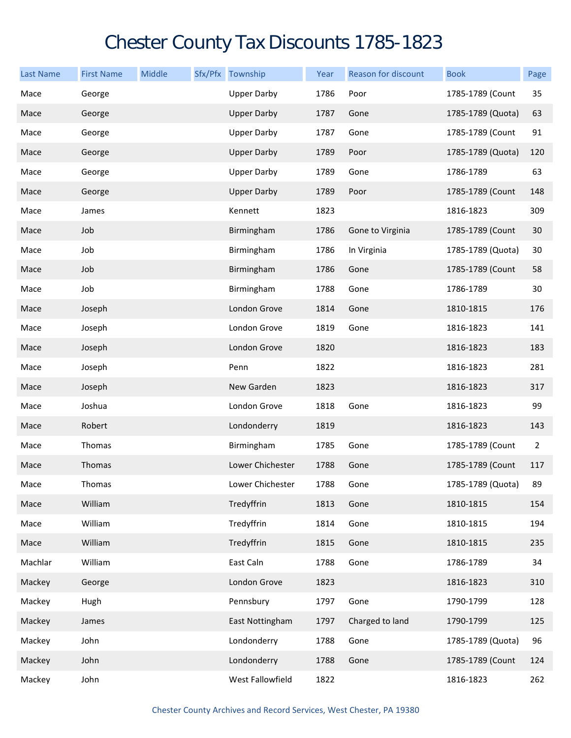## Chester County Tax Discounts 1785-1823

| <b>Last Name</b> | <b>First Name</b> | Middle | Sfx/Pfx Township   | Year | Reason for discount | <b>Book</b>       | Page           |
|------------------|-------------------|--------|--------------------|------|---------------------|-------------------|----------------|
| Mace             | George            |        | <b>Upper Darby</b> | 1786 | Poor                | 1785-1789 (Count  | 35             |
| Mace             | George            |        | <b>Upper Darby</b> | 1787 | Gone                | 1785-1789 (Quota) | 63             |
| Mace             | George            |        | <b>Upper Darby</b> | 1787 | Gone                | 1785-1789 (Count  | 91             |
| Mace             | George            |        | <b>Upper Darby</b> | 1789 | Poor                | 1785-1789 (Quota) | 120            |
| Mace             | George            |        | <b>Upper Darby</b> | 1789 | Gone                | 1786-1789         | 63             |
| Mace             | George            |        | <b>Upper Darby</b> | 1789 | Poor                | 1785-1789 (Count  | 148            |
| Mace             | James             |        | Kennett            | 1823 |                     | 1816-1823         | 309            |
| Mace             | Job               |        | Birmingham         | 1786 | Gone to Virginia    | 1785-1789 (Count  | 30             |
| Mace             | Job               |        | Birmingham         | 1786 | In Virginia         | 1785-1789 (Quota) | 30             |
| Mace             | Job               |        | Birmingham         | 1786 | Gone                | 1785-1789 (Count  | 58             |
| Mace             | Job               |        | Birmingham         | 1788 | Gone                | 1786-1789         | 30             |
| Mace             | Joseph            |        | London Grove       | 1814 | Gone                | 1810-1815         | 176            |
| Mace             | Joseph            |        | London Grove       | 1819 | Gone                | 1816-1823         | 141            |
| Mace             | Joseph            |        | London Grove       | 1820 |                     | 1816-1823         | 183            |
| Mace             | Joseph            |        | Penn               | 1822 |                     | 1816-1823         | 281            |
| Mace             | Joseph            |        | New Garden         | 1823 |                     | 1816-1823         | 317            |
| Mace             | Joshua            |        | London Grove       | 1818 | Gone                | 1816-1823         | 99             |
| Mace             | Robert            |        | Londonderry        | 1819 |                     | 1816-1823         | 143            |
| Mace             | Thomas            |        | Birmingham         | 1785 | Gone                | 1785-1789 (Count  | $\overline{2}$ |
| Mace             | Thomas            |        | Lower Chichester   | 1788 | Gone                | 1785-1789 (Count  | 117            |
| Mace             | Thomas            |        | Lower Chichester   | 1788 | Gone                | 1785-1789 (Quota) | 89             |
| Mace             | William           |        | Tredyffrin         | 1813 | Gone                | 1810-1815         | 154            |
| Mace             | William           |        | Tredyffrin         | 1814 | Gone                | 1810-1815         | 194            |
| Mace             | William           |        | Tredyffrin         | 1815 | Gone                | 1810-1815         | 235            |
| Machlar          | William           |        | East Caln          | 1788 | Gone                | 1786-1789         | 34             |
| Mackey           | George            |        | London Grove       | 1823 |                     | 1816-1823         | 310            |
| Mackey           | Hugh              |        | Pennsbury          | 1797 | Gone                | 1790-1799         | 128            |
| Mackey           | James             |        | East Nottingham    | 1797 | Charged to land     | 1790-1799         | 125            |
| Mackey           | John              |        | Londonderry        | 1788 | Gone                | 1785-1789 (Quota) | 96             |
| Mackey           | John              |        | Londonderry        | 1788 | Gone                | 1785-1789 (Count  | 124            |
| Mackey           | John              |        | West Fallowfield   | 1822 |                     | 1816-1823         | 262            |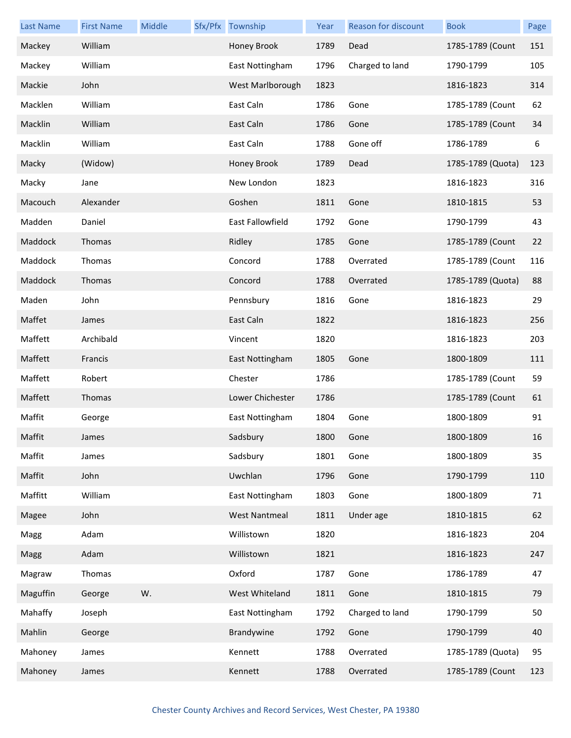| <b>Last Name</b> | <b>First Name</b> | Middle | Sfx/Pfx Township        | Year | Reason for discount | <b>Book</b>       | Page |
|------------------|-------------------|--------|-------------------------|------|---------------------|-------------------|------|
| Mackey           | William           |        | Honey Brook             | 1789 | Dead                | 1785-1789 (Count  | 151  |
| Mackey           | William           |        | East Nottingham         | 1796 | Charged to land     | 1790-1799         | 105  |
| Mackie           | John              |        | West Marlborough        | 1823 |                     | 1816-1823         | 314  |
| Macklen          | William           |        | East Caln               | 1786 | Gone                | 1785-1789 (Count  | 62   |
| Macklin          | William           |        | East Caln               | 1786 | Gone                | 1785-1789 (Count  | 34   |
| Macklin          | William           |        | East Caln               | 1788 | Gone off            | 1786-1789         | 6    |
| Macky            | (Widow)           |        | Honey Brook             | 1789 | Dead                | 1785-1789 (Quota) | 123  |
| Macky            | Jane              |        | New London              | 1823 |                     | 1816-1823         | 316  |
| Macouch          | Alexander         |        | Goshen                  | 1811 | Gone                | 1810-1815         | 53   |
| Madden           | Daniel            |        | <b>East Fallowfield</b> | 1792 | Gone                | 1790-1799         | 43   |
| Maddock          | Thomas            |        | Ridley                  | 1785 | Gone                | 1785-1789 (Count  | 22   |
| Maddock          | Thomas            |        | Concord                 | 1788 | Overrated           | 1785-1789 (Count  | 116  |
| Maddock          | Thomas            |        | Concord                 | 1788 | Overrated           | 1785-1789 (Quota) | 88   |
| Maden            | John              |        | Pennsbury               | 1816 | Gone                | 1816-1823         | 29   |
| Maffet           | James             |        | East Caln               | 1822 |                     | 1816-1823         | 256  |
| Maffett          | Archibald         |        | Vincent                 | 1820 |                     | 1816-1823         | 203  |
| Maffett          | Francis           |        | East Nottingham         | 1805 | Gone                | 1800-1809         | 111  |
| Maffett          | Robert            |        | Chester                 | 1786 |                     | 1785-1789 (Count  | 59   |
| Maffett          | Thomas            |        | Lower Chichester        | 1786 |                     | 1785-1789 (Count  | 61   |
| Maffit           | George            |        | East Nottingham         | 1804 | Gone                | 1800-1809         | 91   |
| Maffit           | James             |        | Sadsbury                | 1800 | Gone                | 1800-1809         | 16   |
| Maffit           | James             |        | Sadsbury                | 1801 | Gone                | 1800-1809         | 35   |
| Maffit           | John              |        | Uwchlan                 | 1796 | Gone                | 1790-1799         | 110  |
| Maffitt          | William           |        | East Nottingham         | 1803 | Gone                | 1800-1809         | 71   |
| Magee            | John              |        | <b>West Nantmeal</b>    | 1811 | Under age           | 1810-1815         | 62   |
| Magg             | Adam              |        | Willistown              | 1820 |                     | 1816-1823         | 204  |
| Magg             | Adam              |        | Willistown              | 1821 |                     | 1816-1823         | 247  |
| Magraw           | Thomas            |        | Oxford                  | 1787 | Gone                | 1786-1789         | 47   |
| Maguffin         | George            | W.     | West Whiteland          | 1811 | Gone                | 1810-1815         | 79   |
| Mahaffy          | Joseph            |        | East Nottingham         | 1792 | Charged to land     | 1790-1799         | 50   |
| Mahlin           | George            |        | Brandywine              | 1792 | Gone                | 1790-1799         | 40   |
| Mahoney          | James             |        | Kennett                 | 1788 | Overrated           | 1785-1789 (Quota) | 95   |
| Mahoney          | James             |        | Kennett                 | 1788 | Overrated           | 1785-1789 (Count  | 123  |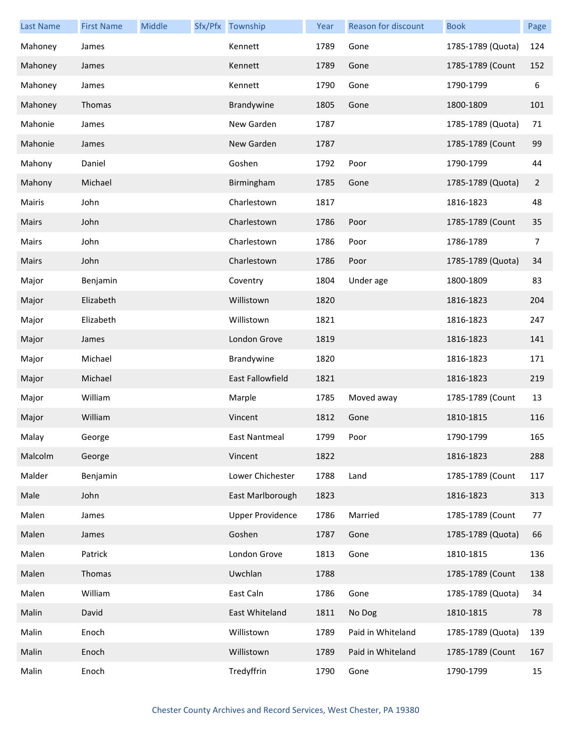| <b>Last Name</b> | <b>First Name</b> | Middle | Sfx/Pfx Township        | Year | Reason for discount | <b>Book</b>       | Page           |
|------------------|-------------------|--------|-------------------------|------|---------------------|-------------------|----------------|
| Mahoney          | James             |        | Kennett                 | 1789 | Gone                | 1785-1789 (Quota) | 124            |
| Mahoney          | James             |        | Kennett                 | 1789 | Gone                | 1785-1789 (Count  | 152            |
| Mahoney          | James             |        | Kennett                 | 1790 | Gone                | 1790-1799         | 6              |
| Mahoney          | Thomas            |        | Brandywine              | 1805 | Gone                | 1800-1809         | 101            |
| Mahonie          | James             |        | New Garden              | 1787 |                     | 1785-1789 (Quota) | 71             |
| Mahonie          | James             |        | New Garden              | 1787 |                     | 1785-1789 (Count  | 99             |
| Mahony           | Daniel            |        | Goshen                  | 1792 | Poor                | 1790-1799         | 44             |
| Mahony           | Michael           |        | Birmingham              | 1785 | Gone                | 1785-1789 (Quota) | $\overline{2}$ |
| Mairis           | John              |        | Charlestown             | 1817 |                     | 1816-1823         | 48             |
| Mairs            | John              |        | Charlestown             | 1786 | Poor                | 1785-1789 (Count  | 35             |
| Mairs            | John              |        | Charlestown             | 1786 | Poor                | 1786-1789         | 7              |
| Mairs            | John              |        | Charlestown             | 1786 | Poor                | 1785-1789 (Quota) | 34             |
| Major            | Benjamin          |        | Coventry                | 1804 | Under age           | 1800-1809         | 83             |
| Major            | Elizabeth         |        | Willistown              | 1820 |                     | 1816-1823         | 204            |
| Major            | Elizabeth         |        | Willistown              | 1821 |                     | 1816-1823         | 247            |
| Major            | James             |        | London Grove            | 1819 |                     | 1816-1823         | 141            |
| Major            | Michael           |        | Brandywine              | 1820 |                     | 1816-1823         | 171            |
| Major            | Michael           |        | <b>East Fallowfield</b> | 1821 |                     | 1816-1823         | 219            |
| Major            | William           |        | Marple                  | 1785 | Moved away          | 1785-1789 (Count  | 13             |
| Major            | William           |        | Vincent                 | 1812 | Gone                | 1810-1815         | 116            |
| Malay            | George            |        | East Nantmeal           | 1799 | Poor                | 1790-1799         | 165            |
| Malcolm          | George            |        | Vincent                 | 1822 |                     | 1816-1823         | 288            |
| Malder           | Benjamin          |        | Lower Chichester        | 1788 | Land                | 1785-1789 (Count  | 117            |
| Male             | John              |        | East Marlborough        | 1823 |                     | 1816-1823         | 313            |
| Malen            | James             |        | <b>Upper Providence</b> | 1786 | Married             | 1785-1789 (Count  | 77             |
| Malen            | James             |        | Goshen                  | 1787 | Gone                | 1785-1789 (Quota) | 66             |
| Malen            | Patrick           |        | London Grove            | 1813 | Gone                | 1810-1815         | 136            |
| Malen            | Thomas            |        | Uwchlan                 | 1788 |                     | 1785-1789 (Count  | 138            |
| Malen            | William           |        | East Caln               | 1786 | Gone                | 1785-1789 (Quota) | 34             |
| Malin            | David             |        | East Whiteland          | 1811 | No Dog              | 1810-1815         | 78             |
| Malin            | Enoch             |        | Willistown              | 1789 | Paid in Whiteland   | 1785-1789 (Quota) | 139            |
| Malin            | Enoch             |        | Willistown              | 1789 | Paid in Whiteland   | 1785-1789 (Count  | 167            |
| Malin            | Enoch             |        | Tredyffrin              | 1790 | Gone                | 1790-1799         | 15             |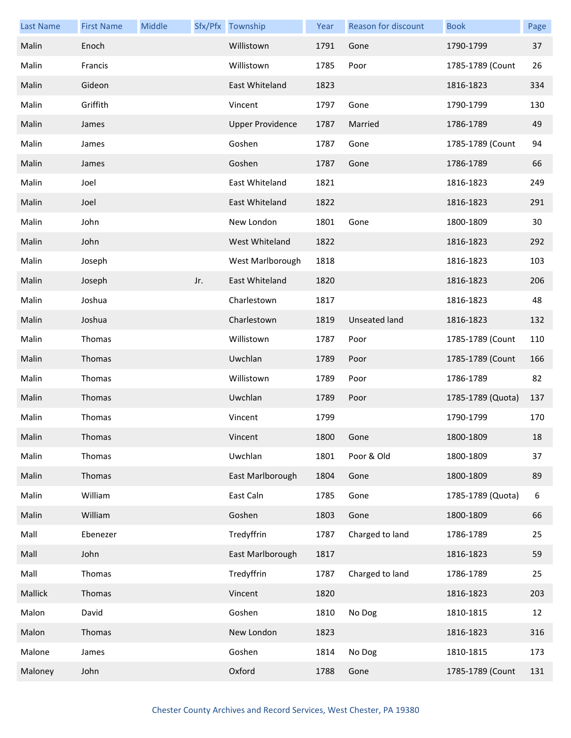| <b>Last Name</b> | <b>First Name</b> | Middle |     | Sfx/Pfx Township        | Year | Reason for discount  | <b>Book</b>       | Page |
|------------------|-------------------|--------|-----|-------------------------|------|----------------------|-------------------|------|
| Malin            | Enoch             |        |     | Willistown              | 1791 | Gone                 | 1790-1799         | 37   |
| Malin            | Francis           |        |     | Willistown              | 1785 | Poor                 | 1785-1789 (Count  | 26   |
| Malin            | Gideon            |        |     | East Whiteland          | 1823 |                      | 1816-1823         | 334  |
| Malin            | Griffith          |        |     | Vincent                 | 1797 | Gone                 | 1790-1799         | 130  |
| Malin            | James             |        |     | <b>Upper Providence</b> | 1787 | Married              | 1786-1789         | 49   |
| Malin            | James             |        |     | Goshen                  | 1787 | Gone                 | 1785-1789 (Count  | 94   |
| Malin            | James             |        |     | Goshen                  | 1787 | Gone                 | 1786-1789         | 66   |
| Malin            | Joel              |        |     | East Whiteland          | 1821 |                      | 1816-1823         | 249  |
| Malin            | Joel              |        |     | East Whiteland          | 1822 |                      | 1816-1823         | 291  |
| Malin            | John              |        |     | New London              | 1801 | Gone                 | 1800-1809         | 30   |
| Malin            | John              |        |     | West Whiteland          | 1822 |                      | 1816-1823         | 292  |
| Malin            | Joseph            |        |     | West Marlborough        | 1818 |                      | 1816-1823         | 103  |
| Malin            | Joseph            |        | Jr. | East Whiteland          | 1820 |                      | 1816-1823         | 206  |
| Malin            | Joshua            |        |     | Charlestown             | 1817 |                      | 1816-1823         | 48   |
| Malin            | Joshua            |        |     | Charlestown             | 1819 | <b>Unseated land</b> | 1816-1823         | 132  |
| Malin            | Thomas            |        |     | Willistown              | 1787 | Poor                 | 1785-1789 (Count  | 110  |
| Malin            | Thomas            |        |     | Uwchlan                 | 1789 | Poor                 | 1785-1789 (Count  | 166  |
| Malin            | Thomas            |        |     | Willistown              | 1789 | Poor                 | 1786-1789         | 82   |
| Malin            | Thomas            |        |     | Uwchlan                 | 1789 | Poor                 | 1785-1789 (Quota) | 137  |
| Malin            | Thomas            |        |     | Vincent                 | 1799 |                      | 1790-1799         | 170  |
| Malin            | Thomas            |        |     | Vincent                 | 1800 | Gone                 | 1800-1809         | 18   |
| Malin            | Thomas            |        |     | Uwchlan                 | 1801 | Poor & Old           | 1800-1809         | 37   |
| Malin            | Thomas            |        |     | East Marlborough        | 1804 | Gone                 | 1800-1809         | 89   |
| Malin            | William           |        |     | East Caln               | 1785 | Gone                 | 1785-1789 (Quota) | 6    |
| Malin            | William           |        |     | Goshen                  | 1803 | Gone                 | 1800-1809         | 66   |
| Mall             | Ebenezer          |        |     | Tredyffrin              | 1787 | Charged to land      | 1786-1789         | 25   |
| Mall             | John              |        |     | East Marlborough        | 1817 |                      | 1816-1823         | 59   |
| Mall             | Thomas            |        |     | Tredyffrin              | 1787 | Charged to land      | 1786-1789         | 25   |
| Mallick          | Thomas            |        |     | Vincent                 | 1820 |                      | 1816-1823         | 203  |
| Malon            | David             |        |     | Goshen                  | 1810 | No Dog               | 1810-1815         | 12   |
| Malon            | Thomas            |        |     | New London              | 1823 |                      | 1816-1823         | 316  |
| Malone           | James             |        |     | Goshen                  | 1814 | No Dog               | 1810-1815         | 173  |
| Maloney          | John              |        |     | Oxford                  | 1788 | Gone                 | 1785-1789 (Count  | 131  |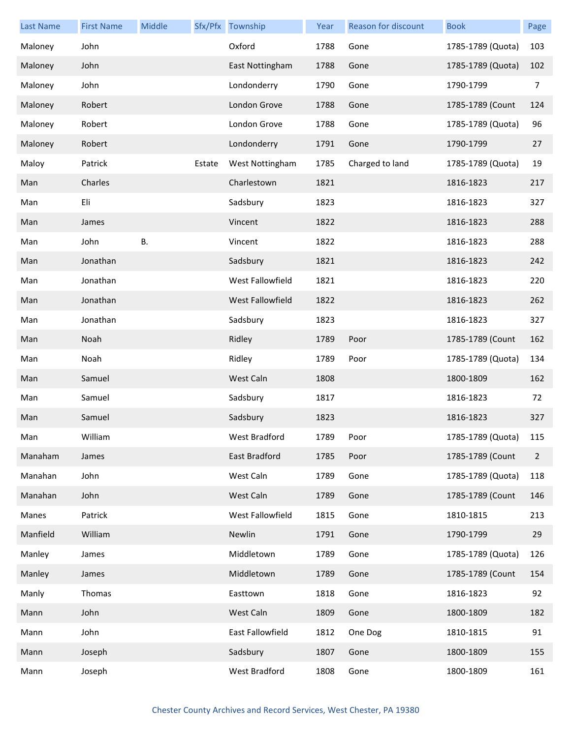| <b>Last Name</b> | <b>First Name</b> | Middle    |        | Sfx/Pfx Township | Year | Reason for discount | <b>Book</b>       | Page           |
|------------------|-------------------|-----------|--------|------------------|------|---------------------|-------------------|----------------|
| Maloney          | John              |           |        | Oxford           | 1788 | Gone                | 1785-1789 (Quota) | 103            |
| Maloney          | John              |           |        | East Nottingham  | 1788 | Gone                | 1785-1789 (Quota) | 102            |
| Maloney          | John              |           |        | Londonderry      | 1790 | Gone                | 1790-1799         | 7              |
| Maloney          | Robert            |           |        | London Grove     | 1788 | Gone                | 1785-1789 (Count  | 124            |
| Maloney          | Robert            |           |        | London Grove     | 1788 | Gone                | 1785-1789 (Quota) | 96             |
| Maloney          | Robert            |           |        | Londonderry      | 1791 | Gone                | 1790-1799         | 27             |
| Maloy            | Patrick           |           | Estate | West Nottingham  | 1785 | Charged to land     | 1785-1789 (Quota) | 19             |
| Man              | Charles           |           |        | Charlestown      | 1821 |                     | 1816-1823         | 217            |
| Man              | Eli               |           |        | Sadsbury         | 1823 |                     | 1816-1823         | 327            |
| Man              | James             |           |        | Vincent          | 1822 |                     | 1816-1823         | 288            |
| Man              | John              | <b>B.</b> |        | Vincent          | 1822 |                     | 1816-1823         | 288            |
| Man              | Jonathan          |           |        | Sadsbury         | 1821 |                     | 1816-1823         | 242            |
| Man              | Jonathan          |           |        | West Fallowfield | 1821 |                     | 1816-1823         | 220            |
| Man              | Jonathan          |           |        | West Fallowfield | 1822 |                     | 1816-1823         | 262            |
| Man              | Jonathan          |           |        | Sadsbury         | 1823 |                     | 1816-1823         | 327            |
| Man              | Noah              |           |        | Ridley           | 1789 | Poor                | 1785-1789 (Count  | 162            |
| Man              | Noah              |           |        | Ridley           | 1789 | Poor                | 1785-1789 (Quota) | 134            |
| Man              | Samuel            |           |        | West Caln        | 1808 |                     | 1800-1809         | 162            |
| Man              | Samuel            |           |        | Sadsbury         | 1817 |                     | 1816-1823         | 72             |
| Man              | Samuel            |           |        | Sadsbury         | 1823 |                     | 1816-1823         | 327            |
| Man              | William           |           |        | West Bradford    | 1789 | Poor                | 1785-1789 (Quota) | 115            |
| Manaham          | James             |           |        | East Bradford    | 1785 | Poor                | 1785-1789 (Count  | $\overline{2}$ |
| Manahan          | John              |           |        | West Caln        | 1789 | Gone                | 1785-1789 (Quota) | 118            |
| Manahan          | John              |           |        | West Caln        | 1789 | Gone                | 1785-1789 (Count  | 146            |
| Manes            | Patrick           |           |        | West Fallowfield | 1815 | Gone                | 1810-1815         | 213            |
| Manfield         | William           |           |        | Newlin           | 1791 | Gone                | 1790-1799         | 29             |
| Manley           | James             |           |        | Middletown       | 1789 | Gone                | 1785-1789 (Quota) | 126            |
| Manley           | James             |           |        | Middletown       | 1789 | Gone                | 1785-1789 (Count  | 154            |
| Manly            | Thomas            |           |        | Easttown         | 1818 | Gone                | 1816-1823         | 92             |
| Mann             | John              |           |        | West Caln        | 1809 | Gone                | 1800-1809         | 182            |
| Mann             | John              |           |        | East Fallowfield | 1812 | One Dog             | 1810-1815         | 91             |
| Mann             | Joseph            |           |        | Sadsbury         | 1807 | Gone                | 1800-1809         | 155            |
| Mann             | Joseph            |           |        | West Bradford    | 1808 | Gone                | 1800-1809         | 161            |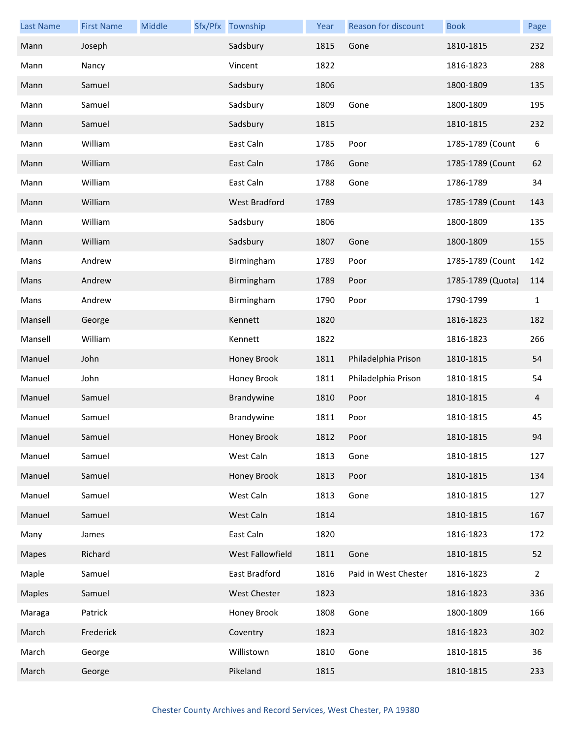| <b>Last Name</b> | <b>First Name</b> | Middle | Sfx/Pfx Township     | Year | Reason for discount  | <b>Book</b>       | Page           |
|------------------|-------------------|--------|----------------------|------|----------------------|-------------------|----------------|
| Mann             | Joseph            |        | Sadsbury             | 1815 | Gone                 | 1810-1815         | 232            |
| Mann             | Nancy             |        | Vincent              | 1822 |                      | 1816-1823         | 288            |
| Mann             | Samuel            |        | Sadsbury             | 1806 |                      | 1800-1809         | 135            |
| Mann             | Samuel            |        | Sadsbury             | 1809 | Gone                 | 1800-1809         | 195            |
| Mann             | Samuel            |        | Sadsbury             | 1815 |                      | 1810-1815         | 232            |
| Mann             | William           |        | East Caln            | 1785 | Poor                 | 1785-1789 (Count  | 6              |
| Mann             | William           |        | East Caln            | 1786 | Gone                 | 1785-1789 (Count  | 62             |
| Mann             | William           |        | East Caln            | 1788 | Gone                 | 1786-1789         | 34             |
| Mann             | William           |        | <b>West Bradford</b> | 1789 |                      | 1785-1789 (Count  | 143            |
| Mann             | William           |        | Sadsbury             | 1806 |                      | 1800-1809         | 135            |
| Mann             | William           |        | Sadsbury             | 1807 | Gone                 | 1800-1809         | 155            |
| Mans             | Andrew            |        | Birmingham           | 1789 | Poor                 | 1785-1789 (Count  | 142            |
| Mans             | Andrew            |        | Birmingham           | 1789 | Poor                 | 1785-1789 (Quota) | 114            |
| Mans             | Andrew            |        | Birmingham           | 1790 | Poor                 | 1790-1799         | $\mathbf{1}$   |
| Mansell          | George            |        | Kennett              | 1820 |                      | 1816-1823         | 182            |
| Mansell          | William           |        | Kennett              | 1822 |                      | 1816-1823         | 266            |
| Manuel           | John              |        | Honey Brook          | 1811 | Philadelphia Prison  | 1810-1815         | 54             |
| Manuel           | John              |        | Honey Brook          | 1811 | Philadelphia Prison  | 1810-1815         | 54             |
| Manuel           | Samuel            |        | Brandywine           | 1810 | Poor                 | 1810-1815         | 4              |
| Manuel           | Samuel            |        | Brandywine           | 1811 | Poor                 | 1810-1815         | 45             |
| Manuel           | Samuel            |        | Honey Brook          | 1812 | Poor                 | 1810-1815         | 94             |
| Manuel           | Samuel            |        | West Caln            | 1813 | Gone                 | 1810-1815         | 127            |
| Manuel           | Samuel            |        | Honey Brook          | 1813 | Poor                 | 1810-1815         | 134            |
| Manuel           | Samuel            |        | West Caln            | 1813 | Gone                 | 1810-1815         | 127            |
| Manuel           | Samuel            |        | West Caln            | 1814 |                      | 1810-1815         | 167            |
| Many             | James             |        | East Caln            | 1820 |                      | 1816-1823         | 172            |
| Mapes            | Richard           |        | West Fallowfield     | 1811 | Gone                 | 1810-1815         | 52             |
| Maple            | Samuel            |        | East Bradford        | 1816 | Paid in West Chester | 1816-1823         | $\overline{2}$ |
| <b>Maples</b>    | Samuel            |        | West Chester         | 1823 |                      | 1816-1823         | 336            |
| Maraga           | Patrick           |        | Honey Brook          | 1808 | Gone                 | 1800-1809         | 166            |
| March            | Frederick         |        | Coventry             | 1823 |                      | 1816-1823         | 302            |
| March            | George            |        | Willistown           | 1810 | Gone                 | 1810-1815         | 36             |
| March            | George            |        | Pikeland             | 1815 |                      | 1810-1815         | 233            |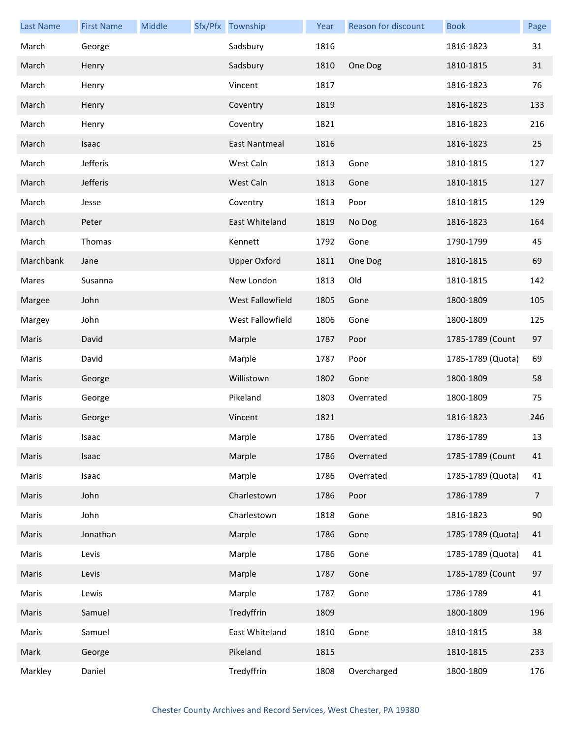| <b>Last Name</b> | <b>First Name</b> | Middle | Sfx/Pfx Township    | Year | <b>Reason for discount</b> | <b>Book</b>       | Page |
|------------------|-------------------|--------|---------------------|------|----------------------------|-------------------|------|
| March            | George            |        | Sadsbury            | 1816 |                            | 1816-1823         | 31   |
| March            | Henry             |        | Sadsbury            | 1810 | One Dog                    | 1810-1815         | 31   |
| March            | Henry             |        | Vincent             | 1817 |                            | 1816-1823         | 76   |
| March            | Henry             |        | Coventry            | 1819 |                            | 1816-1823         | 133  |
| March            | Henry             |        | Coventry            | 1821 |                            | 1816-1823         | 216  |
| March            | Isaac             |        | East Nantmeal       | 1816 |                            | 1816-1823         | 25   |
| March            | Jefferis          |        | West Caln           | 1813 | Gone                       | 1810-1815         | 127  |
| March            | Jefferis          |        | West Caln           | 1813 | Gone                       | 1810-1815         | 127  |
| March            | Jesse             |        | Coventry            | 1813 | Poor                       | 1810-1815         | 129  |
| March            | Peter             |        | East Whiteland      | 1819 | No Dog                     | 1816-1823         | 164  |
| March            | Thomas            |        | Kennett             | 1792 | Gone                       | 1790-1799         | 45   |
| Marchbank        | Jane              |        | <b>Upper Oxford</b> | 1811 | One Dog                    | 1810-1815         | 69   |
| Mares            | Susanna           |        | New London          | 1813 | Old                        | 1810-1815         | 142  |
| Margee           | John              |        | West Fallowfield    | 1805 | Gone                       | 1800-1809         | 105  |
| Margey           | John              |        | West Fallowfield    | 1806 | Gone                       | 1800-1809         | 125  |
| Maris            | David             |        | Marple              | 1787 | Poor                       | 1785-1789 (Count  | 97   |
| Maris            | David             |        | Marple              | 1787 | Poor                       | 1785-1789 (Quota) | 69   |
| Maris            | George            |        | Willistown          | 1802 | Gone                       | 1800-1809         | 58   |
| Maris            | George            |        | Pikeland            | 1803 | Overrated                  | 1800-1809         | 75   |
| Maris            | George            |        | Vincent             | 1821 |                            | 1816-1823         | 246  |
| Maris            | Isaac             |        | Marple              | 1786 | Overrated                  | 1786-1789         | 13   |
| Maris            | Isaac             |        | Marple              | 1786 | Overrated                  | 1785-1789 (Count  | 41   |
| Maris            | Isaac             |        | Marple              | 1786 | Overrated                  | 1785-1789 (Quota) | 41   |
| Maris            | John              |        | Charlestown         | 1786 | Poor                       | 1786-1789         | 7    |
| Maris            | John              |        | Charlestown         | 1818 | Gone                       | 1816-1823         | 90   |
| Maris            | Jonathan          |        | Marple              | 1786 | Gone                       | 1785-1789 (Quota) | 41   |
| Maris            | Levis             |        | Marple              | 1786 | Gone                       | 1785-1789 (Quota) | 41   |
| Maris            | Levis             |        | Marple              | 1787 | Gone                       | 1785-1789 (Count  | 97   |
| Maris            | Lewis             |        | Marple              | 1787 | Gone                       | 1786-1789         | 41   |
| Maris            | Samuel            |        | Tredyffrin          | 1809 |                            | 1800-1809         | 196  |
| Maris            | Samuel            |        | East Whiteland      | 1810 | Gone                       | 1810-1815         | 38   |
| Mark             | George            |        | Pikeland            | 1815 |                            | 1810-1815         | 233  |
| Markley          | Daniel            |        | Tredyffrin          | 1808 | Overcharged                | 1800-1809         | 176  |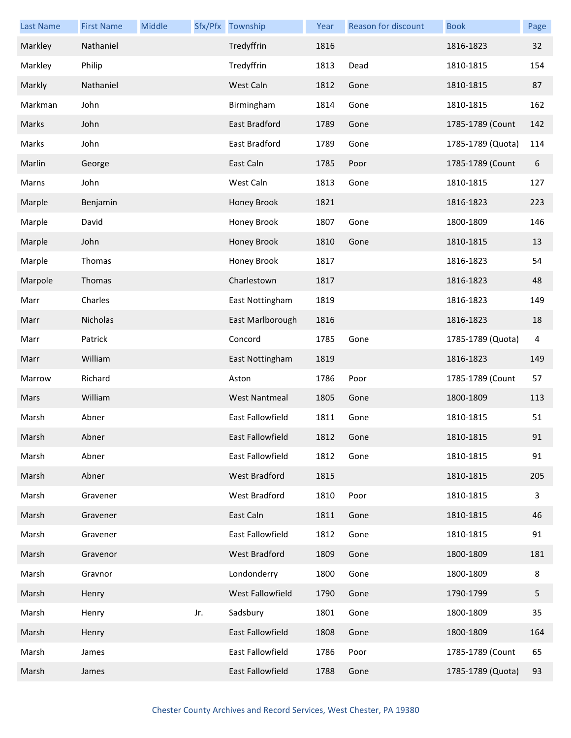| <b>Last Name</b> | <b>First Name</b> | Middle |     | Sfx/Pfx Township     | Year | Reason for discount | <b>Book</b>       | Page |
|------------------|-------------------|--------|-----|----------------------|------|---------------------|-------------------|------|
| Markley          | Nathaniel         |        |     | Tredyffrin           | 1816 |                     | 1816-1823         | 32   |
| Markley          | Philip            |        |     | Tredyffrin           | 1813 | Dead                | 1810-1815         | 154  |
| Markly           | Nathaniel         |        |     | West Caln            | 1812 | Gone                | 1810-1815         | 87   |
| Markman          | John              |        |     | Birmingham           | 1814 | Gone                | 1810-1815         | 162  |
| Marks            | John              |        |     | East Bradford        | 1789 | Gone                | 1785-1789 (Count  | 142  |
| Marks            | John              |        |     | East Bradford        | 1789 | Gone                | 1785-1789 (Quota) | 114  |
| Marlin           | George            |        |     | East Caln            | 1785 | Poor                | 1785-1789 (Count  | 6    |
| Marns            | John              |        |     | West Caln            | 1813 | Gone                | 1810-1815         | 127  |
| Marple           | Benjamin          |        |     | Honey Brook          | 1821 |                     | 1816-1823         | 223  |
| Marple           | David             |        |     | Honey Brook          | 1807 | Gone                | 1800-1809         | 146  |
| Marple           | John              |        |     | Honey Brook          | 1810 | Gone                | 1810-1815         | 13   |
| Marple           | Thomas            |        |     | Honey Brook          | 1817 |                     | 1816-1823         | 54   |
| Marpole          | Thomas            |        |     | Charlestown          | 1817 |                     | 1816-1823         | 48   |
| Marr             | Charles           |        |     | East Nottingham      | 1819 |                     | 1816-1823         | 149  |
| Marr             | Nicholas          |        |     | East Marlborough     | 1816 |                     | 1816-1823         | 18   |
| Marr             | Patrick           |        |     | Concord              | 1785 | Gone                | 1785-1789 (Quota) | 4    |
| Marr             | William           |        |     | East Nottingham      | 1819 |                     | 1816-1823         | 149  |
| Marrow           | Richard           |        |     | Aston                | 1786 | Poor                | 1785-1789 (Count  | 57   |
| Mars             | William           |        |     | <b>West Nantmeal</b> | 1805 | Gone                | 1800-1809         | 113  |
| Marsh            | Abner             |        |     | East Fallowfield     | 1811 | Gone                | 1810-1815         | 51   |
| Marsh            | Abner             |        |     | East Fallowfield     | 1812 | Gone                | 1810-1815         | 91   |
| Marsh            | Abner             |        |     | East Fallowfield     | 1812 | Gone                | 1810-1815         | 91   |
| Marsh            | Abner             |        |     | West Bradford        | 1815 |                     | 1810-1815         | 205  |
| Marsh            | Gravener          |        |     | West Bradford        | 1810 | Poor                | 1810-1815         | 3    |
| Marsh            | Gravener          |        |     | East Caln            | 1811 | Gone                | 1810-1815         | 46   |
| Marsh            | Gravener          |        |     | East Fallowfield     | 1812 | Gone                | 1810-1815         | 91   |
| Marsh            | Gravenor          |        |     | West Bradford        | 1809 | Gone                | 1800-1809         | 181  |
| Marsh            | Gravnor           |        |     | Londonderry          | 1800 | Gone                | 1800-1809         | 8    |
| Marsh            | Henry             |        |     | West Fallowfield     | 1790 | Gone                | 1790-1799         | 5    |
| Marsh            | Henry             |        | Jr. | Sadsbury             | 1801 | Gone                | 1800-1809         | 35   |
| Marsh            | Henry             |        |     | East Fallowfield     | 1808 | Gone                | 1800-1809         | 164  |
| Marsh            | James             |        |     | East Fallowfield     | 1786 | Poor                | 1785-1789 (Count  | 65   |
| Marsh            | James             |        |     | East Fallowfield     | 1788 | Gone                | 1785-1789 (Quota) | 93   |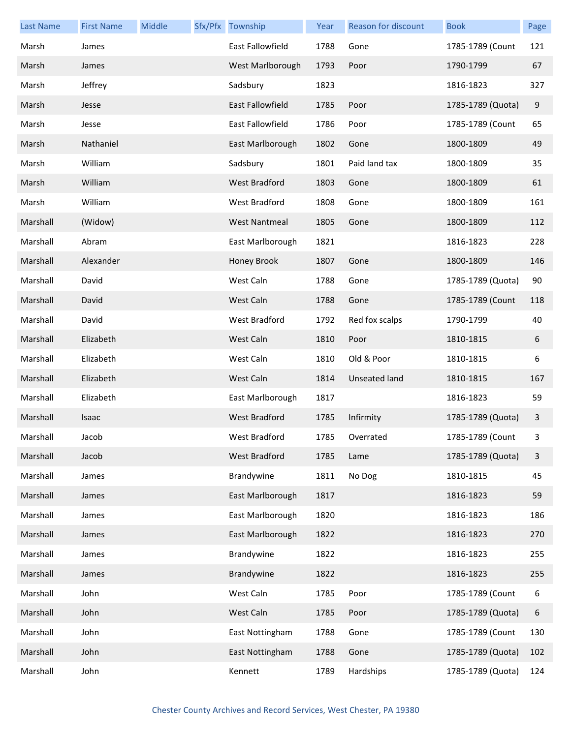| <b>Last Name</b> | <b>First Name</b> | Middle | Sfx/Pfx Township        | Year | <b>Reason for discount</b> | <b>Book</b>       | Page |
|------------------|-------------------|--------|-------------------------|------|----------------------------|-------------------|------|
| Marsh            | James             |        | East Fallowfield        | 1788 | Gone                       | 1785-1789 (Count  | 121  |
| Marsh            | James             |        | West Marlborough        | 1793 | Poor                       | 1790-1799         | 67   |
| Marsh            | Jeffrey           |        | Sadsbury                | 1823 |                            | 1816-1823         | 327  |
| Marsh            | Jesse             |        | East Fallowfield        | 1785 | Poor                       | 1785-1789 (Quota) | 9    |
| Marsh            | Jesse             |        | <b>East Fallowfield</b> | 1786 | Poor                       | 1785-1789 (Count  | 65   |
| Marsh            | Nathaniel         |        | East Marlborough        | 1802 | Gone                       | 1800-1809         | 49   |
| Marsh            | William           |        | Sadsbury                | 1801 | Paid land tax              | 1800-1809         | 35   |
| Marsh            | William           |        | <b>West Bradford</b>    | 1803 | Gone                       | 1800-1809         | 61   |
| Marsh            | William           |        | West Bradford           | 1808 | Gone                       | 1800-1809         | 161  |
| Marshall         | (Widow)           |        | <b>West Nantmeal</b>    | 1805 | Gone                       | 1800-1809         | 112  |
| Marshall         | Abram             |        | East Marlborough        | 1821 |                            | 1816-1823         | 228  |
| Marshall         | Alexander         |        | Honey Brook             | 1807 | Gone                       | 1800-1809         | 146  |
| Marshall         | David             |        | West Caln               | 1788 | Gone                       | 1785-1789 (Quota) | 90   |
| Marshall         | David             |        | West Caln               | 1788 | Gone                       | 1785-1789 (Count  | 118  |
| Marshall         | David             |        | West Bradford           | 1792 | Red fox scalps             | 1790-1799         | 40   |
| Marshall         | Elizabeth         |        | West Caln               | 1810 | Poor                       | 1810-1815         | 6    |
| Marshall         | Elizabeth         |        | West Caln               | 1810 | Old & Poor                 | 1810-1815         | 6    |
| Marshall         | Elizabeth         |        | West Caln               | 1814 | Unseated land              | 1810-1815         | 167  |
| Marshall         | Elizabeth         |        | East Marlborough        | 1817 |                            | 1816-1823         | 59   |
| Marshall         | Isaac             |        | West Bradford           | 1785 | Infirmity                  | 1785-1789 (Quota) | 3    |
| Marshall         | Jacob             |        | West Bradford           | 1785 | Overrated                  | 1785-1789 (Count  | 3    |
| Marshall         | Jacob             |        | West Bradford           | 1785 | Lame                       | 1785-1789 (Quota) | 3    |
| Marshall         | James             |        | Brandywine              | 1811 | No Dog                     | 1810-1815         | 45   |
| Marshall         | James             |        | East Marlborough        | 1817 |                            | 1816-1823         | 59   |
| Marshall         | James             |        | East Marlborough        | 1820 |                            | 1816-1823         | 186  |
| Marshall         | James             |        | East Marlborough        | 1822 |                            | 1816-1823         | 270  |
| Marshall         | James             |        | Brandywine              | 1822 |                            | 1816-1823         | 255  |
| Marshall         | James             |        | Brandywine              | 1822 |                            | 1816-1823         | 255  |
| Marshall         | John              |        | West Caln               | 1785 | Poor                       | 1785-1789 (Count  | 6    |
| Marshall         | John              |        | West Caln               | 1785 | Poor                       | 1785-1789 (Quota) | 6    |
| Marshall         | John              |        | East Nottingham         | 1788 | Gone                       | 1785-1789 (Count  | 130  |
| Marshall         | John              |        | East Nottingham         | 1788 | Gone                       | 1785-1789 (Quota) | 102  |
| Marshall         | John              |        | Kennett                 | 1789 | Hardships                  | 1785-1789 (Quota) | 124  |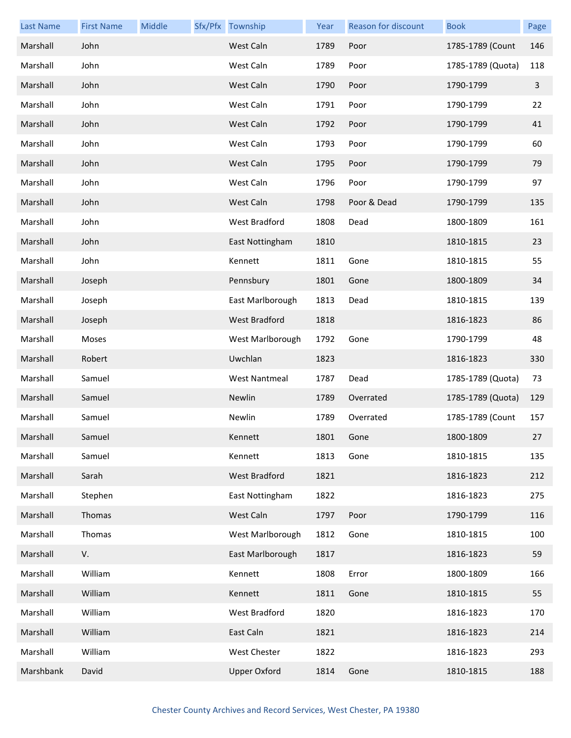| <b>Last Name</b> | <b>First Name</b> | Middle | Sfx/Pfx Township     | Year | Reason for discount | <b>Book</b>       | Page |
|------------------|-------------------|--------|----------------------|------|---------------------|-------------------|------|
| Marshall         | John              |        | West Caln            | 1789 | Poor                | 1785-1789 (Count  | 146  |
| Marshall         | John              |        | West Caln            | 1789 | Poor                | 1785-1789 (Quota) | 118  |
| Marshall         | John              |        | West Caln            | 1790 | Poor                | 1790-1799         | 3    |
| Marshall         | John              |        | West Caln            | 1791 | Poor                | 1790-1799         | 22   |
| Marshall         | John              |        | West Caln            | 1792 | Poor                | 1790-1799         | 41   |
| Marshall         | John              |        | West Caln            | 1793 | Poor                | 1790-1799         | 60   |
| Marshall         | John              |        | West Caln            | 1795 | Poor                | 1790-1799         | 79   |
| Marshall         | John              |        | West Caln            | 1796 | Poor                | 1790-1799         | 97   |
| Marshall         | John              |        | West Caln            | 1798 | Poor & Dead         | 1790-1799         | 135  |
| Marshall         | John              |        | West Bradford        | 1808 | Dead                | 1800-1809         | 161  |
| Marshall         | John              |        | East Nottingham      | 1810 |                     | 1810-1815         | 23   |
| Marshall         | John              |        | Kennett              | 1811 | Gone                | 1810-1815         | 55   |
| Marshall         | Joseph            |        | Pennsbury            | 1801 | Gone                | 1800-1809         | 34   |
| Marshall         | Joseph            |        | East Marlborough     | 1813 | Dead                | 1810-1815         | 139  |
| Marshall         | Joseph            |        | West Bradford        | 1818 |                     | 1816-1823         | 86   |
| Marshall         | Moses             |        | West Marlborough     | 1792 | Gone                | 1790-1799         | 48   |
| Marshall         | Robert            |        | Uwchlan              | 1823 |                     | 1816-1823         | 330  |
| Marshall         | Samuel            |        | <b>West Nantmeal</b> | 1787 | Dead                | 1785-1789 (Quota) | 73   |
| Marshall         | Samuel            |        | Newlin               | 1789 | Overrated           | 1785-1789 (Quota) | 129  |
| Marshall         | Samuel            |        | Newlin               | 1789 | Overrated           | 1785-1789 (Count  | 157  |
| Marshall         | Samuel            |        | Kennett              | 1801 | Gone                | 1800-1809         | 27   |
| Marshall         | Samuel            |        | Kennett              | 1813 | Gone                | 1810-1815         | 135  |
| Marshall         | Sarah             |        | West Bradford        | 1821 |                     | 1816-1823         | 212  |
| Marshall         | Stephen           |        | East Nottingham      | 1822 |                     | 1816-1823         | 275  |
| Marshall         | Thomas            |        | West Caln            | 1797 | Poor                | 1790-1799         | 116  |
| Marshall         | Thomas            |        | West Marlborough     | 1812 | Gone                | 1810-1815         | 100  |
| Marshall         | V.                |        | East Marlborough     | 1817 |                     | 1816-1823         | 59   |
| Marshall         | William           |        | Kennett              | 1808 | Error               | 1800-1809         | 166  |
| Marshall         | William           |        | Kennett              | 1811 | Gone                | 1810-1815         | 55   |
| Marshall         | William           |        | West Bradford        | 1820 |                     | 1816-1823         | 170  |
| Marshall         | William           |        | East Caln            | 1821 |                     | 1816-1823         | 214  |
| Marshall         | William           |        | West Chester         | 1822 |                     | 1816-1823         | 293  |
| Marshbank        | David             |        | <b>Upper Oxford</b>  | 1814 | Gone                | 1810-1815         | 188  |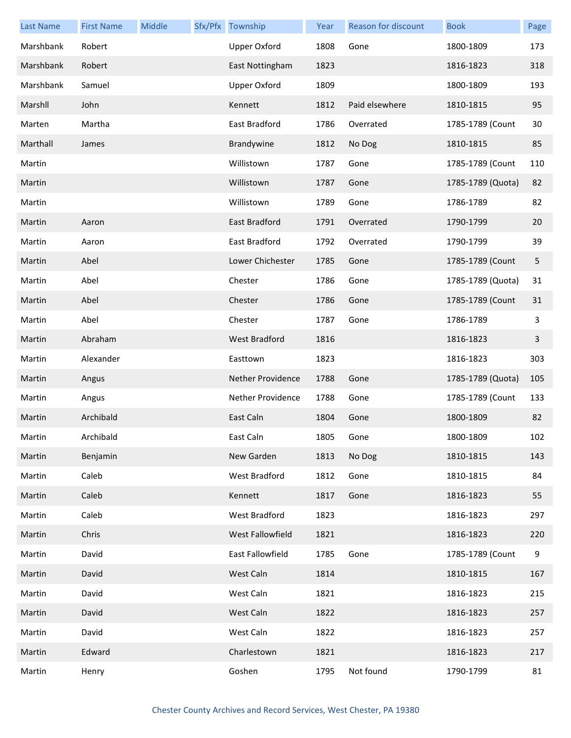| <b>Last Name</b> | <b>First Name</b> | Middle | Sfx/Pfx Township     | Year | Reason for discount | <b>Book</b>       | Page |
|------------------|-------------------|--------|----------------------|------|---------------------|-------------------|------|
| Marshbank        | Robert            |        | <b>Upper Oxford</b>  | 1808 | Gone                | 1800-1809         | 173  |
| Marshbank        | Robert            |        | East Nottingham      | 1823 |                     | 1816-1823         | 318  |
| Marshbank        | Samuel            |        | <b>Upper Oxford</b>  | 1809 |                     | 1800-1809         | 193  |
| Marshll          | John              |        | Kennett              | 1812 | Paid elsewhere      | 1810-1815         | 95   |
| Marten           | Martha            |        | East Bradford        | 1786 | Overrated           | 1785-1789 (Count  | 30   |
| Marthall         | James             |        | Brandywine           | 1812 | No Dog              | 1810-1815         | 85   |
| Martin           |                   |        | Willistown           | 1787 | Gone                | 1785-1789 (Count  | 110  |
| Martin           |                   |        | Willistown           | 1787 | Gone                | 1785-1789 (Quota) | 82   |
| Martin           |                   |        | Willistown           | 1789 | Gone                | 1786-1789         | 82   |
| Martin           | Aaron             |        | East Bradford        | 1791 | Overrated           | 1790-1799         | 20   |
| Martin           | Aaron             |        | East Bradford        | 1792 | Overrated           | 1790-1799         | 39   |
| Martin           | Abel              |        | Lower Chichester     | 1785 | Gone                | 1785-1789 (Count  | 5    |
| Martin           | Abel              |        | Chester              | 1786 | Gone                | 1785-1789 (Quota) | 31   |
| Martin           | Abel              |        | Chester              | 1786 | Gone                | 1785-1789 (Count  | 31   |
| Martin           | Abel              |        | Chester              | 1787 | Gone                | 1786-1789         | 3    |
| Martin           | Abraham           |        | <b>West Bradford</b> | 1816 |                     | 1816-1823         | 3    |
| Martin           | Alexander         |        | Easttown             | 1823 |                     | 1816-1823         | 303  |
| Martin           | Angus             |        | Nether Providence    | 1788 | Gone                | 1785-1789 (Quota) | 105  |
| Martin           | Angus             |        | Nether Providence    | 1788 | Gone                | 1785-1789 (Count  | 133  |
| Martin           | Archibald         |        | East Caln            | 1804 | Gone                | 1800-1809         | 82   |
| Martin           | Archibald         |        | East Caln            | 1805 | Gone                | 1800-1809         | 102  |
| Martin           | Benjamin          |        | New Garden           | 1813 | No Dog              | 1810-1815         | 143  |
| Martin           | Caleb             |        | West Bradford        | 1812 | Gone                | 1810-1815         | 84   |
| Martin           | Caleb             |        | Kennett              | 1817 | Gone                | 1816-1823         | 55   |
| Martin           | Caleb             |        | West Bradford        | 1823 |                     | 1816-1823         | 297  |
| Martin           | Chris             |        | West Fallowfield     | 1821 |                     | 1816-1823         | 220  |
| Martin           | David             |        | East Fallowfield     | 1785 | Gone                | 1785-1789 (Count  | 9    |
| Martin           | David             |        | West Caln            | 1814 |                     | 1810-1815         | 167  |
| Martin           | David             |        | West Caln            | 1821 |                     | 1816-1823         | 215  |
| Martin           | David             |        | West Caln            | 1822 |                     | 1816-1823         | 257  |
| Martin           | David             |        | West Caln            | 1822 |                     | 1816-1823         | 257  |
| Martin           | Edward            |        | Charlestown          | 1821 |                     | 1816-1823         | 217  |
| Martin           | Henry             |        | Goshen               | 1795 | Not found           | 1790-1799         | 81   |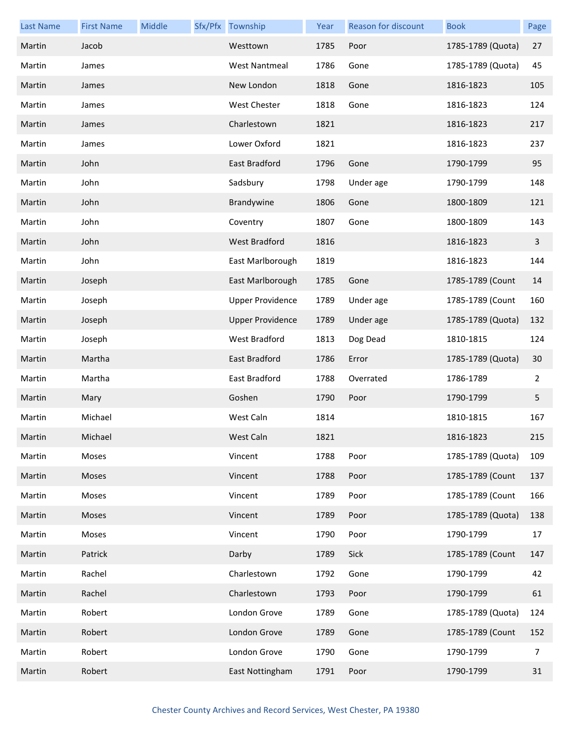| <b>Last Name</b> | <b>First Name</b> | Middle | Sfx/Pfx Township        | Year | <b>Reason for discount</b> | <b>Book</b>       | Page |
|------------------|-------------------|--------|-------------------------|------|----------------------------|-------------------|------|
| Martin           | Jacob             |        | Westtown                | 1785 | Poor                       | 1785-1789 (Quota) | 27   |
| Martin           | James             |        | <b>West Nantmeal</b>    | 1786 | Gone                       | 1785-1789 (Quota) | 45   |
| Martin           | James             |        | New London              | 1818 | Gone                       | 1816-1823         | 105  |
| Martin           | James             |        | West Chester            | 1818 | Gone                       | 1816-1823         | 124  |
| Martin           | James             |        | Charlestown             | 1821 |                            | 1816-1823         | 217  |
| Martin           | James             |        | Lower Oxford            | 1821 |                            | 1816-1823         | 237  |
| Martin           | John              |        | East Bradford           | 1796 | Gone                       | 1790-1799         | 95   |
| Martin           | John              |        | Sadsbury                | 1798 | Under age                  | 1790-1799         | 148  |
| Martin           | John              |        | Brandywine              | 1806 | Gone                       | 1800-1809         | 121  |
| Martin           | John              |        | Coventry                | 1807 | Gone                       | 1800-1809         | 143  |
| Martin           | John              |        | <b>West Bradford</b>    | 1816 |                            | 1816-1823         | 3    |
| Martin           | John              |        | East Marlborough        | 1819 |                            | 1816-1823         | 144  |
| Martin           | Joseph            |        | East Marlborough        | 1785 | Gone                       | 1785-1789 (Count  | 14   |
| Martin           | Joseph            |        | <b>Upper Providence</b> | 1789 | Under age                  | 1785-1789 (Count  | 160  |
| Martin           | Joseph            |        | <b>Upper Providence</b> | 1789 | Under age                  | 1785-1789 (Quota) | 132  |
| Martin           | Joseph            |        | West Bradford           | 1813 | Dog Dead                   | 1810-1815         | 124  |
| Martin           | Martha            |        | East Bradford           | 1786 | Error                      | 1785-1789 (Quota) | 30   |
| Martin           | Martha            |        | East Bradford           | 1788 | Overrated                  | 1786-1789         | 2    |
| Martin           | Mary              |        | Goshen                  | 1790 | Poor                       | 1790-1799         | 5    |
| Martin           | Michael           |        | West Caln               | 1814 |                            | 1810-1815         | 167  |
| Martin           | Michael           |        | West Caln               | 1821 |                            | 1816-1823         | 215  |
| Martin           | Moses             |        | Vincent                 | 1788 | Poor                       | 1785-1789 (Quota) | 109  |
| Martin           | Moses             |        | Vincent                 | 1788 | Poor                       | 1785-1789 (Count  | 137  |
| Martin           | Moses             |        | Vincent                 | 1789 | Poor                       | 1785-1789 (Count  | 166  |
| Martin           | Moses             |        | Vincent                 | 1789 | Poor                       | 1785-1789 (Quota) | 138  |
| Martin           | Moses             |        | Vincent                 | 1790 | Poor                       | 1790-1799         | 17   |
| Martin           | Patrick           |        | Darby                   | 1789 | Sick                       | 1785-1789 (Count  | 147  |
| Martin           | Rachel            |        | Charlestown             | 1792 | Gone                       | 1790-1799         | 42   |
| Martin           | Rachel            |        | Charlestown             | 1793 | Poor                       | 1790-1799         | 61   |
| Martin           | Robert            |        | London Grove            | 1789 | Gone                       | 1785-1789 (Quota) | 124  |
| Martin           | Robert            |        | London Grove            | 1789 | Gone                       | 1785-1789 (Count  | 152  |
| Martin           | Robert            |        | London Grove            | 1790 | Gone                       | 1790-1799         | 7    |
| Martin           | Robert            |        | East Nottingham         | 1791 | Poor                       | 1790-1799         | 31   |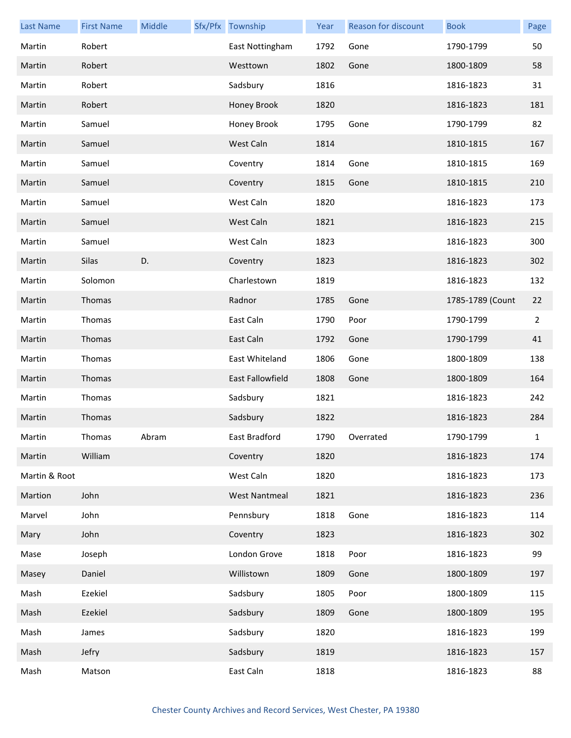| <b>Last Name</b> | <b>First Name</b> | Middle | Sfx/Pfx Township     | Year | Reason for discount | <b>Book</b>      | Page           |
|------------------|-------------------|--------|----------------------|------|---------------------|------------------|----------------|
| Martin           | Robert            |        | East Nottingham      | 1792 | Gone                | 1790-1799        | 50             |
| Martin           | Robert            |        | Westtown             | 1802 | Gone                | 1800-1809        | 58             |
| Martin           | Robert            |        | Sadsbury             | 1816 |                     | 1816-1823        | 31             |
| Martin           | Robert            |        | Honey Brook          | 1820 |                     | 1816-1823        | 181            |
| Martin           | Samuel            |        | Honey Brook          | 1795 | Gone                | 1790-1799        | 82             |
| Martin           | Samuel            |        | West Caln            | 1814 |                     | 1810-1815        | 167            |
| Martin           | Samuel            |        | Coventry             | 1814 | Gone                | 1810-1815        | 169            |
| Martin           | Samuel            |        | Coventry             | 1815 | Gone                | 1810-1815        | 210            |
| Martin           | Samuel            |        | West Caln            | 1820 |                     | 1816-1823        | 173            |
| Martin           | Samuel            |        | West Caln            | 1821 |                     | 1816-1823        | 215            |
| Martin           | Samuel            |        | West Caln            | 1823 |                     | 1816-1823        | 300            |
| Martin           | Silas             | D.     | Coventry             | 1823 |                     | 1816-1823        | 302            |
| Martin           | Solomon           |        | Charlestown          | 1819 |                     | 1816-1823        | 132            |
| Martin           | Thomas            |        | Radnor               | 1785 | Gone                | 1785-1789 (Count | 22             |
| Martin           | Thomas            |        | East Caln            | 1790 | Poor                | 1790-1799        | $\overline{2}$ |
| Martin           | Thomas            |        | East Caln            | 1792 | Gone                | 1790-1799        | 41             |
| Martin           | Thomas            |        | East Whiteland       | 1806 | Gone                | 1800-1809        | 138            |
| Martin           | Thomas            |        | East Fallowfield     | 1808 | Gone                | 1800-1809        | 164            |
| Martin           | Thomas            |        | Sadsbury             | 1821 |                     | 1816-1823        | 242            |
| Martin           | Thomas            |        | Sadsbury             | 1822 |                     | 1816-1823        | 284            |
| Martin           | Thomas            | Abram  | East Bradford        | 1790 | Overrated           | 1790-1799        | $\mathbf{1}$   |
| Martin           | William           |        | Coventry             | 1820 |                     | 1816-1823        | 174            |
| Martin & Root    |                   |        | West Caln            | 1820 |                     | 1816-1823        | 173            |
| Martion          | John              |        | <b>West Nantmeal</b> | 1821 |                     | 1816-1823        | 236            |
| Marvel           | John              |        | Pennsbury            | 1818 | Gone                | 1816-1823        | 114            |
| Mary             | John              |        | Coventry             | 1823 |                     | 1816-1823        | 302            |
| Mase             | Joseph            |        | London Grove         | 1818 | Poor                | 1816-1823        | 99             |
| Masey            | Daniel            |        | Willistown           | 1809 | Gone                | 1800-1809        | 197            |
| Mash             | Ezekiel           |        | Sadsbury             | 1805 | Poor                | 1800-1809        | 115            |
| Mash             | Ezekiel           |        | Sadsbury             | 1809 | Gone                | 1800-1809        | 195            |
| Mash             | James             |        | Sadsbury             | 1820 |                     | 1816-1823        | 199            |
| Mash             | Jefry             |        | Sadsbury             | 1819 |                     | 1816-1823        | 157            |
| Mash             | Matson            |        | East Caln            | 1818 |                     | 1816-1823        | 88             |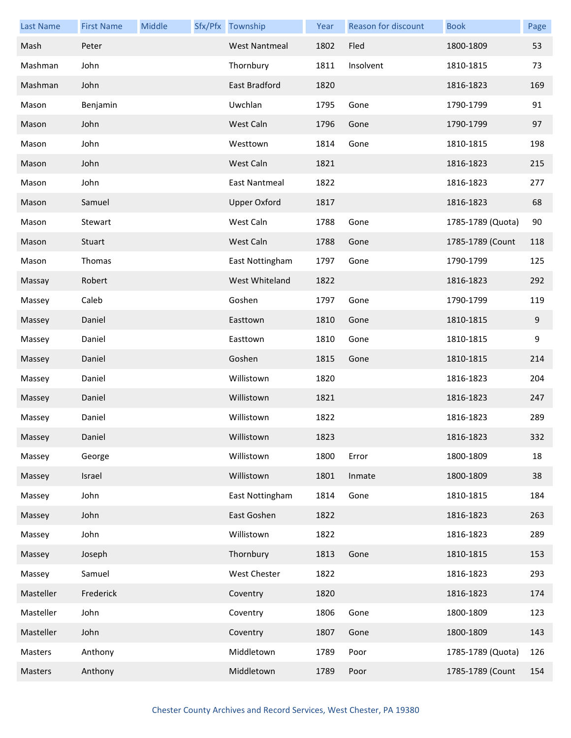| <b>Last Name</b> | <b>First Name</b> | Middle | Sfx/Pfx Township     | Year | Reason for discount | <b>Book</b>       | Page  |
|------------------|-------------------|--------|----------------------|------|---------------------|-------------------|-------|
| Mash             | Peter             |        | <b>West Nantmeal</b> | 1802 | Fled                | 1800-1809         | 53    |
| Mashman          | John              |        | Thornbury            | 1811 | Insolvent           | 1810-1815         | 73    |
| Mashman          | John              |        | East Bradford        | 1820 |                     | 1816-1823         | 169   |
| Mason            | Benjamin          |        | Uwchlan              | 1795 | Gone                | 1790-1799         | 91    |
| Mason            | John              |        | West Caln            | 1796 | Gone                | 1790-1799         | 97    |
| Mason            | John              |        | Westtown             | 1814 | Gone                | 1810-1815         | 198   |
| Mason            | John              |        | West Caln            | 1821 |                     | 1816-1823         | 215   |
| Mason            | John              |        | East Nantmeal        | 1822 |                     | 1816-1823         | 277   |
| Mason            | Samuel            |        | <b>Upper Oxford</b>  | 1817 |                     | 1816-1823         | 68    |
| Mason            | Stewart           |        | West Caln            | 1788 | Gone                | 1785-1789 (Quota) | 90    |
| Mason            | Stuart            |        | West Caln            | 1788 | Gone                | 1785-1789 (Count  | 118   |
| Mason            | Thomas            |        | East Nottingham      | 1797 | Gone                | 1790-1799         | 125   |
| Massay           | Robert            |        | West Whiteland       | 1822 |                     | 1816-1823         | 292   |
| Massey           | Caleb             |        | Goshen               | 1797 | Gone                | 1790-1799         | 119   |
| Massey           | Daniel            |        | Easttown             | 1810 | Gone                | 1810-1815         | $9\,$ |
| Massey           | Daniel            |        | Easttown             | 1810 | Gone                | 1810-1815         | 9     |
| Massey           | Daniel            |        | Goshen               | 1815 | Gone                | 1810-1815         | 214   |
| Massey           | Daniel            |        | Willistown           | 1820 |                     | 1816-1823         | 204   |
| Massey           | Daniel            |        | Willistown           | 1821 |                     | 1816-1823         | 247   |
| Massey           | Daniel            |        | Willistown           | 1822 |                     | 1816-1823         | 289   |
| Massey           | Daniel            |        | Willistown           | 1823 |                     | 1816-1823         | 332   |
| Massey           | George            |        | Willistown           | 1800 | Error               | 1800-1809         | 18    |
| Massey           | Israel            |        | Willistown           | 1801 | Inmate              | 1800-1809         | 38    |
| Massey           | John              |        | East Nottingham      | 1814 | Gone                | 1810-1815         | 184   |
| Massey           | John              |        | East Goshen          | 1822 |                     | 1816-1823         | 263   |
| Massey           | John              |        | Willistown           | 1822 |                     | 1816-1823         | 289   |
| Massey           | Joseph            |        | Thornbury            | 1813 | Gone                | 1810-1815         | 153   |
| Massey           | Samuel            |        | West Chester         | 1822 |                     | 1816-1823         | 293   |
| Masteller        | Frederick         |        | Coventry             | 1820 |                     | 1816-1823         | 174   |
| Masteller        | John              |        | Coventry             | 1806 | Gone                | 1800-1809         | 123   |
| Masteller        | John              |        | Coventry             | 1807 | Gone                | 1800-1809         | 143   |
| Masters          | Anthony           |        | Middletown           | 1789 | Poor                | 1785-1789 (Quota) | 126   |
| Masters          | Anthony           |        | Middletown           | 1789 | Poor                | 1785-1789 (Count  | 154   |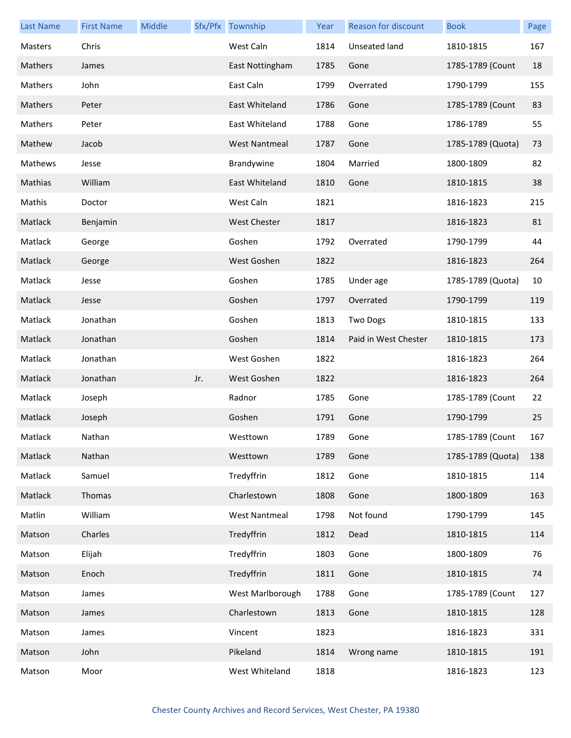| <b>Last Name</b> | <b>First Name</b> | Middle |     | Sfx/Pfx Township     | Year | Reason for discount  | <b>Book</b>       | Page |
|------------------|-------------------|--------|-----|----------------------|------|----------------------|-------------------|------|
| Masters          | Chris             |        |     | West Caln            | 1814 | Unseated land        | 1810-1815         | 167  |
| Mathers          | James             |        |     | East Nottingham      | 1785 | Gone                 | 1785-1789 (Count  | 18   |
| Mathers          | John              |        |     | East Caln            | 1799 | Overrated            | 1790-1799         | 155  |
| Mathers          | Peter             |        |     | East Whiteland       | 1786 | Gone                 | 1785-1789 (Count  | 83   |
| Mathers          | Peter             |        |     | East Whiteland       | 1788 | Gone                 | 1786-1789         | 55   |
| Mathew           | Jacob             |        |     | <b>West Nantmeal</b> | 1787 | Gone                 | 1785-1789 (Quota) | 73   |
| Mathews          | Jesse             |        |     | Brandywine           | 1804 | Married              | 1800-1809         | 82   |
| Mathias          | William           |        |     | East Whiteland       | 1810 | Gone                 | 1810-1815         | 38   |
| Mathis           | Doctor            |        |     | West Caln            | 1821 |                      | 1816-1823         | 215  |
| Matlack          | Benjamin          |        |     | <b>West Chester</b>  | 1817 |                      | 1816-1823         | 81   |
| Matlack          | George            |        |     | Goshen               | 1792 | Overrated            | 1790-1799         | 44   |
| Matlack          | George            |        |     | West Goshen          | 1822 |                      | 1816-1823         | 264  |
| Matlack          | Jesse             |        |     | Goshen               | 1785 | Under age            | 1785-1789 (Quota) | 10   |
| Matlack          | Jesse             |        |     | Goshen               | 1797 | Overrated            | 1790-1799         | 119  |
| Matlack          | Jonathan          |        |     | Goshen               | 1813 | Two Dogs             | 1810-1815         | 133  |
| Matlack          | Jonathan          |        |     | Goshen               | 1814 | Paid in West Chester | 1810-1815         | 173  |
| Matlack          | Jonathan          |        |     | West Goshen          | 1822 |                      | 1816-1823         | 264  |
| Matlack          | Jonathan          |        | Jr. | West Goshen          | 1822 |                      | 1816-1823         | 264  |
| Matlack          | Joseph            |        |     | Radnor               | 1785 | Gone                 | 1785-1789 (Count  | 22   |
| Matlack          | Joseph            |        |     | Goshen               | 1791 | Gone                 | 1790-1799         | 25   |
| Matlack          | Nathan            |        |     | Westtown             | 1789 | Gone                 | 1785-1789 (Count  | 167  |
| Matlack          | Nathan            |        |     | Westtown             | 1789 | Gone                 | 1785-1789 (Quota) | 138  |
| Matlack          | Samuel            |        |     | Tredyffrin           | 1812 | Gone                 | 1810-1815         | 114  |
| Matlack          | Thomas            |        |     | Charlestown          | 1808 | Gone                 | 1800-1809         | 163  |
| Matlin           | William           |        |     | <b>West Nantmeal</b> | 1798 | Not found            | 1790-1799         | 145  |
| Matson           | Charles           |        |     | Tredyffrin           | 1812 | Dead                 | 1810-1815         | 114  |
| Matson           | Elijah            |        |     | Tredyffrin           | 1803 | Gone                 | 1800-1809         | 76   |
| Matson           | Enoch             |        |     | Tredyffrin           | 1811 | Gone                 | 1810-1815         | 74   |
| Matson           | James             |        |     | West Marlborough     | 1788 | Gone                 | 1785-1789 (Count  | 127  |
| Matson           | James             |        |     | Charlestown          | 1813 | Gone                 | 1810-1815         | 128  |
| Matson           | James             |        |     | Vincent              | 1823 |                      | 1816-1823         | 331  |
| Matson           | John              |        |     | Pikeland             | 1814 | Wrong name           | 1810-1815         | 191  |
| Matson           | Moor              |        |     | West Whiteland       | 1818 |                      | 1816-1823         | 123  |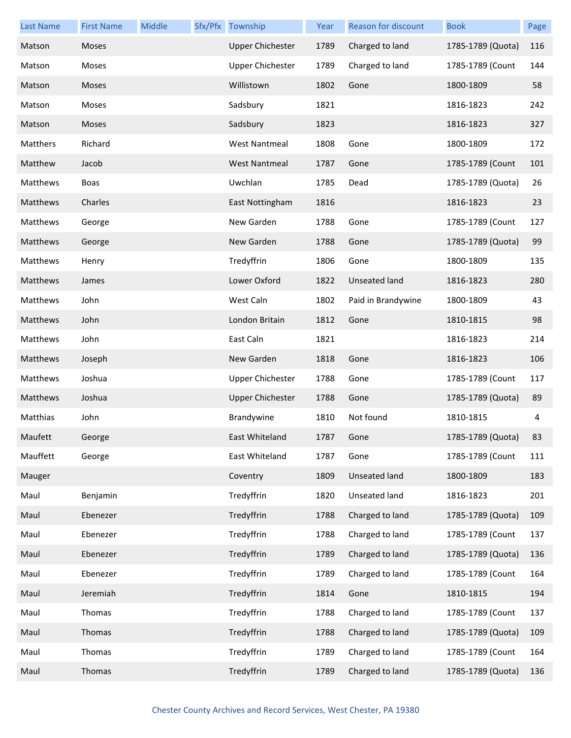| <b>Last Name</b> | <b>First Name</b> | Middle | Sfx/Pfx Township        | Year | <b>Reason for discount</b> | <b>Book</b>       | Page |
|------------------|-------------------|--------|-------------------------|------|----------------------------|-------------------|------|
| Matson           | Moses             |        | <b>Upper Chichester</b> | 1789 | Charged to land            | 1785-1789 (Quota) | 116  |
| Matson           | Moses             |        | <b>Upper Chichester</b> | 1789 | Charged to land            | 1785-1789 (Count  | 144  |
| Matson           | Moses             |        | Willistown              | 1802 | Gone                       | 1800-1809         | 58   |
| Matson           | Moses             |        | Sadsbury                | 1821 |                            | 1816-1823         | 242  |
| Matson           | Moses             |        | Sadsbury                | 1823 |                            | 1816-1823         | 327  |
| Matthers         | Richard           |        | <b>West Nantmeal</b>    | 1808 | Gone                       | 1800-1809         | 172  |
| Matthew          | Jacob             |        | <b>West Nantmeal</b>    | 1787 | Gone                       | 1785-1789 (Count  | 101  |
| Matthews         | Boas              |        | Uwchlan                 | 1785 | Dead                       | 1785-1789 (Quota) | 26   |
| Matthews         | Charles           |        | East Nottingham         | 1816 |                            | 1816-1823         | 23   |
| Matthews         | George            |        | New Garden              | 1788 | Gone                       | 1785-1789 (Count  | 127  |
| Matthews         | George            |        | New Garden              | 1788 | Gone                       | 1785-1789 (Quota) | 99   |
| Matthews         | Henry             |        | Tredyffrin              | 1806 | Gone                       | 1800-1809         | 135  |
| Matthews         | James             |        | Lower Oxford            | 1822 | Unseated land              | 1816-1823         | 280  |
| Matthews         | John              |        | West Caln               | 1802 | Paid in Brandywine         | 1800-1809         | 43   |
| Matthews         | John              |        | London Britain          | 1812 | Gone                       | 1810-1815         | 98   |
| Matthews         | John              |        | East Caln               | 1821 |                            | 1816-1823         | 214  |
| Matthews         | Joseph            |        | New Garden              | 1818 | Gone                       | 1816-1823         | 106  |
| Matthews         | Joshua            |        | <b>Upper Chichester</b> | 1788 | Gone                       | 1785-1789 (Count  | 117  |
| Matthews         | Joshua            |        | <b>Upper Chichester</b> | 1788 | Gone                       | 1785-1789 (Quota) | 89   |
| Matthias         | John              |        | Brandywine              | 1810 | Not found                  | 1810-1815         | 4    |
| Maufett          | George            |        | East Whiteland          | 1787 | Gone                       | 1785-1789 (Quota) | 83   |
| Mauffett         | George            |        | East Whiteland          | 1787 | Gone                       | 1785-1789 (Count  | 111  |
| Mauger           |                   |        | Coventry                | 1809 | <b>Unseated land</b>       | 1800-1809         | 183  |
| Maul             | Benjamin          |        | Tredyffrin              | 1820 | Unseated land              | 1816-1823         | 201  |
| Maul             | Ebenezer          |        | Tredyffrin              | 1788 | Charged to land            | 1785-1789 (Quota) | 109  |
| Maul             | Ebenezer          |        | Tredyffrin              | 1788 | Charged to land            | 1785-1789 (Count  | 137  |
| Maul             | Ebenezer          |        | Tredyffrin              | 1789 | Charged to land            | 1785-1789 (Quota) | 136  |
| Maul             | Ebenezer          |        | Tredyffrin              | 1789 | Charged to land            | 1785-1789 (Count  | 164  |
| Maul             | Jeremiah          |        | Tredyffrin              | 1814 | Gone                       | 1810-1815         | 194  |
| Maul             | Thomas            |        | Tredyffrin              | 1788 | Charged to land            | 1785-1789 (Count  | 137  |
| Maul             | Thomas            |        | Tredyffrin              | 1788 | Charged to land            | 1785-1789 (Quota) | 109  |
| Maul             | Thomas            |        | Tredyffrin              | 1789 | Charged to land            | 1785-1789 (Count  | 164  |
| Maul             | Thomas            |        | Tredyffrin              | 1789 | Charged to land            | 1785-1789 (Quota) | 136  |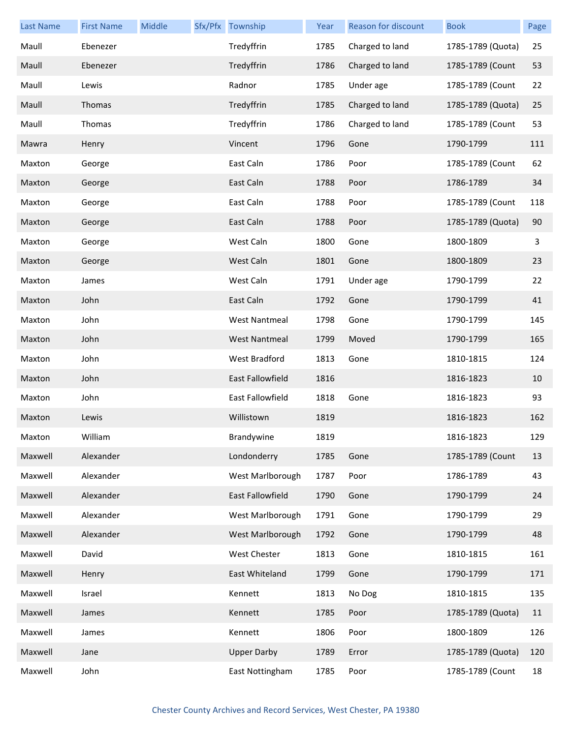| <b>Last Name</b> | <b>First Name</b> | Middle | Sfx/Pfx Township        | Year | Reason for discount | <b>Book</b>       | Page |
|------------------|-------------------|--------|-------------------------|------|---------------------|-------------------|------|
| Maull            | Ebenezer          |        | Tredyffrin              | 1785 | Charged to land     | 1785-1789 (Quota) | 25   |
| Maull            | Ebenezer          |        | Tredyffrin              | 1786 | Charged to land     | 1785-1789 (Count  | 53   |
| Maull            | Lewis             |        | Radnor                  | 1785 | Under age           | 1785-1789 (Count  | 22   |
| Maull            | Thomas            |        | Tredyffrin              | 1785 | Charged to land     | 1785-1789 (Quota) | 25   |
| Maull            | Thomas            |        | Tredyffrin              | 1786 | Charged to land     | 1785-1789 (Count  | 53   |
| Mawra            | Henry             |        | Vincent                 | 1796 | Gone                | 1790-1799         | 111  |
| Maxton           | George            |        | East Caln               | 1786 | Poor                | 1785-1789 (Count  | 62   |
| Maxton           | George            |        | East Caln               | 1788 | Poor                | 1786-1789         | 34   |
| Maxton           | George            |        | East Caln               | 1788 | Poor                | 1785-1789 (Count  | 118  |
| Maxton           | George            |        | East Caln               | 1788 | Poor                | 1785-1789 (Quota) | 90   |
| Maxton           | George            |        | West Caln               | 1800 | Gone                | 1800-1809         | 3    |
| Maxton           | George            |        | West Caln               | 1801 | Gone                | 1800-1809         | 23   |
| Maxton           | James             |        | West Caln               | 1791 | Under age           | 1790-1799         | 22   |
| Maxton           | John              |        | East Caln               | 1792 | Gone                | 1790-1799         | 41   |
| Maxton           | John              |        | <b>West Nantmeal</b>    | 1798 | Gone                | 1790-1799         | 145  |
| Maxton           | John              |        | <b>West Nantmeal</b>    | 1799 | Moved               | 1790-1799         | 165  |
| Maxton           | John              |        | West Bradford           | 1813 | Gone                | 1810-1815         | 124  |
| Maxton           | John              |        | <b>East Fallowfield</b> | 1816 |                     | 1816-1823         | 10   |
| Maxton           | John              |        | East Fallowfield        | 1818 | Gone                | 1816-1823         | 93   |
| Maxton           | Lewis             |        | Willistown              | 1819 |                     | 1816-1823         | 162  |
| Maxton           | William           |        | Brandywine              | 1819 |                     | 1816-1823         | 129  |
| Maxwell          | Alexander         |        | Londonderry             | 1785 | Gone                | 1785-1789 (Count  | 13   |
| Maxwell          | Alexander         |        | West Marlborough        | 1787 | Poor                | 1786-1789         | 43   |
| Maxwell          | Alexander         |        | East Fallowfield        | 1790 | Gone                | 1790-1799         | 24   |
| Maxwell          | Alexander         |        | West Marlborough        | 1791 | Gone                | 1790-1799         | 29   |
| Maxwell          | Alexander         |        | West Marlborough        | 1792 | Gone                | 1790-1799         | 48   |
| Maxwell          | David             |        | West Chester            | 1813 | Gone                | 1810-1815         | 161  |
| Maxwell          | Henry             |        | East Whiteland          | 1799 | Gone                | 1790-1799         | 171  |
| Maxwell          | Israel            |        | Kennett                 | 1813 | No Dog              | 1810-1815         | 135  |
| Maxwell          | James             |        | Kennett                 | 1785 | Poor                | 1785-1789 (Quota) | 11   |
| Maxwell          | James             |        | Kennett                 | 1806 | Poor                | 1800-1809         | 126  |
| Maxwell          | Jane              |        | <b>Upper Darby</b>      | 1789 | Error               | 1785-1789 (Quota) | 120  |
| Maxwell          | John              |        | East Nottingham         | 1785 | Poor                | 1785-1789 (Count  | 18   |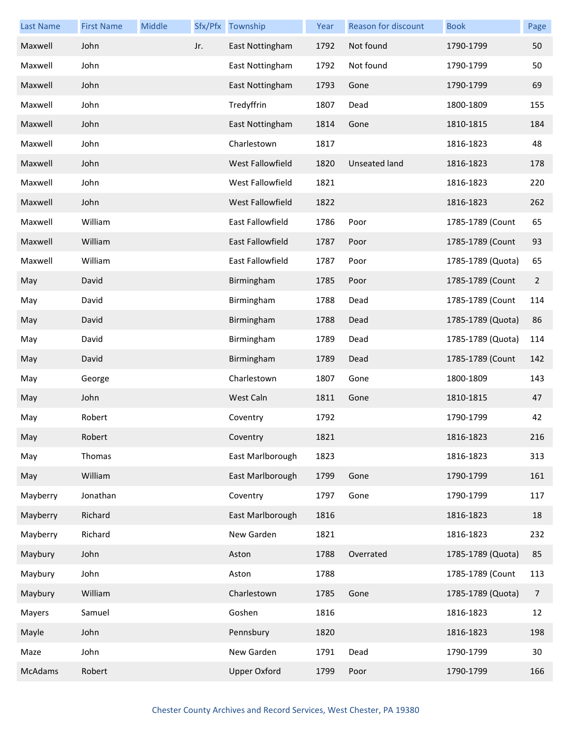| <b>Last Name</b> | <b>First Name</b> | Middle |     | Sfx/Pfx Township        | Year | Reason for discount | <b>Book</b>       | Page           |
|------------------|-------------------|--------|-----|-------------------------|------|---------------------|-------------------|----------------|
| Maxwell          | John              |        | Jr. | East Nottingham         | 1792 | Not found           | 1790-1799         | 50             |
| Maxwell          | John              |        |     | East Nottingham         | 1792 | Not found           | 1790-1799         | 50             |
| Maxwell          | John              |        |     | East Nottingham         | 1793 | Gone                | 1790-1799         | 69             |
| Maxwell          | John              |        |     | Tredyffrin              | 1807 | Dead                | 1800-1809         | 155            |
| Maxwell          | John              |        |     | East Nottingham         | 1814 | Gone                | 1810-1815         | 184            |
| Maxwell          | John              |        |     | Charlestown             | 1817 |                     | 1816-1823         | 48             |
| Maxwell          | John              |        |     | West Fallowfield        | 1820 | Unseated land       | 1816-1823         | 178            |
| Maxwell          | John              |        |     | West Fallowfield        | 1821 |                     | 1816-1823         | 220            |
| Maxwell          | John              |        |     | West Fallowfield        | 1822 |                     | 1816-1823         | 262            |
| Maxwell          | William           |        |     | <b>East Fallowfield</b> | 1786 | Poor                | 1785-1789 (Count  | 65             |
| Maxwell          | William           |        |     | East Fallowfield        | 1787 | Poor                | 1785-1789 (Count  | 93             |
| Maxwell          | William           |        |     | East Fallowfield        | 1787 | Poor                | 1785-1789 (Quota) | 65             |
| May              | David             |        |     | Birmingham              | 1785 | Poor                | 1785-1789 (Count  | $\overline{2}$ |
| May              | David             |        |     | Birmingham              | 1788 | Dead                | 1785-1789 (Count  | 114            |
| May              | David             |        |     | Birmingham              | 1788 | Dead                | 1785-1789 (Quota) | 86             |
| May              | David             |        |     | Birmingham              | 1789 | Dead                | 1785-1789 (Quota) | 114            |
| May              | David             |        |     | Birmingham              | 1789 | Dead                | 1785-1789 (Count  | 142            |
| May              | George            |        |     | Charlestown             | 1807 | Gone                | 1800-1809         | 143            |
| May              | John              |        |     | West Caln               | 1811 | Gone                | 1810-1815         | 47             |
| May              | Robert            |        |     | Coventry                | 1792 |                     | 1790-1799         | 42             |
| May              | Robert            |        |     | Coventry                | 1821 |                     | 1816-1823         | 216            |
| May              | Thomas            |        |     | East Marlborough        | 1823 |                     | 1816-1823         | 313            |
| May              | William           |        |     | East Marlborough        | 1799 | Gone                | 1790-1799         | 161            |
| Mayberry         | Jonathan          |        |     | Coventry                | 1797 | Gone                | 1790-1799         | 117            |
| Mayberry         | Richard           |        |     | East Marlborough        | 1816 |                     | 1816-1823         | 18             |
| Mayberry         | Richard           |        |     | New Garden              | 1821 |                     | 1816-1823         | 232            |
| Maybury          | John              |        |     | Aston                   | 1788 | Overrated           | 1785-1789 (Quota) | 85             |
| Maybury          | John              |        |     | Aston                   | 1788 |                     | 1785-1789 (Count  | 113            |
| Maybury          | William           |        |     | Charlestown             | 1785 | Gone                | 1785-1789 (Quota) | $\overline{7}$ |
| Mayers           | Samuel            |        |     | Goshen                  | 1816 |                     | 1816-1823         | 12             |
| Mayle            | John              |        |     | Pennsbury               | 1820 |                     | 1816-1823         | 198            |
| Maze             | John              |        |     | New Garden              | 1791 | Dead                | 1790-1799         | 30             |
| McAdams          | Robert            |        |     | <b>Upper Oxford</b>     | 1799 | Poor                | 1790-1799         | 166            |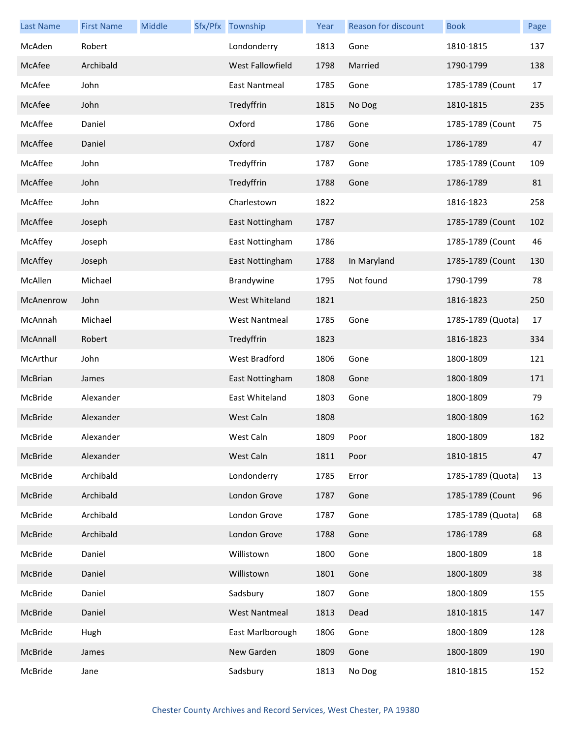| <b>Last Name</b> | <b>First Name</b> | Middle | Sfx/Pfx Township        | Year | Reason for discount | <b>Book</b>       | Page |
|------------------|-------------------|--------|-------------------------|------|---------------------|-------------------|------|
| McAden           | Robert            |        | Londonderry             | 1813 | Gone                | 1810-1815         | 137  |
| McAfee           | Archibald         |        | <b>West Fallowfield</b> | 1798 | Married             | 1790-1799         | 138  |
| McAfee           | John              |        | <b>East Nantmeal</b>    | 1785 | Gone                | 1785-1789 (Count  | 17   |
| McAfee           | John              |        | Tredyffrin              | 1815 | No Dog              | 1810-1815         | 235  |
| McAffee          | Daniel            |        | Oxford                  | 1786 | Gone                | 1785-1789 (Count  | 75   |
| McAffee          | Daniel            |        | Oxford                  | 1787 | Gone                | 1786-1789         | 47   |
| McAffee          | John              |        | Tredyffrin              | 1787 | Gone                | 1785-1789 (Count  | 109  |
| McAffee          | John              |        | Tredyffrin              | 1788 | Gone                | 1786-1789         | 81   |
| McAffee          | John              |        | Charlestown             | 1822 |                     | 1816-1823         | 258  |
| McAffee          | Joseph            |        | East Nottingham         | 1787 |                     | 1785-1789 (Count  | 102  |
| McAffey          | Joseph            |        | East Nottingham         | 1786 |                     | 1785-1789 (Count  | 46   |
| McAffey          | Joseph            |        | East Nottingham         | 1788 | In Maryland         | 1785-1789 (Count  | 130  |
| McAllen          | Michael           |        | Brandywine              | 1795 | Not found           | 1790-1799         | 78   |
| McAnenrow        | John              |        | West Whiteland          | 1821 |                     | 1816-1823         | 250  |
| McAnnah          | Michael           |        | <b>West Nantmeal</b>    | 1785 | Gone                | 1785-1789 (Quota) | 17   |
| McAnnall         | Robert            |        | Tredyffrin              | 1823 |                     | 1816-1823         | 334  |
| McArthur         | John              |        | West Bradford           | 1806 | Gone                | 1800-1809         | 121  |
| McBrian          | James             |        | East Nottingham         | 1808 | Gone                | 1800-1809         | 171  |
| McBride          | Alexander         |        | East Whiteland          | 1803 | Gone                | 1800-1809         | 79   |
| McBride          | Alexander         |        | West Caln               | 1808 |                     | 1800-1809         | 162  |
| McBride          | Alexander         |        | West Caln               | 1809 | Poor                | 1800-1809         | 182  |
| McBride          | Alexander         |        | West Caln               | 1811 | Poor                | 1810-1815         | 47   |
| McBride          | Archibald         |        | Londonderry             | 1785 | Error               | 1785-1789 (Quota) | 13   |
| McBride          | Archibald         |        | London Grove            | 1787 | Gone                | 1785-1789 (Count  | 96   |
| McBride          | Archibald         |        | London Grove            | 1787 | Gone                | 1785-1789 (Quota) | 68   |
| McBride          | Archibald         |        | London Grove            | 1788 | Gone                | 1786-1789         | 68   |
| McBride          | Daniel            |        | Willistown              | 1800 | Gone                | 1800-1809         | 18   |
| McBride          | Daniel            |        | Willistown              | 1801 | Gone                | 1800-1809         | 38   |
| McBride          | Daniel            |        | Sadsbury                | 1807 | Gone                | 1800-1809         | 155  |
| McBride          | Daniel            |        | <b>West Nantmeal</b>    | 1813 | Dead                | 1810-1815         | 147  |
| McBride          | Hugh              |        | East Marlborough        | 1806 | Gone                | 1800-1809         | 128  |
| McBride          | James             |        | New Garden              | 1809 | Gone                | 1800-1809         | 190  |
| McBride          | Jane              |        | Sadsbury                | 1813 | No Dog              | 1810-1815         | 152  |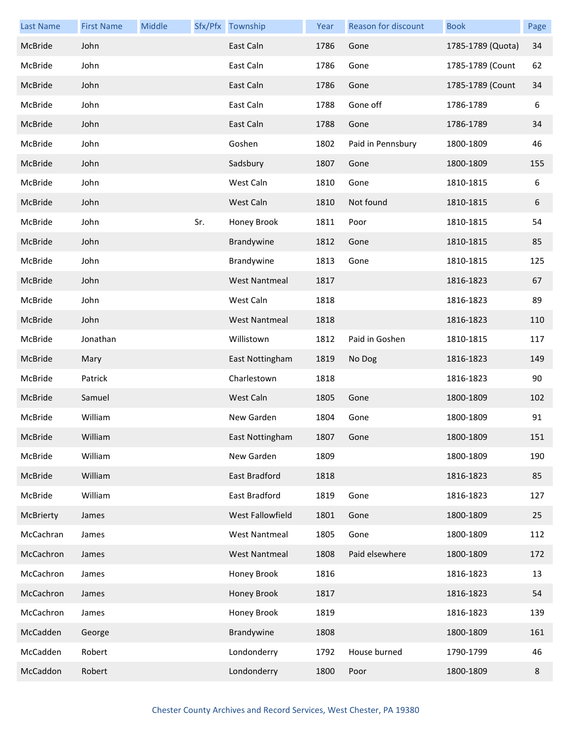| <b>Last Name</b> | <b>First Name</b> | Middle |     | Sfx/Pfx Township     | Year | Reason for discount | <b>Book</b>       | Page |
|------------------|-------------------|--------|-----|----------------------|------|---------------------|-------------------|------|
| McBride          | John              |        |     | East Caln            | 1786 | Gone                | 1785-1789 (Quota) | 34   |
| McBride          | John              |        |     | East Caln            | 1786 | Gone                | 1785-1789 (Count  | 62   |
| McBride          | John              |        |     | East Caln            | 1786 | Gone                | 1785-1789 (Count  | 34   |
| McBride          | John              |        |     | East Caln            | 1788 | Gone off            | 1786-1789         | 6    |
| McBride          | John              |        |     | East Caln            | 1788 | Gone                | 1786-1789         | 34   |
| McBride          | John              |        |     | Goshen               | 1802 | Paid in Pennsbury   | 1800-1809         | 46   |
| McBride          | John              |        |     | Sadsbury             | 1807 | Gone                | 1800-1809         | 155  |
| McBride          | John              |        |     | West Caln            | 1810 | Gone                | 1810-1815         | 6    |
| McBride          | John              |        |     | West Caln            | 1810 | Not found           | 1810-1815         | 6    |
| McBride          | John              |        | Sr. | Honey Brook          | 1811 | Poor                | 1810-1815         | 54   |
| McBride          | John              |        |     | Brandywine           | 1812 | Gone                | 1810-1815         | 85   |
| McBride          | John              |        |     | Brandywine           | 1813 | Gone                | 1810-1815         | 125  |
| McBride          | John              |        |     | <b>West Nantmeal</b> | 1817 |                     | 1816-1823         | 67   |
| McBride          | John              |        |     | West Caln            | 1818 |                     | 1816-1823         | 89   |
| McBride          | John              |        |     | <b>West Nantmeal</b> | 1818 |                     | 1816-1823         | 110  |
| McBride          | Jonathan          |        |     | Willistown           | 1812 | Paid in Goshen      | 1810-1815         | 117  |
| McBride          | Mary              |        |     | East Nottingham      | 1819 | No Dog              | 1816-1823         | 149  |
| McBride          | Patrick           |        |     | Charlestown          | 1818 |                     | 1816-1823         | 90   |
| McBride          | Samuel            |        |     | West Caln            | 1805 | Gone                | 1800-1809         | 102  |
| McBride          | William           |        |     | New Garden           | 1804 | Gone                | 1800-1809         | 91   |
| McBride          | William           |        |     | East Nottingham      | 1807 | Gone                | 1800-1809         | 151  |
| McBride          | William           |        |     | New Garden           | 1809 |                     | 1800-1809         | 190  |
| McBride          | William           |        |     | East Bradford        | 1818 |                     | 1816-1823         | 85   |
| McBride          | William           |        |     | East Bradford        | 1819 | Gone                | 1816-1823         | 127  |
| McBrierty        | James             |        |     | West Fallowfield     | 1801 | Gone                | 1800-1809         | 25   |
| McCachran        | James             |        |     | <b>West Nantmeal</b> | 1805 | Gone                | 1800-1809         | 112  |
| McCachron        | James             |        |     | <b>West Nantmeal</b> | 1808 | Paid elsewhere      | 1800-1809         | 172  |
| McCachron        | James             |        |     | Honey Brook          | 1816 |                     | 1816-1823         | 13   |
| McCachron        | James             |        |     | Honey Brook          | 1817 |                     | 1816-1823         | 54   |
| McCachron        | James             |        |     | Honey Brook          | 1819 |                     | 1816-1823         | 139  |
| McCadden         | George            |        |     | Brandywine           | 1808 |                     | 1800-1809         | 161  |
| McCadden         | Robert            |        |     | Londonderry          | 1792 | House burned        | 1790-1799         | 46   |
| McCaddon         | Robert            |        |     | Londonderry          | 1800 | Poor                | 1800-1809         | 8    |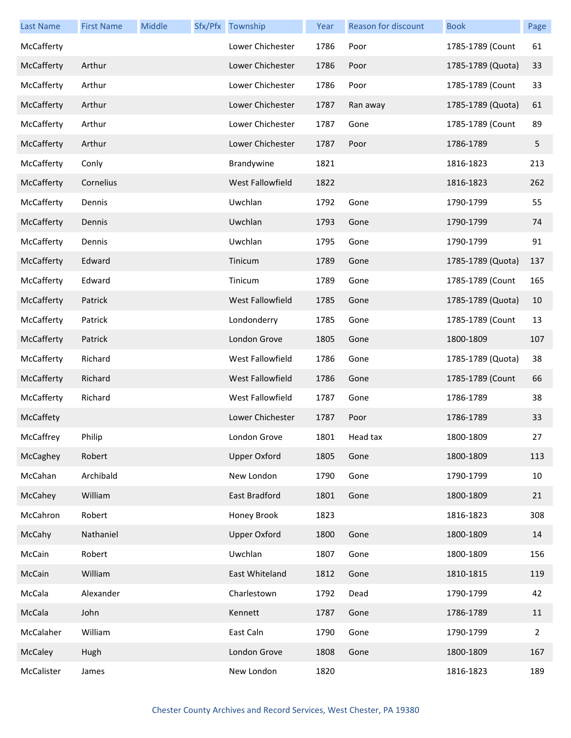| <b>Last Name</b> | <b>First Name</b> | Middle | Sfx/Pfx Township        | Year | Reason for discount | <b>Book</b>       | Page |
|------------------|-------------------|--------|-------------------------|------|---------------------|-------------------|------|
| McCafferty       |                   |        | Lower Chichester        | 1786 | Poor                | 1785-1789 (Count  | 61   |
| McCafferty       | Arthur            |        | Lower Chichester        | 1786 | Poor                | 1785-1789 (Quota) | 33   |
| McCafferty       | Arthur            |        | Lower Chichester        | 1786 | Poor                | 1785-1789 (Count  | 33   |
| McCafferty       | Arthur            |        | Lower Chichester        | 1787 | Ran away            | 1785-1789 (Quota) | 61   |
| McCafferty       | Arthur            |        | Lower Chichester        | 1787 | Gone                | 1785-1789 (Count  | 89   |
| McCafferty       | Arthur            |        | Lower Chichester        | 1787 | Poor                | 1786-1789         | 5    |
| McCafferty       | Conly             |        | Brandywine              | 1821 |                     | 1816-1823         | 213  |
| McCafferty       | Cornelius         |        | West Fallowfield        | 1822 |                     | 1816-1823         | 262  |
| McCafferty       | Dennis            |        | Uwchlan                 | 1792 | Gone                | 1790-1799         | 55   |
| McCafferty       | Dennis            |        | Uwchlan                 | 1793 | Gone                | 1790-1799         | 74   |
| McCafferty       | Dennis            |        | Uwchlan                 | 1795 | Gone                | 1790-1799         | 91   |
| McCafferty       | Edward            |        | Tinicum                 | 1789 | Gone                | 1785-1789 (Quota) | 137  |
| McCafferty       | Edward            |        | Tinicum                 | 1789 | Gone                | 1785-1789 (Count  | 165  |
| McCafferty       | Patrick           |        | <b>West Fallowfield</b> | 1785 | Gone                | 1785-1789 (Quota) | 10   |
| McCafferty       | Patrick           |        | Londonderry             | 1785 | Gone                | 1785-1789 (Count  | 13   |
| McCafferty       | Patrick           |        | London Grove            | 1805 | Gone                | 1800-1809         | 107  |
| McCafferty       | Richard           |        | West Fallowfield        | 1786 | Gone                | 1785-1789 (Quota) | 38   |
| McCafferty       | Richard           |        | <b>West Fallowfield</b> | 1786 | Gone                | 1785-1789 (Count  | 66   |
| McCafferty       | Richard           |        | West Fallowfield        | 1787 | Gone                | 1786-1789         | 38   |
| McCaffety        |                   |        | Lower Chichester        | 1787 | Poor                | 1786-1789         | 33   |
| McCaffrey        | Philip            |        | London Grove            | 1801 | Head tax            | 1800-1809         | 27   |
| McCaghey         | Robert            |        | <b>Upper Oxford</b>     | 1805 | Gone                | 1800-1809         | 113  |
| McCahan          | Archibald         |        | New London              | 1790 | Gone                | 1790-1799         | 10   |
| McCahey          | William           |        | East Bradford           | 1801 | Gone                | 1800-1809         | 21   |
| McCahron         | Robert            |        | Honey Brook             | 1823 |                     | 1816-1823         | 308  |
| McCahy           | Nathaniel         |        | <b>Upper Oxford</b>     | 1800 | Gone                | 1800-1809         | 14   |
| McCain           | Robert            |        | Uwchlan                 | 1807 | Gone                | 1800-1809         | 156  |
| McCain           | William           |        | East Whiteland          | 1812 | Gone                | 1810-1815         | 119  |
| McCala           | Alexander         |        | Charlestown             | 1792 | Dead                | 1790-1799         | 42   |
| McCala           | John              |        | Kennett                 | 1787 | Gone                | 1786-1789         | 11   |
| McCalaher        | William           |        | East Caln               | 1790 | Gone                | 1790-1799         | 2    |
| McCaley          | Hugh              |        | London Grove            | 1808 | Gone                | 1800-1809         | 167  |
| McCalister       | James             |        | New London              | 1820 |                     | 1816-1823         | 189  |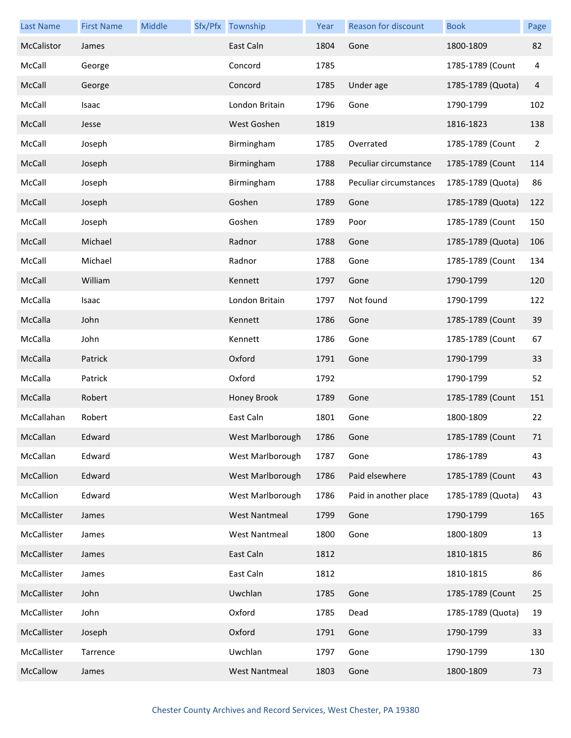| <b>Last Name</b> | <b>First Name</b> | Middle | Sfx/Pfx Township     | Year | Reason for discount    | <b>Book</b>       | Page |
|------------------|-------------------|--------|----------------------|------|------------------------|-------------------|------|
| McCalistor       | James             |        | East Caln            | 1804 | Gone                   | 1800-1809         | 82   |
| McCall           | George            |        | Concord              | 1785 |                        | 1785-1789 (Count  | 4    |
| McCall           | George            |        | Concord              | 1785 | Under age              | 1785-1789 (Quota) | 4    |
| McCall           | Isaac             |        | London Britain       | 1796 | Gone                   | 1790-1799         | 102  |
| McCall           | Jesse             |        | West Goshen          | 1819 |                        | 1816-1823         | 138  |
| McCall           | Joseph            |        | Birmingham           | 1785 | Overrated              | 1785-1789 (Count  | 2    |
| McCall           | Joseph            |        | Birmingham           | 1788 | Peculiar circumstance  | 1785-1789 (Count  | 114  |
| McCall           | Joseph            |        | Birmingham           | 1788 | Peculiar circumstances | 1785-1789 (Quota) | 86   |
| McCall           | Joseph            |        | Goshen               | 1789 | Gone                   | 1785-1789 (Quota) | 122  |
| McCall           | Joseph            |        | Goshen               | 1789 | Poor                   | 1785-1789 (Count  | 150  |
| McCall           | Michael           |        | Radnor               | 1788 | Gone                   | 1785-1789 (Quota) | 106  |
| McCall           | Michael           |        | Radnor               | 1788 | Gone                   | 1785-1789 (Count  | 134  |
| McCall           | William           |        | Kennett              | 1797 | Gone                   | 1790-1799         | 120  |
| McCalla          | Isaac             |        | London Britain       | 1797 | Not found              | 1790-1799         | 122  |
| McCalla          | John              |        | Kennett              | 1786 | Gone                   | 1785-1789 (Count  | 39   |
| McCalla          | John              |        | Kennett              | 1786 | Gone                   | 1785-1789 (Count  | 67   |
| McCalla          | Patrick           |        | Oxford               | 1791 | Gone                   | 1790-1799         | 33   |
| McCalla          | Patrick           |        | Oxford               | 1792 |                        | 1790-1799         | 52   |
| McCalla          | Robert            |        | Honey Brook          | 1789 | Gone                   | 1785-1789 (Count  | 151  |
| McCallahan       | Robert            |        | East Caln            | 1801 | Gone                   | 1800-1809         | 22   |
| McCallan         | Edward            |        | West Marlborough     | 1786 | Gone                   | 1785-1789 (Count  | 71   |
| McCallan         | Edward            |        | West Marlborough     | 1787 | Gone                   | 1786-1789         | 43   |
| McCallion        | Edward            |        | West Marlborough     | 1786 | Paid elsewhere         | 1785-1789 (Count  | 43   |
| McCallion        | Edward            |        | West Marlborough     | 1786 | Paid in another place  | 1785-1789 (Quota) | 43   |
| McCallister      | James             |        | <b>West Nantmeal</b> | 1799 | Gone                   | 1790-1799         | 165  |
| McCallister      | James             |        | <b>West Nantmeal</b> | 1800 | Gone                   | 1800-1809         | 13   |
| McCallister      | James             |        | East Caln            | 1812 |                        | 1810-1815         | 86   |
| McCallister      | James             |        | East Caln            | 1812 |                        | 1810-1815         | 86   |
| McCallister      | John              |        | Uwchlan              | 1785 | Gone                   | 1785-1789 (Count  | 25   |
| McCallister      | John              |        | Oxford               | 1785 | Dead                   | 1785-1789 (Quota) | 19   |
| McCallister      | Joseph            |        | Oxford               | 1791 | Gone                   | 1790-1799         | 33   |
| McCallister      | Tarrence          |        | Uwchlan              | 1797 | Gone                   | 1790-1799         | 130  |
| McCallow         | James             |        | <b>West Nantmeal</b> | 1803 | Gone                   | 1800-1809         | 73   |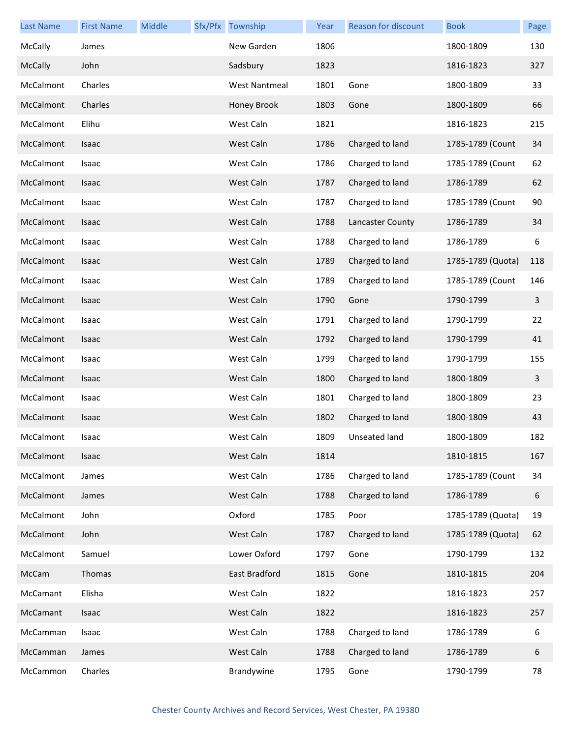| <b>Last Name</b> | <b>First Name</b> | Middle | Sfx/Pfx Township     | Year | Reason for discount | <b>Book</b>       | Page |
|------------------|-------------------|--------|----------------------|------|---------------------|-------------------|------|
| McCally          | James             |        | New Garden           | 1806 |                     | 1800-1809         | 130  |
| McCally          | John              |        | Sadsbury             | 1823 |                     | 1816-1823         | 327  |
| McCalmont        | Charles           |        | <b>West Nantmeal</b> | 1801 | Gone                | 1800-1809         | 33   |
| McCalmont        | Charles           |        | Honey Brook          | 1803 | Gone                | 1800-1809         | 66   |
| McCalmont        | Elihu             |        | West Caln            | 1821 |                     | 1816-1823         | 215  |
| McCalmont        | Isaac             |        | West Caln            | 1786 | Charged to land     | 1785-1789 (Count  | 34   |
| McCalmont        | Isaac             |        | West Caln            | 1786 | Charged to land     | 1785-1789 (Count  | 62   |
| McCalmont        | Isaac             |        | West Caln            | 1787 | Charged to land     | 1786-1789         | 62   |
| McCalmont        | Isaac             |        | West Caln            | 1787 | Charged to land     | 1785-1789 (Count  | 90   |
| McCalmont        | Isaac             |        | West Caln            | 1788 | Lancaster County    | 1786-1789         | 34   |
| McCalmont        | Isaac             |        | West Caln            | 1788 | Charged to land     | 1786-1789         | 6    |
| McCalmont        | Isaac             |        | West Caln            | 1789 | Charged to land     | 1785-1789 (Quota) | 118  |
| McCalmont        | Isaac             |        | West Caln            | 1789 | Charged to land     | 1785-1789 (Count  | 146  |
| McCalmont        | Isaac             |        | West Caln            | 1790 | Gone                | 1790-1799         | 3    |
| McCalmont        | Isaac             |        | West Caln            | 1791 | Charged to land     | 1790-1799         | 22   |
| McCalmont        | Isaac             |        | West Caln            | 1792 | Charged to land     | 1790-1799         | 41   |
| McCalmont        | Isaac             |        | West Caln            | 1799 | Charged to land     | 1790-1799         | 155  |
| McCalmont        | Isaac             |        | West Caln            | 1800 | Charged to land     | 1800-1809         | 3    |
| McCalmont        | Isaac             |        | West Caln            | 1801 | Charged to land     | 1800-1809         | 23   |
| McCalmont        | Isaac             |        | West Caln            | 1802 | Charged to land     | 1800-1809         | 43   |
| McCalmont        | Isaac             |        | West Caln            | 1809 | Unseated land       | 1800-1809         | 182  |
| McCalmont        | Isaac             |        | West Caln            | 1814 |                     | 1810-1815         | 167  |
| McCalmont        | James             |        | West Caln            | 1786 | Charged to land     | 1785-1789 (Count  | 34   |
| McCalmont        | James             |        | West Caln            | 1788 | Charged to land     | 1786-1789         | 6    |
| McCalmont        | John              |        | Oxford               | 1785 | Poor                | 1785-1789 (Quota) | 19   |
| McCalmont        | John              |        | West Caln            | 1787 | Charged to land     | 1785-1789 (Quota) | 62   |
| McCalmont        | Samuel            |        | Lower Oxford         | 1797 | Gone                | 1790-1799         | 132  |
| McCam            | Thomas            |        | East Bradford        | 1815 | Gone                | 1810-1815         | 204  |
| McCamant         | Elisha            |        | West Caln            | 1822 |                     | 1816-1823         | 257  |
| McCamant         | Isaac             |        | West Caln            | 1822 |                     | 1816-1823         | 257  |
| McCamman         | Isaac             |        | West Caln            | 1788 | Charged to land     | 1786-1789         | 6    |
| McCamman         | James             |        | West Caln            | 1788 | Charged to land     | 1786-1789         | 6    |
| McCammon         | Charles           |        | Brandywine           | 1795 | Gone                | 1790-1799         | 78   |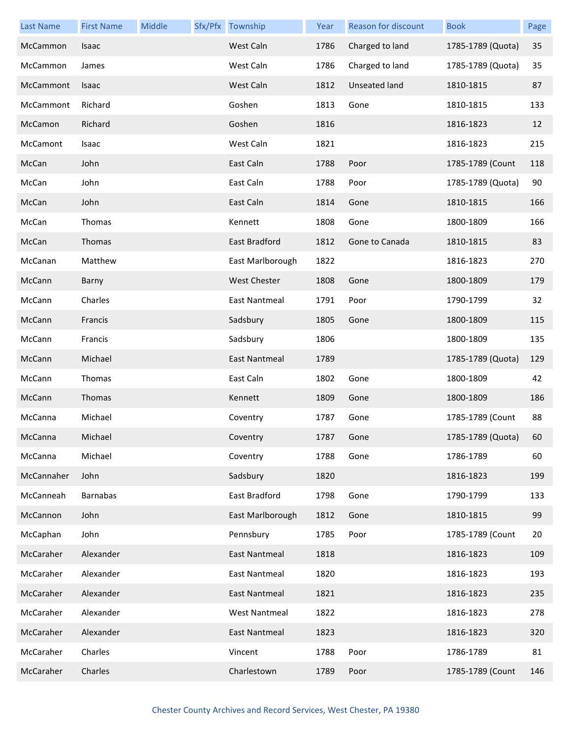| <b>Last Name</b> | <b>First Name</b> | Middle | Sfx/Pfx Township     | Year | Reason for discount | <b>Book</b>       | Page |
|------------------|-------------------|--------|----------------------|------|---------------------|-------------------|------|
| McCammon         | Isaac             |        | West Caln            | 1786 | Charged to land     | 1785-1789 (Quota) | 35   |
| McCammon         | James             |        | West Caln            | 1786 | Charged to land     | 1785-1789 (Quota) | 35   |
| McCammont        | Isaac             |        | West Caln            | 1812 | Unseated land       | 1810-1815         | 87   |
| McCammont        | Richard           |        | Goshen               | 1813 | Gone                | 1810-1815         | 133  |
| McCamon          | Richard           |        | Goshen               | 1816 |                     | 1816-1823         | 12   |
| McCamont         | Isaac             |        | West Caln            | 1821 |                     | 1816-1823         | 215  |
| McCan            | John              |        | East Caln            | 1788 | Poor                | 1785-1789 (Count  | 118  |
| McCan            | John              |        | East Caln            | 1788 | Poor                | 1785-1789 (Quota) | 90   |
| McCan            | John              |        | East Caln            | 1814 | Gone                | 1810-1815         | 166  |
| McCan            | Thomas            |        | Kennett              | 1808 | Gone                | 1800-1809         | 166  |
| McCan            | Thomas            |        | East Bradford        | 1812 | Gone to Canada      | 1810-1815         | 83   |
| McCanan          | Matthew           |        | East Marlborough     | 1822 |                     | 1816-1823         | 270  |
| McCann           | Barny             |        | <b>West Chester</b>  | 1808 | Gone                | 1800-1809         | 179  |
| McCann           | Charles           |        | East Nantmeal        | 1791 | Poor                | 1790-1799         | 32   |
| McCann           | Francis           |        | Sadsbury             | 1805 | Gone                | 1800-1809         | 115  |
| McCann           | Francis           |        | Sadsbury             | 1806 |                     | 1800-1809         | 135  |
| McCann           | Michael           |        | East Nantmeal        | 1789 |                     | 1785-1789 (Quota) | 129  |
| McCann           | Thomas            |        | East Caln            | 1802 | Gone                | 1800-1809         | 42   |
| McCann           | Thomas            |        | Kennett              | 1809 | Gone                | 1800-1809         | 186  |
| McCanna          | Michael           |        | Coventry             | 1787 | Gone                | 1785-1789 (Count  | 88   |
| McCanna          | Michael           |        | Coventry             | 1787 | Gone                | 1785-1789 (Quota) | 60   |
| McCanna          | Michael           |        | Coventry             | 1788 | Gone                | 1786-1789         | 60   |
| McCannaher       | John              |        | Sadsbury             | 1820 |                     | 1816-1823         | 199  |
| McCanneah        | <b>Barnabas</b>   |        | East Bradford        | 1798 | Gone                | 1790-1799         | 133  |
| McCannon         | John              |        | East Marlborough     | 1812 | Gone                | 1810-1815         | 99   |
| McCaphan         | John              |        | Pennsbury            | 1785 | Poor                | 1785-1789 (Count  | 20   |
| McCaraher        | Alexander         |        | East Nantmeal        | 1818 |                     | 1816-1823         | 109  |
| McCaraher        | Alexander         |        | East Nantmeal        | 1820 |                     | 1816-1823         | 193  |
| McCaraher        | Alexander         |        | East Nantmeal        | 1821 |                     | 1816-1823         | 235  |
| McCaraher        | Alexander         |        | <b>West Nantmeal</b> | 1822 |                     | 1816-1823         | 278  |
| McCaraher        | Alexander         |        | East Nantmeal        | 1823 |                     | 1816-1823         | 320  |
| McCaraher        | Charles           |        | Vincent              | 1788 | Poor                | 1786-1789         | 81   |
| McCaraher        | Charles           |        | Charlestown          | 1789 | Poor                | 1785-1789 (Count  | 146  |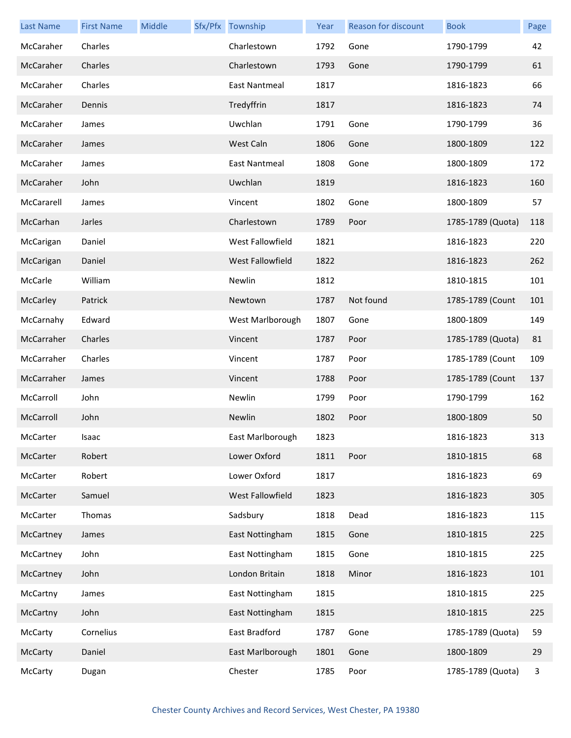| <b>Last Name</b> | <b>First Name</b> | Middle | Sfx/Pfx Township | Year | <b>Reason for discount</b> | <b>Book</b>       | Page |
|------------------|-------------------|--------|------------------|------|----------------------------|-------------------|------|
| McCaraher        | Charles           |        | Charlestown      | 1792 | Gone                       | 1790-1799         | 42   |
| McCaraher        | Charles           |        | Charlestown      | 1793 | Gone                       | 1790-1799         | 61   |
| McCaraher        | Charles           |        | East Nantmeal    | 1817 |                            | 1816-1823         | 66   |
| McCaraher        | Dennis            |        | Tredyffrin       | 1817 |                            | 1816-1823         | 74   |
| McCaraher        | James             |        | Uwchlan          | 1791 | Gone                       | 1790-1799         | 36   |
| McCaraher        | James             |        | West Caln        | 1806 | Gone                       | 1800-1809         | 122  |
| McCaraher        | James             |        | East Nantmeal    | 1808 | Gone                       | 1800-1809         | 172  |
| McCaraher        | John              |        | Uwchlan          | 1819 |                            | 1816-1823         | 160  |
| McCararell       | James             |        | Vincent          | 1802 | Gone                       | 1800-1809         | 57   |
| McCarhan         | Jarles            |        | Charlestown      | 1789 | Poor                       | 1785-1789 (Quota) | 118  |
| McCarigan        | Daniel            |        | West Fallowfield | 1821 |                            | 1816-1823         | 220  |
| McCarigan        | Daniel            |        | West Fallowfield | 1822 |                            | 1816-1823         | 262  |
| McCarle          | William           |        | Newlin           | 1812 |                            | 1810-1815         | 101  |
| McCarley         | Patrick           |        | Newtown          | 1787 | Not found                  | 1785-1789 (Count  | 101  |
| McCarnahy        | Edward            |        | West Marlborough | 1807 | Gone                       | 1800-1809         | 149  |
| McCarraher       | Charles           |        | Vincent          | 1787 | Poor                       | 1785-1789 (Quota) | 81   |
| McCarraher       | Charles           |        | Vincent          | 1787 | Poor                       | 1785-1789 (Count  | 109  |
| McCarraher       | James             |        | Vincent          | 1788 | Poor                       | 1785-1789 (Count  | 137  |
| McCarroll        | John              |        | Newlin           | 1799 | Poor                       | 1790-1799         | 162  |
| McCarroll        | John              |        | Newlin           | 1802 | Poor                       | 1800-1809         | 50   |
| McCarter         | Isaac             |        | East Marlborough | 1823 |                            | 1816-1823         | 313  |
| McCarter         | Robert            |        | Lower Oxford     | 1811 | Poor                       | 1810-1815         | 68   |
| McCarter         | Robert            |        | Lower Oxford     | 1817 |                            | 1816-1823         | 69   |
| McCarter         | Samuel            |        | West Fallowfield | 1823 |                            | 1816-1823         | 305  |
| McCarter         | Thomas            |        | Sadsbury         | 1818 | Dead                       | 1816-1823         | 115  |
| McCartney        | James             |        | East Nottingham  | 1815 | Gone                       | 1810-1815         | 225  |
| McCartney        | John              |        | East Nottingham  | 1815 | Gone                       | 1810-1815         | 225  |
| McCartney        | John              |        | London Britain   | 1818 | Minor                      | 1816-1823         | 101  |
| McCartny         | James             |        | East Nottingham  | 1815 |                            | 1810-1815         | 225  |
| McCartny         | John              |        | East Nottingham  | 1815 |                            | 1810-1815         | 225  |
| McCarty          | Cornelius         |        | East Bradford    | 1787 | Gone                       | 1785-1789 (Quota) | 59   |
| McCarty          | Daniel            |        | East Marlborough | 1801 | Gone                       | 1800-1809         | 29   |
| McCarty          | Dugan             |        | Chester          | 1785 | Poor                       | 1785-1789 (Quota) | 3    |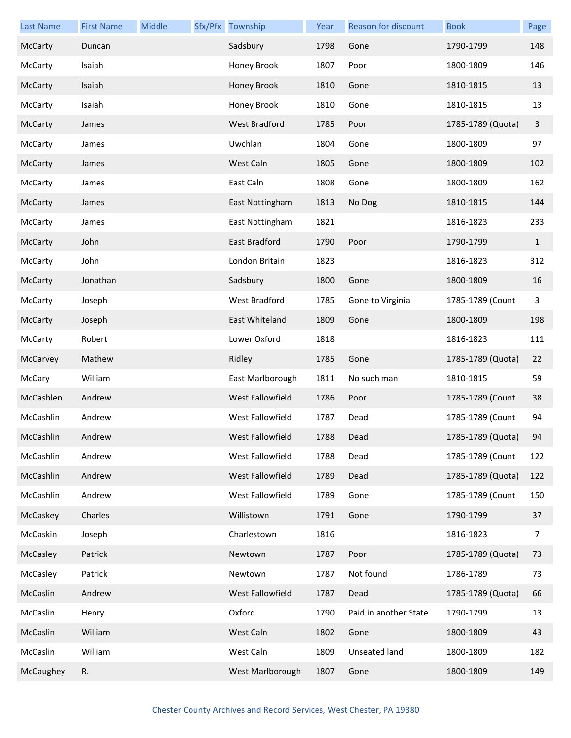| Last Name | <b>First Name</b> | Middle | Sfx/Pfx Township     | Year | <b>Reason for discount</b> | <b>Book</b>       | Page         |
|-----------|-------------------|--------|----------------------|------|----------------------------|-------------------|--------------|
| McCarty   | Duncan            |        | Sadsbury             | 1798 | Gone                       | 1790-1799         | 148          |
| McCarty   | Isaiah            |        | Honey Brook          | 1807 | Poor                       | 1800-1809         | 146          |
| McCarty   | Isaiah            |        | Honey Brook          | 1810 | Gone                       | 1810-1815         | 13           |
| McCarty   | Isaiah            |        | Honey Brook          | 1810 | Gone                       | 1810-1815         | 13           |
| McCarty   | James             |        | <b>West Bradford</b> | 1785 | Poor                       | 1785-1789 (Quota) | $\mathbf{3}$ |
| McCarty   | James             |        | Uwchlan              | 1804 | Gone                       | 1800-1809         | 97           |
| McCarty   | James             |        | West Caln            | 1805 | Gone                       | 1800-1809         | 102          |
| McCarty   | James             |        | East Caln            | 1808 | Gone                       | 1800-1809         | 162          |
| McCarty   | James             |        | East Nottingham      | 1813 | No Dog                     | 1810-1815         | 144          |
| McCarty   | James             |        | East Nottingham      | 1821 |                            | 1816-1823         | 233          |
| McCarty   | John              |        | East Bradford        | 1790 | Poor                       | 1790-1799         | $\mathbf{1}$ |
| McCarty   | John              |        | London Britain       | 1823 |                            | 1816-1823         | 312          |
| McCarty   | Jonathan          |        | Sadsbury             | 1800 | Gone                       | 1800-1809         | 16           |
| McCarty   | Joseph            |        | West Bradford        | 1785 | Gone to Virginia           | 1785-1789 (Count  | 3            |
| McCarty   | Joseph            |        | East Whiteland       | 1809 | Gone                       | 1800-1809         | 198          |
| McCarty   | Robert            |        | Lower Oxford         | 1818 |                            | 1816-1823         | 111          |
| McCarvey  | Mathew            |        | Ridley               | 1785 | Gone                       | 1785-1789 (Quota) | 22           |
| McCary    | William           |        | East Marlborough     | 1811 | No such man                | 1810-1815         | 59           |
| McCashlen | Andrew            |        | West Fallowfield     | 1786 | Poor                       | 1785-1789 (Count  | 38           |
| McCashlin | Andrew            |        | West Fallowfield     | 1787 | Dead                       | 1785-1789 (Count  | 94           |
| McCashlin | Andrew            |        | West Fallowfield     | 1788 | Dead                       | 1785-1789 (Quota) | 94           |
| McCashlin | Andrew            |        | West Fallowfield     | 1788 | Dead                       | 1785-1789 (Count  | 122          |
| McCashlin | Andrew            |        | West Fallowfield     | 1789 | Dead                       | 1785-1789 (Quota) | 122          |
| McCashlin | Andrew            |        | West Fallowfield     | 1789 | Gone                       | 1785-1789 (Count  | 150          |
| McCaskey  | Charles           |        | Willistown           | 1791 | Gone                       | 1790-1799         | 37           |
| McCaskin  | Joseph            |        | Charlestown          | 1816 |                            | 1816-1823         | 7            |
| McCasley  | Patrick           |        | Newtown              | 1787 | Poor                       | 1785-1789 (Quota) | 73           |
| McCasley  | Patrick           |        | Newtown              | 1787 | Not found                  | 1786-1789         | 73           |
| McCaslin  | Andrew            |        | West Fallowfield     | 1787 | Dead                       | 1785-1789 (Quota) | 66           |
| McCaslin  | Henry             |        | Oxford               | 1790 | Paid in another State      | 1790-1799         | 13           |
| McCaslin  | William           |        | West Caln            | 1802 | Gone                       | 1800-1809         | 43           |
| McCaslin  | William           |        | West Caln            | 1809 | Unseated land              | 1800-1809         | 182          |
| McCaughey | R.                |        | West Marlborough     | 1807 | Gone                       | 1800-1809         | 149          |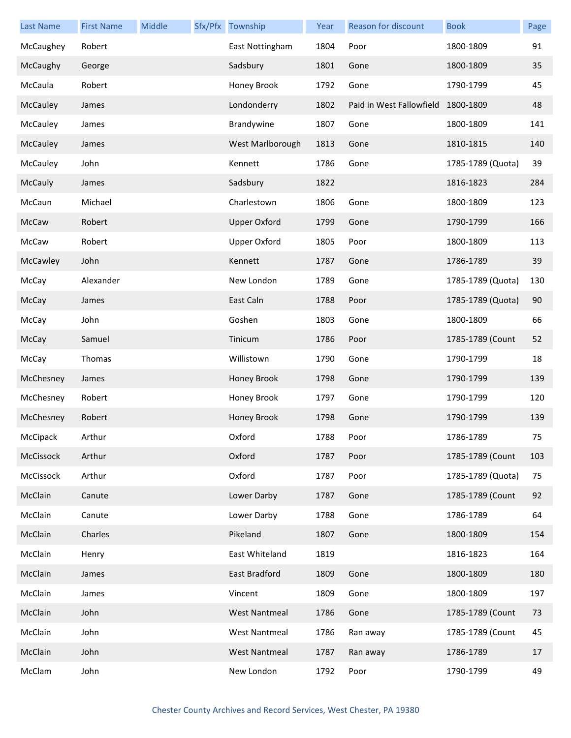| <b>Last Name</b> | <b>First Name</b> | Middle | Sfx/Pfx Township     | Year | Reason for discount      | <b>Book</b>       | Page |
|------------------|-------------------|--------|----------------------|------|--------------------------|-------------------|------|
| McCaughey        | Robert            |        | East Nottingham      | 1804 | Poor                     | 1800-1809         | 91   |
| McCaughy         | George            |        | Sadsbury             | 1801 | Gone                     | 1800-1809         | 35   |
| McCaula          | Robert            |        | Honey Brook          | 1792 | Gone                     | 1790-1799         | 45   |
| McCauley         | James             |        | Londonderry          | 1802 | Paid in West Fallowfield | 1800-1809         | 48   |
| McCauley         | James             |        | Brandywine           | 1807 | Gone                     | 1800-1809         | 141  |
| McCauley         | James             |        | West Marlborough     | 1813 | Gone                     | 1810-1815         | 140  |
| McCauley         | John              |        | Kennett              | 1786 | Gone                     | 1785-1789 (Quota) | 39   |
| McCauly          | James             |        | Sadsbury             | 1822 |                          | 1816-1823         | 284  |
| McCaun           | Michael           |        | Charlestown          | 1806 | Gone                     | 1800-1809         | 123  |
| McCaw            | Robert            |        | <b>Upper Oxford</b>  | 1799 | Gone                     | 1790-1799         | 166  |
| McCaw            | Robert            |        | <b>Upper Oxford</b>  | 1805 | Poor                     | 1800-1809         | 113  |
| McCawley         | John              |        | Kennett              | 1787 | Gone                     | 1786-1789         | 39   |
| McCay            | Alexander         |        | New London           | 1789 | Gone                     | 1785-1789 (Quota) | 130  |
| McCay            | James             |        | East Caln            | 1788 | Poor                     | 1785-1789 (Quota) | 90   |
| McCay            | John              |        | Goshen               | 1803 | Gone                     | 1800-1809         | 66   |
| McCay            | Samuel            |        | Tinicum              | 1786 | Poor                     | 1785-1789 (Count  | 52   |
| McCay            | Thomas            |        | Willistown           | 1790 | Gone                     | 1790-1799         | 18   |
| McChesney        | James             |        | Honey Brook          | 1798 | Gone                     | 1790-1799         | 139  |
| McChesney        | Robert            |        | Honey Brook          | 1797 | Gone                     | 1790-1799         | 120  |
| McChesney        | Robert            |        | Honey Brook          | 1798 | Gone                     | 1790-1799         | 139  |
| McCipack         | Arthur            |        | Oxford               | 1788 | Poor                     | 1786-1789         | 75   |
| McCissock        | Arthur            |        | Oxford               | 1787 | Poor                     | 1785-1789 (Count  | 103  |
| McCissock        | Arthur            |        | Oxford               | 1787 | Poor                     | 1785-1789 (Quota) | 75   |
| McClain          | Canute            |        | Lower Darby          | 1787 | Gone                     | 1785-1789 (Count  | 92   |
| McClain          | Canute            |        | Lower Darby          | 1788 | Gone                     | 1786-1789         | 64   |
| McClain          | Charles           |        | Pikeland             | 1807 | Gone                     | 1800-1809         | 154  |
| McClain          | Henry             |        | East Whiteland       | 1819 |                          | 1816-1823         | 164  |
| McClain          | James             |        | East Bradford        | 1809 | Gone                     | 1800-1809         | 180  |
| McClain          | James             |        | Vincent              | 1809 | Gone                     | 1800-1809         | 197  |
| McClain          | John              |        | <b>West Nantmeal</b> | 1786 | Gone                     | 1785-1789 (Count  | 73   |
| McClain          | John              |        | <b>West Nantmeal</b> | 1786 | Ran away                 | 1785-1789 (Count  | 45   |
| McClain          | John              |        | <b>West Nantmeal</b> | 1787 | Ran away                 | 1786-1789         | 17   |
| McClam           | John              |        | New London           | 1792 | Poor                     | 1790-1799         | 49   |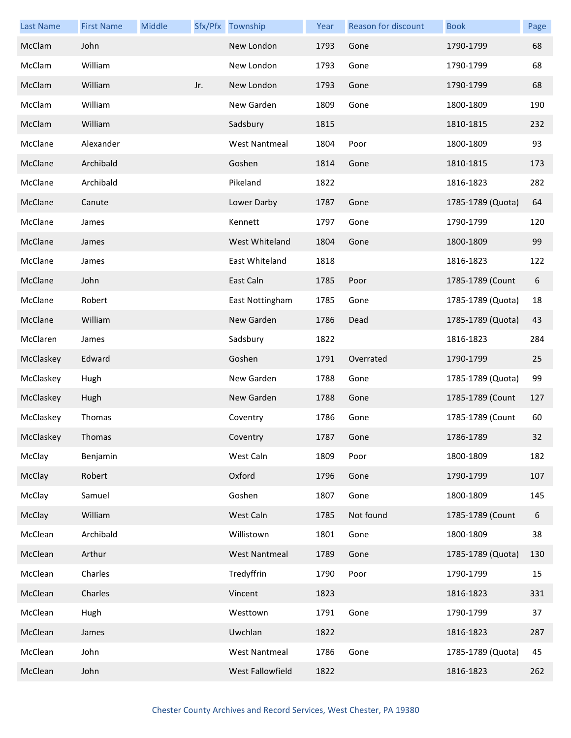| <b>Last Name</b> | <b>First Name</b> | Middle |     | Sfx/Pfx Township     | Year | Reason for discount | <b>Book</b>       | Page |
|------------------|-------------------|--------|-----|----------------------|------|---------------------|-------------------|------|
| McClam           | John              |        |     | New London           | 1793 | Gone                | 1790-1799         | 68   |
| McClam           | William           |        |     | New London           | 1793 | Gone                | 1790-1799         | 68   |
| McClam           | William           |        | Jr. | New London           | 1793 | Gone                | 1790-1799         | 68   |
| McClam           | William           |        |     | New Garden           | 1809 | Gone                | 1800-1809         | 190  |
| McClam           | William           |        |     | Sadsbury             | 1815 |                     | 1810-1815         | 232  |
| McClane          | Alexander         |        |     | <b>West Nantmeal</b> | 1804 | Poor                | 1800-1809         | 93   |
| McClane          | Archibald         |        |     | Goshen               | 1814 | Gone                | 1810-1815         | 173  |
| McClane          | Archibald         |        |     | Pikeland             | 1822 |                     | 1816-1823         | 282  |
| McClane          | Canute            |        |     | Lower Darby          | 1787 | Gone                | 1785-1789 (Quota) | 64   |
| McClane          | James             |        |     | Kennett              | 1797 | Gone                | 1790-1799         | 120  |
| McClane          | James             |        |     | West Whiteland       | 1804 | Gone                | 1800-1809         | 99   |
| McClane          | James             |        |     | East Whiteland       | 1818 |                     | 1816-1823         | 122  |
| McClane          | John              |        |     | East Caln            | 1785 | Poor                | 1785-1789 (Count  | 6    |
| McClane          | Robert            |        |     | East Nottingham      | 1785 | Gone                | 1785-1789 (Quota) | 18   |
| McClane          | William           |        |     | New Garden           | 1786 | Dead                | 1785-1789 (Quota) | 43   |
| McClaren         | James             |        |     | Sadsbury             | 1822 |                     | 1816-1823         | 284  |
| McClaskey        | Edward            |        |     | Goshen               | 1791 | Overrated           | 1790-1799         | 25   |
| McClaskey        | Hugh              |        |     | New Garden           | 1788 | Gone                | 1785-1789 (Quota) | 99   |
| McClaskey        | Hugh              |        |     | New Garden           | 1788 | Gone                | 1785-1789 (Count  | 127  |
| McClaskey        | Thomas            |        |     | Coventry             | 1786 | Gone                | 1785-1789 (Count  | 60   |
| McClaskey        | Thomas            |        |     | Coventry             | 1787 | Gone                | 1786-1789         | 32   |
| McClay           | Benjamin          |        |     | West Caln            | 1809 | Poor                | 1800-1809         | 182  |
| McClay           | Robert            |        |     | Oxford               | 1796 | Gone                | 1790-1799         | 107  |
| McClay           | Samuel            |        |     | Goshen               | 1807 | Gone                | 1800-1809         | 145  |
| McClay           | William           |        |     | West Caln            | 1785 | Not found           | 1785-1789 (Count  | 6    |
| McClean          | Archibald         |        |     | Willistown           | 1801 | Gone                | 1800-1809         | 38   |
| McClean          | Arthur            |        |     | <b>West Nantmeal</b> | 1789 | Gone                | 1785-1789 (Quota) | 130  |
| McClean          | Charles           |        |     | Tredyffrin           | 1790 | Poor                | 1790-1799         | 15   |
| McClean          | Charles           |        |     | Vincent              | 1823 |                     | 1816-1823         | 331  |
| McClean          | Hugh              |        |     | Westtown             | 1791 | Gone                | 1790-1799         | 37   |
| McClean          | James             |        |     | Uwchlan              | 1822 |                     | 1816-1823         | 287  |
| McClean          | John              |        |     | <b>West Nantmeal</b> | 1786 | Gone                | 1785-1789 (Quota) | 45   |
| McClean          | John              |        |     | West Fallowfield     | 1822 |                     | 1816-1823         | 262  |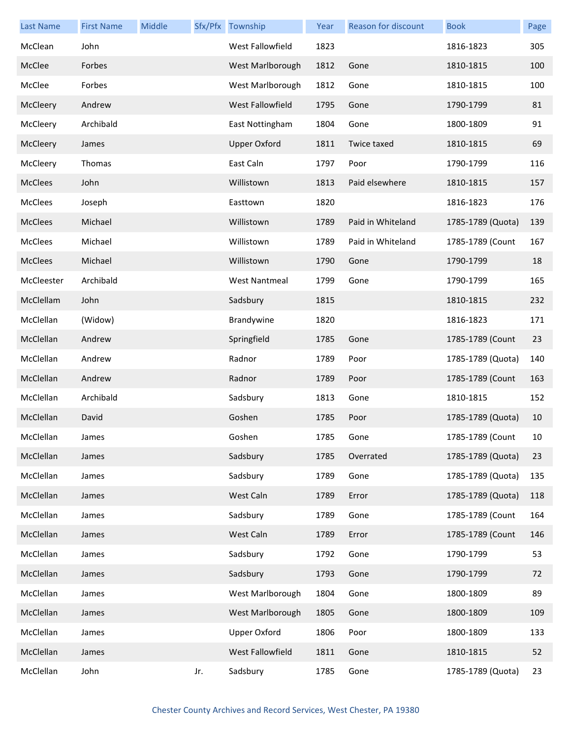| <b>Last Name</b> | <b>First Name</b> | Middle |     | Sfx/Pfx Township     | Year | Reason for discount | <b>Book</b>       | Page |
|------------------|-------------------|--------|-----|----------------------|------|---------------------|-------------------|------|
| McClean          | John              |        |     | West Fallowfield     | 1823 |                     | 1816-1823         | 305  |
| McClee           | Forbes            |        |     | West Marlborough     | 1812 | Gone                | 1810-1815         | 100  |
| McClee           | Forbes            |        |     | West Marlborough     | 1812 | Gone                | 1810-1815         | 100  |
| McCleery         | Andrew            |        |     | West Fallowfield     | 1795 | Gone                | 1790-1799         | 81   |
| McCleery         | Archibald         |        |     | East Nottingham      | 1804 | Gone                | 1800-1809         | 91   |
| McCleery         | James             |        |     | <b>Upper Oxford</b>  | 1811 | Twice taxed         | 1810-1815         | 69   |
| McCleery         | Thomas            |        |     | East Caln            | 1797 | Poor                | 1790-1799         | 116  |
| <b>McClees</b>   | John              |        |     | Willistown           | 1813 | Paid elsewhere      | 1810-1815         | 157  |
| <b>McClees</b>   | Joseph            |        |     | Easttown             | 1820 |                     | 1816-1823         | 176  |
| McClees          | Michael           |        |     | Willistown           | 1789 | Paid in Whiteland   | 1785-1789 (Quota) | 139  |
| McClees          | Michael           |        |     | Willistown           | 1789 | Paid in Whiteland   | 1785-1789 (Count  | 167  |
| McClees          | Michael           |        |     | Willistown           | 1790 | Gone                | 1790-1799         | 18   |
| McCleester       | Archibald         |        |     | <b>West Nantmeal</b> | 1799 | Gone                | 1790-1799         | 165  |
| McClellam        | John              |        |     | Sadsbury             | 1815 |                     | 1810-1815         | 232  |
| McClellan        | (Widow)           |        |     | Brandywine           | 1820 |                     | 1816-1823         | 171  |
| McClellan        | Andrew            |        |     | Springfield          | 1785 | Gone                | 1785-1789 (Count  | 23   |
| McClellan        | Andrew            |        |     | Radnor               | 1789 | Poor                | 1785-1789 (Quota) | 140  |
| McClellan        | Andrew            |        |     | Radnor               | 1789 | Poor                | 1785-1789 (Count  | 163  |
| McClellan        | Archibald         |        |     | Sadsbury             | 1813 | Gone                | 1810-1815         | 152  |
| McClellan        | David             |        |     | Goshen               | 1785 | Poor                | 1785-1789 (Quota) | 10   |
| McClellan        | James             |        |     | Goshen               | 1785 | Gone                | 1785-1789 (Count  | 10   |
| McClellan        | James             |        |     | Sadsbury             | 1785 | Overrated           | 1785-1789 (Quota) | 23   |
| McClellan        | James             |        |     | Sadsbury             | 1789 | Gone                | 1785-1789 (Quota) | 135  |
| McClellan        | James             |        |     | West Caln            | 1789 | Error               | 1785-1789 (Quota) | 118  |
| McClellan        | James             |        |     | Sadsbury             | 1789 | Gone                | 1785-1789 (Count  | 164  |
| McClellan        | James             |        |     | West Caln            | 1789 | Error               | 1785-1789 (Count  | 146  |
| McClellan        | James             |        |     | Sadsbury             | 1792 | Gone                | 1790-1799         | 53   |
| McClellan        | James             |        |     | Sadsbury             | 1793 | Gone                | 1790-1799         | 72   |
| McClellan        | James             |        |     | West Marlborough     | 1804 | Gone                | 1800-1809         | 89   |
| McClellan        | James             |        |     | West Marlborough     | 1805 | Gone                | 1800-1809         | 109  |
| McClellan        | James             |        |     | <b>Upper Oxford</b>  | 1806 | Poor                | 1800-1809         | 133  |
| McClellan        | James             |        |     | West Fallowfield     | 1811 | Gone                | 1810-1815         | 52   |
| McClellan        | John              |        | Jr. | Sadsbury             | 1785 | Gone                | 1785-1789 (Quota) | 23   |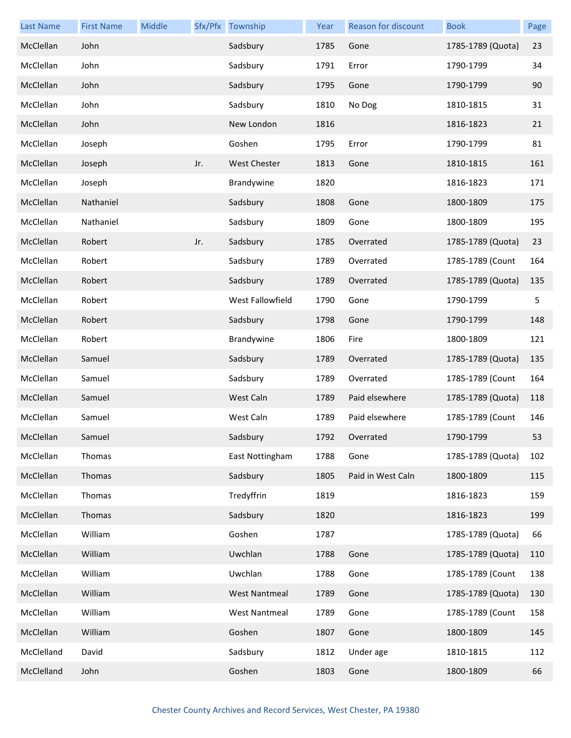| <b>Last Name</b> | <b>First Name</b> | Middle |     | Sfx/Pfx Township     | Year | <b>Reason for discount</b> | <b>Book</b>       | Page |
|------------------|-------------------|--------|-----|----------------------|------|----------------------------|-------------------|------|
| McClellan        | John              |        |     | Sadsbury             | 1785 | Gone                       | 1785-1789 (Quota) | 23   |
| McClellan        | John              |        |     | Sadsbury             | 1791 | Error                      | 1790-1799         | 34   |
| McClellan        | John              |        |     | Sadsbury             | 1795 | Gone                       | 1790-1799         | 90   |
| McClellan        | John              |        |     | Sadsbury             | 1810 | No Dog                     | 1810-1815         | 31   |
| McClellan        | John              |        |     | New London           | 1816 |                            | 1816-1823         | 21   |
| McClellan        | Joseph            |        |     | Goshen               | 1795 | Error                      | 1790-1799         | 81   |
| McClellan        | Joseph            |        | Jr. | <b>West Chester</b>  | 1813 | Gone                       | 1810-1815         | 161  |
| McClellan        | Joseph            |        |     | Brandywine           | 1820 |                            | 1816-1823         | 171  |
| McClellan        | Nathaniel         |        |     | Sadsbury             | 1808 | Gone                       | 1800-1809         | 175  |
| McClellan        | Nathaniel         |        |     | Sadsbury             | 1809 | Gone                       | 1800-1809         | 195  |
| McClellan        | Robert            |        | Jr. | Sadsbury             | 1785 | Overrated                  | 1785-1789 (Quota) | 23   |
| McClellan        | Robert            |        |     | Sadsbury             | 1789 | Overrated                  | 1785-1789 (Count  | 164  |
| McClellan        | Robert            |        |     | Sadsbury             | 1789 | Overrated                  | 1785-1789 (Quota) | 135  |
| McClellan        | Robert            |        |     | West Fallowfield     | 1790 | Gone                       | 1790-1799         | 5    |
| McClellan        | Robert            |        |     | Sadsbury             | 1798 | Gone                       | 1790-1799         | 148  |
| McClellan        | Robert            |        |     | Brandywine           | 1806 | Fire                       | 1800-1809         | 121  |
| McClellan        | Samuel            |        |     | Sadsbury             | 1789 | Overrated                  | 1785-1789 (Quota) | 135  |
| McClellan        | Samuel            |        |     | Sadsbury             | 1789 | Overrated                  | 1785-1789 (Count  | 164  |
| McClellan        | Samuel            |        |     | West Caln            | 1789 | Paid elsewhere             | 1785-1789 (Quota) | 118  |
| McClellan        | Samuel            |        |     | West Caln            | 1789 | Paid elsewhere             | 1785-1789 (Count  | 146  |
| McClellan        | Samuel            |        |     | Sadsbury             | 1792 | Overrated                  | 1790-1799         | 53   |
| McClellan        | Thomas            |        |     | East Nottingham      | 1788 | Gone                       | 1785-1789 (Quota) | 102  |
| McClellan        | Thomas            |        |     | Sadsbury             | 1805 | Paid in West Caln          | 1800-1809         | 115  |
| McClellan        | Thomas            |        |     | Tredyffrin           | 1819 |                            | 1816-1823         | 159  |
| McClellan        | Thomas            |        |     | Sadsbury             | 1820 |                            | 1816-1823         | 199  |
| McClellan        | William           |        |     | Goshen               | 1787 |                            | 1785-1789 (Quota) | 66   |
| McClellan        | William           |        |     | Uwchlan              | 1788 | Gone                       | 1785-1789 (Quota) | 110  |
| McClellan        | William           |        |     | Uwchlan              | 1788 | Gone                       | 1785-1789 (Count  | 138  |
| McClellan        | William           |        |     | <b>West Nantmeal</b> | 1789 | Gone                       | 1785-1789 (Quota) | 130  |
| McClellan        | William           |        |     | <b>West Nantmeal</b> | 1789 | Gone                       | 1785-1789 (Count  | 158  |
| McClellan        | William           |        |     | Goshen               | 1807 | Gone                       | 1800-1809         | 145  |
| McClelland       | David             |        |     | Sadsbury             | 1812 | Under age                  | 1810-1815         | 112  |
| McClelland       | John              |        |     | Goshen               | 1803 | Gone                       | 1800-1809         | 66   |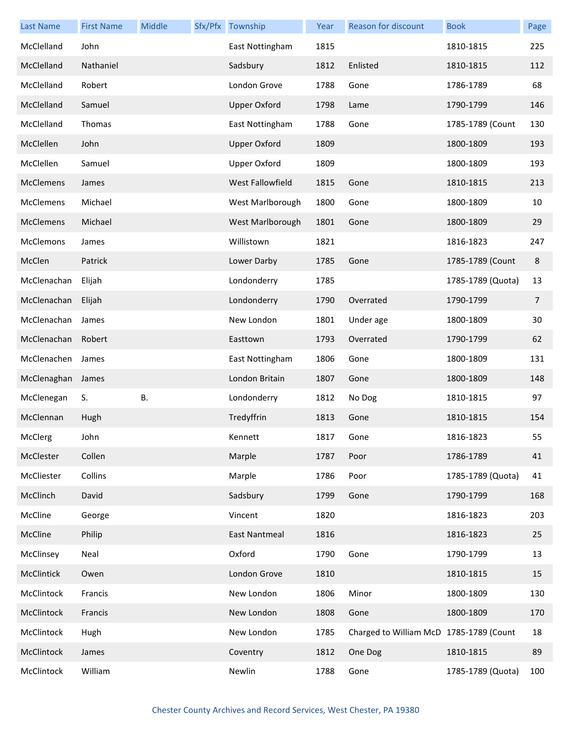| <b>Last Name</b> | <b>First Name</b> | Middle | Sfx/Pfx Township    | Year | Reason for discount                     | <b>Book</b>       | Page           |
|------------------|-------------------|--------|---------------------|------|-----------------------------------------|-------------------|----------------|
| McClelland       | John              |        | East Nottingham     | 1815 |                                         | 1810-1815         | 225            |
| McClelland       | Nathaniel         |        | Sadsbury            | 1812 | Enlisted                                | 1810-1815         | 112            |
| McClelland       | Robert            |        | London Grove        | 1788 | Gone                                    | 1786-1789         | 68             |
| McClelland       | Samuel            |        | <b>Upper Oxford</b> | 1798 | Lame                                    | 1790-1799         | 146            |
| McClelland       | Thomas            |        | East Nottingham     | 1788 | Gone                                    | 1785-1789 (Count  | 130            |
| McClellen        | John              |        | <b>Upper Oxford</b> | 1809 |                                         | 1800-1809         | 193            |
| McClellen        | Samuel            |        | <b>Upper Oxford</b> | 1809 |                                         | 1800-1809         | 193            |
| <b>McClemens</b> | James             |        | West Fallowfield    | 1815 | Gone                                    | 1810-1815         | 213            |
| McClemens        | Michael           |        | West Marlborough    | 1800 | Gone                                    | 1800-1809         | 10             |
| <b>McClemens</b> | Michael           |        | West Marlborough    | 1801 | Gone                                    | 1800-1809         | 29             |
| <b>McClemons</b> | James             |        | Willistown          | 1821 |                                         | 1816-1823         | 247            |
| McClen           | Patrick           |        | Lower Darby         | 1785 | Gone                                    | 1785-1789 (Count  | $\bf 8$        |
| McClenachan      | Elijah            |        | Londonderry         | 1785 |                                         | 1785-1789 (Quota) | 13             |
| McClenachan      | Elijah            |        | Londonderry         | 1790 | Overrated                               | 1790-1799         | $\overline{7}$ |
| McClenachan      | James             |        | New London          | 1801 | Under age                               | 1800-1809         | 30             |
| McClenachan      | Robert            |        | Easttown            | 1793 | Overrated                               | 1790-1799         | 62             |
| McClenachen      | James             |        | East Nottingham     | 1806 | Gone                                    | 1800-1809         | 131            |
| McClenaghan      | James             |        | London Britain      | 1807 | Gone                                    | 1800-1809         | 148            |
| McClenegan       | S.                | В.     | Londonderry         | 1812 | No Dog                                  | 1810-1815         | 97             |
| McClennan        | Hugh              |        | Tredyffrin          | 1813 | Gone                                    | 1810-1815         | 154            |
| McClerg          | John              |        | Kennett             | 1817 | Gone                                    | 1816-1823         | 55             |
| McClester        | Collen            |        | Marple              | 1787 | Poor                                    | 1786-1789         | 41             |
| McCliester       | Collins           |        | Marple              | 1786 | Poor                                    | 1785-1789 (Quota) | 41             |
| McClinch         | David             |        | Sadsbury            | 1799 | Gone                                    | 1790-1799         | 168            |
| McCline          | George            |        | Vincent             | 1820 |                                         | 1816-1823         | 203            |
| McCline          | Philip            |        | East Nantmeal       | 1816 |                                         | 1816-1823         | 25             |
| McClinsey        | Neal              |        | Oxford              | 1790 | Gone                                    | 1790-1799         | 13             |
| McClintick       | Owen              |        | London Grove        | 1810 |                                         | 1810-1815         | 15             |
| McClintock       | Francis           |        | New London          | 1806 | Minor                                   | 1800-1809         | 130            |
| McClintock       | Francis           |        | New London          | 1808 | Gone                                    | 1800-1809         | 170            |
| McClintock       | Hugh              |        | New London          | 1785 | Charged to William McD 1785-1789 (Count |                   | 18             |
| McClintock       | James             |        | Coventry            | 1812 | One Dog                                 | 1810-1815         | 89             |
| McClintock       | William           |        | Newlin              | 1788 | Gone                                    | 1785-1789 (Quota) | 100            |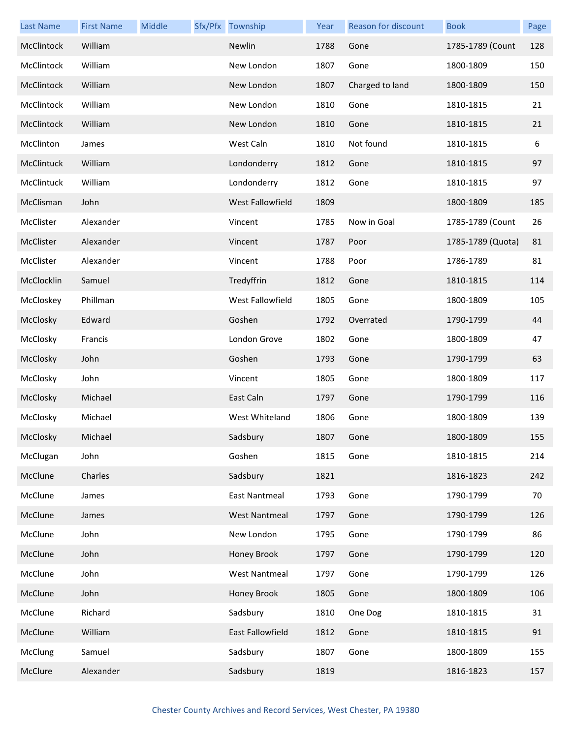| <b>Last Name</b> | <b>First Name</b> | Middle | Sfx/Pfx Township     | Year | Reason for discount | <b>Book</b>       | Page |
|------------------|-------------------|--------|----------------------|------|---------------------|-------------------|------|
| McClintock       | William           |        | Newlin               | 1788 | Gone                | 1785-1789 (Count  | 128  |
| McClintock       | William           |        | New London           | 1807 | Gone                | 1800-1809         | 150  |
| McClintock       | William           |        | New London           | 1807 | Charged to land     | 1800-1809         | 150  |
| McClintock       | William           |        | New London           | 1810 | Gone                | 1810-1815         | 21   |
| McClintock       | William           |        | New London           | 1810 | Gone                | 1810-1815         | 21   |
| McClinton        | James             |        | West Caln            | 1810 | Not found           | 1810-1815         | 6    |
| McClintuck       | William           |        | Londonderry          | 1812 | Gone                | 1810-1815         | 97   |
| McClintuck       | William           |        | Londonderry          | 1812 | Gone                | 1810-1815         | 97   |
| McClisman        | John              |        | West Fallowfield     | 1809 |                     | 1800-1809         | 185  |
| McClister        | Alexander         |        | Vincent              | 1785 | Now in Goal         | 1785-1789 (Count  | 26   |
| McClister        | Alexander         |        | Vincent              | 1787 | Poor                | 1785-1789 (Quota) | 81   |
| McClister        | Alexander         |        | Vincent              | 1788 | Poor                | 1786-1789         | 81   |
| McClocklin       | Samuel            |        | Tredyffrin           | 1812 | Gone                | 1810-1815         | 114  |
| McCloskey        | Phillman          |        | West Fallowfield     | 1805 | Gone                | 1800-1809         | 105  |
| McClosky         | Edward            |        | Goshen               | 1792 | Overrated           | 1790-1799         | 44   |
| McClosky         | Francis           |        | London Grove         | 1802 | Gone                | 1800-1809         | 47   |
| McClosky         | John              |        | Goshen               | 1793 | Gone                | 1790-1799         | 63   |
| McClosky         | John              |        | Vincent              | 1805 | Gone                | 1800-1809         | 117  |
| McClosky         | Michael           |        | East Caln            | 1797 | Gone                | 1790-1799         | 116  |
| McClosky         | Michael           |        | West Whiteland       | 1806 | Gone                | 1800-1809         | 139  |
| McClosky         | Michael           |        | Sadsbury             | 1807 | Gone                | 1800-1809         | 155  |
| McClugan         | John              |        | Goshen               | 1815 | Gone                | 1810-1815         | 214  |
| McClune          | Charles           |        | Sadsbury             | 1821 |                     | 1816-1823         | 242  |
| McClune          | James             |        | <b>East Nantmeal</b> | 1793 | Gone                | 1790-1799         | 70   |
| McClune          | James             |        | <b>West Nantmeal</b> | 1797 | Gone                | 1790-1799         | 126  |
| McClune          | John              |        | New London           | 1795 | Gone                | 1790-1799         | 86   |
| McClune          | John              |        | Honey Brook          | 1797 | Gone                | 1790-1799         | 120  |
| McClune          | John              |        | <b>West Nantmeal</b> | 1797 | Gone                | 1790-1799         | 126  |
| McClune          | John              |        | Honey Brook          | 1805 | Gone                | 1800-1809         | 106  |
| McClune          | Richard           |        | Sadsbury             | 1810 | One Dog             | 1810-1815         | 31   |
| McClune          | William           |        | East Fallowfield     | 1812 | Gone                | 1810-1815         | 91   |
| McClung          | Samuel            |        | Sadsbury             | 1807 | Gone                | 1800-1809         | 155  |
| McClure          | Alexander         |        | Sadsbury             | 1819 |                     | 1816-1823         | 157  |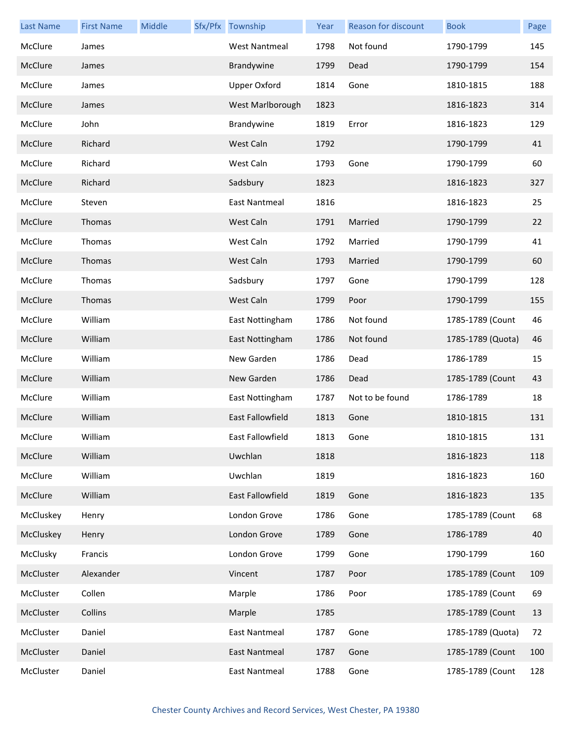| <b>Last Name</b> | <b>First Name</b> | Middle | Sfx/Pfx Township     | Year | <b>Reason for discount</b> | <b>Book</b>       | Page |
|------------------|-------------------|--------|----------------------|------|----------------------------|-------------------|------|
| McClure          | James             |        | <b>West Nantmeal</b> | 1798 | Not found                  | 1790-1799         | 145  |
| McClure          | James             |        | Brandywine           | 1799 | Dead                       | 1790-1799         | 154  |
| McClure          | James             |        | <b>Upper Oxford</b>  | 1814 | Gone                       | 1810-1815         | 188  |
| McClure          | James             |        | West Marlborough     | 1823 |                            | 1816-1823         | 314  |
| McClure          | John              |        | Brandywine           | 1819 | Error                      | 1816-1823         | 129  |
| McClure          | Richard           |        | West Caln            | 1792 |                            | 1790-1799         | 41   |
| McClure          | Richard           |        | West Caln            | 1793 | Gone                       | 1790-1799         | 60   |
| McClure          | Richard           |        | Sadsbury             | 1823 |                            | 1816-1823         | 327  |
| McClure          | Steven            |        | East Nantmeal        | 1816 |                            | 1816-1823         | 25   |
| McClure          | Thomas            |        | West Caln            | 1791 | Married                    | 1790-1799         | 22   |
| McClure          | Thomas            |        | West Caln            | 1792 | Married                    | 1790-1799         | 41   |
| McClure          | Thomas            |        | West Caln            | 1793 | Married                    | 1790-1799         | 60   |
| McClure          | Thomas            |        | Sadsbury             | 1797 | Gone                       | 1790-1799         | 128  |
| McClure          | Thomas            |        | West Caln            | 1799 | Poor                       | 1790-1799         | 155  |
| McClure          | William           |        | East Nottingham      | 1786 | Not found                  | 1785-1789 (Count  | 46   |
| McClure          | William           |        | East Nottingham      | 1786 | Not found                  | 1785-1789 (Quota) | 46   |
| McClure          | William           |        | New Garden           | 1786 | Dead                       | 1786-1789         | 15   |
| McClure          | William           |        | New Garden           | 1786 | Dead                       | 1785-1789 (Count  | 43   |
| McClure          | William           |        | East Nottingham      | 1787 | Not to be found            | 1786-1789         | 18   |
| McClure          | William           |        | East Fallowfield     | 1813 | Gone                       | 1810-1815         | 131  |
| McClure          | William           |        | East Fallowfield     | 1813 | Gone                       | 1810-1815         | 131  |
| McClure          | William           |        | Uwchlan              | 1818 |                            | 1816-1823         | 118  |
| McClure          | William           |        | Uwchlan              | 1819 |                            | 1816-1823         | 160  |
| McClure          | William           |        | East Fallowfield     | 1819 | Gone                       | 1816-1823         | 135  |
| McCluskey        | Henry             |        | London Grove         | 1786 | Gone                       | 1785-1789 (Count  | 68   |
| McCluskey        | Henry             |        | London Grove         | 1789 | Gone                       | 1786-1789         | 40   |
| McClusky         | Francis           |        | London Grove         | 1799 | Gone                       | 1790-1799         | 160  |
| McCluster        | Alexander         |        | Vincent              | 1787 | Poor                       | 1785-1789 (Count  | 109  |
| McCluster        | Collen            |        | Marple               | 1786 | Poor                       | 1785-1789 (Count  | 69   |
| McCluster        | Collins           |        | Marple               | 1785 |                            | 1785-1789 (Count  | 13   |
| McCluster        | Daniel            |        | East Nantmeal        | 1787 | Gone                       | 1785-1789 (Quota) | 72   |
| McCluster        | Daniel            |        | East Nantmeal        | 1787 | Gone                       | 1785-1789 (Count  | 100  |
| McCluster        | Daniel            |        | East Nantmeal        | 1788 | Gone                       | 1785-1789 (Count  | 128  |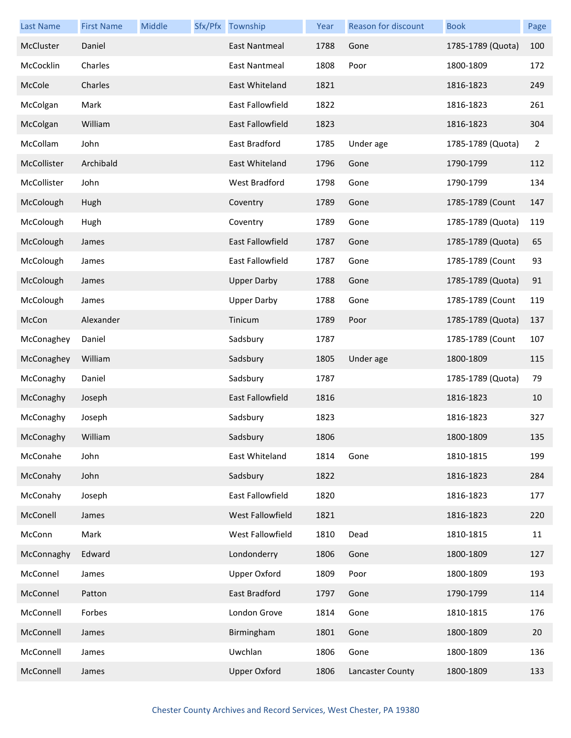| <b>Last Name</b> | <b>First Name</b> | Middle | Sfx/Pfx Township     | Year | Reason for discount | <b>Book</b>       | Page           |
|------------------|-------------------|--------|----------------------|------|---------------------|-------------------|----------------|
| McCluster        | Daniel            |        | <b>East Nantmeal</b> | 1788 | Gone                | 1785-1789 (Quota) | 100            |
| McCocklin        | Charles           |        | East Nantmeal        | 1808 | Poor                | 1800-1809         | 172            |
| McCole           | Charles           |        | East Whiteland       | 1821 |                     | 1816-1823         | 249            |
| McColgan         | Mark              |        | East Fallowfield     | 1822 |                     | 1816-1823         | 261            |
| McColgan         | William           |        | East Fallowfield     | 1823 |                     | 1816-1823         | 304            |
| McCollam         | John              |        | East Bradford        | 1785 | Under age           | 1785-1789 (Quota) | $\overline{2}$ |
| McCollister      | Archibald         |        | East Whiteland       | 1796 | Gone                | 1790-1799         | 112            |
| McCollister      | John              |        | West Bradford        | 1798 | Gone                | 1790-1799         | 134            |
| McColough        | Hugh              |        | Coventry             | 1789 | Gone                | 1785-1789 (Count  | 147            |
| McColough        | Hugh              |        | Coventry             | 1789 | Gone                | 1785-1789 (Quota) | 119            |
| McColough        | James             |        | East Fallowfield     | 1787 | Gone                | 1785-1789 (Quota) | 65             |
| McColough        | James             |        | East Fallowfield     | 1787 | Gone                | 1785-1789 (Count  | 93             |
| McColough        | James             |        | <b>Upper Darby</b>   | 1788 | Gone                | 1785-1789 (Quota) | 91             |
| McColough        | James             |        | <b>Upper Darby</b>   | 1788 | Gone                | 1785-1789 (Count  | 119            |
| McCon            | Alexander         |        | Tinicum              | 1789 | Poor                | 1785-1789 (Quota) | 137            |
| McConaghey       | Daniel            |        | Sadsbury             | 1787 |                     | 1785-1789 (Count  | 107            |
| McConaghey       | William           |        | Sadsbury             | 1805 | Under age           | 1800-1809         | 115            |
| McConaghy        | Daniel            |        | Sadsbury             | 1787 |                     | 1785-1789 (Quota) | 79             |
| McConaghy        | Joseph            |        | East Fallowfield     | 1816 |                     | 1816-1823         | 10             |
| McConaghy        | Joseph            |        | Sadsbury             | 1823 |                     | 1816-1823         | 327            |
| McConaghy        | William           |        | Sadsbury             | 1806 |                     | 1800-1809         | 135            |
| McConahe         | John              |        | East Whiteland       | 1814 | Gone                | 1810-1815         | 199            |
| McConahy         | John              |        | Sadsbury             | 1822 |                     | 1816-1823         | 284            |
| McConahy         | Joseph            |        | East Fallowfield     | 1820 |                     | 1816-1823         | 177            |
| McConell         | James             |        | West Fallowfield     | 1821 |                     | 1816-1823         | 220            |
| McConn           | Mark              |        | West Fallowfield     | 1810 | Dead                | 1810-1815         | 11             |
| McConnaghy       | Edward            |        | Londonderry          | 1806 | Gone                | 1800-1809         | 127            |
| McConnel         | James             |        | Upper Oxford         | 1809 | Poor                | 1800-1809         | 193            |
| McConnel         | Patton            |        | East Bradford        | 1797 | Gone                | 1790-1799         | 114            |
| McConnell        | Forbes            |        | London Grove         | 1814 | Gone                | 1810-1815         | 176            |
| McConnell        | James             |        | Birmingham           | 1801 | Gone                | 1800-1809         | 20             |
| McConnell        | James             |        | Uwchlan              | 1806 | Gone                | 1800-1809         | 136            |
| McConnell        | James             |        | <b>Upper Oxford</b>  | 1806 | Lancaster County    | 1800-1809         | 133            |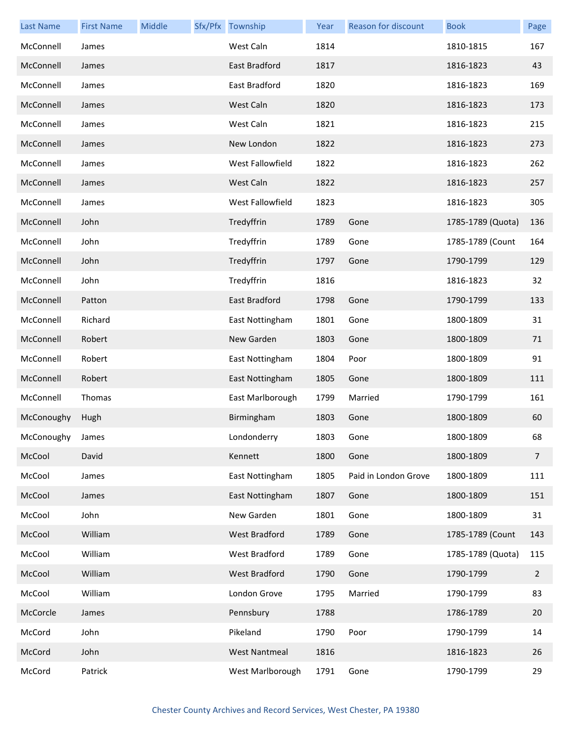| <b>Last Name</b> | <b>First Name</b> | Middle | Sfx/Pfx Township     | Year | Reason for discount  | <b>Book</b>       | Page           |
|------------------|-------------------|--------|----------------------|------|----------------------|-------------------|----------------|
| McConnell        | James             |        | West Caln            | 1814 |                      | 1810-1815         | 167            |
| McConnell        | James             |        | East Bradford        | 1817 |                      | 1816-1823         | 43             |
| McConnell        | James             |        | East Bradford        | 1820 |                      | 1816-1823         | 169            |
| McConnell        | James             |        | West Caln            | 1820 |                      | 1816-1823         | 173            |
| McConnell        | James             |        | West Caln            | 1821 |                      | 1816-1823         | 215            |
| McConnell        | James             |        | New London           | 1822 |                      | 1816-1823         | 273            |
| McConnell        | James             |        | West Fallowfield     | 1822 |                      | 1816-1823         | 262            |
| McConnell        | James             |        | West Caln            | 1822 |                      | 1816-1823         | 257            |
| McConnell        | James             |        | West Fallowfield     | 1823 |                      | 1816-1823         | 305            |
| McConnell        | John              |        | Tredyffrin           | 1789 | Gone                 | 1785-1789 (Quota) | 136            |
| McConnell        | John              |        | Tredyffrin           | 1789 | Gone                 | 1785-1789 (Count  | 164            |
| McConnell        | John              |        | Tredyffrin           | 1797 | Gone                 | 1790-1799         | 129            |
| McConnell        | John              |        | Tredyffrin           | 1816 |                      | 1816-1823         | 32             |
| McConnell        | Patton            |        | East Bradford        | 1798 | Gone                 | 1790-1799         | 133            |
| McConnell        | Richard           |        | East Nottingham      | 1801 | Gone                 | 1800-1809         | 31             |
| McConnell        | Robert            |        | New Garden           | 1803 | Gone                 | 1800-1809         | 71             |
| McConnell        | Robert            |        | East Nottingham      | 1804 | Poor                 | 1800-1809         | 91             |
| McConnell        | Robert            |        | East Nottingham      | 1805 | Gone                 | 1800-1809         | 111            |
| McConnell        | Thomas            |        | East Marlborough     | 1799 | Married              | 1790-1799         | 161            |
| McConoughy       | Hugh              |        | Birmingham           | 1803 | Gone                 | 1800-1809         | 60             |
| McConoughy James |                   |        | Londonderry          | 1803 | Gone                 | 1800-1809         | 68             |
| McCool           | David             |        | Kennett              | 1800 | Gone                 | 1800-1809         | $\overline{7}$ |
| McCool           | James             |        | East Nottingham      | 1805 | Paid in London Grove | 1800-1809         | 111            |
| McCool           | James             |        | East Nottingham      | 1807 | Gone                 | 1800-1809         | 151            |
| McCool           | John              |        | New Garden           | 1801 | Gone                 | 1800-1809         | 31             |
| McCool           | William           |        | West Bradford        | 1789 | Gone                 | 1785-1789 (Count  | 143            |
| McCool           | William           |        | West Bradford        | 1789 | Gone                 | 1785-1789 (Quota) | 115            |
| McCool           | William           |        | West Bradford        | 1790 | Gone                 | 1790-1799         | $\mathbf{2}$   |
| McCool           | William           |        | London Grove         | 1795 | Married              | 1790-1799         | 83             |
| McCorcle         | James             |        | Pennsbury            | 1788 |                      | 1786-1789         | 20             |
| McCord           | John              |        | Pikeland             | 1790 | Poor                 | 1790-1799         | 14             |
| McCord           | John              |        | <b>West Nantmeal</b> | 1816 |                      | 1816-1823         | 26             |
| McCord           | Patrick           |        | West Marlborough     | 1791 | Gone                 | 1790-1799         | 29             |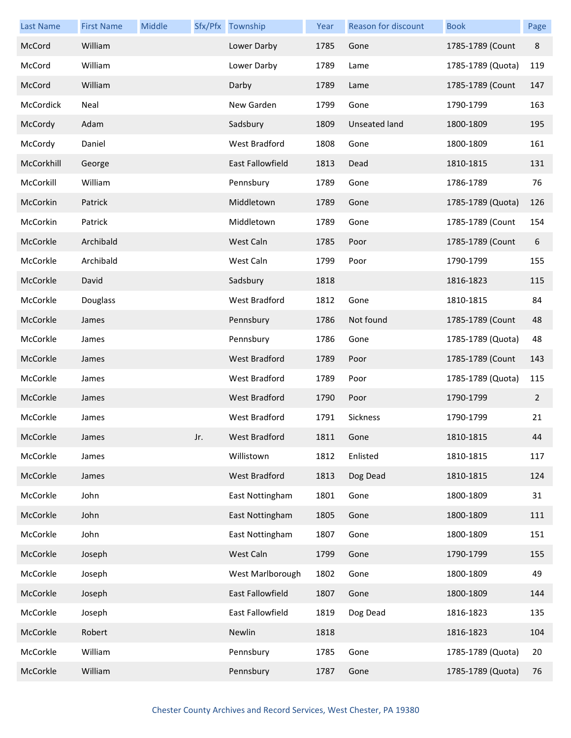| <b>Last Name</b> | <b>First Name</b> | Middle |     | Sfx/Pfx Township        | Year | <b>Reason for discount</b> | <b>Book</b>       | Page           |
|------------------|-------------------|--------|-----|-------------------------|------|----------------------------|-------------------|----------------|
| McCord           | William           |        |     | Lower Darby             | 1785 | Gone                       | 1785-1789 (Count  | $\,8\,$        |
| McCord           | William           |        |     | Lower Darby             | 1789 | Lame                       | 1785-1789 (Quota) | 119            |
| McCord           | William           |        |     | Darby                   | 1789 | Lame                       | 1785-1789 (Count  | 147            |
| McCordick        | Neal              |        |     | New Garden              | 1799 | Gone                       | 1790-1799         | 163            |
| McCordy          | Adam              |        |     | Sadsbury                | 1809 | <b>Unseated land</b>       | 1800-1809         | 195            |
| McCordy          | Daniel            |        |     | <b>West Bradford</b>    | 1808 | Gone                       | 1800-1809         | 161            |
| McCorkhill       | George            |        |     | <b>East Fallowfield</b> | 1813 | Dead                       | 1810-1815         | 131            |
| McCorkill        | William           |        |     | Pennsbury               | 1789 | Gone                       | 1786-1789         | 76             |
| McCorkin         | Patrick           |        |     | Middletown              | 1789 | Gone                       | 1785-1789 (Quota) | 126            |
| McCorkin         | Patrick           |        |     | Middletown              | 1789 | Gone                       | 1785-1789 (Count  | 154            |
| McCorkle         | Archibald         |        |     | West Caln               | 1785 | Poor                       | 1785-1789 (Count  | 6              |
| McCorkle         | Archibald         |        |     | West Caln               | 1799 | Poor                       | 1790-1799         | 155            |
| McCorkle         | David             |        |     | Sadsbury                | 1818 |                            | 1816-1823         | 115            |
| McCorkle         | Douglass          |        |     | <b>West Bradford</b>    | 1812 | Gone                       | 1810-1815         | 84             |
| McCorkle         | James             |        |     | Pennsbury               | 1786 | Not found                  | 1785-1789 (Count  | 48             |
| McCorkle         | James             |        |     | Pennsbury               | 1786 | Gone                       | 1785-1789 (Quota) | 48             |
| McCorkle         | James             |        |     | <b>West Bradford</b>    | 1789 | Poor                       | 1785-1789 (Count  | 143            |
| McCorkle         | James             |        |     | West Bradford           | 1789 | Poor                       | 1785-1789 (Quota) | 115            |
| McCorkle         | James             |        |     | <b>West Bradford</b>    | 1790 | Poor                       | 1790-1799         | $\overline{2}$ |
| McCorkle         | James             |        |     | West Bradford           | 1791 | Sickness                   | 1790-1799         | 21             |
| McCorkle         | James             |        | Jr. | West Bradford           | 1811 | Gone                       | 1810-1815         | 44             |
| McCorkle         | James             |        |     | Willistown              | 1812 | Enlisted                   | 1810-1815         | 117            |
| McCorkle         | James             |        |     | West Bradford           | 1813 | Dog Dead                   | 1810-1815         | 124            |
| McCorkle         | John              |        |     | East Nottingham         | 1801 | Gone                       | 1800-1809         | 31             |
| McCorkle         | John              |        |     | East Nottingham         | 1805 | Gone                       | 1800-1809         | 111            |
| McCorkle         | John              |        |     | East Nottingham         | 1807 | Gone                       | 1800-1809         | 151            |
| McCorkle         | Joseph            |        |     | West Caln               | 1799 | Gone                       | 1790-1799         | 155            |
| McCorkle         | Joseph            |        |     | West Marlborough        | 1802 | Gone                       | 1800-1809         | 49             |
| McCorkle         | Joseph            |        |     | East Fallowfield        | 1807 | Gone                       | 1800-1809         | 144            |
| McCorkle         | Joseph            |        |     | East Fallowfield        | 1819 | Dog Dead                   | 1816-1823         | 135            |
| McCorkle         | Robert            |        |     | Newlin                  | 1818 |                            | 1816-1823         | 104            |
| McCorkle         | William           |        |     | Pennsbury               | 1785 | Gone                       | 1785-1789 (Quota) | 20             |
| McCorkle         | William           |        |     | Pennsbury               | 1787 | Gone                       | 1785-1789 (Quota) | 76             |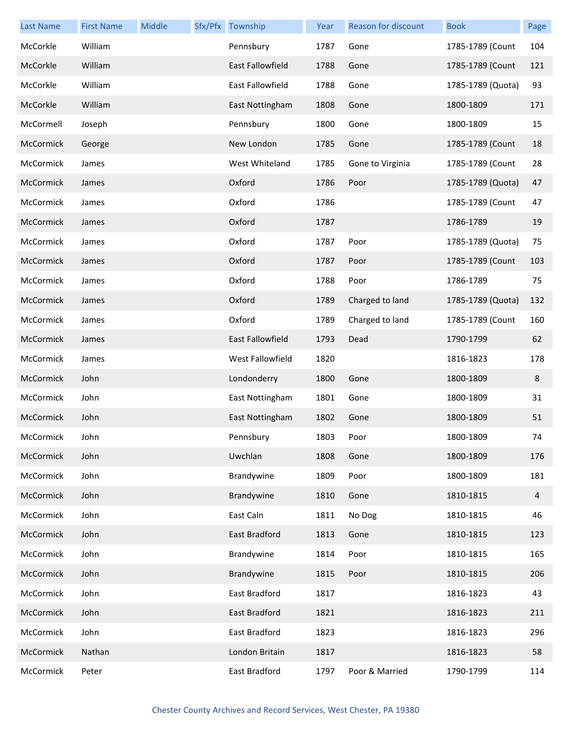| <b>Last Name</b> | <b>First Name</b> | Middle | Sfx/Pfx Township        | Year | Reason for discount | <b>Book</b>       | Page    |
|------------------|-------------------|--------|-------------------------|------|---------------------|-------------------|---------|
| McCorkle         | William           |        | Pennsbury               | 1787 | Gone                | 1785-1789 (Count  | 104     |
| McCorkle         | William           |        | <b>East Fallowfield</b> | 1788 | Gone                | 1785-1789 (Count  | 121     |
| McCorkle         | William           |        | East Fallowfield        | 1788 | Gone                | 1785-1789 (Quota) | 93      |
| McCorkle         | William           |        | East Nottingham         | 1808 | Gone                | 1800-1809         | 171     |
| McCormell        | Joseph            |        | Pennsbury               | 1800 | Gone                | 1800-1809         | 15      |
| McCormick        | George            |        | New London              | 1785 | Gone                | 1785-1789 (Count  | 18      |
| McCormick        | James             |        | West Whiteland          | 1785 | Gone to Virginia    | 1785-1789 (Count  | 28      |
| McCormick        | James             |        | Oxford                  | 1786 | Poor                | 1785-1789 (Quota) | 47      |
| McCormick        | James             |        | Oxford                  | 1786 |                     | 1785-1789 (Count  | 47      |
| McCormick        | James             |        | Oxford                  | 1787 |                     | 1786-1789         | 19      |
| McCormick        | James             |        | Oxford                  | 1787 | Poor                | 1785-1789 (Quota) | 75      |
| McCormick        | James             |        | Oxford                  | 1787 | Poor                | 1785-1789 (Count  | 103     |
| McCormick        | James             |        | Oxford                  | 1788 | Poor                | 1786-1789         | 75      |
| McCormick        | James             |        | Oxford                  | 1789 | Charged to land     | 1785-1789 (Quota) | 132     |
| McCormick        | James             |        | Oxford                  | 1789 | Charged to land     | 1785-1789 (Count  | 160     |
| McCormick        | James             |        | East Fallowfield        | 1793 | Dead                | 1790-1799         | 62      |
| McCormick        | James             |        | West Fallowfield        | 1820 |                     | 1816-1823         | 178     |
| McCormick        | John              |        | Londonderry             | 1800 | Gone                | 1800-1809         | $\bf 8$ |
| McCormick        | John              |        | East Nottingham         | 1801 | Gone                | 1800-1809         | 31      |
| McCormick        | John              |        | East Nottingham         | 1802 | Gone                | 1800-1809         | 51      |
| McCormick        | John              |        | Pennsbury               | 1803 | Poor                | 1800-1809         | 74      |
| McCormick        | John              |        | Uwchlan                 | 1808 | Gone                | 1800-1809         | 176     |
| McCormick        | John              |        | Brandywine              | 1809 | Poor                | 1800-1809         | 181     |
| McCormick        | John              |        | Brandywine              | 1810 | Gone                | 1810-1815         | 4       |
| McCormick        | John              |        | East Caln               | 1811 | No Dog              | 1810-1815         | 46      |
| McCormick        | John              |        | East Bradford           | 1813 | Gone                | 1810-1815         | 123     |
| McCormick        | John              |        | Brandywine              | 1814 | Poor                | 1810-1815         | 165     |
| McCormick        | John              |        | Brandywine              | 1815 | Poor                | 1810-1815         | 206     |
| McCormick        | John              |        | East Bradford           | 1817 |                     | 1816-1823         | 43      |
| McCormick        | John              |        | East Bradford           | 1821 |                     | 1816-1823         | 211     |
| McCormick        | John              |        | East Bradford           | 1823 |                     | 1816-1823         | 296     |
| McCormick        | Nathan            |        | London Britain          | 1817 |                     | 1816-1823         | 58      |
| McCormick        | Peter             |        | East Bradford           | 1797 | Poor & Married      | 1790-1799         | 114     |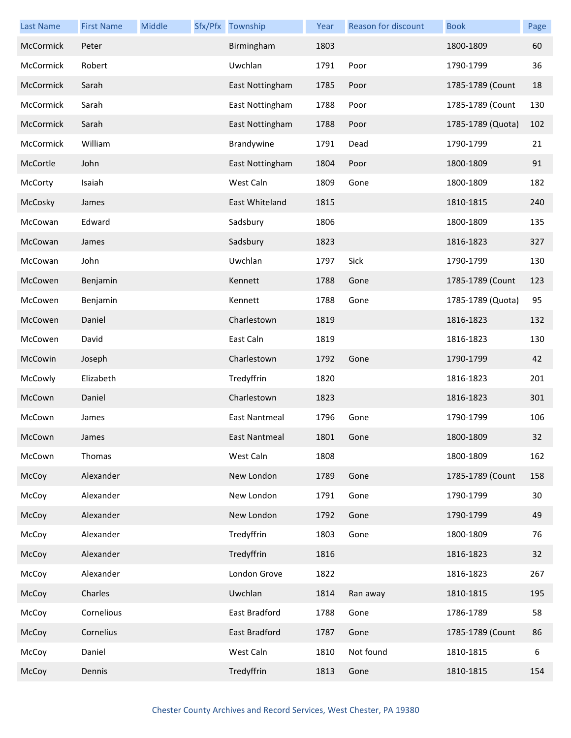| <b>Last Name</b> | <b>First Name</b> | Middle | Sfx/Pfx Township     | Year | Reason for discount | <b>Book</b>       | Page |
|------------------|-------------------|--------|----------------------|------|---------------------|-------------------|------|
| McCormick        | Peter             |        | Birmingham           | 1803 |                     | 1800-1809         | 60   |
| McCormick        | Robert            |        | Uwchlan              | 1791 | Poor                | 1790-1799         | 36   |
| McCormick        | Sarah             |        | East Nottingham      | 1785 | Poor                | 1785-1789 (Count  | 18   |
| McCormick        | Sarah             |        | East Nottingham      | 1788 | Poor                | 1785-1789 (Count  | 130  |
| McCormick        | Sarah             |        | East Nottingham      | 1788 | Poor                | 1785-1789 (Quota) | 102  |
| McCormick        | William           |        | Brandywine           | 1791 | Dead                | 1790-1799         | 21   |
| McCortle         | John              |        | East Nottingham      | 1804 | Poor                | 1800-1809         | 91   |
| McCorty          | Isaiah            |        | West Caln            | 1809 | Gone                | 1800-1809         | 182  |
| McCosky          | James             |        | East Whiteland       | 1815 |                     | 1810-1815         | 240  |
| McCowan          | Edward            |        | Sadsbury             | 1806 |                     | 1800-1809         | 135  |
| McCowan          | James             |        | Sadsbury             | 1823 |                     | 1816-1823         | 327  |
| McCowan          | John              |        | Uwchlan              | 1797 | Sick                | 1790-1799         | 130  |
| McCowen          | Benjamin          |        | Kennett              | 1788 | Gone                | 1785-1789 (Count  | 123  |
| McCowen          | Benjamin          |        | Kennett              | 1788 | Gone                | 1785-1789 (Quota) | 95   |
| McCowen          | Daniel            |        | Charlestown          | 1819 |                     | 1816-1823         | 132  |
| McCowen          | David             |        | East Caln            | 1819 |                     | 1816-1823         | 130  |
| McCowin          | Joseph            |        | Charlestown          | 1792 | Gone                | 1790-1799         | 42   |
| McCowly          | Elizabeth         |        | Tredyffrin           | 1820 |                     | 1816-1823         | 201  |
| McCown           | Daniel            |        | Charlestown          | 1823 |                     | 1816-1823         | 301  |
| McCown           | James             |        | East Nantmeal        | 1796 | Gone                | 1790-1799         | 106  |
| McCown           | James             |        | <b>East Nantmeal</b> | 1801 | Gone                | 1800-1809         | 32   |
| McCown           | Thomas            |        | West Caln            | 1808 |                     | 1800-1809         | 162  |
| McCoy            | Alexander         |        | New London           | 1789 | Gone                | 1785-1789 (Count  | 158  |
| McCoy            | Alexander         |        | New London           | 1791 | Gone                | 1790-1799         | 30   |
| McCoy            | Alexander         |        | New London           | 1792 | Gone                | 1790-1799         | 49   |
| McCoy            | Alexander         |        | Tredyffrin           | 1803 | Gone                | 1800-1809         | 76   |
| McCoy            | Alexander         |        | Tredyffrin           | 1816 |                     | 1816-1823         | 32   |
| McCoy            | Alexander         |        | London Grove         | 1822 |                     | 1816-1823         | 267  |
| McCoy            | Charles           |        | Uwchlan              | 1814 | Ran away            | 1810-1815         | 195  |
| McCoy            | Cornelious        |        | East Bradford        | 1788 | Gone                | 1786-1789         | 58   |
| McCoy            | Cornelius         |        | East Bradford        | 1787 | Gone                | 1785-1789 (Count  | 86   |
| McCoy            | Daniel            |        | West Caln            | 1810 | Not found           | 1810-1815         | 6    |
| McCoy            | Dennis            |        | Tredyffrin           | 1813 | Gone                | 1810-1815         | 154  |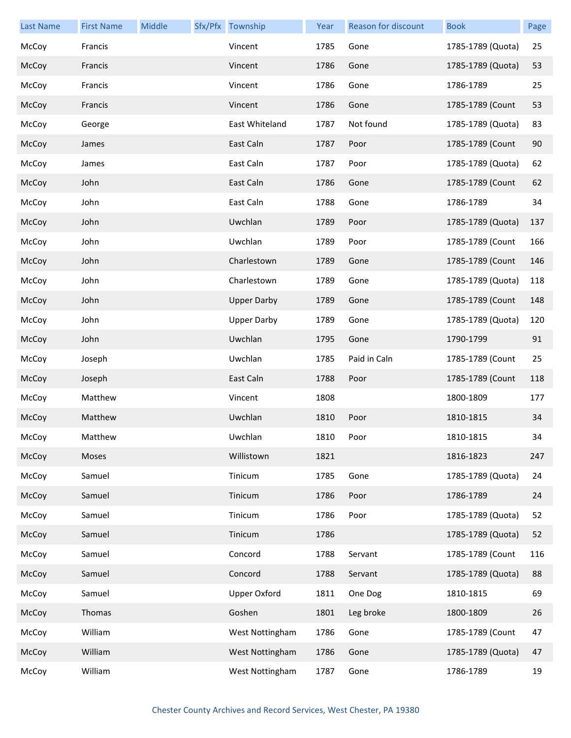| <b>Last Name</b> | <b>First Name</b> | Middle | Sfx/Pfx Township    | Year | Reason for discount | <b>Book</b>       | Page |
|------------------|-------------------|--------|---------------------|------|---------------------|-------------------|------|
| McCoy            | Francis           |        | Vincent             | 1785 | Gone                | 1785-1789 (Quota) | 25   |
| McCoy            | Francis           |        | Vincent             | 1786 | Gone                | 1785-1789 (Quota) | 53   |
| McCoy            | Francis           |        | Vincent             | 1786 | Gone                | 1786-1789         | 25   |
| McCoy            | Francis           |        | Vincent             | 1786 | Gone                | 1785-1789 (Count  | 53   |
| McCoy            | George            |        | East Whiteland      | 1787 | Not found           | 1785-1789 (Quota) | 83   |
| McCoy            | James             |        | East Caln           | 1787 | Poor                | 1785-1789 (Count  | 90   |
| McCoy            | James             |        | East Caln           | 1787 | Poor                | 1785-1789 (Quota) | 62   |
| McCoy            | John              |        | East Caln           | 1786 | Gone                | 1785-1789 (Count  | 62   |
| McCoy            | John              |        | East Caln           | 1788 | Gone                | 1786-1789         | 34   |
| McCoy            | John              |        | Uwchlan             | 1789 | Poor                | 1785-1789 (Quota) | 137  |
| McCoy            | John              |        | Uwchlan             | 1789 | Poor                | 1785-1789 (Count  | 166  |
| McCoy            | John              |        | Charlestown         | 1789 | Gone                | 1785-1789 (Count  | 146  |
| McCoy            | John              |        | Charlestown         | 1789 | Gone                | 1785-1789 (Quota) | 118  |
| McCoy            | John              |        | <b>Upper Darby</b>  | 1789 | Gone                | 1785-1789 (Count  | 148  |
| McCoy            | John              |        | <b>Upper Darby</b>  | 1789 | Gone                | 1785-1789 (Quota) | 120  |
| McCoy            | John              |        | Uwchlan             | 1795 | Gone                | 1790-1799         | 91   |
| McCoy            | Joseph            |        | Uwchlan             | 1785 | Paid in Caln        | 1785-1789 (Count  | 25   |
| McCoy            | Joseph            |        | East Caln           | 1788 | Poor                | 1785-1789 (Count  | 118  |
| McCoy            | Matthew           |        | Vincent             | 1808 |                     | 1800-1809         | 177  |
| McCoy            | Matthew           |        | Uwchlan             | 1810 | Poor                | 1810-1815         | 34   |
| McCoy            | Matthew           |        | Uwchlan             | 1810 | Poor                | 1810-1815         | 34   |
| McCoy            | Moses             |        | Willistown          | 1821 |                     | 1816-1823         | 247  |
| McCoy            | Samuel            |        | Tinicum             | 1785 | Gone                | 1785-1789 (Quota) | 24   |
| McCoy            | Samuel            |        | Tinicum             | 1786 | Poor                | 1786-1789         | 24   |
| McCoy            | Samuel            |        | Tinicum             | 1786 | Poor                | 1785-1789 (Quota) | 52   |
| McCoy            | Samuel            |        | Tinicum             | 1786 |                     | 1785-1789 (Quota) | 52   |
| McCoy            | Samuel            |        | Concord             | 1788 | Servant             | 1785-1789 (Count  | 116  |
| McCoy            | Samuel            |        | Concord             | 1788 | Servant             | 1785-1789 (Quota) | 88   |
| McCoy            | Samuel            |        | <b>Upper Oxford</b> | 1811 | One Dog             | 1810-1815         | 69   |
| McCoy            | Thomas            |        | Goshen              | 1801 | Leg broke           | 1800-1809         | 26   |
| McCoy            | William           |        | West Nottingham     | 1786 | Gone                | 1785-1789 (Count  | 47   |
| McCoy            | William           |        | West Nottingham     | 1786 | Gone                | 1785-1789 (Quota) | 47   |
| McCoy            | William           |        | West Nottingham     | 1787 | Gone                | 1786-1789         | 19   |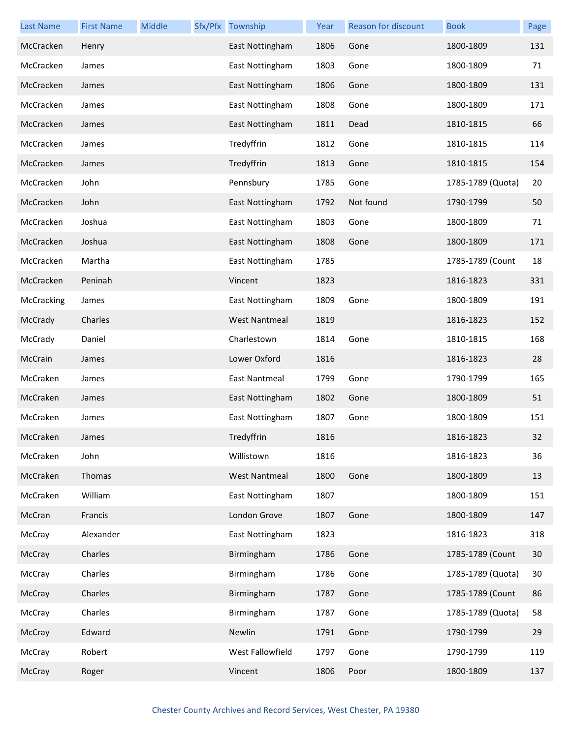| <b>Last Name</b> | <b>First Name</b> | Middle | Sfx/Pfx Township     | Year | Reason for discount | <b>Book</b>       | Page |
|------------------|-------------------|--------|----------------------|------|---------------------|-------------------|------|
| McCracken        | Henry             |        | East Nottingham      | 1806 | Gone                | 1800-1809         | 131  |
| McCracken        | James             |        | East Nottingham      | 1803 | Gone                | 1800-1809         | 71   |
| McCracken        | James             |        | East Nottingham      | 1806 | Gone                | 1800-1809         | 131  |
| McCracken        | James             |        | East Nottingham      | 1808 | Gone                | 1800-1809         | 171  |
| McCracken        | James             |        | East Nottingham      | 1811 | Dead                | 1810-1815         | 66   |
| McCracken        | James             |        | Tredyffrin           | 1812 | Gone                | 1810-1815         | 114  |
| McCracken        | James             |        | Tredyffrin           | 1813 | Gone                | 1810-1815         | 154  |
| McCracken        | John              |        | Pennsbury            | 1785 | Gone                | 1785-1789 (Quota) | 20   |
| McCracken        | John              |        | East Nottingham      | 1792 | Not found           | 1790-1799         | 50   |
| McCracken        | Joshua            |        | East Nottingham      | 1803 | Gone                | 1800-1809         | 71   |
| McCracken        | Joshua            |        | East Nottingham      | 1808 | Gone                | 1800-1809         | 171  |
| McCracken        | Martha            |        | East Nottingham      | 1785 |                     | 1785-1789 (Count  | 18   |
| McCracken        | Peninah           |        | Vincent              | 1823 |                     | 1816-1823         | 331  |
| McCracking       | James             |        | East Nottingham      | 1809 | Gone                | 1800-1809         | 191  |
| McCrady          | Charles           |        | <b>West Nantmeal</b> | 1819 |                     | 1816-1823         | 152  |
| McCrady          | Daniel            |        | Charlestown          | 1814 | Gone                | 1810-1815         | 168  |
| McCrain          | James             |        | Lower Oxford         | 1816 |                     | 1816-1823         | 28   |
| McCraken         | James             |        | East Nantmeal        | 1799 | Gone                | 1790-1799         | 165  |
| McCraken         | James             |        | East Nottingham      | 1802 | Gone                | 1800-1809         | 51   |
| McCraken         | James             |        | East Nottingham      | 1807 | Gone                | 1800-1809         | 151  |
| McCraken         | James             |        | Tredyffrin           | 1816 |                     | 1816-1823         | 32   |
| McCraken         | John              |        | Willistown           | 1816 |                     | 1816-1823         | 36   |
| McCraken         | Thomas            |        | <b>West Nantmeal</b> | 1800 | Gone                | 1800-1809         | 13   |
| McCraken         | William           |        | East Nottingham      | 1807 |                     | 1800-1809         | 151  |
| McCran           | Francis           |        | London Grove         | 1807 | Gone                | 1800-1809         | 147  |
| McCray           | Alexander         |        | East Nottingham      | 1823 |                     | 1816-1823         | 318  |
| McCray           | Charles           |        | Birmingham           | 1786 | Gone                | 1785-1789 (Count  | 30   |
| McCray           | Charles           |        | Birmingham           | 1786 | Gone                | 1785-1789 (Quota) | 30   |
| McCray           | Charles           |        | Birmingham           | 1787 | Gone                | 1785-1789 (Count  | 86   |
| McCray           | Charles           |        | Birmingham           | 1787 | Gone                | 1785-1789 (Quota) | 58   |
| McCray           | Edward            |        | Newlin               | 1791 | Gone                | 1790-1799         | 29   |
| McCray           | Robert            |        | West Fallowfield     | 1797 | Gone                | 1790-1799         | 119  |
| McCray           | Roger             |        | Vincent              | 1806 | Poor                | 1800-1809         | 137  |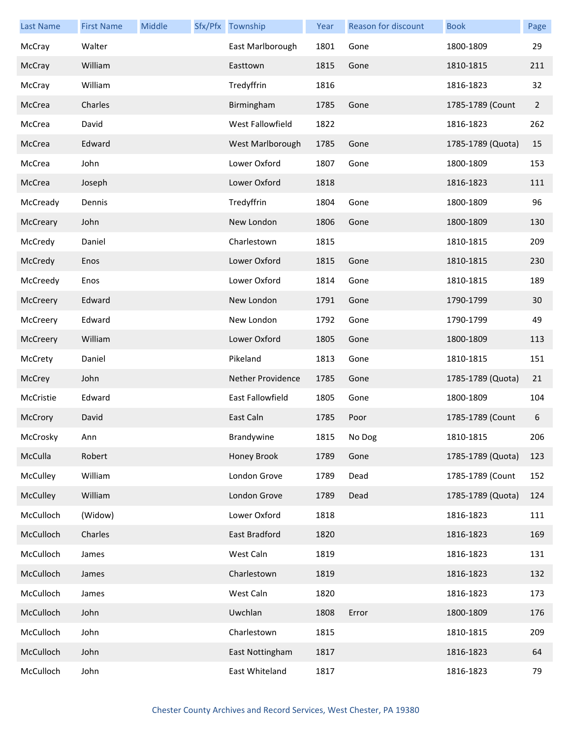| <b>Last Name</b> | <b>First Name</b> | Middle | Sfx/Pfx Township         | Year | Reason for discount | <b>Book</b>       | Page           |
|------------------|-------------------|--------|--------------------------|------|---------------------|-------------------|----------------|
| McCray           | Walter            |        | East Marlborough         | 1801 | Gone                | 1800-1809         | 29             |
| McCray           | William           |        | Easttown                 | 1815 | Gone                | 1810-1815         | 211            |
| McCray           | William           |        | Tredyffrin               | 1816 |                     | 1816-1823         | 32             |
| McCrea           | Charles           |        | Birmingham               | 1785 | Gone                | 1785-1789 (Count  | $\overline{2}$ |
| McCrea           | David             |        | West Fallowfield         | 1822 |                     | 1816-1823         | 262            |
| McCrea           | Edward            |        | West Marlborough         | 1785 | Gone                | 1785-1789 (Quota) | 15             |
| McCrea           | John              |        | Lower Oxford             | 1807 | Gone                | 1800-1809         | 153            |
| McCrea           | Joseph            |        | Lower Oxford             | 1818 |                     | 1816-1823         | 111            |
| McCready         | Dennis            |        | Tredyffrin               | 1804 | Gone                | 1800-1809         | 96             |
| McCreary         | John              |        | New London               | 1806 | Gone                | 1800-1809         | 130            |
| McCredy          | Daniel            |        | Charlestown              | 1815 |                     | 1810-1815         | 209            |
| McCredy          | Enos              |        | Lower Oxford             | 1815 | Gone                | 1810-1815         | 230            |
| McCreedy         | Enos              |        | Lower Oxford             | 1814 | Gone                | 1810-1815         | 189            |
| McCreery         | Edward            |        | New London               | 1791 | Gone                | 1790-1799         | 30             |
| McCreery         | Edward            |        | New London               | 1792 | Gone                | 1790-1799         | 49             |
| McCreery         | William           |        | Lower Oxford             | 1805 | Gone                | 1800-1809         | 113            |
| McCrety          | Daniel            |        | Pikeland                 | 1813 | Gone                | 1810-1815         | 151            |
| McCrey           | John              |        | <b>Nether Providence</b> | 1785 | Gone                | 1785-1789 (Quota) | 21             |
| McCristie        | Edward            |        | East Fallowfield         | 1805 | Gone                | 1800-1809         | 104            |
| McCrory          | David             |        | East Caln                | 1785 | Poor                | 1785-1789 (Count  | 6              |
| McCrosky         | Ann               |        | Brandywine               | 1815 | No Dog              | 1810-1815         | 206            |
| McCulla          | Robert            |        | Honey Brook              | 1789 | Gone                | 1785-1789 (Quota) | 123            |
| McCulley         | William           |        | London Grove             | 1789 | Dead                | 1785-1789 (Count  | 152            |
| McCulley         | William           |        | London Grove             | 1789 | Dead                | 1785-1789 (Quota) | 124            |
| McCulloch        | (Widow)           |        | Lower Oxford             | 1818 |                     | 1816-1823         | 111            |
| McCulloch        | Charles           |        | East Bradford            | 1820 |                     | 1816-1823         | 169            |
| McCulloch        | James             |        | West Caln                | 1819 |                     | 1816-1823         | 131            |
| McCulloch        | James             |        | Charlestown              | 1819 |                     | 1816-1823         | 132            |
| McCulloch        | James             |        | West Caln                | 1820 |                     | 1816-1823         | 173            |
| McCulloch        | John              |        | Uwchlan                  | 1808 | Error               | 1800-1809         | 176            |
| McCulloch        | John              |        | Charlestown              | 1815 |                     | 1810-1815         | 209            |
| McCulloch        | John              |        | East Nottingham          | 1817 |                     | 1816-1823         | 64             |
| McCulloch        | John              |        | East Whiteland           | 1817 |                     | 1816-1823         | 79             |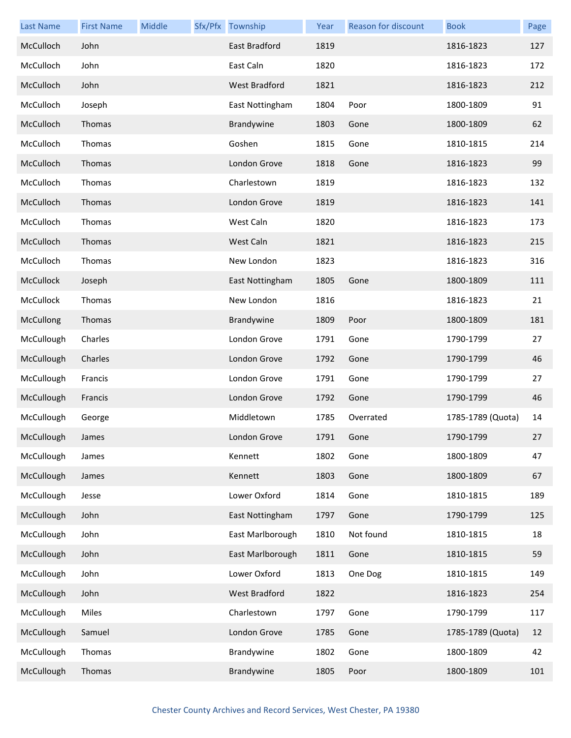| <b>Last Name</b> | <b>First Name</b> | Middle | Sfx/Pfx Township | Year | Reason for discount | <b>Book</b>       | Page |
|------------------|-------------------|--------|------------------|------|---------------------|-------------------|------|
| McCulloch        | John              |        | East Bradford    | 1819 |                     | 1816-1823         | 127  |
| McCulloch        | John              |        | East Caln        | 1820 |                     | 1816-1823         | 172  |
| McCulloch        | John              |        | West Bradford    | 1821 |                     | 1816-1823         | 212  |
| McCulloch        | Joseph            |        | East Nottingham  | 1804 | Poor                | 1800-1809         | 91   |
| McCulloch        | Thomas            |        | Brandywine       | 1803 | Gone                | 1800-1809         | 62   |
| McCulloch        | Thomas            |        | Goshen           | 1815 | Gone                | 1810-1815         | 214  |
| McCulloch        | Thomas            |        | London Grove     | 1818 | Gone                | 1816-1823         | 99   |
| McCulloch        | Thomas            |        | Charlestown      | 1819 |                     | 1816-1823         | 132  |
| McCulloch        | Thomas            |        | London Grove     | 1819 |                     | 1816-1823         | 141  |
| McCulloch        | Thomas            |        | West Caln        | 1820 |                     | 1816-1823         | 173  |
| McCulloch        | Thomas            |        | West Caln        | 1821 |                     | 1816-1823         | 215  |
| McCulloch        | Thomas            |        | New London       | 1823 |                     | 1816-1823         | 316  |
| McCullock        | Joseph            |        | East Nottingham  | 1805 | Gone                | 1800-1809         | 111  |
| McCullock        | Thomas            |        | New London       | 1816 |                     | 1816-1823         | 21   |
| McCullong        | Thomas            |        | Brandywine       | 1809 | Poor                | 1800-1809         | 181  |
| McCullough       | Charles           |        | London Grove     | 1791 | Gone                | 1790-1799         | 27   |
| McCullough       | Charles           |        | London Grove     | 1792 | Gone                | 1790-1799         | 46   |
| McCullough       | Francis           |        | London Grove     | 1791 | Gone                | 1790-1799         | 27   |
| McCullough       | Francis           |        | London Grove     | 1792 | Gone                | 1790-1799         | 46   |
| McCullough       | George            |        | Middletown       | 1785 | Overrated           | 1785-1789 (Quota) | 14   |
| McCullough       | James             |        | London Grove     | 1791 | Gone                | 1790-1799         | 27   |
| McCullough       | James             |        | Kennett          | 1802 | Gone                | 1800-1809         | 47   |
| McCullough       | James             |        | Kennett          | 1803 | Gone                | 1800-1809         | 67   |
| McCullough       | Jesse             |        | Lower Oxford     | 1814 | Gone                | 1810-1815         | 189  |
| McCullough       | John              |        | East Nottingham  | 1797 | Gone                | 1790-1799         | 125  |
| McCullough       | John              |        | East Marlborough | 1810 | Not found           | 1810-1815         | 18   |
| McCullough       | John              |        | East Marlborough | 1811 | Gone                | 1810-1815         | 59   |
| McCullough       | John              |        | Lower Oxford     | 1813 | One Dog             | 1810-1815         | 149  |
| McCullough       | John              |        | West Bradford    | 1822 |                     | 1816-1823         | 254  |
| McCullough       | Miles             |        | Charlestown      | 1797 | Gone                | 1790-1799         | 117  |
| McCullough       | Samuel            |        | London Grove     | 1785 | Gone                | 1785-1789 (Quota) | 12   |
| McCullough       | Thomas            |        | Brandywine       | 1802 | Gone                | 1800-1809         | 42   |
| McCullough       | Thomas            |        | Brandywine       | 1805 | Poor                | 1800-1809         | 101  |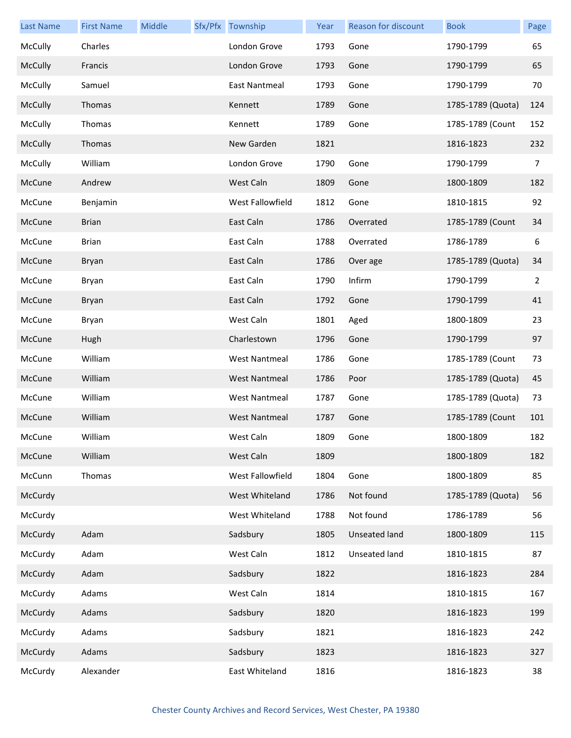| <b>Last Name</b> | <b>First Name</b> | Middle | Sfx/Pfx Township     | Year | Reason for discount  | <b>Book</b>       | Page           |
|------------------|-------------------|--------|----------------------|------|----------------------|-------------------|----------------|
| McCully          | Charles           |        | London Grove         | 1793 | Gone                 | 1790-1799         | 65             |
| McCully          | Francis           |        | London Grove         | 1793 | Gone                 | 1790-1799         | 65             |
| McCully          | Samuel            |        | <b>East Nantmeal</b> | 1793 | Gone                 | 1790-1799         | 70             |
| McCully          | Thomas            |        | Kennett              | 1789 | Gone                 | 1785-1789 (Quota) | 124            |
| McCully          | Thomas            |        | Kennett              | 1789 | Gone                 | 1785-1789 (Count  | 152            |
| McCully          | Thomas            |        | New Garden           | 1821 |                      | 1816-1823         | 232            |
| McCully          | William           |        | London Grove         | 1790 | Gone                 | 1790-1799         | 7              |
| McCune           | Andrew            |        | West Caln            | 1809 | Gone                 | 1800-1809         | 182            |
| McCune           | Benjamin          |        | West Fallowfield     | 1812 | Gone                 | 1810-1815         | 92             |
| McCune           | <b>Brian</b>      |        | East Caln            | 1786 | Overrated            | 1785-1789 (Count  | 34             |
| McCune           | <b>Brian</b>      |        | East Caln            | 1788 | Overrated            | 1786-1789         | 6              |
| McCune           | Bryan             |        | East Caln            | 1786 | Over age             | 1785-1789 (Quota) | 34             |
| McCune           | Bryan             |        | East Caln            | 1790 | Infirm               | 1790-1799         | $\overline{2}$ |
| McCune           | Bryan             |        | East Caln            | 1792 | Gone                 | 1790-1799         | 41             |
| McCune           | Bryan             |        | West Caln            | 1801 | Aged                 | 1800-1809         | 23             |
| McCune           | Hugh              |        | Charlestown          | 1796 | Gone                 | 1790-1799         | 97             |
| McCune           | William           |        | <b>West Nantmeal</b> | 1786 | Gone                 | 1785-1789 (Count  | 73             |
| McCune           | William           |        | <b>West Nantmeal</b> | 1786 | Poor                 | 1785-1789 (Quota) | 45             |
| McCune           | William           |        | <b>West Nantmeal</b> | 1787 | Gone                 | 1785-1789 (Quota) | 73             |
| McCune           | William           |        | <b>West Nantmeal</b> | 1787 | Gone                 | 1785-1789 (Count  | 101            |
| McCune           | William           |        | West Caln            | 1809 | Gone                 | 1800-1809         | 182            |
| McCune           | William           |        | West Caln            | 1809 |                      | 1800-1809         | 182            |
| McCunn           | Thomas            |        | West Fallowfield     | 1804 | Gone                 | 1800-1809         | 85             |
| McCurdy          |                   |        | West Whiteland       | 1786 | Not found            | 1785-1789 (Quota) | 56             |
| McCurdy          |                   |        | West Whiteland       | 1788 | Not found            | 1786-1789         | 56             |
| McCurdy          | Adam              |        | Sadsbury             | 1805 | <b>Unseated land</b> | 1800-1809         | 115            |
| McCurdy          | Adam              |        | West Caln            | 1812 | Unseated land        | 1810-1815         | 87             |
| McCurdy          | Adam              |        | Sadsbury             | 1822 |                      | 1816-1823         | 284            |
| McCurdy          | Adams             |        | West Caln            | 1814 |                      | 1810-1815         | 167            |
| McCurdy          | Adams             |        | Sadsbury             | 1820 |                      | 1816-1823         | 199            |
| McCurdy          | Adams             |        | Sadsbury             | 1821 |                      | 1816-1823         | 242            |
| McCurdy          | Adams             |        | Sadsbury             | 1823 |                      | 1816-1823         | 327            |
| McCurdy          | Alexander         |        | East Whiteland       | 1816 |                      | 1816-1823         | 38             |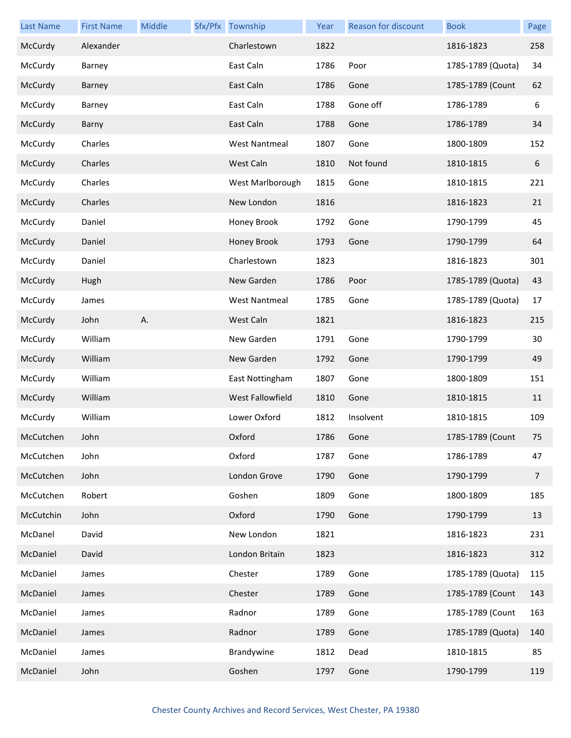| <b>Last Name</b> | <b>First Name</b> | Middle | Sfx/Pfx Township     | Year | Reason for discount | <b>Book</b>       | Page           |
|------------------|-------------------|--------|----------------------|------|---------------------|-------------------|----------------|
| McCurdy          | Alexander         |        | Charlestown          | 1822 |                     | 1816-1823         | 258            |
| McCurdy          | Barney            |        | East Caln            | 1786 | Poor                | 1785-1789 (Quota) | 34             |
| McCurdy          | Barney            |        | East Caln            | 1786 | Gone                | 1785-1789 (Count  | 62             |
| McCurdy          | Barney            |        | East Caln            | 1788 | Gone off            | 1786-1789         | 6              |
| McCurdy          | Barny             |        | East Caln            | 1788 | Gone                | 1786-1789         | 34             |
| McCurdy          | Charles           |        | <b>West Nantmeal</b> | 1807 | Gone                | 1800-1809         | 152            |
| McCurdy          | Charles           |        | West Caln            | 1810 | Not found           | 1810-1815         | 6              |
| McCurdy          | Charles           |        | West Marlborough     | 1815 | Gone                | 1810-1815         | 221            |
| McCurdy          | Charles           |        | New London           | 1816 |                     | 1816-1823         | 21             |
| McCurdy          | Daniel            |        | Honey Brook          | 1792 | Gone                | 1790-1799         | 45             |
| McCurdy          | Daniel            |        | Honey Brook          | 1793 | Gone                | 1790-1799         | 64             |
| McCurdy          | Daniel            |        | Charlestown          | 1823 |                     | 1816-1823         | 301            |
| McCurdy          | Hugh              |        | New Garden           | 1786 | Poor                | 1785-1789 (Quota) | 43             |
| McCurdy          | James             |        | <b>West Nantmeal</b> | 1785 | Gone                | 1785-1789 (Quota) | 17             |
| McCurdy          | John              | Α.     | West Caln            | 1821 |                     | 1816-1823         | 215            |
| McCurdy          | William           |        | New Garden           | 1791 | Gone                | 1790-1799         | 30             |
| McCurdy          | William           |        | New Garden           | 1792 | Gone                | 1790-1799         | 49             |
| McCurdy          | William           |        | East Nottingham      | 1807 | Gone                | 1800-1809         | 151            |
| McCurdy          | William           |        | West Fallowfield     | 1810 | Gone                | 1810-1815         | 11             |
| McCurdy          | William           |        | Lower Oxford         | 1812 | Insolvent           | 1810-1815         | 109            |
| McCutchen        | John              |        | Oxford               | 1786 | Gone                | 1785-1789 (Count  | 75             |
| McCutchen        | John              |        | Oxford               | 1787 | Gone                | 1786-1789         | 47             |
| McCutchen        | John              |        | London Grove         | 1790 | Gone                | 1790-1799         | $\overline{7}$ |
| McCutchen        | Robert            |        | Goshen               | 1809 | Gone                | 1800-1809         | 185            |
| McCutchin        | John              |        | Oxford               | 1790 | Gone                | 1790-1799         | 13             |
| McDanel          | David             |        | New London           | 1821 |                     | 1816-1823         | 231            |
| McDaniel         | David             |        | London Britain       | 1823 |                     | 1816-1823         | 312            |
| McDaniel         | James             |        | Chester              | 1789 | Gone                | 1785-1789 (Quota) | 115            |
| McDaniel         | James             |        | Chester              | 1789 | Gone                | 1785-1789 (Count  | 143            |
| McDaniel         | James             |        | Radnor               | 1789 | Gone                | 1785-1789 (Count  | 163            |
| McDaniel         | James             |        | Radnor               | 1789 | Gone                | 1785-1789 (Quota) | 140            |
| McDaniel         | James             |        | Brandywine           | 1812 | Dead                | 1810-1815         | 85             |
| McDaniel         | John              |        | Goshen               | 1797 | Gone                | 1790-1799         | 119            |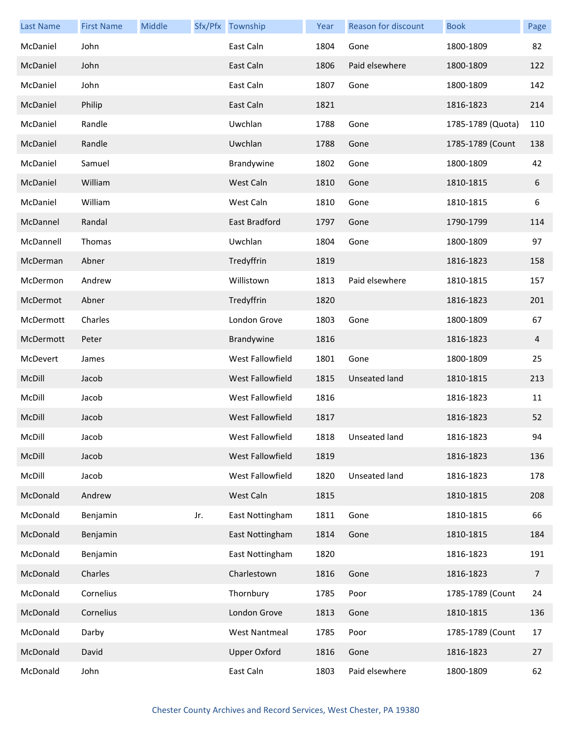| <b>Last Name</b> | <b>First Name</b> | <b>Middle</b> |     | Sfx/Pfx Township     | Year | Reason for discount | <b>Book</b>       | Page           |
|------------------|-------------------|---------------|-----|----------------------|------|---------------------|-------------------|----------------|
| McDaniel         | John              |               |     | East Caln            | 1804 | Gone                | 1800-1809         | 82             |
| McDaniel         | John              |               |     | East Caln            | 1806 | Paid elsewhere      | 1800-1809         | 122            |
| McDaniel         | John              |               |     | East Caln            | 1807 | Gone                | 1800-1809         | 142            |
| McDaniel         | Philip            |               |     | East Caln            | 1821 |                     | 1816-1823         | 214            |
| McDaniel         | Randle            |               |     | Uwchlan              | 1788 | Gone                | 1785-1789 (Quota) | 110            |
| McDaniel         | Randle            |               |     | Uwchlan              | 1788 | Gone                | 1785-1789 (Count  | 138            |
| McDaniel         | Samuel            |               |     | Brandywine           | 1802 | Gone                | 1800-1809         | 42             |
| McDaniel         | William           |               |     | West Caln            | 1810 | Gone                | 1810-1815         | 6              |
| McDaniel         | William           |               |     | West Caln            | 1810 | Gone                | 1810-1815         | 6              |
| McDannel         | Randal            |               |     | East Bradford        | 1797 | Gone                | 1790-1799         | 114            |
| McDannell        | Thomas            |               |     | Uwchlan              | 1804 | Gone                | 1800-1809         | 97             |
| McDerman         | Abner             |               |     | Tredyffrin           | 1819 |                     | 1816-1823         | 158            |
| McDermon         | Andrew            |               |     | Willistown           | 1813 | Paid elsewhere      | 1810-1815         | 157            |
| McDermot         | Abner             |               |     | Tredyffrin           | 1820 |                     | 1816-1823         | 201            |
| McDermott        | Charles           |               |     | London Grove         | 1803 | Gone                | 1800-1809         | 67             |
| McDermott        | Peter             |               |     | Brandywine           | 1816 |                     | 1816-1823         | 4              |
| McDevert         | James             |               |     | West Fallowfield     | 1801 | Gone                | 1800-1809         | 25             |
| McDill           | Jacob             |               |     | West Fallowfield     | 1815 | Unseated land       | 1810-1815         | 213            |
| McDill           | Jacob             |               |     | West Fallowfield     | 1816 |                     | 1816-1823         | 11             |
| McDill           | Jacob             |               |     | West Fallowfield     | 1817 |                     | 1816-1823         | 52             |
| McDill           | Jacob             |               |     | West Fallowfield     | 1818 | Unseated land       | 1816-1823         | 94             |
| McDill           | Jacob             |               |     | West Fallowfield     | 1819 |                     | 1816-1823         | 136            |
| McDill           | Jacob             |               |     | West Fallowfield     | 1820 | Unseated land       | 1816-1823         | 178            |
| McDonald         | Andrew            |               |     | West Caln            | 1815 |                     | 1810-1815         | 208            |
| McDonald         | Benjamin          |               | Jr. | East Nottingham      | 1811 | Gone                | 1810-1815         | 66             |
| McDonald         | Benjamin          |               |     | East Nottingham      | 1814 | Gone                | 1810-1815         | 184            |
| McDonald         | Benjamin          |               |     | East Nottingham      | 1820 |                     | 1816-1823         | 191            |
| McDonald         | Charles           |               |     | Charlestown          | 1816 | Gone                | 1816-1823         | $\overline{7}$ |
| McDonald         | Cornelius         |               |     | Thornbury            | 1785 | Poor                | 1785-1789 (Count  | 24             |
| McDonald         | Cornelius         |               |     | London Grove         | 1813 | Gone                | 1810-1815         | 136            |
| McDonald         | Darby             |               |     | <b>West Nantmeal</b> | 1785 | Poor                | 1785-1789 (Count  | 17             |
| McDonald         | David             |               |     | <b>Upper Oxford</b>  | 1816 | Gone                | 1816-1823         | 27             |
| McDonald         | John              |               |     | East Caln            | 1803 | Paid elsewhere      | 1800-1809         | 62             |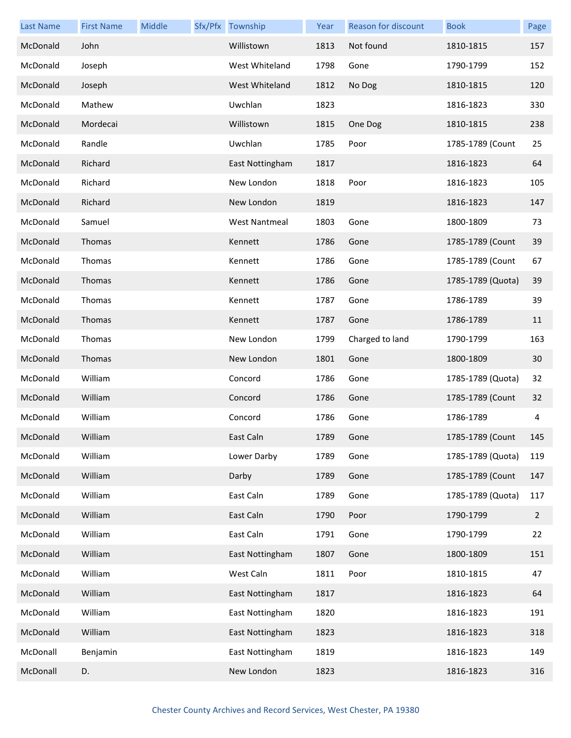| <b>Last Name</b> | <b>First Name</b> | Middle | Sfx/Pfx Township     | Year | Reason for discount | <b>Book</b>       | Page           |
|------------------|-------------------|--------|----------------------|------|---------------------|-------------------|----------------|
| McDonald         | John              |        | Willistown           | 1813 | Not found           | 1810-1815         | 157            |
| McDonald         | Joseph            |        | West Whiteland       | 1798 | Gone                | 1790-1799         | 152            |
| McDonald         | Joseph            |        | West Whiteland       | 1812 | No Dog              | 1810-1815         | 120            |
| McDonald         | Mathew            |        | Uwchlan              | 1823 |                     | 1816-1823         | 330            |
| McDonald         | Mordecai          |        | Willistown           | 1815 | One Dog             | 1810-1815         | 238            |
| McDonald         | Randle            |        | Uwchlan              | 1785 | Poor                | 1785-1789 (Count  | 25             |
| McDonald         | Richard           |        | East Nottingham      | 1817 |                     | 1816-1823         | 64             |
| McDonald         | Richard           |        | New London           | 1818 | Poor                | 1816-1823         | 105            |
| McDonald         | Richard           |        | New London           | 1819 |                     | 1816-1823         | 147            |
| McDonald         | Samuel            |        | <b>West Nantmeal</b> | 1803 | Gone                | 1800-1809         | 73             |
| McDonald         | Thomas            |        | Kennett              | 1786 | Gone                | 1785-1789 (Count  | 39             |
| McDonald         | Thomas            |        | Kennett              | 1786 | Gone                | 1785-1789 (Count  | 67             |
| McDonald         | Thomas            |        | Kennett              | 1786 | Gone                | 1785-1789 (Quota) | 39             |
| McDonald         | Thomas            |        | Kennett              | 1787 | Gone                | 1786-1789         | 39             |
| McDonald         | Thomas            |        | Kennett              | 1787 | Gone                | 1786-1789         | 11             |
| McDonald         | Thomas            |        | New London           | 1799 | Charged to land     | 1790-1799         | 163            |
| McDonald         | Thomas            |        | New London           | 1801 | Gone                | 1800-1809         | 30             |
| McDonald         | William           |        | Concord              | 1786 | Gone                | 1785-1789 (Quota) | 32             |
| McDonald         | William           |        | Concord              | 1786 | Gone                | 1785-1789 (Count  | 32             |
| McDonald         | William           |        | Concord              | 1786 | Gone                | 1786-1789         | 4              |
| McDonald         | William           |        | East Caln            | 1789 | Gone                | 1785-1789 (Count  | 145            |
| McDonald         | William           |        | Lower Darby          | 1789 | Gone                | 1785-1789 (Quota) | 119            |
| McDonald         | William           |        | Darby                | 1789 | Gone                | 1785-1789 (Count  | 147            |
| McDonald         | William           |        | East Caln            | 1789 | Gone                | 1785-1789 (Quota) | 117            |
| McDonald         | William           |        | East Caln            | 1790 | Poor                | 1790-1799         | $\overline{2}$ |
| McDonald         | William           |        | East Caln            | 1791 | Gone                | 1790-1799         | 22             |
| McDonald         | William           |        | East Nottingham      | 1807 | Gone                | 1800-1809         | 151            |
| McDonald         | William           |        | West Caln            | 1811 | Poor                | 1810-1815         | 47             |
| McDonald         | William           |        | East Nottingham      | 1817 |                     | 1816-1823         | 64             |
| McDonald         | William           |        | East Nottingham      | 1820 |                     | 1816-1823         | 191            |
| McDonald         | William           |        | East Nottingham      | 1823 |                     | 1816-1823         | 318            |
| McDonall         | Benjamin          |        | East Nottingham      | 1819 |                     | 1816-1823         | 149            |
| McDonall         | D.                |        | New London           | 1823 |                     | 1816-1823         | 316            |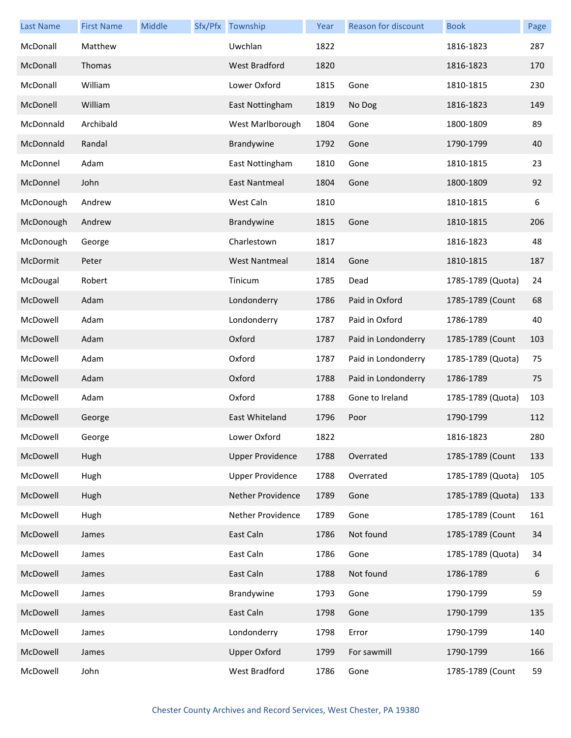| <b>Last Name</b> | <b>First Name</b> | Middle | Sfx/Pfx Township        | Year | Reason for discount | <b>Book</b>       | Page |
|------------------|-------------------|--------|-------------------------|------|---------------------|-------------------|------|
| McDonall         | Matthew           |        | Uwchlan                 | 1822 |                     | 1816-1823         | 287  |
| McDonall         | Thomas            |        | <b>West Bradford</b>    | 1820 |                     | 1816-1823         | 170  |
| McDonall         | William           |        | Lower Oxford            | 1815 | Gone                | 1810-1815         | 230  |
| McDonell         | William           |        | East Nottingham         | 1819 | No Dog              | 1816-1823         | 149  |
| McDonnald        | Archibald         |        | West Marlborough        | 1804 | Gone                | 1800-1809         | 89   |
| McDonnald        | Randal            |        | Brandywine              | 1792 | Gone                | 1790-1799         | 40   |
| McDonnel         | Adam              |        | East Nottingham         | 1810 | Gone                | 1810-1815         | 23   |
| McDonnel         | John              |        | East Nantmeal           | 1804 | Gone                | 1800-1809         | 92   |
| McDonough        | Andrew            |        | West Caln               | 1810 |                     | 1810-1815         | 6    |
| McDonough        | Andrew            |        | Brandywine              | 1815 | Gone                | 1810-1815         | 206  |
| McDonough        | George            |        | Charlestown             | 1817 |                     | 1816-1823         | 48   |
| McDormit         | Peter             |        | <b>West Nantmeal</b>    | 1814 | Gone                | 1810-1815         | 187  |
| McDougal         | Robert            |        | Tinicum                 | 1785 | Dead                | 1785-1789 (Quota) | 24   |
| McDowell         | Adam              |        | Londonderry             | 1786 | Paid in Oxford      | 1785-1789 (Count  | 68   |
| McDowell         | Adam              |        | Londonderry             | 1787 | Paid in Oxford      | 1786-1789         | 40   |
| McDowell         | Adam              |        | Oxford                  | 1787 | Paid in Londonderry | 1785-1789 (Count  | 103  |
| McDowell         | Adam              |        | Oxford                  | 1787 | Paid in Londonderry | 1785-1789 (Quota) | 75   |
| McDowell         | Adam              |        | Oxford                  | 1788 | Paid in Londonderry | 1786-1789         | 75   |
| McDowell         | Adam              |        | Oxford                  | 1788 | Gone to Ireland     | 1785-1789 (Quota) | 103  |
| McDowell         | George            |        | East Whiteland          | 1796 | Poor                | 1790-1799         | 112  |
| McDowell         | George            |        | Lower Oxford            | 1822 |                     | 1816-1823         | 280  |
| McDowell         | Hugh              |        | <b>Upper Providence</b> | 1788 | Overrated           | 1785-1789 (Count  | 133  |
| McDowell         | Hugh              |        | <b>Upper Providence</b> | 1788 | Overrated           | 1785-1789 (Quota) | 105  |
| McDowell         | Hugh              |        | Nether Providence       | 1789 | Gone                | 1785-1789 (Quota) | 133  |
| McDowell         | Hugh              |        | Nether Providence       | 1789 | Gone                | 1785-1789 (Count  | 161  |
| McDowell         | James             |        | East Caln               | 1786 | Not found           | 1785-1789 (Count  | 34   |
| McDowell         | James             |        | East Caln               | 1786 | Gone                | 1785-1789 (Quota) | 34   |
| McDowell         | James             |        | East Caln               | 1788 | Not found           | 1786-1789         | 6    |
| McDowell         | James             |        | Brandywine              | 1793 | Gone                | 1790-1799         | 59   |
| McDowell         | James             |        | East Caln               | 1798 | Gone                | 1790-1799         | 135  |
| McDowell         | James             |        | Londonderry             | 1798 | Error               | 1790-1799         | 140  |
| McDowell         | James             |        | <b>Upper Oxford</b>     | 1799 | For sawmill         | 1790-1799         | 166  |
| McDowell         | John              |        | West Bradford           | 1786 | Gone                | 1785-1789 (Count  | 59   |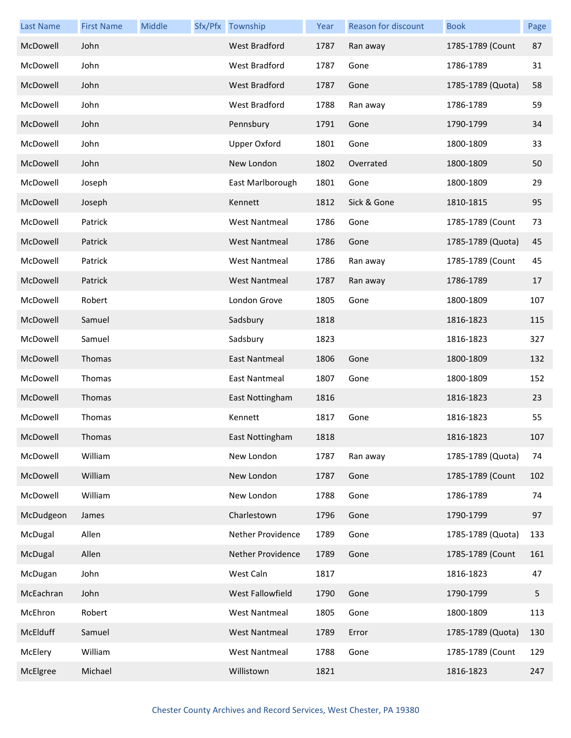| <b>Last Name</b> | <b>First Name</b> | Middle | Sfx/Pfx Township     | Year | Reason for discount | <b>Book</b>       | Page |
|------------------|-------------------|--------|----------------------|------|---------------------|-------------------|------|
| McDowell         | John              |        | West Bradford        | 1787 | Ran away            | 1785-1789 (Count  | 87   |
| McDowell         | John              |        | West Bradford        | 1787 | Gone                | 1786-1789         | 31   |
| McDowell         | John              |        | West Bradford        | 1787 | Gone                | 1785-1789 (Quota) | 58   |
| McDowell         | John              |        | West Bradford        | 1788 | Ran away            | 1786-1789         | 59   |
| McDowell         | John              |        | Pennsbury            | 1791 | Gone                | 1790-1799         | 34   |
| McDowell         | John              |        | <b>Upper Oxford</b>  | 1801 | Gone                | 1800-1809         | 33   |
| McDowell         | John              |        | New London           | 1802 | Overrated           | 1800-1809         | 50   |
| McDowell         | Joseph            |        | East Marlborough     | 1801 | Gone                | 1800-1809         | 29   |
| McDowell         | Joseph            |        | Kennett              | 1812 | Sick & Gone         | 1810-1815         | 95   |
| McDowell         | Patrick           |        | <b>West Nantmeal</b> | 1786 | Gone                | 1785-1789 (Count  | 73   |
| McDowell         | Patrick           |        | <b>West Nantmeal</b> | 1786 | Gone                | 1785-1789 (Quota) | 45   |
| McDowell         | Patrick           |        | <b>West Nantmeal</b> | 1786 | Ran away            | 1785-1789 (Count  | 45   |
| McDowell         | Patrick           |        | <b>West Nantmeal</b> | 1787 | Ran away            | 1786-1789         | 17   |
| McDowell         | Robert            |        | London Grove         | 1805 | Gone                | 1800-1809         | 107  |
| McDowell         | Samuel            |        | Sadsbury             | 1818 |                     | 1816-1823         | 115  |
| McDowell         | Samuel            |        | Sadsbury             | 1823 |                     | 1816-1823         | 327  |
| McDowell         | Thomas            |        | East Nantmeal        | 1806 | Gone                | 1800-1809         | 132  |
| McDowell         | Thomas            |        | East Nantmeal        | 1807 | Gone                | 1800-1809         | 152  |
| McDowell         | Thomas            |        | East Nottingham      | 1816 |                     | 1816-1823         | 23   |
| McDowell         | Thomas            |        | Kennett              | 1817 | Gone                | 1816-1823         | 55   |
| McDowell         | Thomas            |        | East Nottingham      | 1818 |                     | 1816-1823         | 107  |
| McDowell         | William           |        | New London           | 1787 | Ran away            | 1785-1789 (Quota) | 74   |
| McDowell         | William           |        | New London           | 1787 | Gone                | 1785-1789 (Count  | 102  |
| McDowell         | William           |        | New London           | 1788 | Gone                | 1786-1789         | 74   |
| McDudgeon        | James             |        | Charlestown          | 1796 | Gone                | 1790-1799         | 97   |
| McDugal          | Allen             |        | Nether Providence    | 1789 | Gone                | 1785-1789 (Quota) | 133  |
| McDugal          | Allen             |        | Nether Providence    | 1789 | Gone                | 1785-1789 (Count  | 161  |
| McDugan          | John              |        | West Caln            | 1817 |                     | 1816-1823         | 47   |
| McEachran        | John              |        | West Fallowfield     | 1790 | Gone                | 1790-1799         | 5    |
| McEhron          | Robert            |        | <b>West Nantmeal</b> | 1805 | Gone                | 1800-1809         | 113  |
| McElduff         | Samuel            |        | <b>West Nantmeal</b> | 1789 | Error               | 1785-1789 (Quota) | 130  |
| McElery          | William           |        | <b>West Nantmeal</b> | 1788 | Gone                | 1785-1789 (Count  | 129  |
| McElgree         | Michael           |        | Willistown           | 1821 |                     | 1816-1823         | 247  |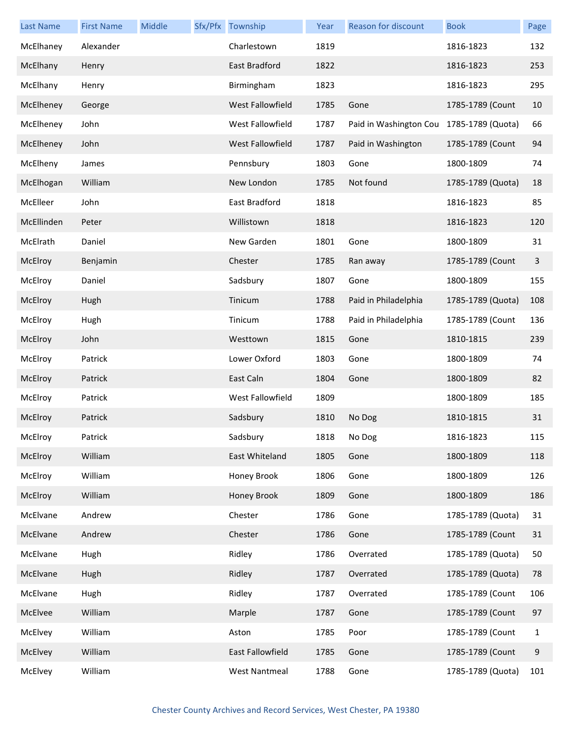| <b>Last Name</b> | <b>First Name</b> | Middle | Sfx/Pfx Township     | Year | Reason for discount    | <b>Book</b>       | Page |
|------------------|-------------------|--------|----------------------|------|------------------------|-------------------|------|
| McElhaney        | Alexander         |        | Charlestown          | 1819 |                        | 1816-1823         | 132  |
| McElhany         | Henry             |        | East Bradford        | 1822 |                        | 1816-1823         | 253  |
| McElhany         | Henry             |        | Birmingham           | 1823 |                        | 1816-1823         | 295  |
| McElheney        | George            |        | West Fallowfield     | 1785 | Gone                   | 1785-1789 (Count  | 10   |
| McElheney        | John              |        | West Fallowfield     | 1787 | Paid in Washington Cou | 1785-1789 (Quota) | 66   |
| McElheney        | John              |        | West Fallowfield     | 1787 | Paid in Washington     | 1785-1789 (Count  | 94   |
| McElheny         | James             |        | Pennsbury            | 1803 | Gone                   | 1800-1809         | 74   |
| McElhogan        | William           |        | New London           | 1785 | Not found              | 1785-1789 (Quota) | 18   |
| McElleer         | John              |        | East Bradford        | 1818 |                        | 1816-1823         | 85   |
| McEllinden       | Peter             |        | Willistown           | 1818 |                        | 1816-1823         | 120  |
| McElrath         | Daniel            |        | New Garden           | 1801 | Gone                   | 1800-1809         | 31   |
| McElroy          | Benjamin          |        | Chester              | 1785 | Ran away               | 1785-1789 (Count  | 3    |
| McElroy          | Daniel            |        | Sadsbury             | 1807 | Gone                   | 1800-1809         | 155  |
| McElroy          | Hugh              |        | Tinicum              | 1788 | Paid in Philadelphia   | 1785-1789 (Quota) | 108  |
| McElroy          | Hugh              |        | Tinicum              | 1788 | Paid in Philadelphia   | 1785-1789 (Count  | 136  |
| McElroy          | John              |        | Westtown             | 1815 | Gone                   | 1810-1815         | 239  |
| McElroy          | Patrick           |        | Lower Oxford         | 1803 | Gone                   | 1800-1809         | 74   |
| McElroy          | Patrick           |        | East Caln            | 1804 | Gone                   | 1800-1809         | 82   |
| McElroy          | Patrick           |        | West Fallowfield     | 1809 |                        | 1800-1809         | 185  |
| McElroy          | Patrick           |        | Sadsbury             | 1810 | No Dog                 | 1810-1815         | 31   |
| McElroy          | Patrick           |        | Sadsbury             | 1818 | No Dog                 | 1816-1823         | 115  |
| McElroy          | William           |        | East Whiteland       | 1805 | Gone                   | 1800-1809         | 118  |
| McElroy          | William           |        | Honey Brook          | 1806 | Gone                   | 1800-1809         | 126  |
| McElroy          | William           |        | Honey Brook          | 1809 | Gone                   | 1800-1809         | 186  |
| McElvane         | Andrew            |        | Chester              | 1786 | Gone                   | 1785-1789 (Quota) | 31   |
| McElvane         | Andrew            |        | Chester              | 1786 | Gone                   | 1785-1789 (Count  | 31   |
| McElvane         | Hugh              |        | Ridley               | 1786 | Overrated              | 1785-1789 (Quota) | 50   |
| McElvane         | Hugh              |        | Ridley               | 1787 | Overrated              | 1785-1789 (Quota) | 78   |
| McElvane         | Hugh              |        | Ridley               | 1787 | Overrated              | 1785-1789 (Count  | 106  |
| McElvee          | William           |        | Marple               | 1787 | Gone                   | 1785-1789 (Count  | 97   |
| McElvey          | William           |        | Aston                | 1785 | Poor                   | 1785-1789 (Count  | 1    |
| McElvey          | William           |        | East Fallowfield     | 1785 | Gone                   | 1785-1789 (Count  | 9    |
| McElvey          | William           |        | <b>West Nantmeal</b> | 1788 | Gone                   | 1785-1789 (Quota) | 101  |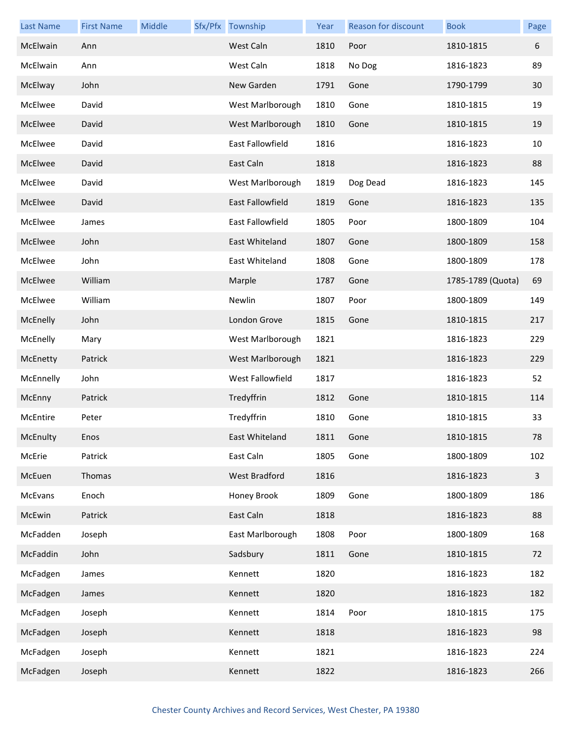| <b>Last Name</b> | <b>First Name</b> | Middle | Sfx/Pfx Township        | Year | <b>Reason for discount</b> | <b>Book</b>       | Page         |
|------------------|-------------------|--------|-------------------------|------|----------------------------|-------------------|--------------|
| McElwain         | Ann               |        | West Caln               | 1810 | Poor                       | 1810-1815         | 6            |
| McElwain         | Ann               |        | West Caln               | 1818 | No Dog                     | 1816-1823         | 89           |
| McElway          | John              |        | New Garden              | 1791 | Gone                       | 1790-1799         | 30           |
| McElwee          | David             |        | West Marlborough        | 1810 | Gone                       | 1810-1815         | 19           |
| McElwee          | David             |        | West Marlborough        | 1810 | Gone                       | 1810-1815         | 19           |
| McElwee          | David             |        | <b>East Fallowfield</b> | 1816 |                            | 1816-1823         | 10           |
| McElwee          | David             |        | East Caln               | 1818 |                            | 1816-1823         | 88           |
| McElwee          | David             |        | West Marlborough        | 1819 | Dog Dead                   | 1816-1823         | 145          |
| McElwee          | David             |        | <b>East Fallowfield</b> | 1819 | Gone                       | 1816-1823         | 135          |
| McElwee          | James             |        | <b>East Fallowfield</b> | 1805 | Poor                       | 1800-1809         | 104          |
| McElwee          | John              |        | East Whiteland          | 1807 | Gone                       | 1800-1809         | 158          |
| McElwee          | John              |        | East Whiteland          | 1808 | Gone                       | 1800-1809         | 178          |
| McElwee          | William           |        | Marple                  | 1787 | Gone                       | 1785-1789 (Quota) | 69           |
| McElwee          | William           |        | Newlin                  | 1807 | Poor                       | 1800-1809         | 149          |
| McEnelly         | John              |        | London Grove            | 1815 | Gone                       | 1810-1815         | 217          |
| McEnelly         | Mary              |        | West Marlborough        | 1821 |                            | 1816-1823         | 229          |
| McEnetty         | Patrick           |        | West Marlborough        | 1821 |                            | 1816-1823         | 229          |
| McEnnelly        | John              |        | West Fallowfield        | 1817 |                            | 1816-1823         | 52           |
| McEnny           | Patrick           |        | Tredyffrin              | 1812 | Gone                       | 1810-1815         | 114          |
| McEntire         | Peter             |        | Tredyffrin              | 1810 | Gone                       | 1810-1815         | 33           |
| McEnulty         | Enos              |        | East Whiteland          | 1811 | Gone                       | 1810-1815         | 78           |
| McErie           | Patrick           |        | East Caln               | 1805 | Gone                       | 1800-1809         | 102          |
| McEuen           | Thomas            |        | West Bradford           | 1816 |                            | 1816-1823         | $\mathbf{3}$ |
| McEvans          | Enoch             |        | Honey Brook             | 1809 | Gone                       | 1800-1809         | 186          |
| McEwin           | Patrick           |        | East Caln               | 1818 |                            | 1816-1823         | 88           |
| McFadden         | Joseph            |        | East Marlborough        | 1808 | Poor                       | 1800-1809         | 168          |
| McFaddin         | John              |        | Sadsbury                | 1811 | Gone                       | 1810-1815         | 72           |
| McFadgen         | James             |        | Kennett                 | 1820 |                            | 1816-1823         | 182          |
| McFadgen         | James             |        | Kennett                 | 1820 |                            | 1816-1823         | 182          |
| McFadgen         | Joseph            |        | Kennett                 | 1814 | Poor                       | 1810-1815         | 175          |
| McFadgen         | Joseph            |        | Kennett                 | 1818 |                            | 1816-1823         | 98           |
| McFadgen         | Joseph            |        | Kennett                 | 1821 |                            | 1816-1823         | 224          |
| McFadgen         | Joseph            |        | Kennett                 | 1822 |                            | 1816-1823         | 266          |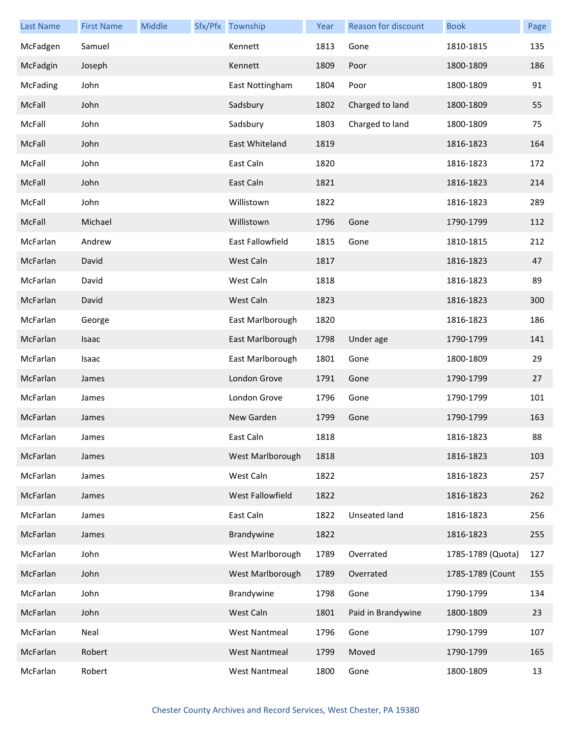| <b>Last Name</b> | <b>First Name</b> | Middle | Sfx/Pfx Township     | Year | Reason for discount | <b>Book</b>       | Page |
|------------------|-------------------|--------|----------------------|------|---------------------|-------------------|------|
| McFadgen         | Samuel            |        | Kennett              | 1813 | Gone                | 1810-1815         | 135  |
| McFadgin         | Joseph            |        | Kennett              | 1809 | Poor                | 1800-1809         | 186  |
| <b>McFading</b>  | John              |        | East Nottingham      | 1804 | Poor                | 1800-1809         | 91   |
| McFall           | John              |        | Sadsbury             | 1802 | Charged to land     | 1800-1809         | 55   |
| McFall           | John              |        | Sadsbury             | 1803 | Charged to land     | 1800-1809         | 75   |
| McFall           | John              |        | East Whiteland       | 1819 |                     | 1816-1823         | 164  |
| McFall           | John              |        | East Caln            | 1820 |                     | 1816-1823         | 172  |
| McFall           | John              |        | East Caln            | 1821 |                     | 1816-1823         | 214  |
| McFall           | John              |        | Willistown           | 1822 |                     | 1816-1823         | 289  |
| McFall           | Michael           |        | Willistown           | 1796 | Gone                | 1790-1799         | 112  |
| McFarlan         | Andrew            |        | East Fallowfield     | 1815 | Gone                | 1810-1815         | 212  |
| McFarlan         | David             |        | West Caln            | 1817 |                     | 1816-1823         | 47   |
| McFarlan         | David             |        | West Caln            | 1818 |                     | 1816-1823         | 89   |
| McFarlan         | David             |        | West Caln            | 1823 |                     | 1816-1823         | 300  |
| McFarlan         | George            |        | East Marlborough     | 1820 |                     | 1816-1823         | 186  |
| McFarlan         | Isaac             |        | East Marlborough     | 1798 | Under age           | 1790-1799         | 141  |
| McFarlan         | Isaac             |        | East Marlborough     | 1801 | Gone                | 1800-1809         | 29   |
| McFarlan         | James             |        | London Grove         | 1791 | Gone                | 1790-1799         | 27   |
| McFarlan         | James             |        | London Grove         | 1796 | Gone                | 1790-1799         | 101  |
| McFarlan         | James             |        | New Garden           | 1799 | Gone                | 1790-1799         | 163  |
| McFarlan         | James             |        | East Caln            | 1818 |                     | 1816-1823         | 88   |
| McFarlan         | James             |        | West Marlborough     | 1818 |                     | 1816-1823         | 103  |
| McFarlan         | James             |        | West Caln            | 1822 |                     | 1816-1823         | 257  |
| McFarlan         | James             |        | West Fallowfield     | 1822 |                     | 1816-1823         | 262  |
| McFarlan         | James             |        | East Caln            | 1822 | Unseated land       | 1816-1823         | 256  |
| McFarlan         | James             |        | Brandywine           | 1822 |                     | 1816-1823         | 255  |
| McFarlan         | John              |        | West Marlborough     | 1789 | Overrated           | 1785-1789 (Quota) | 127  |
| McFarlan         | John              |        | West Marlborough     | 1789 | Overrated           | 1785-1789 (Count  | 155  |
| McFarlan         | John              |        | Brandywine           | 1798 | Gone                | 1790-1799         | 134  |
| McFarlan         | John              |        | West Caln            | 1801 | Paid in Brandywine  | 1800-1809         | 23   |
| McFarlan         | Neal              |        | <b>West Nantmeal</b> | 1796 | Gone                | 1790-1799         | 107  |
| McFarlan         | Robert            |        | <b>West Nantmeal</b> | 1799 | Moved               | 1790-1799         | 165  |
| McFarlan         | Robert            |        | <b>West Nantmeal</b> | 1800 | Gone                | 1800-1809         | 13   |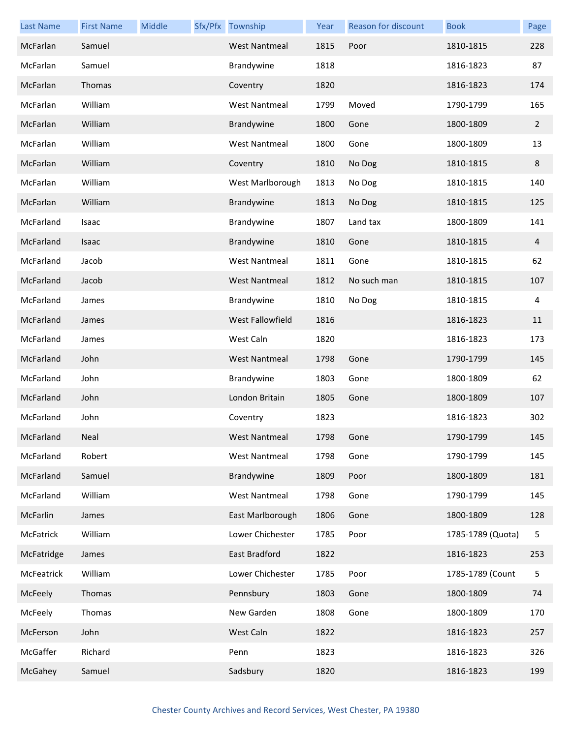| <b>Last Name</b> | <b>First Name</b> | Middle | Sfx/Pfx Township     | Year | <b>Reason for discount</b> | <b>Book</b>       | Page           |
|------------------|-------------------|--------|----------------------|------|----------------------------|-------------------|----------------|
| McFarlan         | Samuel            |        | <b>West Nantmeal</b> | 1815 | Poor                       | 1810-1815         | 228            |
| McFarlan         | Samuel            |        | Brandywine           | 1818 |                            | 1816-1823         | 87             |
| McFarlan         | Thomas            |        | Coventry             | 1820 |                            | 1816-1823         | 174            |
| McFarlan         | William           |        | <b>West Nantmeal</b> | 1799 | Moved                      | 1790-1799         | 165            |
| McFarlan         | William           |        | Brandywine           | 1800 | Gone                       | 1800-1809         | $\overline{2}$ |
| McFarlan         | William           |        | <b>West Nantmeal</b> | 1800 | Gone                       | 1800-1809         | 13             |
| McFarlan         | William           |        | Coventry             | 1810 | No Dog                     | 1810-1815         | 8              |
| McFarlan         | William           |        | West Marlborough     | 1813 | No Dog                     | 1810-1815         | 140            |
| McFarlan         | William           |        | Brandywine           | 1813 | No Dog                     | 1810-1815         | 125            |
| McFarland        | Isaac             |        | Brandywine           | 1807 | Land tax                   | 1800-1809         | 141            |
| McFarland        | Isaac             |        | Brandywine           | 1810 | Gone                       | 1810-1815         | 4              |
| McFarland        | Jacob             |        | <b>West Nantmeal</b> | 1811 | Gone                       | 1810-1815         | 62             |
| McFarland        | Jacob             |        | <b>West Nantmeal</b> | 1812 | No such man                | 1810-1815         | 107            |
| McFarland        | James             |        | Brandywine           | 1810 | No Dog                     | 1810-1815         | 4              |
| McFarland        | James             |        | West Fallowfield     | 1816 |                            | 1816-1823         | 11             |
| McFarland        | James             |        | West Caln            | 1820 |                            | 1816-1823         | 173            |
| McFarland        | John              |        | <b>West Nantmeal</b> | 1798 | Gone                       | 1790-1799         | 145            |
| McFarland        | John              |        | Brandywine           | 1803 | Gone                       | 1800-1809         | 62             |
| McFarland        | John              |        | London Britain       | 1805 | Gone                       | 1800-1809         | 107            |
| McFarland        | John              |        | Coventry             | 1823 |                            | 1816-1823         | 302            |
| McFarland        | Neal              |        | West Nantmeal        | 1798 | Gone                       | 1790-1799         | 145            |
| McFarland        | Robert            |        | <b>West Nantmeal</b> | 1798 | Gone                       | 1790-1799         | 145            |
| McFarland        | Samuel            |        | Brandywine           | 1809 | Poor                       | 1800-1809         | 181            |
| McFarland        | William           |        | <b>West Nantmeal</b> | 1798 | Gone                       | 1790-1799         | 145            |
| McFarlin         | James             |        | East Marlborough     | 1806 | Gone                       | 1800-1809         | 128            |
| McFatrick        | William           |        | Lower Chichester     | 1785 | Poor                       | 1785-1789 (Quota) | 5              |
| McFatridge       | James             |        | East Bradford        | 1822 |                            | 1816-1823         | 253            |
| McFeatrick       | William           |        | Lower Chichester     | 1785 | Poor                       | 1785-1789 (Count  | 5              |
| McFeely          | Thomas            |        | Pennsbury            | 1803 | Gone                       | 1800-1809         | 74             |
| McFeely          | Thomas            |        | New Garden           | 1808 | Gone                       | 1800-1809         | 170            |
| McFerson         | John              |        | West Caln            | 1822 |                            | 1816-1823         | 257            |
| McGaffer         | Richard           |        | Penn                 | 1823 |                            | 1816-1823         | 326            |
| McGahey          | Samuel            |        | Sadsbury             | 1820 |                            | 1816-1823         | 199            |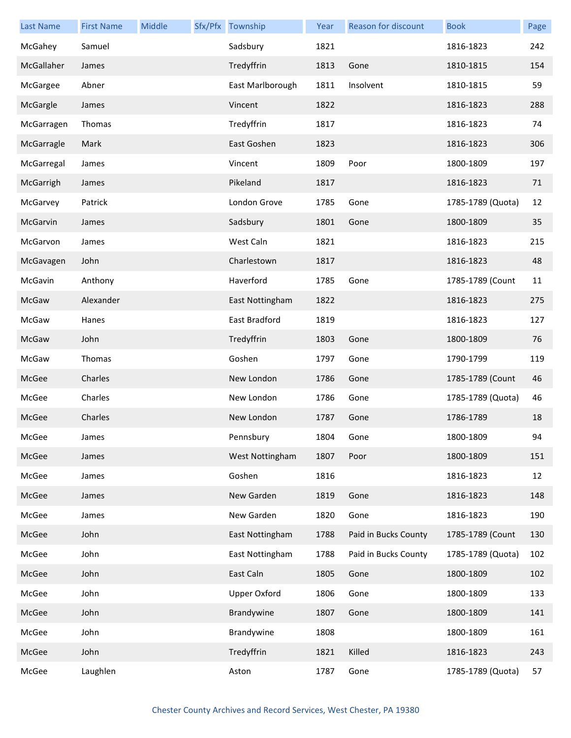| <b>Last Name</b> | <b>First Name</b> | Middle | Sfx/Pfx Township    | Year | Reason for discount  | <b>Book</b>       | Page |
|------------------|-------------------|--------|---------------------|------|----------------------|-------------------|------|
| McGahey          | Samuel            |        | Sadsbury            | 1821 |                      | 1816-1823         | 242  |
| McGallaher       | James             |        | Tredyffrin          | 1813 | Gone                 | 1810-1815         | 154  |
| McGargee         | Abner             |        | East Marlborough    | 1811 | Insolvent            | 1810-1815         | 59   |
| McGargle         | James             |        | Vincent             | 1822 |                      | 1816-1823         | 288  |
| McGarragen       | Thomas            |        | Tredyffrin          | 1817 |                      | 1816-1823         | 74   |
| McGarragle       | Mark              |        | East Goshen         | 1823 |                      | 1816-1823         | 306  |
| McGarregal       | James             |        | Vincent             | 1809 | Poor                 | 1800-1809         | 197  |
| McGarrigh        | James             |        | Pikeland            | 1817 |                      | 1816-1823         | 71   |
| McGarvey         | Patrick           |        | London Grove        | 1785 | Gone                 | 1785-1789 (Quota) | 12   |
| McGarvin         | James             |        | Sadsbury            | 1801 | Gone                 | 1800-1809         | 35   |
| McGarvon         | James             |        | West Caln           | 1821 |                      | 1816-1823         | 215  |
| McGavagen        | John              |        | Charlestown         | 1817 |                      | 1816-1823         | 48   |
| McGavin          | Anthony           |        | Haverford           | 1785 | Gone                 | 1785-1789 (Count  | 11   |
| McGaw            | Alexander         |        | East Nottingham     | 1822 |                      | 1816-1823         | 275  |
| McGaw            | Hanes             |        | East Bradford       | 1819 |                      | 1816-1823         | 127  |
| McGaw            | John              |        | Tredyffrin          | 1803 | Gone                 | 1800-1809         | 76   |
| McGaw            | Thomas            |        | Goshen              | 1797 | Gone                 | 1790-1799         | 119  |
| McGee            | Charles           |        | New London          | 1786 | Gone                 | 1785-1789 (Count  | 46   |
| McGee            | Charles           |        | New London          | 1786 | Gone                 | 1785-1789 (Quota) | 46   |
| McGee            | Charles           |        | New London          | 1787 | Gone                 | 1786-1789         | 18   |
| McGee            | James             |        | Pennsbury           | 1804 | Gone                 | 1800-1809         | 94   |
| McGee            | James             |        | West Nottingham     | 1807 | Poor                 | 1800-1809         | 151  |
| McGee            | James             |        | Goshen              | 1816 |                      | 1816-1823         | 12   |
| McGee            | James             |        | New Garden          | 1819 | Gone                 | 1816-1823         | 148  |
| McGee            | James             |        | New Garden          | 1820 | Gone                 | 1816-1823         | 190  |
| McGee            | John              |        | East Nottingham     | 1788 | Paid in Bucks County | 1785-1789 (Count  | 130  |
| McGee            | John              |        | East Nottingham     | 1788 | Paid in Bucks County | 1785-1789 (Quota) | 102  |
| McGee            | John              |        | East Caln           | 1805 | Gone                 | 1800-1809         | 102  |
| McGee            | John              |        | <b>Upper Oxford</b> | 1806 | Gone                 | 1800-1809         | 133  |
| McGee            | John              |        | Brandywine          | 1807 | Gone                 | 1800-1809         | 141  |
| McGee            | John              |        | Brandywine          | 1808 |                      | 1800-1809         | 161  |
| McGee            | John              |        | Tredyffrin          | 1821 | Killed               | 1816-1823         | 243  |
| McGee            | Laughlen          |        | Aston               | 1787 | Gone                 | 1785-1789 (Quota) | 57   |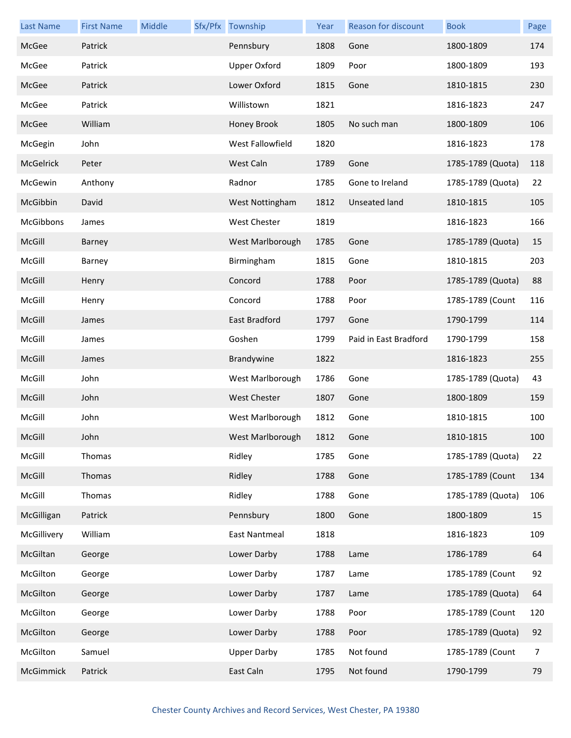| <b>Last Name</b> | <b>First Name</b> | Middle | Sfx/Pfx Township     | Year | <b>Reason for discount</b> | <b>Book</b>       | Page |
|------------------|-------------------|--------|----------------------|------|----------------------------|-------------------|------|
| McGee            | Patrick           |        | Pennsbury            | 1808 | Gone                       | 1800-1809         | 174  |
| McGee            | Patrick           |        | <b>Upper Oxford</b>  | 1809 | Poor                       | 1800-1809         | 193  |
| McGee            | Patrick           |        | Lower Oxford         | 1815 | Gone                       | 1810-1815         | 230  |
| McGee            | Patrick           |        | Willistown           | 1821 |                            | 1816-1823         | 247  |
| McGee            | William           |        | Honey Brook          | 1805 | No such man                | 1800-1809         | 106  |
| McGegin          | John              |        | West Fallowfield     | 1820 |                            | 1816-1823         | 178  |
| McGelrick        | Peter             |        | West Caln            | 1789 | Gone                       | 1785-1789 (Quota) | 118  |
| McGewin          | Anthony           |        | Radnor               | 1785 | Gone to Ireland            | 1785-1789 (Quota) | 22   |
| McGibbin         | David             |        | West Nottingham      | 1812 | <b>Unseated land</b>       | 1810-1815         | 105  |
| McGibbons        | James             |        | <b>West Chester</b>  | 1819 |                            | 1816-1823         | 166  |
| McGill           | Barney            |        | West Marlborough     | 1785 | Gone                       | 1785-1789 (Quota) | 15   |
| McGill           | Barney            |        | Birmingham           | 1815 | Gone                       | 1810-1815         | 203  |
| McGill           | Henry             |        | Concord              | 1788 | Poor                       | 1785-1789 (Quota) | 88   |
| McGill           | Henry             |        | Concord              | 1788 | Poor                       | 1785-1789 (Count  | 116  |
| McGill           | James             |        | East Bradford        | 1797 | Gone                       | 1790-1799         | 114  |
| McGill           | James             |        | Goshen               | 1799 | Paid in East Bradford      | 1790-1799         | 158  |
| McGill           | James             |        | Brandywine           | 1822 |                            | 1816-1823         | 255  |
| McGill           | John              |        | West Marlborough     | 1786 | Gone                       | 1785-1789 (Quota) | 43   |
| McGill           | John              |        | <b>West Chester</b>  | 1807 | Gone                       | 1800-1809         | 159  |
| McGill           | John              |        | West Marlborough     | 1812 | Gone                       | 1810-1815         | 100  |
| McGill           | John              |        | West Marlborough     | 1812 | Gone                       | 1810-1815         | 100  |
| McGill           | Thomas            |        | Ridley               | 1785 | Gone                       | 1785-1789 (Quota) | 22   |
| McGill           | Thomas            |        | Ridley               | 1788 | Gone                       | 1785-1789 (Count  | 134  |
| McGill           | Thomas            |        | Ridley               | 1788 | Gone                       | 1785-1789 (Quota) | 106  |
| McGilligan       | Patrick           |        | Pennsbury            | 1800 | Gone                       | 1800-1809         | 15   |
| McGillivery      | William           |        | <b>East Nantmeal</b> | 1818 |                            | 1816-1823         | 109  |
| McGiltan         | George            |        | Lower Darby          | 1788 | Lame                       | 1786-1789         | 64   |
| McGilton         | George            |        | Lower Darby          | 1787 | Lame                       | 1785-1789 (Count  | 92   |
| McGilton         | George            |        | Lower Darby          | 1787 | Lame                       | 1785-1789 (Quota) | 64   |
| McGilton         | George            |        | Lower Darby          | 1788 | Poor                       | 1785-1789 (Count  | 120  |
| McGilton         | George            |        | Lower Darby          | 1788 | Poor                       | 1785-1789 (Quota) | 92   |
| McGilton         | Samuel            |        | <b>Upper Darby</b>   | 1785 | Not found                  | 1785-1789 (Count  | 7    |
| McGimmick        | Patrick           |        | East Caln            | 1795 | Not found                  | 1790-1799         | 79   |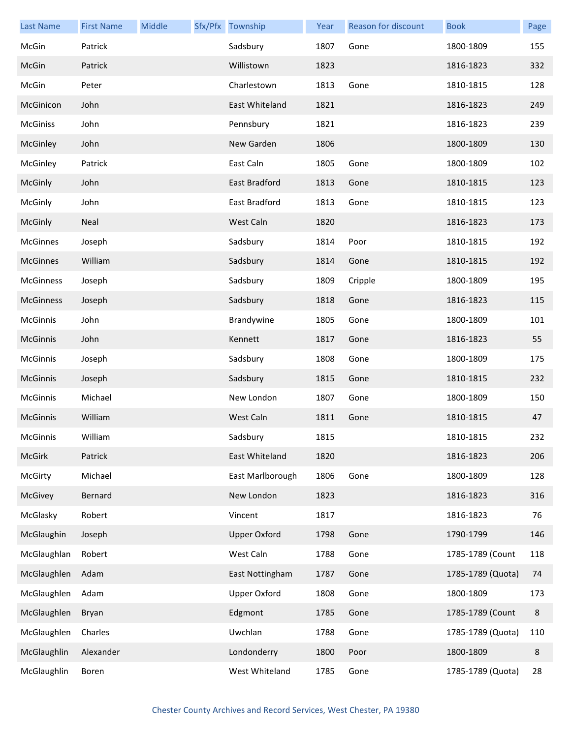| <b>Last Name</b> | <b>First Name</b> | Middle | Sfx/Pfx Township    | Year | Reason for discount | <b>Book</b>       | Page    |
|------------------|-------------------|--------|---------------------|------|---------------------|-------------------|---------|
| McGin            | Patrick           |        | Sadsbury            | 1807 | Gone                | 1800-1809         | 155     |
| McGin            | Patrick           |        | Willistown          | 1823 |                     | 1816-1823         | 332     |
| McGin            | Peter             |        | Charlestown         | 1813 | Gone                | 1810-1815         | 128     |
| McGinicon        | John              |        | East Whiteland      | 1821 |                     | 1816-1823         | 249     |
| <b>McGiniss</b>  | John              |        | Pennsbury           | 1821 |                     | 1816-1823         | 239     |
| McGinley         | John              |        | New Garden          | 1806 |                     | 1800-1809         | 130     |
| McGinley         | Patrick           |        | East Caln           | 1805 | Gone                | 1800-1809         | 102     |
| McGinly          | John              |        | East Bradford       | 1813 | Gone                | 1810-1815         | 123     |
| McGinly          | John              |        | East Bradford       | 1813 | Gone                | 1810-1815         | 123     |
| McGinly          | Neal              |        | West Caln           | 1820 |                     | 1816-1823         | 173     |
| <b>McGinnes</b>  | Joseph            |        | Sadsbury            | 1814 | Poor                | 1810-1815         | 192     |
| <b>McGinnes</b>  | William           |        | Sadsbury            | 1814 | Gone                | 1810-1815         | 192     |
| <b>McGinness</b> | Joseph            |        | Sadsbury            | 1809 | Cripple             | 1800-1809         | 195     |
| <b>McGinness</b> | Joseph            |        | Sadsbury            | 1818 | Gone                | 1816-1823         | 115     |
| McGinnis         | John              |        | Brandywine          | 1805 | Gone                | 1800-1809         | 101     |
| <b>McGinnis</b>  | John              |        | Kennett             | 1817 | Gone                | 1816-1823         | 55      |
| McGinnis         | Joseph            |        | Sadsbury            | 1808 | Gone                | 1800-1809         | 175     |
| <b>McGinnis</b>  | Joseph            |        | Sadsbury            | 1815 | Gone                | 1810-1815         | 232     |
| <b>McGinnis</b>  | Michael           |        | New London          | 1807 | Gone                | 1800-1809         | 150     |
| McGinnis         | William           |        | West Caln           | 1811 | Gone                | 1810-1815         | 47      |
| McGinnis         | William           |        | Sadsbury            | 1815 |                     | 1810-1815         | 232     |
| <b>McGirk</b>    | Patrick           |        | East Whiteland      | 1820 |                     | 1816-1823         | 206     |
| McGirty          | Michael           |        | East Marlborough    | 1806 | Gone                | 1800-1809         | 128     |
| McGivey          | Bernard           |        | New London          | 1823 |                     | 1816-1823         | 316     |
| McGlasky         | Robert            |        | Vincent             | 1817 |                     | 1816-1823         | 76      |
| McGlaughin       | Joseph            |        | <b>Upper Oxford</b> | 1798 | Gone                | 1790-1799         | 146     |
| McGlaughlan      | Robert            |        | West Caln           | 1788 | Gone                | 1785-1789 (Count  | 118     |
| McGlaughlen      | Adam              |        | East Nottingham     | 1787 | Gone                | 1785-1789 (Quota) | 74      |
| McGlaughlen      | Adam              |        | <b>Upper Oxford</b> | 1808 | Gone                | 1800-1809         | 173     |
| McGlaughlen      | Bryan             |        | Edgmont             | 1785 | Gone                | 1785-1789 (Count  | $\,8\,$ |
| McGlaughlen      | Charles           |        | Uwchlan             | 1788 | Gone                | 1785-1789 (Quota) | 110     |
| McGlaughlin      | Alexander         |        | Londonderry         | 1800 | Poor                | 1800-1809         | 8       |
| McGlaughlin      | Boren             |        | West Whiteland      | 1785 | Gone                | 1785-1789 (Quota) | 28      |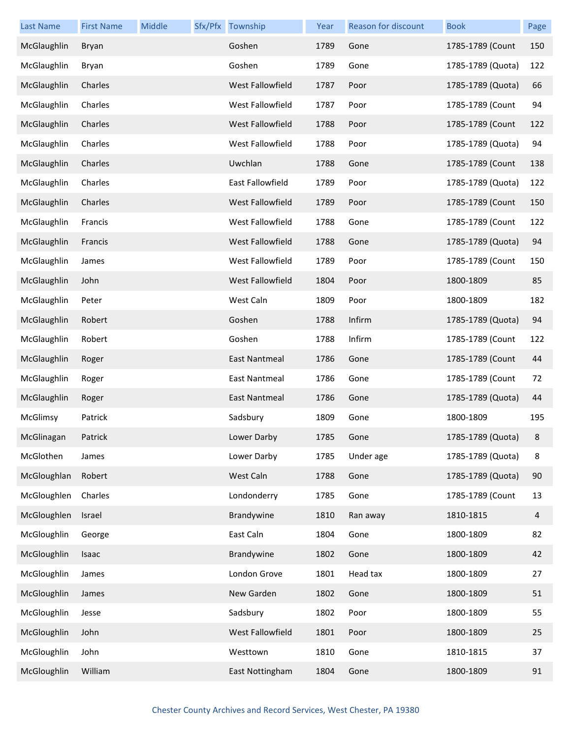| <b>Last Name</b> | <b>First Name</b> | Middle | Sfx/Pfx Township        | Year | Reason for discount | <b>Book</b>       | Page |
|------------------|-------------------|--------|-------------------------|------|---------------------|-------------------|------|
| McGlaughlin      | Bryan             |        | Goshen                  | 1789 | Gone                | 1785-1789 (Count  | 150  |
| McGlaughlin      | Bryan             |        | Goshen                  | 1789 | Gone                | 1785-1789 (Quota) | 122  |
| McGlaughlin      | Charles           |        | <b>West Fallowfield</b> | 1787 | Poor                | 1785-1789 (Quota) | 66   |
| McGlaughlin      | Charles           |        | West Fallowfield        | 1787 | Poor                | 1785-1789 (Count  | 94   |
| McGlaughlin      | Charles           |        | West Fallowfield        | 1788 | Poor                | 1785-1789 (Count  | 122  |
| McGlaughlin      | Charles           |        | West Fallowfield        | 1788 | Poor                | 1785-1789 (Quota) | 94   |
| McGlaughlin      | Charles           |        | Uwchlan                 | 1788 | Gone                | 1785-1789 (Count  | 138  |
| McGlaughlin      | Charles           |        | East Fallowfield        | 1789 | Poor                | 1785-1789 (Quota) | 122  |
| McGlaughlin      | Charles           |        | West Fallowfield        | 1789 | Poor                | 1785-1789 (Count  | 150  |
| McGlaughlin      | Francis           |        | West Fallowfield        | 1788 | Gone                | 1785-1789 (Count  | 122  |
| McGlaughlin      | Francis           |        | West Fallowfield        | 1788 | Gone                | 1785-1789 (Quota) | 94   |
| McGlaughlin      | James             |        | West Fallowfield        | 1789 | Poor                | 1785-1789 (Count  | 150  |
| McGlaughlin      | John              |        | West Fallowfield        | 1804 | Poor                | 1800-1809         | 85   |
| McGlaughlin      | Peter             |        | West Caln               | 1809 | Poor                | 1800-1809         | 182  |
| McGlaughlin      | Robert            |        | Goshen                  | 1788 | Infirm              | 1785-1789 (Quota) | 94   |
| McGlaughlin      | Robert            |        | Goshen                  | 1788 | Infirm              | 1785-1789 (Count  | 122  |
| McGlaughlin      | Roger             |        | <b>East Nantmeal</b>    | 1786 | Gone                | 1785-1789 (Count  | 44   |
| McGlaughlin      | Roger             |        | <b>East Nantmeal</b>    | 1786 | Gone                | 1785-1789 (Count  | 72   |
| McGlaughlin      | Roger             |        | <b>East Nantmeal</b>    | 1786 | Gone                | 1785-1789 (Quota) | 44   |
| McGlimsy         | Patrick           |        | Sadsbury                | 1809 | Gone                | 1800-1809         | 195  |
| McGlinagan       | Patrick           |        | Lower Darby             | 1785 | Gone                | 1785-1789 (Quota) |      |
| McGlothen        | James             |        | Lower Darby             | 1785 | Under age           | 1785-1789 (Quota) | 8    |
| McGloughlan      | Robert            |        | West Caln               | 1788 | Gone                | 1785-1789 (Quota) | 90   |
| McGloughlen      | Charles           |        | Londonderry             | 1785 | Gone                | 1785-1789 (Count  | 13   |
| McGloughlen      | Israel            |        | Brandywine              | 1810 | Ran away            | 1810-1815         | 4    |
| McGloughlin      | George            |        | East Caln               | 1804 | Gone                | 1800-1809         | 82   |
| McGloughlin      | Isaac             |        | Brandywine              | 1802 | Gone                | 1800-1809         | 42   |
| McGloughlin      | James             |        | London Grove            | 1801 | Head tax            | 1800-1809         | 27   |
| McGloughlin      | James             |        | New Garden              | 1802 | Gone                | 1800-1809         | 51   |
| McGloughlin      | Jesse             |        | Sadsbury                | 1802 | Poor                | 1800-1809         | 55   |
| McGloughlin      | John              |        | West Fallowfield        | 1801 | Poor                | 1800-1809         | 25   |
| McGloughlin      | John              |        | Westtown                | 1810 | Gone                | 1810-1815         | 37   |
| McGloughlin      | William           |        | East Nottingham         | 1804 | Gone                | 1800-1809         | 91   |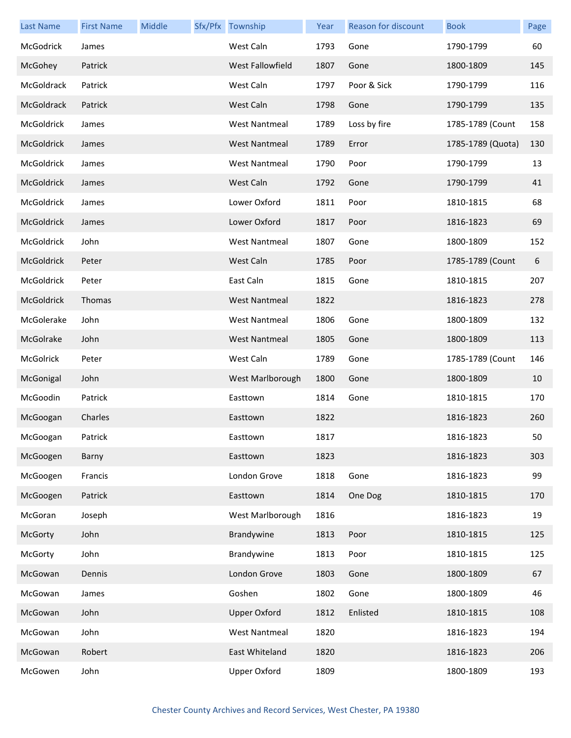| <b>Last Name</b> | <b>First Name</b> | Middle | Sfx/Pfx Township     | Year | <b>Reason for discount</b> | <b>Book</b>       | Page |
|------------------|-------------------|--------|----------------------|------|----------------------------|-------------------|------|
| McGodrick        | James             |        | West Caln            | 1793 | Gone                       | 1790-1799         | 60   |
| McGohey          | Patrick           |        | West Fallowfield     | 1807 | Gone                       | 1800-1809         | 145  |
| McGoldrack       | Patrick           |        | West Caln            | 1797 | Poor & Sick                | 1790-1799         | 116  |
| McGoldrack       | Patrick           |        | West Caln            | 1798 | Gone                       | 1790-1799         | 135  |
| McGoldrick       | James             |        | <b>West Nantmeal</b> | 1789 | Loss by fire               | 1785-1789 (Count  | 158  |
| McGoldrick       | James             |        | <b>West Nantmeal</b> | 1789 | Error                      | 1785-1789 (Quota) | 130  |
| McGoldrick       | James             |        | <b>West Nantmeal</b> | 1790 | Poor                       | 1790-1799         | 13   |
| McGoldrick       | James             |        | West Caln            | 1792 | Gone                       | 1790-1799         | 41   |
| McGoldrick       | James             |        | Lower Oxford         | 1811 | Poor                       | 1810-1815         | 68   |
| McGoldrick       | James             |        | Lower Oxford         | 1817 | Poor                       | 1816-1823         | 69   |
| McGoldrick       | John              |        | <b>West Nantmeal</b> | 1807 | Gone                       | 1800-1809         | 152  |
| McGoldrick       | Peter             |        | West Caln            | 1785 | Poor                       | 1785-1789 (Count  | 6    |
| McGoldrick       | Peter             |        | East Caln            | 1815 | Gone                       | 1810-1815         | 207  |
| McGoldrick       | Thomas            |        | <b>West Nantmeal</b> | 1822 |                            | 1816-1823         | 278  |
| McGolerake       | John              |        | <b>West Nantmeal</b> | 1806 | Gone                       | 1800-1809         | 132  |
| McGolrake        | John              |        | <b>West Nantmeal</b> | 1805 | Gone                       | 1800-1809         | 113  |
| McGolrick        | Peter             |        | West Caln            | 1789 | Gone                       | 1785-1789 (Count  | 146  |
| McGonigal        | John              |        | West Marlborough     | 1800 | Gone                       | 1800-1809         | 10   |
| McGoodin         | Patrick           |        | Easttown             | 1814 | Gone                       | 1810-1815         | 170  |
| McGoogan         | Charles           |        | Easttown             | 1822 |                            | 1816-1823         | 260  |
| McGoogan         | Patrick           |        | Easttown             | 1817 |                            | 1816-1823         | 50   |
| McGoogen         | Barny             |        | Easttown             | 1823 |                            | 1816-1823         | 303  |
| McGoogen         | Francis           |        | London Grove         | 1818 | Gone                       | 1816-1823         | 99   |
| McGoogen         | Patrick           |        | Easttown             | 1814 | One Dog                    | 1810-1815         | 170  |
| McGoran          | Joseph            |        | West Marlborough     | 1816 |                            | 1816-1823         | 19   |
| McGorty          | John              |        | Brandywine           | 1813 | Poor                       | 1810-1815         | 125  |
| McGorty          | John              |        | Brandywine           | 1813 | Poor                       | 1810-1815         | 125  |
| McGowan          | Dennis            |        | London Grove         | 1803 | Gone                       | 1800-1809         | 67   |
| McGowan          | James             |        | Goshen               | 1802 | Gone                       | 1800-1809         | 46   |
| McGowan          | John              |        | <b>Upper Oxford</b>  | 1812 | Enlisted                   | 1810-1815         | 108  |
| McGowan          | John              |        | <b>West Nantmeal</b> | 1820 |                            | 1816-1823         | 194  |
| McGowan          | Robert            |        | East Whiteland       | 1820 |                            | 1816-1823         | 206  |
| McGowen          | John              |        | <b>Upper Oxford</b>  | 1809 |                            | 1800-1809         | 193  |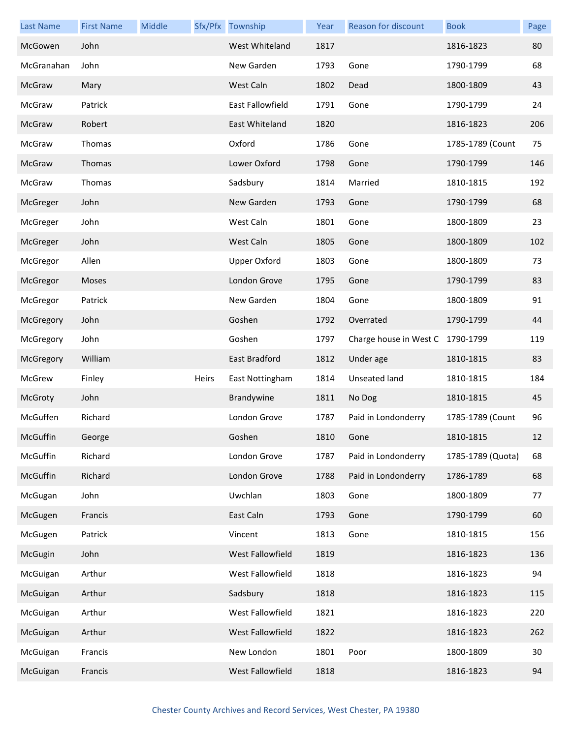| <b>Last Name</b> | <b>First Name</b> | Middle |       | Sfx/Pfx Township    | Year | Reason for discount              | <b>Book</b>       | Page |
|------------------|-------------------|--------|-------|---------------------|------|----------------------------------|-------------------|------|
| McGowen          | John              |        |       | West Whiteland      | 1817 |                                  | 1816-1823         | 80   |
| McGranahan       | John              |        |       | New Garden          | 1793 | Gone                             | 1790-1799         | 68   |
| McGraw           | Mary              |        |       | West Caln           | 1802 | Dead                             | 1800-1809         | 43   |
| McGraw           | Patrick           |        |       | East Fallowfield    | 1791 | Gone                             | 1790-1799         | 24   |
| McGraw           | Robert            |        |       | East Whiteland      | 1820 |                                  | 1816-1823         | 206  |
| McGraw           | Thomas            |        |       | Oxford              | 1786 | Gone                             | 1785-1789 (Count  | 75   |
| McGraw           | Thomas            |        |       | Lower Oxford        | 1798 | Gone                             | 1790-1799         | 146  |
| McGraw           | Thomas            |        |       | Sadsbury            | 1814 | Married                          | 1810-1815         | 192  |
| McGreger         | John              |        |       | New Garden          | 1793 | Gone                             | 1790-1799         | 68   |
| McGreger         | John              |        |       | West Caln           | 1801 | Gone                             | 1800-1809         | 23   |
| McGreger         | John              |        |       | West Caln           | 1805 | Gone                             | 1800-1809         | 102  |
| McGregor         | Allen             |        |       | <b>Upper Oxford</b> | 1803 | Gone                             | 1800-1809         | 73   |
| McGregor         | Moses             |        |       | London Grove        | 1795 | Gone                             | 1790-1799         | 83   |
| McGregor         | Patrick           |        |       | New Garden          | 1804 | Gone                             | 1800-1809         | 91   |
| McGregory        | John              |        |       | Goshen              | 1792 | Overrated                        | 1790-1799         | 44   |
| McGregory        | John              |        |       | Goshen              | 1797 | Charge house in West C 1790-1799 |                   | 119  |
| McGregory        | William           |        |       | East Bradford       | 1812 | Under age                        | 1810-1815         | 83   |
| McGrew           | Finley            |        | Heirs | East Nottingham     | 1814 | Unseated land                    | 1810-1815         | 184  |
| McGroty          | John              |        |       | Brandywine          | 1811 | No Dog                           | 1810-1815         | 45   |
| McGuffen         | Richard           |        |       | London Grove        | 1787 | Paid in Londonderry              | 1785-1789 (Count  | 96   |
| McGuffin         | George            |        |       | Goshen              | 1810 | Gone                             | 1810-1815         | 12   |
| McGuffin         | Richard           |        |       | London Grove        | 1787 | Paid in Londonderry              | 1785-1789 (Quota) | 68   |
| McGuffin         | Richard           |        |       | London Grove        | 1788 | Paid in Londonderry              | 1786-1789         | 68   |
| McGugan          | John              |        |       | Uwchlan             | 1803 | Gone                             | 1800-1809         | 77   |
| McGugen          | Francis           |        |       | East Caln           | 1793 | Gone                             | 1790-1799         | 60   |
| McGugen          | Patrick           |        |       | Vincent             | 1813 | Gone                             | 1810-1815         | 156  |
| McGugin          | John              |        |       | West Fallowfield    | 1819 |                                  | 1816-1823         | 136  |
| McGuigan         | Arthur            |        |       | West Fallowfield    | 1818 |                                  | 1816-1823         | 94   |
| McGuigan         | Arthur            |        |       | Sadsbury            | 1818 |                                  | 1816-1823         | 115  |
| McGuigan         | Arthur            |        |       | West Fallowfield    | 1821 |                                  | 1816-1823         | 220  |
| McGuigan         | Arthur            |        |       | West Fallowfield    | 1822 |                                  | 1816-1823         | 262  |
| McGuigan         | Francis           |        |       | New London          | 1801 | Poor                             | 1800-1809         | 30   |
| McGuigan         | Francis           |        |       | West Fallowfield    | 1818 |                                  | 1816-1823         | 94   |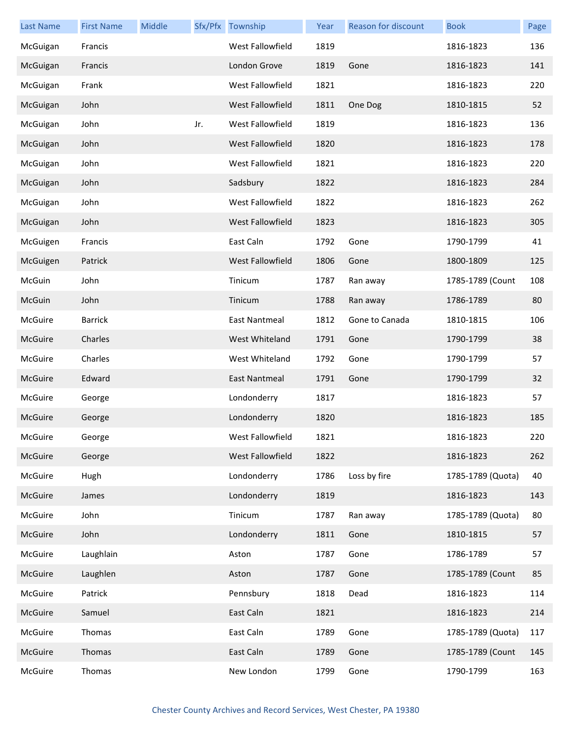| <b>Last Name</b> | <b>First Name</b> | Middle |     | Sfx/Pfx Township | Year | Reason for discount | <b>Book</b>       | Page |
|------------------|-------------------|--------|-----|------------------|------|---------------------|-------------------|------|
| McGuigan         | Francis           |        |     | West Fallowfield | 1819 |                     | 1816-1823         | 136  |
| McGuigan         | Francis           |        |     | London Grove     | 1819 | Gone                | 1816-1823         | 141  |
| McGuigan         | Frank             |        |     | West Fallowfield | 1821 |                     | 1816-1823         | 220  |
| McGuigan         | John              |        |     | West Fallowfield | 1811 | One Dog             | 1810-1815         | 52   |
| McGuigan         | John              |        | Jr. | West Fallowfield | 1819 |                     | 1816-1823         | 136  |
| McGuigan         | John              |        |     | West Fallowfield | 1820 |                     | 1816-1823         | 178  |
| McGuigan         | John              |        |     | West Fallowfield | 1821 |                     | 1816-1823         | 220  |
| McGuigan         | John              |        |     | Sadsbury         | 1822 |                     | 1816-1823         | 284  |
| McGuigan         | John              |        |     | West Fallowfield | 1822 |                     | 1816-1823         | 262  |
| McGuigan         | John              |        |     | West Fallowfield | 1823 |                     | 1816-1823         | 305  |
| McGuigen         | Francis           |        |     | East Caln        | 1792 | Gone                | 1790-1799         | 41   |
| McGuigen         | Patrick           |        |     | West Fallowfield | 1806 | Gone                | 1800-1809         | 125  |
| McGuin           | John              |        |     | Tinicum          | 1787 | Ran away            | 1785-1789 (Count  | 108  |
| McGuin           | John              |        |     | Tinicum          | 1788 | Ran away            | 1786-1789         | 80   |
| McGuire          | <b>Barrick</b>    |        |     | East Nantmeal    | 1812 | Gone to Canada      | 1810-1815         | 106  |
| McGuire          | Charles           |        |     | West Whiteland   | 1791 | Gone                | 1790-1799         | 38   |
| McGuire          | Charles           |        |     | West Whiteland   | 1792 | Gone                | 1790-1799         | 57   |
| McGuire          | Edward            |        |     | East Nantmeal    | 1791 | Gone                | 1790-1799         | 32   |
| McGuire          | George            |        |     | Londonderry      | 1817 |                     | 1816-1823         | 57   |
| McGuire          | George            |        |     | Londonderry      | 1820 |                     | 1816-1823         | 185  |
| McGuire          | George            |        |     | West Fallowfield | 1821 |                     | 1816-1823         | 220  |
| McGuire          | George            |        |     | West Fallowfield | 1822 |                     | 1816-1823         | 262  |
| McGuire          | Hugh              |        |     | Londonderry      | 1786 | Loss by fire        | 1785-1789 (Quota) | 40   |
| McGuire          | James             |        |     | Londonderry      | 1819 |                     | 1816-1823         | 143  |
| McGuire          | John              |        |     | Tinicum          | 1787 | Ran away            | 1785-1789 (Quota) | 80   |
| McGuire          | John              |        |     | Londonderry      | 1811 | Gone                | 1810-1815         | 57   |
| McGuire          | Laughlain         |        |     | Aston            | 1787 | Gone                | 1786-1789         | 57   |
| McGuire          | Laughlen          |        |     | Aston            | 1787 | Gone                | 1785-1789 (Count  | 85   |
| McGuire          | Patrick           |        |     | Pennsbury        | 1818 | Dead                | 1816-1823         | 114  |
| McGuire          | Samuel            |        |     | East Caln        | 1821 |                     | 1816-1823         | 214  |
| McGuire          | Thomas            |        |     | East Caln        | 1789 | Gone                | 1785-1789 (Quota) | 117  |
| McGuire          | Thomas            |        |     | East Caln        | 1789 | Gone                | 1785-1789 (Count  | 145  |
| McGuire          | Thomas            |        |     | New London       | 1799 | Gone                | 1790-1799         | 163  |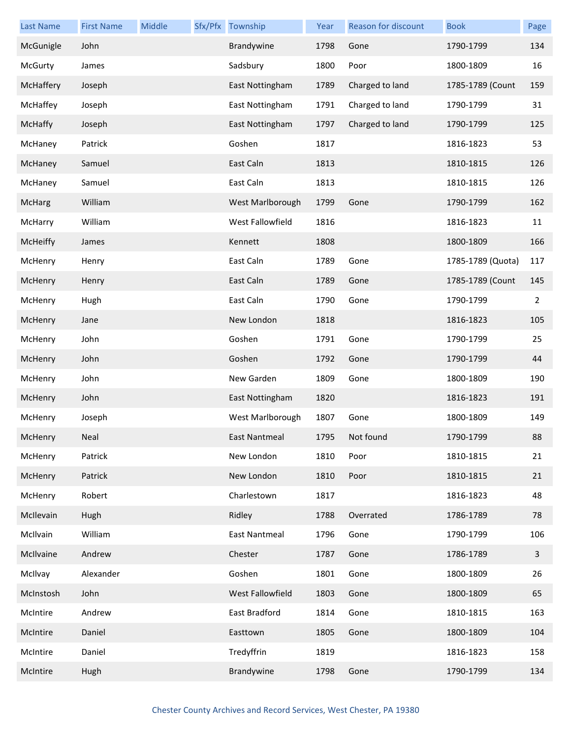| <b>Last Name</b> | <b>First Name</b> | Middle | Sfx/Pfx Township     | Year | Reason for discount | <b>Book</b>       | Page |
|------------------|-------------------|--------|----------------------|------|---------------------|-------------------|------|
| McGunigle        | John              |        | Brandywine           | 1798 | Gone                | 1790-1799         | 134  |
| <b>McGurty</b>   | James             |        | Sadsbury             | 1800 | Poor                | 1800-1809         | 16   |
| McHaffery        | Joseph            |        | East Nottingham      | 1789 | Charged to land     | 1785-1789 (Count  | 159  |
| McHaffey         | Joseph            |        | East Nottingham      | 1791 | Charged to land     | 1790-1799         | 31   |
| McHaffy          | Joseph            |        | East Nottingham      | 1797 | Charged to land     | 1790-1799         | 125  |
| McHaney          | Patrick           |        | Goshen               | 1817 |                     | 1816-1823         | 53   |
| McHaney          | Samuel            |        | East Caln            | 1813 |                     | 1810-1815         | 126  |
| McHaney          | Samuel            |        | East Caln            | 1813 |                     | 1810-1815         | 126  |
| McHarg           | William           |        | West Marlborough     | 1799 | Gone                | 1790-1799         | 162  |
| McHarry          | William           |        | West Fallowfield     | 1816 |                     | 1816-1823         | 11   |
| McHeiffy         | James             |        | Kennett              | 1808 |                     | 1800-1809         | 166  |
| McHenry          | Henry             |        | East Caln            | 1789 | Gone                | 1785-1789 (Quota) | 117  |
| McHenry          | Henry             |        | East Caln            | 1789 | Gone                | 1785-1789 (Count  | 145  |
| McHenry          | Hugh              |        | East Caln            | 1790 | Gone                | 1790-1799         | 2    |
| McHenry          | Jane              |        | New London           | 1818 |                     | 1816-1823         | 105  |
| McHenry          | John              |        | Goshen               | 1791 | Gone                | 1790-1799         | 25   |
| McHenry          | John              |        | Goshen               | 1792 | Gone                | 1790-1799         | 44   |
| McHenry          | John              |        | New Garden           | 1809 | Gone                | 1800-1809         | 190  |
| McHenry          | John              |        | East Nottingham      | 1820 |                     | 1816-1823         | 191  |
| McHenry          | Joseph            |        | West Marlborough     | 1807 | Gone                | 1800-1809         | 149  |
| McHenry          | Neal              |        | East Nantmeal        | 1795 | Not found           | 1790-1799         | 88   |
| McHenry          | Patrick           |        | New London           | 1810 | Poor                | 1810-1815         | 21   |
| McHenry          | Patrick           |        | New London           | 1810 | Poor                | 1810-1815         | 21   |
| McHenry          | Robert            |        | Charlestown          | 1817 |                     | 1816-1823         | 48   |
| McIlevain        | Hugh              |        | Ridley               | 1788 | Overrated           | 1786-1789         | 78   |
| McIlvain         | William           |        | <b>East Nantmeal</b> | 1796 | Gone                | 1790-1799         | 106  |
| McIlvaine        | Andrew            |        | Chester              | 1787 | Gone                | 1786-1789         | 3    |
| McIlvay          | Alexander         |        | Goshen               | 1801 | Gone                | 1800-1809         | 26   |
| McInstosh        | John              |        | West Fallowfield     | 1803 | Gone                | 1800-1809         | 65   |
| McIntire         | Andrew            |        | East Bradford        | 1814 | Gone                | 1810-1815         | 163  |
| McIntire         | Daniel            |        | Easttown             | 1805 | Gone                | 1800-1809         | 104  |
| McIntire         | Daniel            |        | Tredyffrin           | 1819 |                     | 1816-1823         | 158  |
| McIntire         | Hugh              |        | Brandywine           | 1798 | Gone                | 1790-1799         | 134  |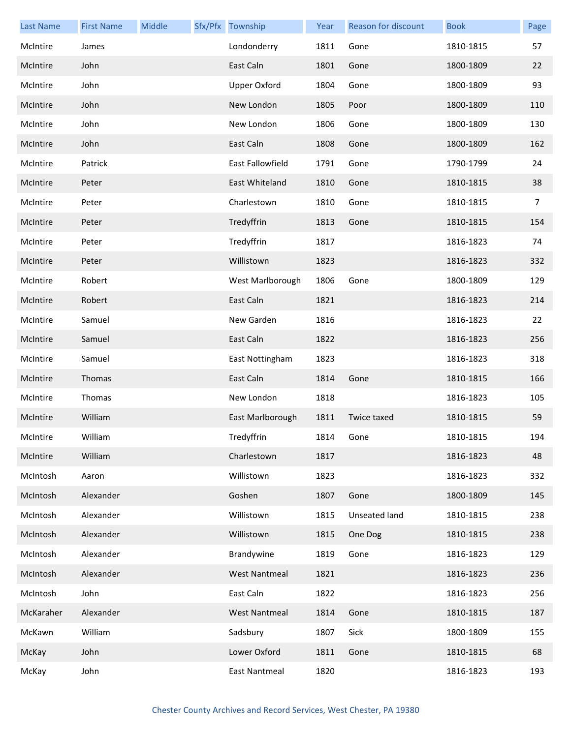| <b>Last Name</b> | <b>First Name</b> | Middle | Sfx/Pfx Township     | Year | Reason for discount | <b>Book</b> | Page           |
|------------------|-------------------|--------|----------------------|------|---------------------|-------------|----------------|
| McIntire         | James             |        | Londonderry          | 1811 | Gone                | 1810-1815   | 57             |
| McIntire         | John              |        | East Caln            | 1801 | Gone                | 1800-1809   | 22             |
| McIntire         | John              |        | <b>Upper Oxford</b>  | 1804 | Gone                | 1800-1809   | 93             |
| McIntire         | John              |        | New London           | 1805 | Poor                | 1800-1809   | 110            |
| McIntire         | John              |        | New London           | 1806 | Gone                | 1800-1809   | 130            |
| McIntire         | John              |        | East Caln            | 1808 | Gone                | 1800-1809   | 162            |
| McIntire         | Patrick           |        | East Fallowfield     | 1791 | Gone                | 1790-1799   | 24             |
| McIntire         | Peter             |        | East Whiteland       | 1810 | Gone                | 1810-1815   | 38             |
| McIntire         | Peter             |        | Charlestown          | 1810 | Gone                | 1810-1815   | $\overline{7}$ |
| McIntire         | Peter             |        | Tredyffrin           | 1813 | Gone                | 1810-1815   | 154            |
| McIntire         | Peter             |        | Tredyffrin           | 1817 |                     | 1816-1823   | 74             |
| McIntire         | Peter             |        | Willistown           | 1823 |                     | 1816-1823   | 332            |
| McIntire         | Robert            |        | West Marlborough     | 1806 | Gone                | 1800-1809   | 129            |
| McIntire         | Robert            |        | East Caln            | 1821 |                     | 1816-1823   | 214            |
| McIntire         | Samuel            |        | New Garden           | 1816 |                     | 1816-1823   | 22             |
| McIntire         | Samuel            |        | East Caln            | 1822 |                     | 1816-1823   | 256            |
| McIntire         | Samuel            |        | East Nottingham      | 1823 |                     | 1816-1823   | 318            |
| McIntire         | Thomas            |        | East Caln            | 1814 | Gone                | 1810-1815   | 166            |
| McIntire         | Thomas            |        | New London           | 1818 |                     | 1816-1823   | 105            |
| McIntire         | William           |        | East Marlborough     | 1811 | Twice taxed         | 1810-1815   | 59             |
| McIntire         | William           |        | Tredyffrin           | 1814 | Gone                | 1810-1815   | 194            |
| McIntire         | William           |        | Charlestown          | 1817 |                     | 1816-1823   | 48             |
| McIntosh         | Aaron             |        | Willistown           | 1823 |                     | 1816-1823   | 332            |
| McIntosh         | Alexander         |        | Goshen               | 1807 | Gone                | 1800-1809   | 145            |
| McIntosh         | Alexander         |        | Willistown           | 1815 | Unseated land       | 1810-1815   | 238            |
| McIntosh         | Alexander         |        | Willistown           | 1815 | One Dog             | 1810-1815   | 238            |
| McIntosh         | Alexander         |        | Brandywine           | 1819 | Gone                | 1816-1823   | 129            |
| McIntosh         | Alexander         |        | <b>West Nantmeal</b> | 1821 |                     | 1816-1823   | 236            |
| McIntosh         | John              |        | East Caln            | 1822 |                     | 1816-1823   | 256            |
| McKaraher        | Alexander         |        | <b>West Nantmeal</b> | 1814 | Gone                | 1810-1815   | 187            |
| McKawn           | William           |        | Sadsbury             | 1807 | Sick                | 1800-1809   | 155            |
| McKay            | John              |        | Lower Oxford         | 1811 | Gone                | 1810-1815   | 68             |
| McKay            | John              |        | <b>East Nantmeal</b> | 1820 |                     | 1816-1823   | 193            |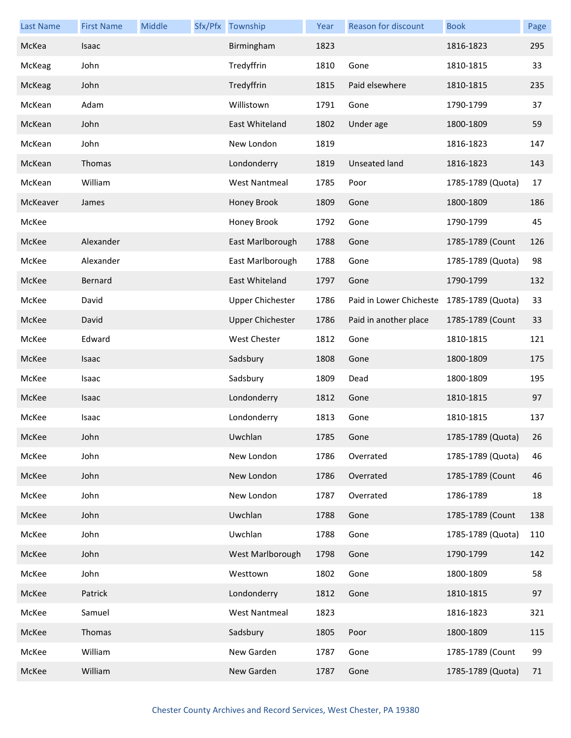| <b>Last Name</b> | <b>First Name</b> | Middle | Sfx/Pfx Township        | Year | Reason for discount                       | <b>Book</b>       | Page |
|------------------|-------------------|--------|-------------------------|------|-------------------------------------------|-------------------|------|
| McKea            | Isaac             |        | Birmingham              | 1823 |                                           | 1816-1823         | 295  |
| McKeag           | John              |        | Tredyffrin              | 1810 | Gone                                      | 1810-1815         | 33   |
| McKeag           | John              |        | Tredyffrin              | 1815 | Paid elsewhere                            | 1810-1815         | 235  |
| McKean           | Adam              |        | Willistown              | 1791 | Gone                                      | 1790-1799         | 37   |
| McKean           | John              |        | East Whiteland          | 1802 | Under age                                 | 1800-1809         | 59   |
| McKean           | John              |        | New London              | 1819 |                                           | 1816-1823         | 147  |
| McKean           | Thomas            |        | Londonderry             | 1819 | <b>Unseated land</b>                      | 1816-1823         | 143  |
| McKean           | William           |        | <b>West Nantmeal</b>    | 1785 | Poor                                      | 1785-1789 (Quota) | 17   |
| McKeaver         | James             |        | Honey Brook             | 1809 | Gone                                      | 1800-1809         | 186  |
| McKee            |                   |        | Honey Brook             | 1792 | Gone                                      | 1790-1799         | 45   |
| McKee            | Alexander         |        | East Marlborough        | 1788 | Gone                                      | 1785-1789 (Count  | 126  |
| McKee            | Alexander         |        | East Marlborough        | 1788 | Gone                                      | 1785-1789 (Quota) | 98   |
| McKee            | Bernard           |        | East Whiteland          | 1797 | Gone                                      | 1790-1799         | 132  |
| McKee            | David             |        | <b>Upper Chichester</b> | 1786 | Paid in Lower Chicheste 1785-1789 (Quota) |                   | 33   |
| McKee            | David             |        | <b>Upper Chichester</b> | 1786 | Paid in another place                     | 1785-1789 (Count  | 33   |
| McKee            | Edward            |        | West Chester            | 1812 | Gone                                      | 1810-1815         | 121  |
| McKee            | Isaac             |        | Sadsbury                | 1808 | Gone                                      | 1800-1809         | 175  |
| McKee            | Isaac             |        | Sadsbury                | 1809 | Dead                                      | 1800-1809         | 195  |
| McKee            | Isaac             |        | Londonderry             | 1812 | Gone                                      | 1810-1815         | 97   |
| McKee            | Isaac             |        | Londonderry             | 1813 | Gone                                      | 1810-1815         | 137  |
| McKee            | John              |        | Uwchlan                 | 1785 | Gone                                      | 1785-1789 (Quota) | 26   |
| McKee            | John              |        | New London              | 1786 | Overrated                                 | 1785-1789 (Quota) | 46   |
| McKee            | John              |        | New London              | 1786 | Overrated                                 | 1785-1789 (Count  | 46   |
| McKee            | John              |        | New London              | 1787 | Overrated                                 | 1786-1789         | 18   |
| McKee            | John              |        | Uwchlan                 | 1788 | Gone                                      | 1785-1789 (Count  | 138  |
| McKee            | John              |        | Uwchlan                 | 1788 | Gone                                      | 1785-1789 (Quota) | 110  |
| McKee            | John              |        | West Marlborough        | 1798 | Gone                                      | 1790-1799         | 142  |
| McKee            | John              |        | Westtown                | 1802 | Gone                                      | 1800-1809         | 58   |
| McKee            | Patrick           |        | Londonderry             | 1812 | Gone                                      | 1810-1815         | 97   |
| McKee            | Samuel            |        | <b>West Nantmeal</b>    | 1823 |                                           | 1816-1823         | 321  |
| McKee            | Thomas            |        | Sadsbury                | 1805 | Poor                                      | 1800-1809         | 115  |
| McKee            | William           |        | New Garden              | 1787 | Gone                                      | 1785-1789 (Count  | 99   |
| McKee            | William           |        | New Garden              | 1787 | Gone                                      | 1785-1789 (Quota) | 71   |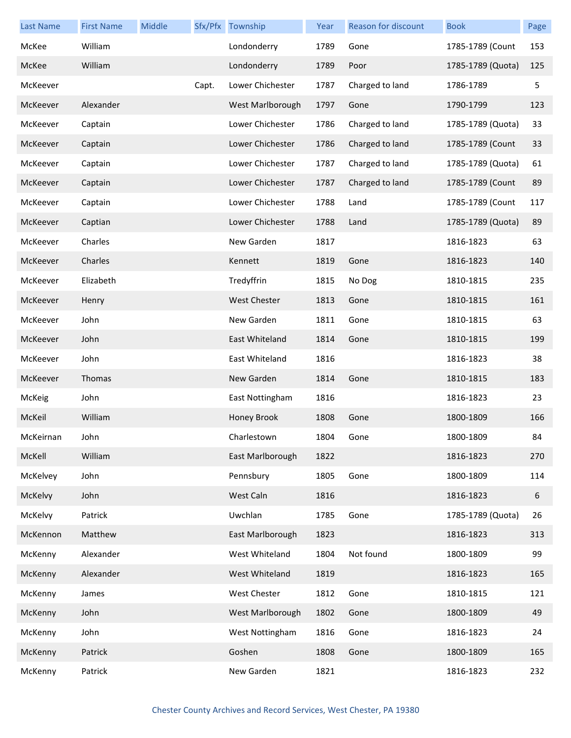| <b>Last Name</b> | <b>First Name</b> | Middle |       | Sfx/Pfx Township    | Year | Reason for discount | <b>Book</b>       | Page |
|------------------|-------------------|--------|-------|---------------------|------|---------------------|-------------------|------|
| McKee            | William           |        |       | Londonderry         | 1789 | Gone                | 1785-1789 (Count  | 153  |
| McKee            | William           |        |       | Londonderry         | 1789 | Poor                | 1785-1789 (Quota) | 125  |
| McKeever         |                   |        | Capt. | Lower Chichester    | 1787 | Charged to land     | 1786-1789         | 5    |
| McKeever         | Alexander         |        |       | West Marlborough    | 1797 | Gone                | 1790-1799         | 123  |
| McKeever         | Captain           |        |       | Lower Chichester    | 1786 | Charged to land     | 1785-1789 (Quota) | 33   |
| McKeever         | Captain           |        |       | Lower Chichester    | 1786 | Charged to land     | 1785-1789 (Count  | 33   |
| McKeever         | Captain           |        |       | Lower Chichester    | 1787 | Charged to land     | 1785-1789 (Quota) | 61   |
| McKeever         | Captain           |        |       | Lower Chichester    | 1787 | Charged to land     | 1785-1789 (Count  | 89   |
| McKeever         | Captain           |        |       | Lower Chichester    | 1788 | Land                | 1785-1789 (Count  | 117  |
| McKeever         | Captian           |        |       | Lower Chichester    | 1788 | Land                | 1785-1789 (Quota) | 89   |
| McKeever         | Charles           |        |       | New Garden          | 1817 |                     | 1816-1823         | 63   |
| McKeever         | Charles           |        |       | Kennett             | 1819 | Gone                | 1816-1823         | 140  |
| McKeever         | Elizabeth         |        |       | Tredyffrin          | 1815 | No Dog              | 1810-1815         | 235  |
| McKeever         | Henry             |        |       | <b>West Chester</b> | 1813 | Gone                | 1810-1815         | 161  |
| McKeever         | John              |        |       | New Garden          | 1811 | Gone                | 1810-1815         | 63   |
| McKeever         | John              |        |       | East Whiteland      | 1814 | Gone                | 1810-1815         | 199  |
| McKeever         | John              |        |       | East Whiteland      | 1816 |                     | 1816-1823         | 38   |
| McKeever         | Thomas            |        |       | New Garden          | 1814 | Gone                | 1810-1815         | 183  |
| McKeig           | John              |        |       | East Nottingham     | 1816 |                     | 1816-1823         | 23   |
| McKeil           | William           |        |       | Honey Brook         | 1808 | Gone                | 1800-1809         | 166  |
| McKeirnan        | John              |        |       | Charlestown         | 1804 | Gone                | 1800-1809         | 84   |
| McKell           | William           |        |       | East Marlborough    | 1822 |                     | 1816-1823         | 270  |
| McKelvey         | John              |        |       | Pennsbury           | 1805 | Gone                | 1800-1809         | 114  |
| <b>McKelvy</b>   | John              |        |       | West Caln           | 1816 |                     | 1816-1823         | 6    |
| McKelvy          | Patrick           |        |       | Uwchlan             | 1785 | Gone                | 1785-1789 (Quota) | 26   |
| McKennon         | Matthew           |        |       | East Marlborough    | 1823 |                     | 1816-1823         | 313  |
| McKenny          | Alexander         |        |       | West Whiteland      | 1804 | Not found           | 1800-1809         | 99   |
| McKenny          | Alexander         |        |       | West Whiteland      | 1819 |                     | 1816-1823         | 165  |
| McKenny          | James             |        |       | West Chester        | 1812 | Gone                | 1810-1815         | 121  |
| McKenny          | John              |        |       | West Marlborough    | 1802 | Gone                | 1800-1809         | 49   |
| McKenny          | John              |        |       | West Nottingham     | 1816 | Gone                | 1816-1823         | 24   |
| McKenny          | Patrick           |        |       | Goshen              | 1808 | Gone                | 1800-1809         | 165  |
| McKenny          | Patrick           |        |       | New Garden          | 1821 |                     | 1816-1823         | 232  |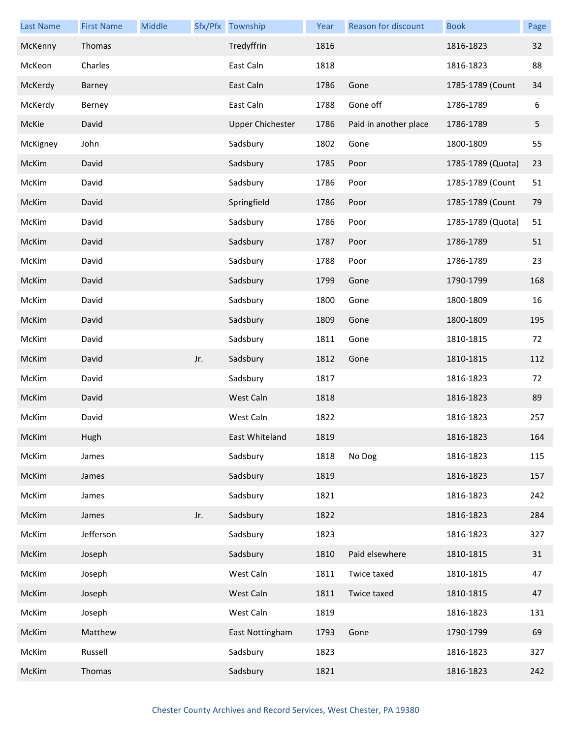| <b>Last Name</b> | <b>First Name</b> | Middle |     | Sfx/Pfx Township        | Year | Reason for discount   | <b>Book</b>       | Page |
|------------------|-------------------|--------|-----|-------------------------|------|-----------------------|-------------------|------|
| McKenny          | Thomas            |        |     | Tredyffrin              | 1816 |                       | 1816-1823         | 32   |
| McKeon           | Charles           |        |     | East Caln               | 1818 |                       | 1816-1823         | 88   |
| McKerdy          | Barney            |        |     | East Caln               | 1786 | Gone                  | 1785-1789 (Count  | 34   |
| McKerdy          | Berney            |        |     | East Caln               | 1788 | Gone off              | 1786-1789         | 6    |
| McKie            | David             |        |     | <b>Upper Chichester</b> | 1786 | Paid in another place | 1786-1789         | 5    |
| McKigney         | John              |        |     | Sadsbury                | 1802 | Gone                  | 1800-1809         | 55   |
| McKim            | David             |        |     | Sadsbury                | 1785 | Poor                  | 1785-1789 (Quota) | 23   |
| McKim            | David             |        |     | Sadsbury                | 1786 | Poor                  | 1785-1789 (Count  | 51   |
| McKim            | David             |        |     | Springfield             | 1786 | Poor                  | 1785-1789 (Count  | 79   |
| McKim            | David             |        |     | Sadsbury                | 1786 | Poor                  | 1785-1789 (Quota) | 51   |
| McKim            | David             |        |     | Sadsbury                | 1787 | Poor                  | 1786-1789         | 51   |
| McKim            | David             |        |     | Sadsbury                | 1788 | Poor                  | 1786-1789         | 23   |
| McKim            | David             |        |     | Sadsbury                | 1799 | Gone                  | 1790-1799         | 168  |
| McKim            | David             |        |     | Sadsbury                | 1800 | Gone                  | 1800-1809         | 16   |
| McKim            | David             |        |     | Sadsbury                | 1809 | Gone                  | 1800-1809         | 195  |
| McKim            | David             |        |     | Sadsbury                | 1811 | Gone                  | 1810-1815         | 72   |
| McKim            | David             |        | Jr. | Sadsbury                | 1812 | Gone                  | 1810-1815         | 112  |
| McKim            | David             |        |     | Sadsbury                | 1817 |                       | 1816-1823         | 72   |
| McKim            | David             |        |     | West Caln               | 1818 |                       | 1816-1823         | 89   |
| McKim            | David             |        |     | West Caln               | 1822 |                       | 1816-1823         | 257  |
| McKim            | Hugh              |        |     | East Whiteland          | 1819 |                       | 1816-1823         | 164  |
| McKim            | James             |        |     | Sadsbury                | 1818 | No Dog                | 1816-1823         | 115  |
| McKim            | James             |        |     | Sadsbury                | 1819 |                       | 1816-1823         | 157  |
| McKim            | James             |        |     | Sadsbury                | 1821 |                       | 1816-1823         | 242  |
| McKim            | James             |        | Jr. | Sadsbury                | 1822 |                       | 1816-1823         | 284  |
| McKim            | Jefferson         |        |     | Sadsbury                | 1823 |                       | 1816-1823         | 327  |
| McKim            | Joseph            |        |     | Sadsbury                | 1810 | Paid elsewhere        | 1810-1815         | 31   |
| McKim            | Joseph            |        |     | West Caln               | 1811 | Twice taxed           | 1810-1815         | 47   |
| McKim            | Joseph            |        |     | West Caln               | 1811 | Twice taxed           | 1810-1815         | 47   |
| McKim            | Joseph            |        |     | West Caln               | 1819 |                       | 1816-1823         | 131  |
| McKim            | Matthew           |        |     | East Nottingham         | 1793 | Gone                  | 1790-1799         | 69   |
| McKim            | Russell           |        |     | Sadsbury                | 1823 |                       | 1816-1823         | 327  |
| McKim            | Thomas            |        |     | Sadsbury                | 1821 |                       | 1816-1823         | 242  |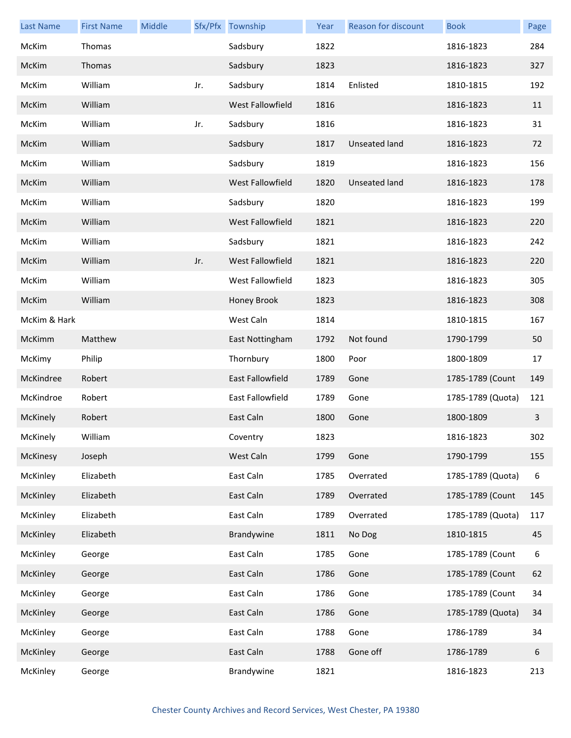| <b>Last Name</b> | <b>First Name</b> | <b>Middle</b> |     | Sfx/Pfx Township        | Year | Reason for discount | <b>Book</b>       | Page |
|------------------|-------------------|---------------|-----|-------------------------|------|---------------------|-------------------|------|
| McKim            | Thomas            |               |     | Sadsbury                | 1822 |                     | 1816-1823         | 284  |
| McKim            | Thomas            |               |     | Sadsbury                | 1823 |                     | 1816-1823         | 327  |
| McKim            | William           |               | Jr. | Sadsbury                | 1814 | Enlisted            | 1810-1815         | 192  |
| McKim            | William           |               |     | West Fallowfield        | 1816 |                     | 1816-1823         | 11   |
| McKim            | William           |               | Jr. | Sadsbury                | 1816 |                     | 1816-1823         | 31   |
| McKim            | William           |               |     | Sadsbury                | 1817 | Unseated land       | 1816-1823         | 72   |
| McKim            | William           |               |     | Sadsbury                | 1819 |                     | 1816-1823         | 156  |
| McKim            | William           |               |     | West Fallowfield        | 1820 | Unseated land       | 1816-1823         | 178  |
| McKim            | William           |               |     | Sadsbury                | 1820 |                     | 1816-1823         | 199  |
| McKim            | William           |               |     | West Fallowfield        | 1821 |                     | 1816-1823         | 220  |
| McKim            | William           |               |     | Sadsbury                | 1821 |                     | 1816-1823         | 242  |
| McKim            | William           |               | Jr. | West Fallowfield        | 1821 |                     | 1816-1823         | 220  |
| McKim            | William           |               |     | West Fallowfield        | 1823 |                     | 1816-1823         | 305  |
| McKim            | William           |               |     | Honey Brook             | 1823 |                     | 1816-1823         | 308  |
| McKim & Hark     |                   |               |     | West Caln               | 1814 |                     | 1810-1815         | 167  |
| McKimm           | Matthew           |               |     | East Nottingham         | 1792 | Not found           | 1790-1799         | 50   |
| McKimy           | Philip            |               |     | Thornbury               | 1800 | Poor                | 1800-1809         | 17   |
| McKindree        | Robert            |               |     | <b>East Fallowfield</b> | 1789 | Gone                | 1785-1789 (Count  | 149  |
| McKindroe        | Robert            |               |     | East Fallowfield        | 1789 | Gone                | 1785-1789 (Quota) | 121  |
| McKinely         | Robert            |               |     | East Caln               | 1800 | Gone                | 1800-1809         | 3    |
| <b>McKinely</b>  | William           |               |     | Coventry                | 1823 |                     | 1816-1823         | 302  |
| McKinesy         | Joseph            |               |     | West Caln               | 1799 | Gone                | 1790-1799         | 155  |
| McKinley         | Elizabeth         |               |     | East Caln               | 1785 | Overrated           | 1785-1789 (Quota) | 6    |
| McKinley         | Elizabeth         |               |     | East Caln               | 1789 | Overrated           | 1785-1789 (Count  | 145  |
| McKinley         | Elizabeth         |               |     | East Caln               | 1789 | Overrated           | 1785-1789 (Quota) | 117  |
| McKinley         | Elizabeth         |               |     | Brandywine              | 1811 | No Dog              | 1810-1815         | 45   |
| McKinley         | George            |               |     | East Caln               | 1785 | Gone                | 1785-1789 (Count  | 6    |
| McKinley         | George            |               |     | East Caln               | 1786 | Gone                | 1785-1789 (Count  | 62   |
| McKinley         | George            |               |     | East Caln               | 1786 | Gone                | 1785-1789 (Count  | 34   |
| McKinley         | George            |               |     | East Caln               | 1786 | Gone                | 1785-1789 (Quota) | 34   |
| McKinley         | George            |               |     | East Caln               | 1788 | Gone                | 1786-1789         | 34   |
| McKinley         | George            |               |     | East Caln               | 1788 | Gone off            | 1786-1789         | 6    |
| McKinley         | George            |               |     | Brandywine              | 1821 |                     | 1816-1823         | 213  |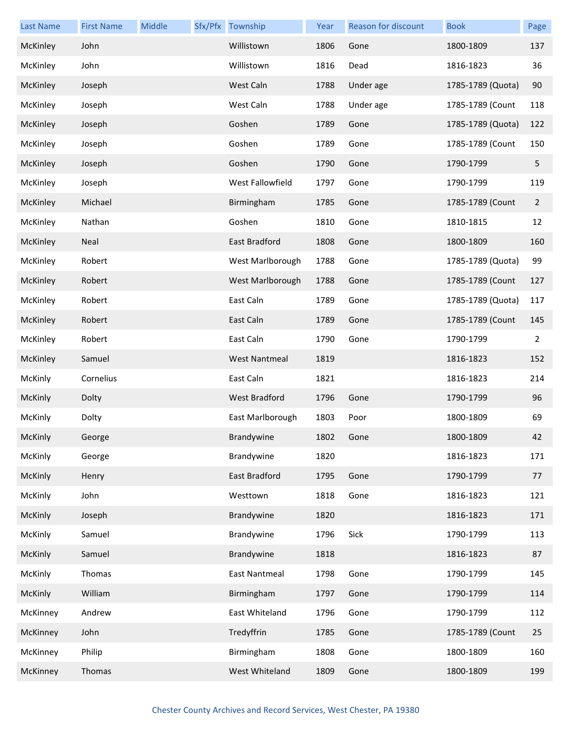| <b>Last Name</b> | <b>First Name</b> | Middle | Sfx/Pfx Township     | Year | Reason for discount | <b>Book</b>       | Page |
|------------------|-------------------|--------|----------------------|------|---------------------|-------------------|------|
| McKinley         | John              |        | Willistown           | 1806 | Gone                | 1800-1809         | 137  |
| McKinley         | John              |        | Willistown           | 1816 | Dead                | 1816-1823         | 36   |
| McKinley         | Joseph            |        | West Caln            | 1788 | Under age           | 1785-1789 (Quota) | 90   |
| McKinley         | Joseph            |        | West Caln            | 1788 | Under age           | 1785-1789 (Count  | 118  |
| McKinley         | Joseph            |        | Goshen               | 1789 | Gone                | 1785-1789 (Quota) | 122  |
| McKinley         | Joseph            |        | Goshen               | 1789 | Gone                | 1785-1789 (Count  | 150  |
| McKinley         | Joseph            |        | Goshen               | 1790 | Gone                | 1790-1799         | 5    |
| McKinley         | Joseph            |        | West Fallowfield     | 1797 | Gone                | 1790-1799         | 119  |
| McKinley         | Michael           |        | Birmingham           | 1785 | Gone                | 1785-1789 (Count  | 2    |
| McKinley         | Nathan            |        | Goshen               | 1810 | Gone                | 1810-1815         | 12   |
| McKinley         | Neal              |        | East Bradford        | 1808 | Gone                | 1800-1809         | 160  |
| McKinley         | Robert            |        | West Marlborough     | 1788 | Gone                | 1785-1789 (Quota) | 99   |
| McKinley         | Robert            |        | West Marlborough     | 1788 | Gone                | 1785-1789 (Count  | 127  |
| McKinley         | Robert            |        | East Caln            | 1789 | Gone                | 1785-1789 (Quota) | 117  |
| McKinley         | Robert            |        | East Caln            | 1789 | Gone                | 1785-1789 (Count  | 145  |
| McKinley         | Robert            |        | East Caln            | 1790 | Gone                | 1790-1799         | 2    |
| McKinley         | Samuel            |        | <b>West Nantmeal</b> | 1819 |                     | 1816-1823         | 152  |
| McKinly          | Cornelius         |        | East Caln            | 1821 |                     | 1816-1823         | 214  |
| McKinly          | Dolty             |        | <b>West Bradford</b> | 1796 | Gone                | 1790-1799         | 96   |
| McKinly          | Dolty             |        | East Marlborough     | 1803 | Poor                | 1800-1809         | 69   |
| McKinly          | George            |        | Brandywine           | 1802 | Gone                | 1800-1809         | 42   |
| McKinly          | George            |        | Brandywine           | 1820 |                     | 1816-1823         | 171  |
| McKinly          | Henry             |        | East Bradford        | 1795 | Gone                | 1790-1799         | 77   |
| McKinly          | John              |        | Westtown             | 1818 | Gone                | 1816-1823         | 121  |
| McKinly          | Joseph            |        | Brandywine           | 1820 |                     | 1816-1823         | 171  |
| McKinly          | Samuel            |        | Brandywine           | 1796 | Sick                | 1790-1799         | 113  |
| McKinly          | Samuel            |        | Brandywine           | 1818 |                     | 1816-1823         | 87   |
| McKinly          | Thomas            |        | <b>East Nantmeal</b> | 1798 | Gone                | 1790-1799         | 145  |
| McKinly          | William           |        | Birmingham           | 1797 | Gone                | 1790-1799         | 114  |
| McKinney         | Andrew            |        | East Whiteland       | 1796 | Gone                | 1790-1799         | 112  |
| McKinney         | John              |        | Tredyffrin           | 1785 | Gone                | 1785-1789 (Count  | 25   |
| McKinney         | Philip            |        | Birmingham           | 1808 | Gone                | 1800-1809         | 160  |
| McKinney         | Thomas            |        | West Whiteland       | 1809 | Gone                | 1800-1809         | 199  |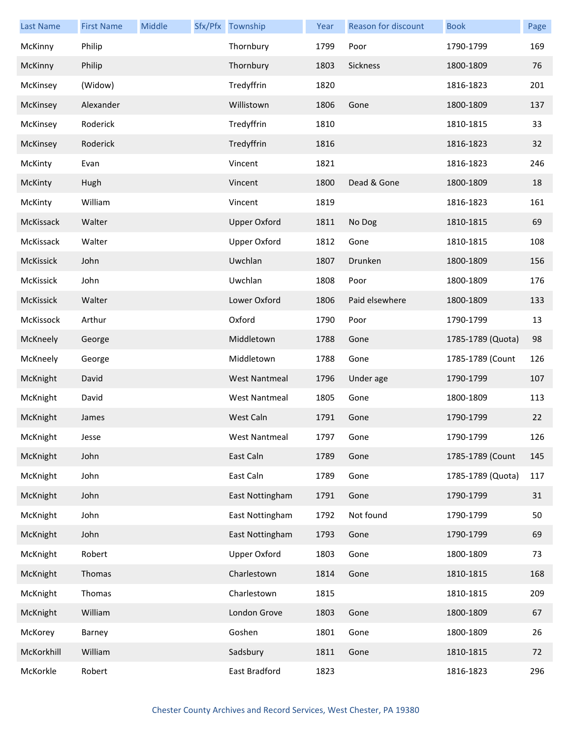| <b>Last Name</b> | <b>First Name</b> | Middle | Sfx/Pfx Township     | Year | Reason for discount | <b>Book</b>       | Page |
|------------------|-------------------|--------|----------------------|------|---------------------|-------------------|------|
| McKinny          | Philip            |        | Thornbury            | 1799 | Poor                | 1790-1799         | 169  |
| McKinny          | Philip            |        | Thornbury            | 1803 | Sickness            | 1800-1809         | 76   |
| McKinsey         | (Widow)           |        | Tredyffrin           | 1820 |                     | 1816-1823         | 201  |
| McKinsey         | Alexander         |        | Willistown           | 1806 | Gone                | 1800-1809         | 137  |
| McKinsey         | Roderick          |        | Tredyffrin           | 1810 |                     | 1810-1815         | 33   |
| McKinsey         | Roderick          |        | Tredyffrin           | 1816 |                     | 1816-1823         | 32   |
| McKinty          | Evan              |        | Vincent              | 1821 |                     | 1816-1823         | 246  |
| McKinty          | Hugh              |        | Vincent              | 1800 | Dead & Gone         | 1800-1809         | 18   |
| McKinty          | William           |        | Vincent              | 1819 |                     | 1816-1823         | 161  |
| McKissack        | Walter            |        | <b>Upper Oxford</b>  | 1811 | No Dog              | 1810-1815         | 69   |
| McKissack        | Walter            |        | <b>Upper Oxford</b>  | 1812 | Gone                | 1810-1815         | 108  |
| McKissick        | John              |        | Uwchlan              | 1807 | Drunken             | 1800-1809         | 156  |
| McKissick        | John              |        | Uwchlan              | 1808 | Poor                | 1800-1809         | 176  |
| McKissick        | Walter            |        | Lower Oxford         | 1806 | Paid elsewhere      | 1800-1809         | 133  |
| McKissock        | Arthur            |        | Oxford               | 1790 | Poor                | 1790-1799         | 13   |
| McKneely         | George            |        | Middletown           | 1788 | Gone                | 1785-1789 (Quota) | 98   |
| McKneely         | George            |        | Middletown           | 1788 | Gone                | 1785-1789 (Count  | 126  |
| McKnight         | David             |        | <b>West Nantmeal</b> | 1796 | Under age           | 1790-1799         | 107  |
| McKnight         | David             |        | <b>West Nantmeal</b> | 1805 | Gone                | 1800-1809         | 113  |
| McKnight         | James             |        | West Caln            | 1791 | Gone                | 1790-1799         | 22   |
| McKnight         | Jesse             |        | West Nantmeal        | 1797 | Gone                | 1790-1799         | 126  |
| McKnight         | John              |        | East Caln            | 1789 | Gone                | 1785-1789 (Count  | 145  |
| McKnight         | John              |        | East Caln            | 1789 | Gone                | 1785-1789 (Quota) | 117  |
| McKnight         | John              |        | East Nottingham      | 1791 | Gone                | 1790-1799         | 31   |
| McKnight         | John              |        | East Nottingham      | 1792 | Not found           | 1790-1799         | 50   |
| McKnight         | John              |        | East Nottingham      | 1793 | Gone                | 1790-1799         | 69   |
| McKnight         | Robert            |        | <b>Upper Oxford</b>  | 1803 | Gone                | 1800-1809         | 73   |
| McKnight         | Thomas            |        | Charlestown          | 1814 | Gone                | 1810-1815         | 168  |
| McKnight         | Thomas            |        | Charlestown          | 1815 |                     | 1810-1815         | 209  |
| McKnight         | William           |        | London Grove         | 1803 | Gone                | 1800-1809         | 67   |
| McKorey          | Barney            |        | Goshen               | 1801 | Gone                | 1800-1809         | 26   |
| McKorkhill       | William           |        | Sadsbury             | 1811 | Gone                | 1810-1815         | 72   |
| McKorkle         | Robert            |        | East Bradford        | 1823 |                     | 1816-1823         | 296  |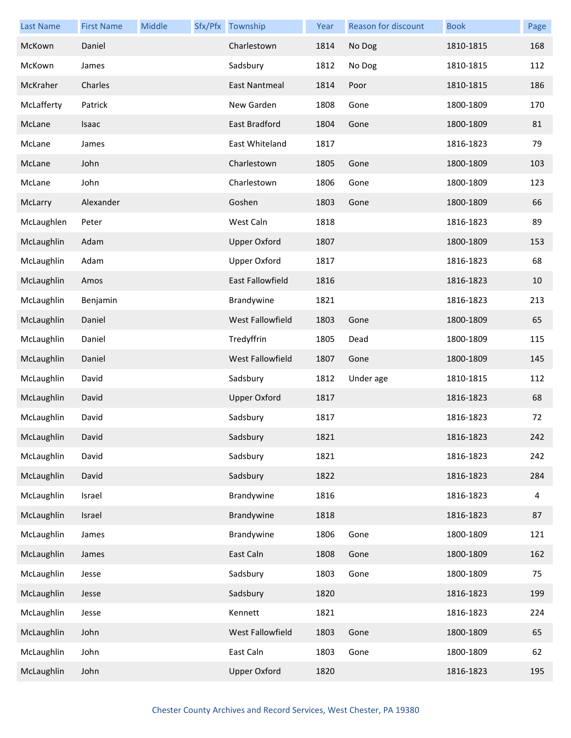| <b>Last Name</b> | <b>First Name</b> | Middle | Sfx/Pfx Township        | Year | Reason for discount | <b>Book</b> | Page |
|------------------|-------------------|--------|-------------------------|------|---------------------|-------------|------|
| McKown           | Daniel            |        | Charlestown             | 1814 | No Dog              | 1810-1815   | 168  |
| McKown           | James             |        | Sadsbury                | 1812 | No Dog              | 1810-1815   | 112  |
| McKraher         | Charles           |        | <b>East Nantmeal</b>    | 1814 | Poor                | 1810-1815   | 186  |
| McLafferty       | Patrick           |        | New Garden              | 1808 | Gone                | 1800-1809   | 170  |
| McLane           | Isaac             |        | East Bradford           | 1804 | Gone                | 1800-1809   | 81   |
| McLane           | James             |        | <b>East Whiteland</b>   | 1817 |                     | 1816-1823   | 79   |
| McLane           | John              |        | Charlestown             | 1805 | Gone                | 1800-1809   | 103  |
| McLane           | John              |        | Charlestown             | 1806 | Gone                | 1800-1809   | 123  |
| McLarry          | Alexander         |        | Goshen                  | 1803 | Gone                | 1800-1809   | 66   |
| McLaughlen       | Peter             |        | West Caln               | 1818 |                     | 1816-1823   | 89   |
| McLaughlin       | Adam              |        | <b>Upper Oxford</b>     | 1807 |                     | 1800-1809   | 153  |
| McLaughlin       | Adam              |        | <b>Upper Oxford</b>     | 1817 |                     | 1816-1823   | 68   |
| McLaughlin       | Amos              |        | <b>East Fallowfield</b> | 1816 |                     | 1816-1823   | 10   |
| McLaughlin       | Benjamin          |        | Brandywine              | 1821 |                     | 1816-1823   | 213  |
| McLaughlin       | Daniel            |        | West Fallowfield        | 1803 | Gone                | 1800-1809   | 65   |
| McLaughlin       | Daniel            |        | Tredyffrin              | 1805 | Dead                | 1800-1809   | 115  |
| McLaughlin       | Daniel            |        | West Fallowfield        | 1807 | Gone                | 1800-1809   | 145  |
| McLaughlin       | David             |        | Sadsbury                | 1812 | Under age           | 1810-1815   | 112  |
| McLaughlin       | David             |        | <b>Upper Oxford</b>     | 1817 |                     | 1816-1823   | 68   |
| McLaughlin       | David             |        | Sadsbury                | 1817 |                     | 1816-1823   | 72   |
| McLaughlin       | David             |        | Sadsbury                | 1821 |                     | 1816-1823   | 242  |
| McLaughlin       | David             |        | Sadsbury                | 1821 |                     | 1816-1823   | 242  |
| McLaughlin       | David             |        | Sadsbury                | 1822 |                     | 1816-1823   | 284  |
| McLaughlin       | Israel            |        | Brandywine              | 1816 |                     | 1816-1823   | 4    |
| McLaughlin       | Israel            |        | Brandywine              | 1818 |                     | 1816-1823   | 87   |
| McLaughlin       | James             |        | Brandywine              | 1806 | Gone                | 1800-1809   | 121  |
| McLaughlin       | James             |        | East Caln               | 1808 | Gone                | 1800-1809   | 162  |
| McLaughlin       | Jesse             |        | Sadsbury                | 1803 | Gone                | 1800-1809   | 75   |
| McLaughlin       | Jesse             |        | Sadsbury                | 1820 |                     | 1816-1823   | 199  |
| McLaughlin       | Jesse             |        | Kennett                 | 1821 |                     | 1816-1823   | 224  |
| McLaughlin       | John              |        | West Fallowfield        | 1803 | Gone                | 1800-1809   | 65   |
| McLaughlin       | John              |        | East Caln               | 1803 | Gone                | 1800-1809   | 62   |
| McLaughlin       | John              |        | <b>Upper Oxford</b>     | 1820 |                     | 1816-1823   | 195  |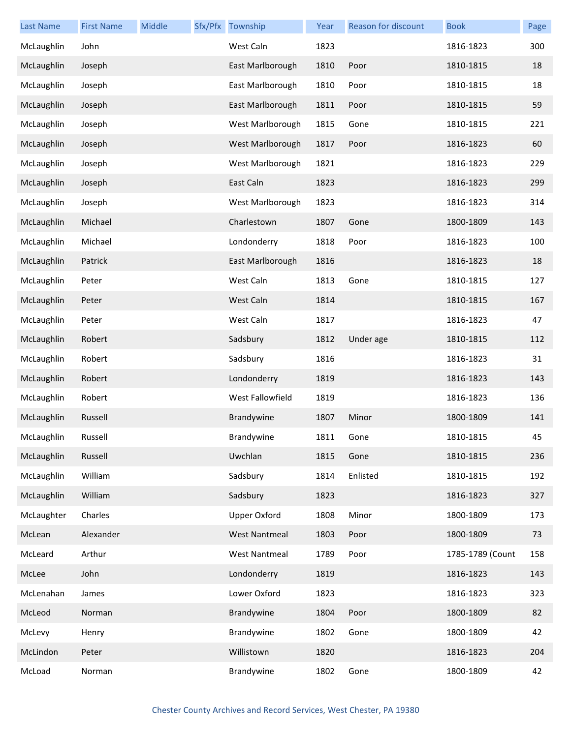| <b>Last Name</b> | <b>First Name</b> | Middle | Sfx/Pfx Township     | Year | Reason for discount | <b>Book</b>      | Page |
|------------------|-------------------|--------|----------------------|------|---------------------|------------------|------|
| McLaughlin       | John              |        | West Caln            | 1823 |                     | 1816-1823        | 300  |
| McLaughlin       | Joseph            |        | East Marlborough     | 1810 | Poor                | 1810-1815        | 18   |
| McLaughlin       | Joseph            |        | East Marlborough     | 1810 | Poor                | 1810-1815        | 18   |
| McLaughlin       | Joseph            |        | East Marlborough     | 1811 | Poor                | 1810-1815        | 59   |
| McLaughlin       | Joseph            |        | West Marlborough     | 1815 | Gone                | 1810-1815        | 221  |
| McLaughlin       | Joseph            |        | West Marlborough     | 1817 | Poor                | 1816-1823        | 60   |
| McLaughlin       | Joseph            |        | West Marlborough     | 1821 |                     | 1816-1823        | 229  |
| McLaughlin       | Joseph            |        | East Caln            | 1823 |                     | 1816-1823        | 299  |
| McLaughlin       | Joseph            |        | West Marlborough     | 1823 |                     | 1816-1823        | 314  |
| McLaughlin       | Michael           |        | Charlestown          | 1807 | Gone                | 1800-1809        | 143  |
| McLaughlin       | Michael           |        | Londonderry          | 1818 | Poor                | 1816-1823        | 100  |
| McLaughlin       | Patrick           |        | East Marlborough     | 1816 |                     | 1816-1823        | 18   |
| McLaughlin       | Peter             |        | West Caln            | 1813 | Gone                | 1810-1815        | 127  |
| McLaughlin       | Peter             |        | West Caln            | 1814 |                     | 1810-1815        | 167  |
| McLaughlin       | Peter             |        | West Caln            | 1817 |                     | 1816-1823        | 47   |
| McLaughlin       | Robert            |        | Sadsbury             | 1812 | Under age           | 1810-1815        | 112  |
| McLaughlin       | Robert            |        | Sadsbury             | 1816 |                     | 1816-1823        | 31   |
| McLaughlin       | Robert            |        | Londonderry          | 1819 |                     | 1816-1823        | 143  |
| McLaughlin       | Robert            |        | West Fallowfield     | 1819 |                     | 1816-1823        | 136  |
| McLaughlin       | Russell           |        | Brandywine           | 1807 | Minor               | 1800-1809        | 141  |
| McLaughlin       | Russell           |        | Brandywine           | 1811 | Gone                | 1810-1815        | 45   |
| McLaughlin       | Russell           |        | Uwchlan              | 1815 | Gone                | 1810-1815        | 236  |
| McLaughlin       | William           |        | Sadsbury             | 1814 | Enlisted            | 1810-1815        | 192  |
| McLaughlin       | William           |        | Sadsbury             | 1823 |                     | 1816-1823        | 327  |
| McLaughter       | Charles           |        | <b>Upper Oxford</b>  | 1808 | Minor               | 1800-1809        | 173  |
| McLean           | Alexander         |        | <b>West Nantmeal</b> | 1803 | Poor                | 1800-1809        | 73   |
| McLeard          | Arthur            |        | <b>West Nantmeal</b> | 1789 | Poor                | 1785-1789 (Count | 158  |
| McLee            | John              |        | Londonderry          | 1819 |                     | 1816-1823        | 143  |
| McLenahan        | James             |        | Lower Oxford         | 1823 |                     | 1816-1823        | 323  |
| McLeod           | Norman            |        | Brandywine           | 1804 | Poor                | 1800-1809        | 82   |
| McLevy           | Henry             |        | Brandywine           | 1802 | Gone                | 1800-1809        | 42   |
| McLindon         | Peter             |        | Willistown           | 1820 |                     | 1816-1823        | 204  |
| McLoad           | Norman            |        | Brandywine           | 1802 | Gone                | 1800-1809        | 42   |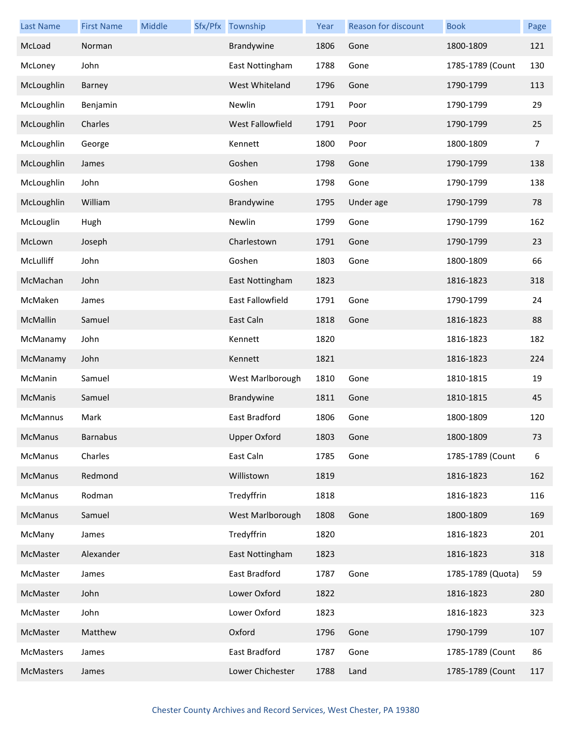| <b>Last Name</b> | <b>First Name</b> | Middle | Sfx/Pfx Township    | Year | <b>Reason for discount</b> | <b>Book</b>       | Page |
|------------------|-------------------|--------|---------------------|------|----------------------------|-------------------|------|
| McLoad           | Norman            |        | Brandywine          | 1806 | Gone                       | 1800-1809         | 121  |
| McLoney          | John              |        | East Nottingham     | 1788 | Gone                       | 1785-1789 (Count  | 130  |
| McLoughlin       | Barney            |        | West Whiteland      | 1796 | Gone                       | 1790-1799         | 113  |
| McLoughlin       | Benjamin          |        | Newlin              | 1791 | Poor                       | 1790-1799         | 29   |
| McLoughlin       | Charles           |        | West Fallowfield    | 1791 | Poor                       | 1790-1799         | 25   |
| McLoughlin       | George            |        | Kennett             | 1800 | Poor                       | 1800-1809         | 7    |
| McLoughlin       | James             |        | Goshen              | 1798 | Gone                       | 1790-1799         | 138  |
| McLoughlin       | John              |        | Goshen              | 1798 | Gone                       | 1790-1799         | 138  |
| McLoughlin       | William           |        | Brandywine          | 1795 | Under age                  | 1790-1799         | 78   |
| McLouglin        | Hugh              |        | Newlin              | 1799 | Gone                       | 1790-1799         | 162  |
| McLown           | Joseph            |        | Charlestown         | 1791 | Gone                       | 1790-1799         | 23   |
| McLulliff        | John              |        | Goshen              | 1803 | Gone                       | 1800-1809         | 66   |
| McMachan         | John              |        | East Nottingham     | 1823 |                            | 1816-1823         | 318  |
| McMaken          | James             |        | East Fallowfield    | 1791 | Gone                       | 1790-1799         | 24   |
| McMallin         | Samuel            |        | East Caln           | 1818 | Gone                       | 1816-1823         | 88   |
| McManamy         | John              |        | Kennett             | 1820 |                            | 1816-1823         | 182  |
| McManamy         | John              |        | Kennett             | 1821 |                            | 1816-1823         | 224  |
| McManin          | Samuel            |        | West Marlborough    | 1810 | Gone                       | 1810-1815         | 19   |
| McManis          | Samuel            |        | Brandywine          | 1811 | Gone                       | 1810-1815         | 45   |
| McMannus         | Mark              |        | East Bradford       | 1806 | Gone                       | 1800-1809         | 120  |
| McManus          | <b>Barnabus</b>   |        | <b>Upper Oxford</b> | 1803 | Gone                       | 1800-1809         | 73   |
| McManus          | Charles           |        | East Caln           | 1785 | Gone                       | 1785-1789 (Count  | 6    |
| McManus          | Redmond           |        | Willistown          | 1819 |                            | 1816-1823         | 162  |
| McManus          | Rodman            |        | Tredyffrin          | 1818 |                            | 1816-1823         | 116  |
| McManus          | Samuel            |        | West Marlborough    | 1808 | Gone                       | 1800-1809         | 169  |
| McMany           | James             |        | Tredyffrin          | 1820 |                            | 1816-1823         | 201  |
| McMaster         | Alexander         |        | East Nottingham     | 1823 |                            | 1816-1823         | 318  |
| McMaster         | James             |        | East Bradford       | 1787 | Gone                       | 1785-1789 (Quota) | 59   |
| McMaster         | John              |        | Lower Oxford        | 1822 |                            | 1816-1823         | 280  |
| McMaster         | John              |        | Lower Oxford        | 1823 |                            | 1816-1823         | 323  |
| McMaster         | Matthew           |        | Oxford              | 1796 | Gone                       | 1790-1799         | 107  |
| McMasters        | James             |        | East Bradford       | 1787 | Gone                       | 1785-1789 (Count  | 86   |
| McMasters        | James             |        | Lower Chichester    | 1788 | Land                       | 1785-1789 (Count  | 117  |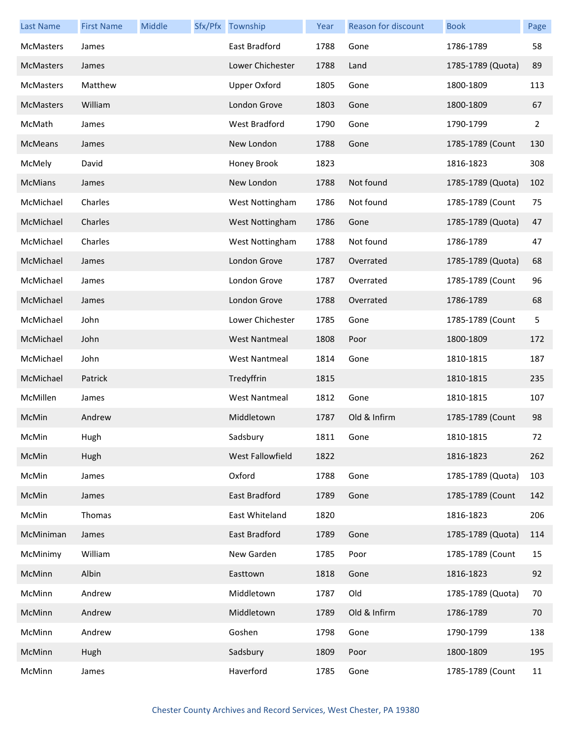| <b>Last Name</b> | <b>First Name</b> | Middle | Sfx/Pfx Township     | Year | Reason for discount | <b>Book</b>       | Page           |
|------------------|-------------------|--------|----------------------|------|---------------------|-------------------|----------------|
| <b>McMasters</b> | James             |        | East Bradford        | 1788 | Gone                | 1786-1789         | 58             |
| <b>McMasters</b> | James             |        | Lower Chichester     | 1788 | Land                | 1785-1789 (Quota) | 89             |
| <b>McMasters</b> | Matthew           |        | <b>Upper Oxford</b>  | 1805 | Gone                | 1800-1809         | 113            |
| <b>McMasters</b> | William           |        | London Grove         | 1803 | Gone                | 1800-1809         | 67             |
| McMath           | James             |        | West Bradford        | 1790 | Gone                | 1790-1799         | $\overline{2}$ |
| McMeans          | James             |        | New London           | 1788 | Gone                | 1785-1789 (Count  | 130            |
| McMely           | David             |        | Honey Brook          | 1823 |                     | 1816-1823         | 308            |
| <b>McMians</b>   | James             |        | New London           | 1788 | Not found           | 1785-1789 (Quota) | 102            |
| McMichael        | Charles           |        | West Nottingham      | 1786 | Not found           | 1785-1789 (Count  | 75             |
| McMichael        | Charles           |        | West Nottingham      | 1786 | Gone                | 1785-1789 (Quota) | 47             |
| McMichael        | Charles           |        | West Nottingham      | 1788 | Not found           | 1786-1789         | 47             |
| McMichael        | James             |        | London Grove         | 1787 | Overrated           | 1785-1789 (Quota) | 68             |
| McMichael        | James             |        | London Grove         | 1787 | Overrated           | 1785-1789 (Count  | 96             |
| McMichael        | James             |        | London Grove         | 1788 | Overrated           | 1786-1789         | 68             |
| McMichael        | John              |        | Lower Chichester     | 1785 | Gone                | 1785-1789 (Count  | 5              |
| McMichael        | John              |        | <b>West Nantmeal</b> | 1808 | Poor                | 1800-1809         | 172            |
| McMichael        | John              |        | <b>West Nantmeal</b> | 1814 | Gone                | 1810-1815         | 187            |
| McMichael        | Patrick           |        | Tredyffrin           | 1815 |                     | 1810-1815         | 235            |
| McMillen         | James             |        | <b>West Nantmeal</b> | 1812 | Gone                | 1810-1815         | 107            |
| McMin            | Andrew            |        | Middletown           | 1787 | Old & Infirm        | 1785-1789 (Count  | 98             |
| McMin            | Hugh              |        | Sadsbury             | 1811 | Gone                | 1810-1815         | 72             |
| McMin            | Hugh              |        | West Fallowfield     | 1822 |                     | 1816-1823         | 262            |
| McMin            | James             |        | Oxford               | 1788 | Gone                | 1785-1789 (Quota) | 103            |
| McMin            | James             |        | East Bradford        | 1789 | Gone                | 1785-1789 (Count  | 142            |
| McMin            | Thomas            |        | East Whiteland       | 1820 |                     | 1816-1823         | 206            |
| McMiniman        | James             |        | East Bradford        | 1789 | Gone                | 1785-1789 (Quota) | 114            |
| McMinimy         | William           |        | New Garden           | 1785 | Poor                | 1785-1789 (Count  | 15             |
| McMinn           | Albin             |        | Easttown             | 1818 | Gone                | 1816-1823         | 92             |
| McMinn           | Andrew            |        | Middletown           | 1787 | Old                 | 1785-1789 (Quota) | 70             |
| McMinn           | Andrew            |        | Middletown           | 1789 | Old & Infirm        | 1786-1789         | 70             |
| McMinn           | Andrew            |        | Goshen               | 1798 | Gone                | 1790-1799         | 138            |
| McMinn           | Hugh              |        | Sadsbury             | 1809 | Poor                | 1800-1809         | 195            |
| McMinn           | James             |        | Haverford            | 1785 | Gone                | 1785-1789 (Count  | 11             |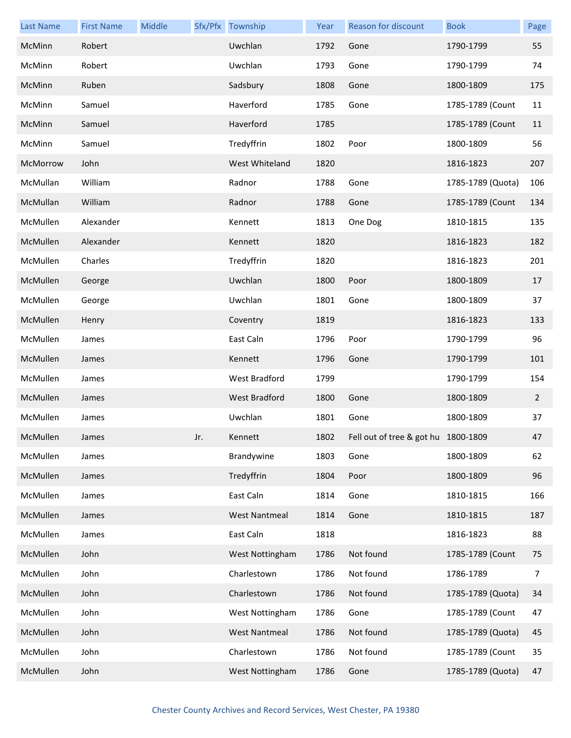| <b>Last Name</b> | <b>First Name</b> | Middle |     | Sfx/Pfx Township     | Year | Reason for discount                 | <b>Book</b>       | Page           |
|------------------|-------------------|--------|-----|----------------------|------|-------------------------------------|-------------------|----------------|
| McMinn           | Robert            |        |     | Uwchlan              | 1792 | Gone                                | 1790-1799         | 55             |
| McMinn           | Robert            |        |     | Uwchlan              | 1793 | Gone                                | 1790-1799         | 74             |
| McMinn           | Ruben             |        |     | Sadsbury             | 1808 | Gone                                | 1800-1809         | 175            |
| McMinn           | Samuel            |        |     | Haverford            | 1785 | Gone                                | 1785-1789 (Count  | 11             |
| McMinn           | Samuel            |        |     | Haverford            | 1785 |                                     | 1785-1789 (Count  | 11             |
| McMinn           | Samuel            |        |     | Tredyffrin           | 1802 | Poor                                | 1800-1809         | 56             |
| McMorrow         | John              |        |     | West Whiteland       | 1820 |                                     | 1816-1823         | 207            |
| McMullan         | William           |        |     | Radnor               | 1788 | Gone                                | 1785-1789 (Quota) | 106            |
| McMullan         | William           |        |     | Radnor               | 1788 | Gone                                | 1785-1789 (Count  | 134            |
| McMullen         | Alexander         |        |     | Kennett              | 1813 | One Dog                             | 1810-1815         | 135            |
| McMullen         | Alexander         |        |     | Kennett              | 1820 |                                     | 1816-1823         | 182            |
| McMullen         | Charles           |        |     | Tredyffrin           | 1820 |                                     | 1816-1823         | 201            |
| McMullen         | George            |        |     | Uwchlan              | 1800 | Poor                                | 1800-1809         | 17             |
| McMullen         | George            |        |     | Uwchlan              | 1801 | Gone                                | 1800-1809         | 37             |
| McMullen         | Henry             |        |     | Coventry             | 1819 |                                     | 1816-1823         | 133            |
| McMullen         | James             |        |     | East Caln            | 1796 | Poor                                | 1790-1799         | 96             |
| McMullen         | James             |        |     | Kennett              | 1796 | Gone                                | 1790-1799         | 101            |
| McMullen         | James             |        |     | West Bradford        | 1799 |                                     | 1790-1799         | 154            |
| McMullen         | James             |        |     | West Bradford        | 1800 | Gone                                | 1800-1809         | $\overline{2}$ |
| McMullen         | James             |        |     | Uwchlan              | 1801 | Gone                                | 1800-1809         | 37             |
| McMullen         | James             |        | Jr. | Kennett              | 1802 | Fell out of tree & got hu 1800-1809 |                   | 47             |
| McMullen         | James             |        |     | Brandywine           | 1803 | Gone                                | 1800-1809         | 62             |
| McMullen         | James             |        |     | Tredyffrin           | 1804 | Poor                                | 1800-1809         | 96             |
| McMullen         | James             |        |     | East Caln            | 1814 | Gone                                | 1810-1815         | 166            |
| McMullen         | James             |        |     | <b>West Nantmeal</b> | 1814 | Gone                                | 1810-1815         | 187            |
| McMullen         | James             |        |     | East Caln            | 1818 |                                     | 1816-1823         | 88             |
| McMullen         | John              |        |     | West Nottingham      | 1786 | Not found                           | 1785-1789 (Count  | 75             |
| McMullen         | John              |        |     | Charlestown          | 1786 | Not found                           | 1786-1789         | 7              |
| McMullen         | John              |        |     | Charlestown          | 1786 | Not found                           | 1785-1789 (Quota) | 34             |
| McMullen         | John              |        |     | West Nottingham      | 1786 | Gone                                | 1785-1789 (Count  | 47             |
| McMullen         | John              |        |     | <b>West Nantmeal</b> | 1786 | Not found                           | 1785-1789 (Quota) | 45             |
| McMullen         | John              |        |     | Charlestown          | 1786 | Not found                           | 1785-1789 (Count  | 35             |
| McMullen         | John              |        |     | West Nottingham      | 1786 | Gone                                | 1785-1789 (Quota) | 47             |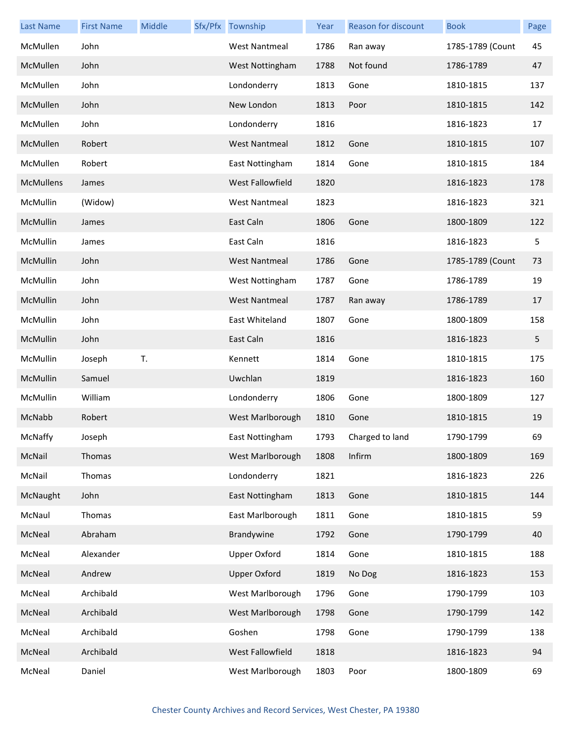| <b>Last Name</b> | <b>First Name</b> | Middle | Sfx/Pfx Township     | Year | Reason for discount | <b>Book</b>      | Page |
|------------------|-------------------|--------|----------------------|------|---------------------|------------------|------|
| McMullen         | John              |        | <b>West Nantmeal</b> | 1786 | Ran away            | 1785-1789 (Count | 45   |
| McMullen         | John              |        | West Nottingham      | 1788 | Not found           | 1786-1789        | 47   |
| McMullen         | John              |        | Londonderry          | 1813 | Gone                | 1810-1815        | 137  |
| McMullen         | John              |        | New London           | 1813 | Poor                | 1810-1815        | 142  |
| McMullen         | John              |        | Londonderry          | 1816 |                     | 1816-1823        | 17   |
| McMullen         | Robert            |        | <b>West Nantmeal</b> | 1812 | Gone                | 1810-1815        | 107  |
| McMullen         | Robert            |        | East Nottingham      | 1814 | Gone                | 1810-1815        | 184  |
| McMullens        | James             |        | West Fallowfield     | 1820 |                     | 1816-1823        | 178  |
| McMullin         | (Widow)           |        | <b>West Nantmeal</b> | 1823 |                     | 1816-1823        | 321  |
| McMullin         | James             |        | East Caln            | 1806 | Gone                | 1800-1809        | 122  |
| McMullin         | James             |        | East Caln            | 1816 |                     | 1816-1823        | 5    |
| McMullin         | John              |        | <b>West Nantmeal</b> | 1786 | Gone                | 1785-1789 (Count | 73   |
| McMullin         | John              |        | West Nottingham      | 1787 | Gone                | 1786-1789        | 19   |
| McMullin         | John              |        | <b>West Nantmeal</b> | 1787 | Ran away            | 1786-1789        | 17   |
| McMullin         | John              |        | East Whiteland       | 1807 | Gone                | 1800-1809        | 158  |
| McMullin         | John              |        | East Caln            | 1816 |                     | 1816-1823        | 5    |
| McMullin         | Joseph            | T.     | Kennett              | 1814 | Gone                | 1810-1815        | 175  |
| McMullin         | Samuel            |        | Uwchlan              | 1819 |                     | 1816-1823        | 160  |
| McMullin         | William           |        | Londonderry          | 1806 | Gone                | 1800-1809        | 127  |
| McNabb           | Robert            |        | West Marlborough     | 1810 | Gone                | 1810-1815        | 19   |
| McNaffy          | Joseph            |        | East Nottingham      | 1793 | Charged to land     | 1790-1799        | 69   |
| McNail           | Thomas            |        | West Marlborough     | 1808 | Infirm              | 1800-1809        | 169  |
| McNail           | Thomas            |        | Londonderry          | 1821 |                     | 1816-1823        | 226  |
| McNaught         | John              |        | East Nottingham      | 1813 | Gone                | 1810-1815        | 144  |
| McNaul           | Thomas            |        | East Marlborough     | 1811 | Gone                | 1810-1815        | 59   |
| McNeal           | Abraham           |        | Brandywine           | 1792 | Gone                | 1790-1799        | 40   |
| McNeal           | Alexander         |        | <b>Upper Oxford</b>  | 1814 | Gone                | 1810-1815        | 188  |
| McNeal           | Andrew            |        | <b>Upper Oxford</b>  | 1819 | No Dog              | 1816-1823        | 153  |
| McNeal           | Archibald         |        | West Marlborough     | 1796 | Gone                | 1790-1799        | 103  |
| McNeal           | Archibald         |        | West Marlborough     | 1798 | Gone                | 1790-1799        | 142  |
| McNeal           | Archibald         |        | Goshen               | 1798 | Gone                | 1790-1799        | 138  |
| McNeal           | Archibald         |        | West Fallowfield     | 1818 |                     | 1816-1823        | 94   |
| McNeal           | Daniel            |        | West Marlborough     | 1803 | Poor                | 1800-1809        | 69   |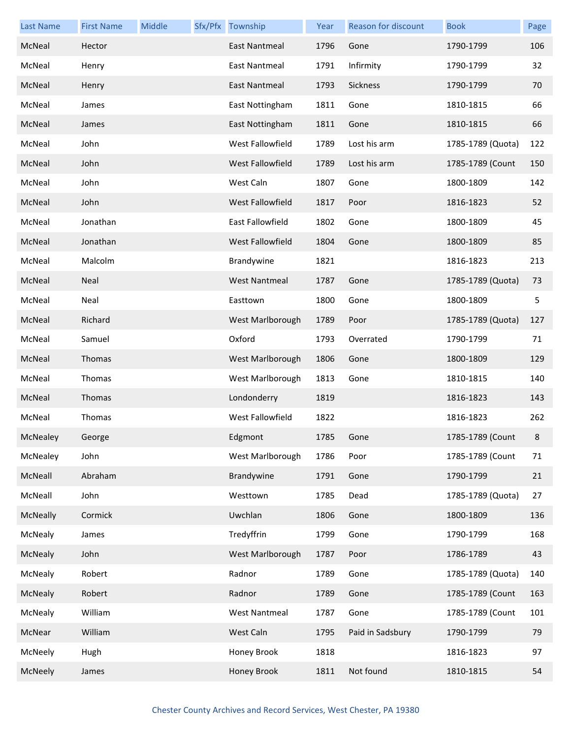| <b>Last Name</b> | <b>First Name</b> | Middle | Sfx/Pfx Township        | Year | <b>Reason for discount</b> | <b>Book</b>       | Page |
|------------------|-------------------|--------|-------------------------|------|----------------------------|-------------------|------|
| McNeal           | Hector            |        | <b>East Nantmeal</b>    | 1796 | Gone                       | 1790-1799         | 106  |
| McNeal           | Henry             |        | East Nantmeal           | 1791 | Infirmity                  | 1790-1799         | 32   |
| McNeal           | Henry             |        | <b>East Nantmeal</b>    | 1793 | Sickness                   | 1790-1799         | 70   |
| McNeal           | James             |        | East Nottingham         | 1811 | Gone                       | 1810-1815         | 66   |
| McNeal           | James             |        | East Nottingham         | 1811 | Gone                       | 1810-1815         | 66   |
| McNeal           | John              |        | West Fallowfield        | 1789 | Lost his arm               | 1785-1789 (Quota) | 122  |
| McNeal           | John              |        | West Fallowfield        | 1789 | Lost his arm               | 1785-1789 (Count  | 150  |
| McNeal           | John              |        | West Caln               | 1807 | Gone                       | 1800-1809         | 142  |
| McNeal           | John              |        | West Fallowfield        | 1817 | Poor                       | 1816-1823         | 52   |
| McNeal           | Jonathan          |        | East Fallowfield        | 1802 | Gone                       | 1800-1809         | 45   |
| McNeal           | Jonathan          |        | <b>West Fallowfield</b> | 1804 | Gone                       | 1800-1809         | 85   |
| McNeal           | Malcolm           |        | Brandywine              | 1821 |                            | 1816-1823         | 213  |
| McNeal           | Neal              |        | <b>West Nantmeal</b>    | 1787 | Gone                       | 1785-1789 (Quota) | 73   |
| McNeal           | Neal              |        | Easttown                | 1800 | Gone                       | 1800-1809         | 5    |
| McNeal           | Richard           |        | West Marlborough        | 1789 | Poor                       | 1785-1789 (Quota) | 127  |
| McNeal           | Samuel            |        | Oxford                  | 1793 | Overrated                  | 1790-1799         | 71   |
| McNeal           | Thomas            |        | West Marlborough        | 1806 | Gone                       | 1800-1809         | 129  |
| McNeal           | Thomas            |        | West Marlborough        | 1813 | Gone                       | 1810-1815         | 140  |
| McNeal           | Thomas            |        | Londonderry             | 1819 |                            | 1816-1823         | 143  |
| McNeal           | Thomas            |        | West Fallowfield        | 1822 |                            | 1816-1823         | 262  |
| McNealey         | George            |        | Edgmont                 | 1785 | Gone                       | 1785-1789 (Count  | 8    |
| McNealey         | John              |        | West Marlborough        | 1786 | Poor                       | 1785-1789 (Count  | 71   |
| McNeall          | Abraham           |        | Brandywine              | 1791 | Gone                       | 1790-1799         | 21   |
| McNeall          | John              |        | Westtown                | 1785 | Dead                       | 1785-1789 (Quota) | 27   |
| McNeally         | Cormick           |        | Uwchlan                 | 1806 | Gone                       | 1800-1809         | 136  |
| McNealy          | James             |        | Tredyffrin              | 1799 | Gone                       | 1790-1799         | 168  |
| McNealy          | John              |        | West Marlborough        | 1787 | Poor                       | 1786-1789         | 43   |
| McNealy          | Robert            |        | Radnor                  | 1789 | Gone                       | 1785-1789 (Quota) | 140  |
| McNealy          | Robert            |        | Radnor                  | 1789 | Gone                       | 1785-1789 (Count  | 163  |
| McNealy          | William           |        | <b>West Nantmeal</b>    | 1787 | Gone                       | 1785-1789 (Count  | 101  |
| McNear           | William           |        | West Caln               | 1795 | Paid in Sadsbury           | 1790-1799         | 79   |
| McNeely          | Hugh              |        | Honey Brook             | 1818 |                            | 1816-1823         | 97   |
| McNeely          | James             |        | Honey Brook             | 1811 | Not found                  | 1810-1815         | 54   |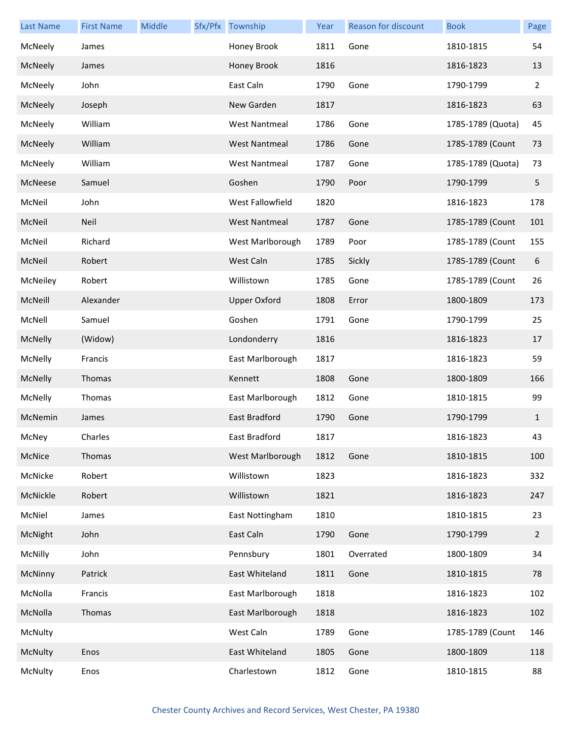| <b>Last Name</b> | <b>First Name</b> | Middle | Sfx/Pfx Township     | Year | Reason for discount | <b>Book</b>       | Page           |
|------------------|-------------------|--------|----------------------|------|---------------------|-------------------|----------------|
| McNeely          | James             |        | Honey Brook          | 1811 | Gone                | 1810-1815         | 54             |
| McNeely          | James             |        | Honey Brook          | 1816 |                     | 1816-1823         | 13             |
| McNeely          | John              |        | East Caln            | 1790 | Gone                | 1790-1799         | $\overline{2}$ |
| McNeely          | Joseph            |        | New Garden           | 1817 |                     | 1816-1823         | 63             |
| McNeely          | William           |        | <b>West Nantmeal</b> | 1786 | Gone                | 1785-1789 (Quota) | 45             |
| McNeely          | William           |        | <b>West Nantmeal</b> | 1786 | Gone                | 1785-1789 (Count  | 73             |
| McNeely          | William           |        | <b>West Nantmeal</b> | 1787 | Gone                | 1785-1789 (Quota) | 73             |
| McNeese          | Samuel            |        | Goshen               | 1790 | Poor                | 1790-1799         | 5              |
| McNeil           | John              |        | West Fallowfield     | 1820 |                     | 1816-1823         | 178            |
| McNeil           | <b>Neil</b>       |        | <b>West Nantmeal</b> | 1787 | Gone                | 1785-1789 (Count  | 101            |
| McNeil           | Richard           |        | West Marlborough     | 1789 | Poor                | 1785-1789 (Count  | 155            |
| McNeil           | Robert            |        | West Caln            | 1785 | Sickly              | 1785-1789 (Count  | 6              |
| McNeiley         | Robert            |        | Willistown           | 1785 | Gone                | 1785-1789 (Count  | 26             |
| McNeill          | Alexander         |        | <b>Upper Oxford</b>  | 1808 | Error               | 1800-1809         | 173            |
| McNell           | Samuel            |        | Goshen               | 1791 | Gone                | 1790-1799         | 25             |
| McNelly          | (Widow)           |        | Londonderry          | 1816 |                     | 1816-1823         | 17             |
| McNelly          | Francis           |        | East Marlborough     | 1817 |                     | 1816-1823         | 59             |
| McNelly          | Thomas            |        | Kennett              | 1808 | Gone                | 1800-1809         | 166            |
| McNelly          | Thomas            |        | East Marlborough     | 1812 | Gone                | 1810-1815         | 99             |
| McNemin          | James             |        | East Bradford        | 1790 | Gone                | 1790-1799         | $\mathbf{1}$   |
| McNey            | Charles           |        | East Bradford        | 1817 |                     | 1816-1823         | 43             |
| McNice           | Thomas            |        | West Marlborough     | 1812 | Gone                | 1810-1815         | 100            |
| McNicke          | Robert            |        | Willistown           | 1823 |                     | 1816-1823         | 332            |
| McNickle         | Robert            |        | Willistown           | 1821 |                     | 1816-1823         | 247            |
| McNiel           | James             |        | East Nottingham      | 1810 |                     | 1810-1815         | 23             |
| McNight          | John              |        | East Caln            | 1790 | Gone                | 1790-1799         | $\overline{2}$ |
| McNilly          | John              |        | Pennsbury            | 1801 | Overrated           | 1800-1809         | 34             |
| McNinny          | Patrick           |        | East Whiteland       | 1811 | Gone                | 1810-1815         | 78             |
| McNolla          | Francis           |        | East Marlborough     | 1818 |                     | 1816-1823         | 102            |
| McNolla          | Thomas            |        | East Marlborough     | 1818 |                     | 1816-1823         | 102            |
| McNulty          |                   |        | West Caln            | 1789 | Gone                | 1785-1789 (Count  | 146            |
| McNulty          | Enos              |        | East Whiteland       | 1805 | Gone                | 1800-1809         | 118            |
| McNulty          | Enos              |        | Charlestown          | 1812 | Gone                | 1810-1815         | 88             |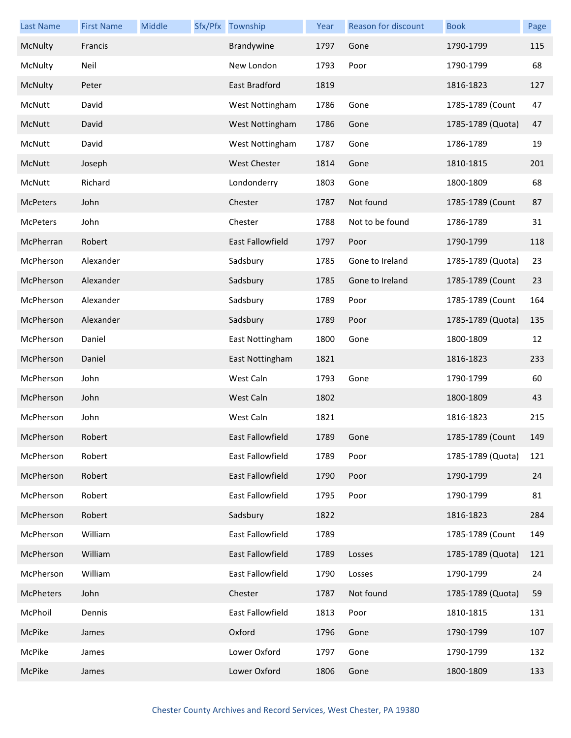| <b>Last Name</b> | <b>First Name</b> | Middle | Sfx/Pfx Township        | Year | Reason for discount | <b>Book</b>       | Page |
|------------------|-------------------|--------|-------------------------|------|---------------------|-------------------|------|
| McNulty          | Francis           |        | Brandywine              | 1797 | Gone                | 1790-1799         | 115  |
| McNulty          | Neil              |        | New London              | 1793 | Poor                | 1790-1799         | 68   |
| McNulty          | Peter             |        | East Bradford           | 1819 |                     | 1816-1823         | 127  |
| McNutt           | David             |        | West Nottingham         | 1786 | Gone                | 1785-1789 (Count  | 47   |
| McNutt           | David             |        | West Nottingham         | 1786 | Gone                | 1785-1789 (Quota) | 47   |
| McNutt           | David             |        | West Nottingham         | 1787 | Gone                | 1786-1789         | 19   |
| McNutt           | Joseph            |        | West Chester            | 1814 | Gone                | 1810-1815         | 201  |
| McNutt           | Richard           |        | Londonderry             | 1803 | Gone                | 1800-1809         | 68   |
| <b>McPeters</b>  | John              |        | Chester                 | 1787 | Not found           | 1785-1789 (Count  | 87   |
| McPeters         | John              |        | Chester                 | 1788 | Not to be found     | 1786-1789         | 31   |
| McPherran        | Robert            |        | <b>East Fallowfield</b> | 1797 | Poor                | 1790-1799         | 118  |
| McPherson        | Alexander         |        | Sadsbury                | 1785 | Gone to Ireland     | 1785-1789 (Quota) | 23   |
| McPherson        | Alexander         |        | Sadsbury                | 1785 | Gone to Ireland     | 1785-1789 (Count  | 23   |
| McPherson        | Alexander         |        | Sadsbury                | 1789 | Poor                | 1785-1789 (Count  | 164  |
| McPherson        | Alexander         |        | Sadsbury                | 1789 | Poor                | 1785-1789 (Quota) | 135  |
| McPherson        | Daniel            |        | East Nottingham         | 1800 | Gone                | 1800-1809         | 12   |
| McPherson        | Daniel            |        | East Nottingham         | 1821 |                     | 1816-1823         | 233  |
| McPherson        | John              |        | West Caln               | 1793 | Gone                | 1790-1799         | 60   |
| McPherson        | John              |        | West Caln               | 1802 |                     | 1800-1809         | 43   |
| McPherson        | John              |        | West Caln               | 1821 |                     | 1816-1823         | 215  |
| McPherson        | Robert            |        | East Fallowfield        | 1789 | Gone                | 1785-1789 (Count  | 149  |
| McPherson        | Robert            |        | East Fallowfield        | 1789 | Poor                | 1785-1789 (Quota) | 121  |
| McPherson        | Robert            |        | <b>East Fallowfield</b> | 1790 | Poor                | 1790-1799         | 24   |
| McPherson        | Robert            |        | East Fallowfield        | 1795 | Poor                | 1790-1799         | 81   |
| McPherson        | Robert            |        | Sadsbury                | 1822 |                     | 1816-1823         | 284  |
| McPherson        | William           |        | East Fallowfield        | 1789 |                     | 1785-1789 (Count  | 149  |
| McPherson        | William           |        | East Fallowfield        | 1789 | Losses              | 1785-1789 (Quota) | 121  |
| McPherson        | William           |        | East Fallowfield        | 1790 | Losses              | 1790-1799         | 24   |
| <b>McPheters</b> | John              |        | Chester                 | 1787 | Not found           | 1785-1789 (Quota) | 59   |
| McPhoil          | Dennis            |        | East Fallowfield        | 1813 | Poor                | 1810-1815         | 131  |
| <b>McPike</b>    | James             |        | Oxford                  | 1796 | Gone                | 1790-1799         | 107  |
| McPike           | James             |        | Lower Oxford            | 1797 | Gone                | 1790-1799         | 132  |
| McPike           | James             |        | Lower Oxford            | 1806 | Gone                | 1800-1809         | 133  |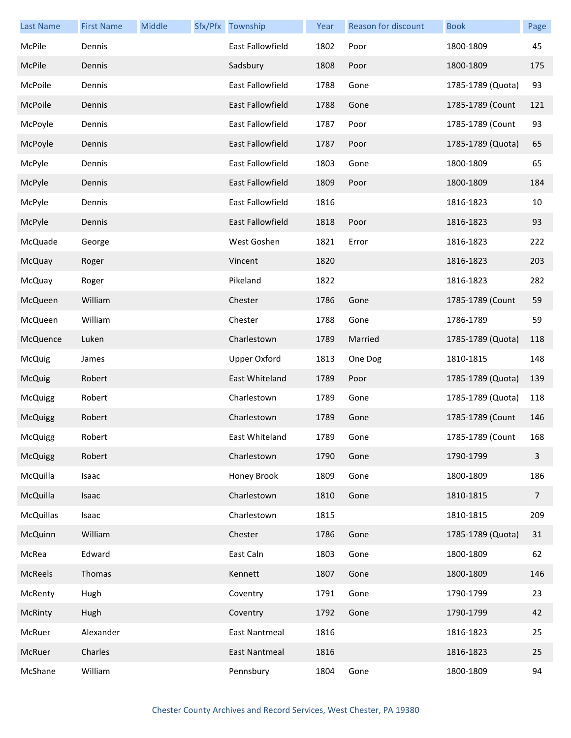| <b>Last Name</b> | <b>First Name</b> | Middle | Sfx/Pfx Township    | Year | <b>Reason for discount</b> | <b>Book</b>       | Page           |
|------------------|-------------------|--------|---------------------|------|----------------------------|-------------------|----------------|
| McPile           | Dennis            |        | East Fallowfield    | 1802 | Poor                       | 1800-1809         | 45             |
| McPile           | Dennis            |        | Sadsbury            | 1808 | Poor                       | 1800-1809         | 175            |
| McPoile          | Dennis            |        | East Fallowfield    | 1788 | Gone                       | 1785-1789 (Quota) | 93             |
| McPoile          | Dennis            |        | East Fallowfield    | 1788 | Gone                       | 1785-1789 (Count  | 121            |
| McPoyle          | Dennis            |        | East Fallowfield    | 1787 | Poor                       | 1785-1789 (Count  | 93             |
| McPoyle          | Dennis            |        | East Fallowfield    | 1787 | Poor                       | 1785-1789 (Quota) | 65             |
| McPyle           | Dennis            |        | East Fallowfield    | 1803 | Gone                       | 1800-1809         | 65             |
| McPyle           | Dennis            |        | East Fallowfield    | 1809 | Poor                       | 1800-1809         | 184            |
| McPyle           | Dennis            |        | East Fallowfield    | 1816 |                            | 1816-1823         | 10             |
| McPyle           | Dennis            |        | East Fallowfield    | 1818 | Poor                       | 1816-1823         | 93             |
| McQuade          | George            |        | West Goshen         | 1821 | Error                      | 1816-1823         | 222            |
| McQuay           | Roger             |        | Vincent             | 1820 |                            | 1816-1823         | 203            |
| McQuay           | Roger             |        | Pikeland            | 1822 |                            | 1816-1823         | 282            |
| McQueen          | William           |        | Chester             | 1786 | Gone                       | 1785-1789 (Count  | 59             |
| McQueen          | William           |        | Chester             | 1788 | Gone                       | 1786-1789         | 59             |
| McQuence         | Luken             |        | Charlestown         | 1789 | Married                    | 1785-1789 (Quota) | 118            |
| McQuig           | James             |        | <b>Upper Oxford</b> | 1813 | One Dog                    | 1810-1815         | 148            |
| McQuig           | Robert            |        | East Whiteland      | 1789 | Poor                       | 1785-1789 (Quota) | 139            |
| McQuigg          | Robert            |        | Charlestown         | 1789 | Gone                       | 1785-1789 (Quota) | 118            |
| McQuigg          | Robert            |        | Charlestown         | 1789 | Gone                       | 1785-1789 (Count  | 146            |
| McQuigg          | Robert            |        | East Whiteland      | 1789 | Gone                       | 1785-1789 (Count  | 168            |
| <b>McQuigg</b>   | Robert            |        | Charlestown         | 1790 | Gone                       | 1790-1799         | $\mathbf{3}$   |
| McQuilla         | Isaac             |        | Honey Brook         | 1809 | Gone                       | 1800-1809         | 186            |
| McQuilla         | Isaac             |        | Charlestown         | 1810 | Gone                       | 1810-1815         | $\overline{7}$ |
| <b>McQuillas</b> | Isaac             |        | Charlestown         | 1815 |                            | 1810-1815         | 209            |
| McQuinn          | William           |        | Chester             | 1786 | Gone                       | 1785-1789 (Quota) | 31             |
| McRea            | Edward            |        | East Caln           | 1803 | Gone                       | 1800-1809         | 62             |
| McReels          | Thomas            |        | Kennett             | 1807 | Gone                       | 1800-1809         | 146            |
| McRenty          | Hugh              |        | Coventry            | 1791 | Gone                       | 1790-1799         | 23             |
| McRinty          | Hugh              |        | Coventry            | 1792 | Gone                       | 1790-1799         | 42             |
| McRuer           | Alexander         |        | East Nantmeal       | 1816 |                            | 1816-1823         | 25             |
| McRuer           | Charles           |        | East Nantmeal       | 1816 |                            | 1816-1823         | 25             |
| McShane          | William           |        | Pennsbury           | 1804 | Gone                       | 1800-1809         | 94             |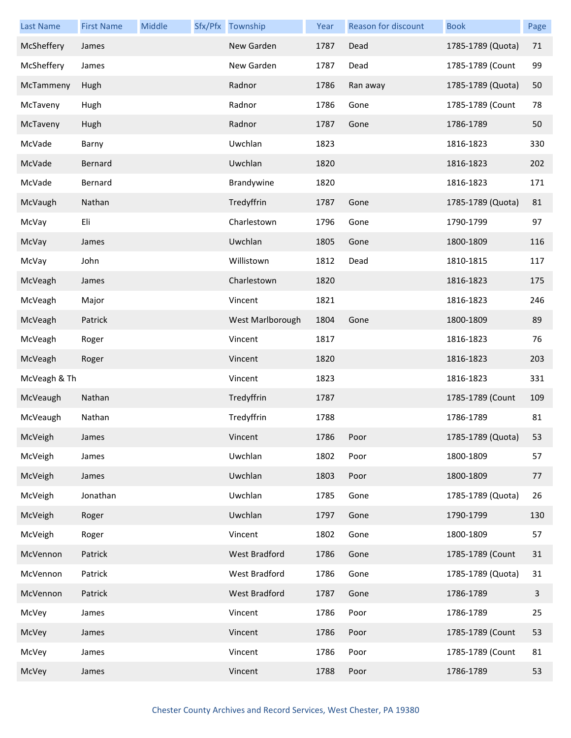| <b>Last Name</b> | <b>First Name</b> | Middle | Sfx/Pfx Township | Year | Reason for discount | <b>Book</b>       | Page |
|------------------|-------------------|--------|------------------|------|---------------------|-------------------|------|
| McSheffery       | James             |        | New Garden       | 1787 | Dead                | 1785-1789 (Quota) | 71   |
| McSheffery       | James             |        | New Garden       | 1787 | Dead                | 1785-1789 (Count  | 99   |
| McTammeny        | Hugh              |        | Radnor           | 1786 | Ran away            | 1785-1789 (Quota) | 50   |
| McTaveny         | Hugh              |        | Radnor           | 1786 | Gone                | 1785-1789 (Count  | 78   |
| McTaveny         | Hugh              |        | Radnor           | 1787 | Gone                | 1786-1789         | 50   |
| McVade           | Barny             |        | Uwchlan          | 1823 |                     | 1816-1823         | 330  |
| McVade           | Bernard           |        | Uwchlan          | 1820 |                     | 1816-1823         | 202  |
| McVade           | Bernard           |        | Brandywine       | 1820 |                     | 1816-1823         | 171  |
| McVaugh          | Nathan            |        | Tredyffrin       | 1787 | Gone                | 1785-1789 (Quota) | 81   |
| McVay            | Eli               |        | Charlestown      | 1796 | Gone                | 1790-1799         | 97   |
| McVay            | James             |        | Uwchlan          | 1805 | Gone                | 1800-1809         | 116  |
| McVay            | John              |        | Willistown       | 1812 | Dead                | 1810-1815         | 117  |
| McVeagh          | James             |        | Charlestown      | 1820 |                     | 1816-1823         | 175  |
| McVeagh          | Major             |        | Vincent          | 1821 |                     | 1816-1823         | 246  |
| McVeagh          | Patrick           |        | West Marlborough | 1804 | Gone                | 1800-1809         | 89   |
| McVeagh          | Roger             |        | Vincent          | 1817 |                     | 1816-1823         | 76   |
| McVeagh          | Roger             |        | Vincent          | 1820 |                     | 1816-1823         | 203  |
| McVeagh & Th     |                   |        | Vincent          | 1823 |                     | 1816-1823         | 331  |
| McVeaugh         | Nathan            |        | Tredyffrin       | 1787 |                     | 1785-1789 (Count  | 109  |
| McVeaugh         | Nathan            |        | Tredyffrin       | 1788 |                     | 1786-1789         | 81   |
| McVeigh          | James             |        | Vincent          | 1786 | Poor                | 1785-1789 (Quota) | 53   |
| McVeigh          | James             |        | Uwchlan          | 1802 | Poor                | 1800-1809         | 57   |
| McVeigh          | James             |        | Uwchlan          | 1803 | Poor                | 1800-1809         | 77   |
| McVeigh          | Jonathan          |        | Uwchlan          | 1785 | Gone                | 1785-1789 (Quota) | 26   |
| McVeigh          | Roger             |        | Uwchlan          | 1797 | Gone                | 1790-1799         | 130  |
| McVeigh          | Roger             |        | Vincent          | 1802 | Gone                | 1800-1809         | 57   |
| McVennon         | Patrick           |        | West Bradford    | 1786 | Gone                | 1785-1789 (Count  | 31   |
| McVennon         | Patrick           |        | West Bradford    | 1786 | Gone                | 1785-1789 (Quota) | 31   |
| McVennon         | Patrick           |        | West Bradford    | 1787 | Gone                | 1786-1789         | 3    |
| McVey            | James             |        | Vincent          | 1786 | Poor                | 1786-1789         | 25   |
| McVey            | James             |        | Vincent          | 1786 | Poor                | 1785-1789 (Count  | 53   |
| McVey            | James             |        | Vincent          | 1786 | Poor                | 1785-1789 (Count  | 81   |
| McVey            | James             |        | Vincent          | 1788 | Poor                | 1786-1789         | 53   |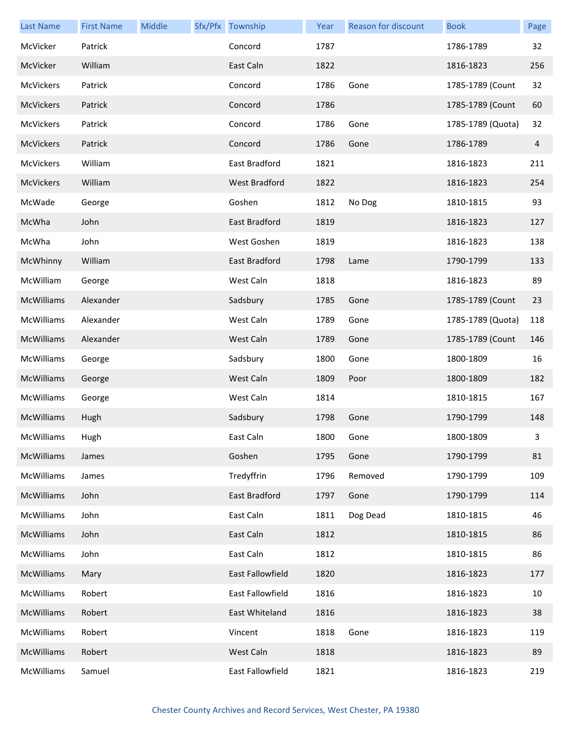| <b>Last Name</b> | <b>First Name</b> | Middle | Sfx/Pfx Township | Year | Reason for discount | <b>Book</b>       | Page |
|------------------|-------------------|--------|------------------|------|---------------------|-------------------|------|
| McVicker         | Patrick           |        | Concord          | 1787 |                     | 1786-1789         | 32   |
| McVicker         | William           |        | East Caln        | 1822 |                     | 1816-1823         | 256  |
| McVickers        | Patrick           |        | Concord          | 1786 | Gone                | 1785-1789 (Count  | 32   |
| McVickers        | Patrick           |        | Concord          | 1786 |                     | 1785-1789 (Count  | 60   |
| McVickers        | Patrick           |        | Concord          | 1786 | Gone                | 1785-1789 (Quota) | 32   |
| McVickers        | Patrick           |        | Concord          | 1786 | Gone                | 1786-1789         | 4    |
| McVickers        | William           |        | East Bradford    | 1821 |                     | 1816-1823         | 211  |
| McVickers        | William           |        | West Bradford    | 1822 |                     | 1816-1823         | 254  |
| McWade           | George            |        | Goshen           | 1812 | No Dog              | 1810-1815         | 93   |
| McWha            | John              |        | East Bradford    | 1819 |                     | 1816-1823         | 127  |
| McWha            | John              |        | West Goshen      | 1819 |                     | 1816-1823         | 138  |
| McWhinny         | William           |        | East Bradford    | 1798 | Lame                | 1790-1799         | 133  |
| McWilliam        | George            |        | West Caln        | 1818 |                     | 1816-1823         | 89   |
| McWilliams       | Alexander         |        | Sadsbury         | 1785 | Gone                | 1785-1789 (Count  | 23   |
| McWilliams       | Alexander         |        | West Caln        | 1789 | Gone                | 1785-1789 (Quota) | 118  |
| McWilliams       | Alexander         |        | West Caln        | 1789 | Gone                | 1785-1789 (Count  | 146  |
| McWilliams       | George            |        | Sadsbury         | 1800 | Gone                | 1800-1809         | 16   |
| McWilliams       | George            |        | West Caln        | 1809 | Poor                | 1800-1809         | 182  |
| McWilliams       | George            |        | West Caln        | 1814 |                     | 1810-1815         | 167  |
| McWilliams       | Hugh              |        | Sadsbury         | 1798 | Gone                | 1790-1799         | 148  |
| McWilliams       | Hugh              |        | East Caln        | 1800 | Gone                | 1800-1809         | 3    |
| McWilliams       | James             |        | Goshen           | 1795 | Gone                | 1790-1799         | 81   |
| McWilliams       | James             |        | Tredyffrin       | 1796 | Removed             | 1790-1799         | 109  |
| McWilliams       | John              |        | East Bradford    | 1797 | Gone                | 1790-1799         | 114  |
| McWilliams       | John              |        | East Caln        | 1811 | Dog Dead            | 1810-1815         | 46   |
| McWilliams       | John              |        | East Caln        | 1812 |                     | 1810-1815         | 86   |
| McWilliams       | John              |        | East Caln        | 1812 |                     | 1810-1815         | 86   |
| McWilliams       | Mary              |        | East Fallowfield | 1820 |                     | 1816-1823         | 177  |
| McWilliams       | Robert            |        | East Fallowfield | 1816 |                     | 1816-1823         | 10   |
| McWilliams       | Robert            |        | East Whiteland   | 1816 |                     | 1816-1823         | 38   |
| McWilliams       | Robert            |        | Vincent          | 1818 | Gone                | 1816-1823         | 119  |
| McWilliams       | Robert            |        | West Caln        | 1818 |                     | 1816-1823         | 89   |
| McWilliams       | Samuel            |        | East Fallowfield | 1821 |                     | 1816-1823         | 219  |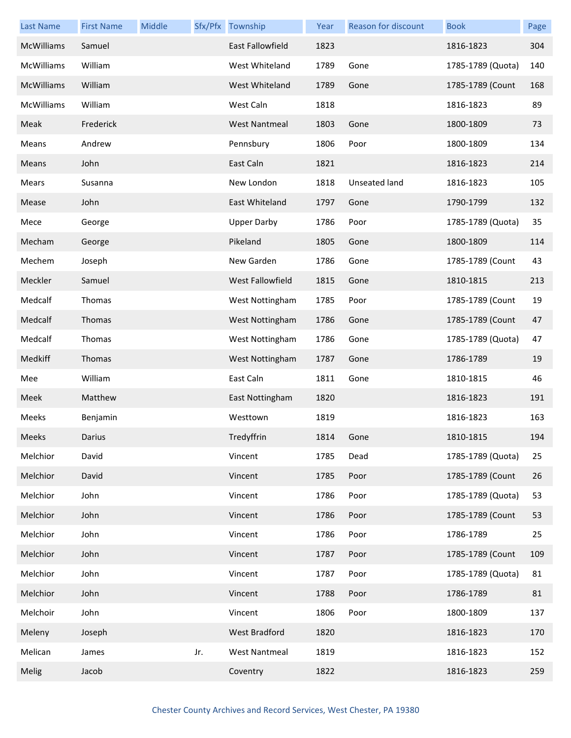| <b>Last Name</b>  | <b>First Name</b> | Middle |     | Sfx/Pfx Township     | Year | Reason for discount | <b>Book</b>       | Page |
|-------------------|-------------------|--------|-----|----------------------|------|---------------------|-------------------|------|
| McWilliams        | Samuel            |        |     | East Fallowfield     | 1823 |                     | 1816-1823         | 304  |
| McWilliams        | William           |        |     | West Whiteland       | 1789 | Gone                | 1785-1789 (Quota) | 140  |
| <b>McWilliams</b> | William           |        |     | West Whiteland       | 1789 | Gone                | 1785-1789 (Count  | 168  |
| McWilliams        | William           |        |     | West Caln            | 1818 |                     | 1816-1823         | 89   |
| Meak              | Frederick         |        |     | <b>West Nantmeal</b> | 1803 | Gone                | 1800-1809         | 73   |
| Means             | Andrew            |        |     | Pennsbury            | 1806 | Poor                | 1800-1809         | 134  |
| Means             | John              |        |     | East Caln            | 1821 |                     | 1816-1823         | 214  |
| Mears             | Susanna           |        |     | New London           | 1818 | Unseated land       | 1816-1823         | 105  |
| Mease             | John              |        |     | East Whiteland       | 1797 | Gone                | 1790-1799         | 132  |
| Mece              | George            |        |     | <b>Upper Darby</b>   | 1786 | Poor                | 1785-1789 (Quota) | 35   |
| Mecham            | George            |        |     | Pikeland             | 1805 | Gone                | 1800-1809         | 114  |
| Mechem            | Joseph            |        |     | New Garden           | 1786 | Gone                | 1785-1789 (Count  | 43   |
| Meckler           | Samuel            |        |     | West Fallowfield     | 1815 | Gone                | 1810-1815         | 213  |
| Medcalf           | Thomas            |        |     | West Nottingham      | 1785 | Poor                | 1785-1789 (Count  | 19   |
| Medcalf           | Thomas            |        |     | West Nottingham      | 1786 | Gone                | 1785-1789 (Count  | 47   |
| Medcalf           | Thomas            |        |     | West Nottingham      | 1786 | Gone                | 1785-1789 (Quota) | 47   |
| Medkiff           | Thomas            |        |     | West Nottingham      | 1787 | Gone                | 1786-1789         | 19   |
| Mee               | William           |        |     | East Caln            | 1811 | Gone                | 1810-1815         | 46   |
| Meek              | Matthew           |        |     | East Nottingham      | 1820 |                     | 1816-1823         | 191  |
| Meeks             | Benjamin          |        |     | Westtown             | 1819 |                     | 1816-1823         | 163  |
| Meeks             | Darius            |        |     | Tredyffrin           | 1814 | Gone                | 1810-1815         | 194  |
| Melchior          | David             |        |     | Vincent              | 1785 | Dead                | 1785-1789 (Quota) | 25   |
| Melchior          | David             |        |     | Vincent              | 1785 | Poor                | 1785-1789 (Count  | 26   |
| Melchior          | John              |        |     | Vincent              | 1786 | Poor                | 1785-1789 (Quota) | 53   |
| Melchior          | John              |        |     | Vincent              | 1786 | Poor                | 1785-1789 (Count  | 53   |
| Melchior          | John              |        |     | Vincent              | 1786 | Poor                | 1786-1789         | 25   |
| Melchior          | John              |        |     | Vincent              | 1787 | Poor                | 1785-1789 (Count  | 109  |
| Melchior          | John              |        |     | Vincent              | 1787 | Poor                | 1785-1789 (Quota) | 81   |
| Melchior          | John              |        |     | Vincent              | 1788 | Poor                | 1786-1789         | 81   |
| Melchoir          | John              |        |     | Vincent              | 1806 | Poor                | 1800-1809         | 137  |
| Meleny            | Joseph            |        |     | West Bradford        | 1820 |                     | 1816-1823         | 170  |
| Melican           | James             |        | Jr. | <b>West Nantmeal</b> | 1819 |                     | 1816-1823         | 152  |
| Melig             | Jacob             |        |     | Coventry             | 1822 |                     | 1816-1823         | 259  |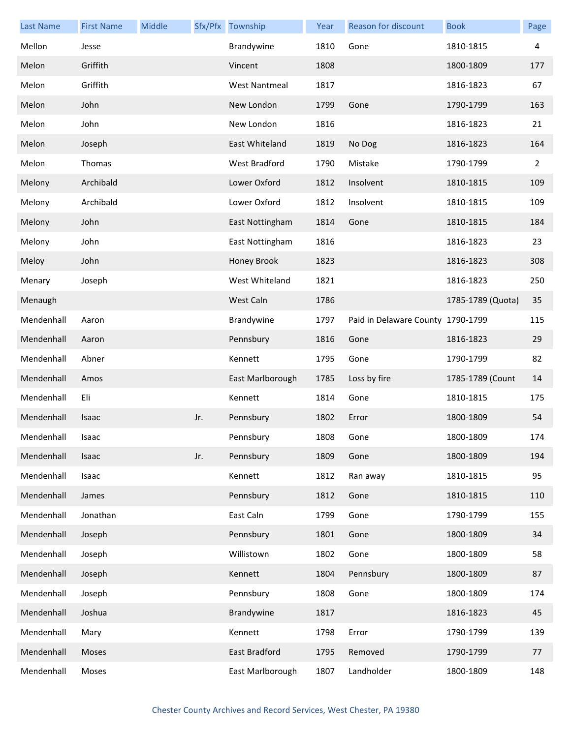| <b>Last Name</b> | <b>First Name</b> | Middle |     | Sfx/Pfx Township     | Year | Reason for discount               | <b>Book</b>       | Page |
|------------------|-------------------|--------|-----|----------------------|------|-----------------------------------|-------------------|------|
| Mellon           | Jesse             |        |     | Brandywine           | 1810 | Gone                              | 1810-1815         | 4    |
| Melon            | Griffith          |        |     | Vincent              | 1808 |                                   | 1800-1809         | 177  |
| Melon            | Griffith          |        |     | <b>West Nantmeal</b> | 1817 |                                   | 1816-1823         | 67   |
| Melon            | John              |        |     | New London           | 1799 | Gone                              | 1790-1799         | 163  |
| Melon            | John              |        |     | New London           | 1816 |                                   | 1816-1823         | 21   |
| Melon            | Joseph            |        |     | East Whiteland       | 1819 | No Dog                            | 1816-1823         | 164  |
| Melon            | Thomas            |        |     | West Bradford        | 1790 | Mistake                           | 1790-1799         | 2    |
| Melony           | Archibald         |        |     | Lower Oxford         | 1812 | Insolvent                         | 1810-1815         | 109  |
| Melony           | Archibald         |        |     | Lower Oxford         | 1812 | Insolvent                         | 1810-1815         | 109  |
| Melony           | John              |        |     | East Nottingham      | 1814 | Gone                              | 1810-1815         | 184  |
| Melony           | John              |        |     | East Nottingham      | 1816 |                                   | 1816-1823         | 23   |
| Meloy            | John              |        |     | Honey Brook          | 1823 |                                   | 1816-1823         | 308  |
| Menary           | Joseph            |        |     | West Whiteland       | 1821 |                                   | 1816-1823         | 250  |
| Menaugh          |                   |        |     | West Caln            | 1786 |                                   | 1785-1789 (Quota) | 35   |
| Mendenhall       | Aaron             |        |     | Brandywine           | 1797 | Paid in Delaware County 1790-1799 |                   | 115  |
| Mendenhall       | Aaron             |        |     | Pennsbury            | 1816 | Gone                              | 1816-1823         | 29   |
| Mendenhall       | Abner             |        |     | Kennett              | 1795 | Gone                              | 1790-1799         | 82   |
| Mendenhall       | Amos              |        |     | East Marlborough     | 1785 | Loss by fire                      | 1785-1789 (Count  | 14   |
| Mendenhall       | Eli               |        |     | Kennett              | 1814 | Gone                              | 1810-1815         | 175  |
| Mendenhall       | Isaac             |        | Jr. | Pennsbury            | 1802 | Error                             | 1800-1809         | 54   |
| Mendenhall       | Isaac             |        |     | Pennsbury            | 1808 | Gone                              | 1800-1809         | 174  |
| Mendenhall       | Isaac             |        | Jr. | Pennsbury            | 1809 | Gone                              | 1800-1809         | 194  |
| Mendenhall       | Isaac             |        |     | Kennett              | 1812 | Ran away                          | 1810-1815         | 95   |
| Mendenhall       | James             |        |     | Pennsbury            | 1812 | Gone                              | 1810-1815         | 110  |
| Mendenhall       | Jonathan          |        |     | East Caln            | 1799 | Gone                              | 1790-1799         | 155  |
| Mendenhall       | Joseph            |        |     | Pennsbury            | 1801 | Gone                              | 1800-1809         | 34   |
| Mendenhall       | Joseph            |        |     | Willistown           | 1802 | Gone                              | 1800-1809         | 58   |
| Mendenhall       | Joseph            |        |     | Kennett              | 1804 | Pennsbury                         | 1800-1809         | 87   |
| Mendenhall       | Joseph            |        |     | Pennsbury            | 1808 | Gone                              | 1800-1809         | 174  |
| Mendenhall       | Joshua            |        |     | Brandywine           | 1817 |                                   | 1816-1823         | 45   |
| Mendenhall       | Mary              |        |     | Kennett              | 1798 | Error                             | 1790-1799         | 139  |
| Mendenhall       | Moses             |        |     | East Bradford        | 1795 | Removed                           | 1790-1799         | 77   |
| Mendenhall       | Moses             |        |     | East Marlborough     | 1807 | Landholder                        | 1800-1809         | 148  |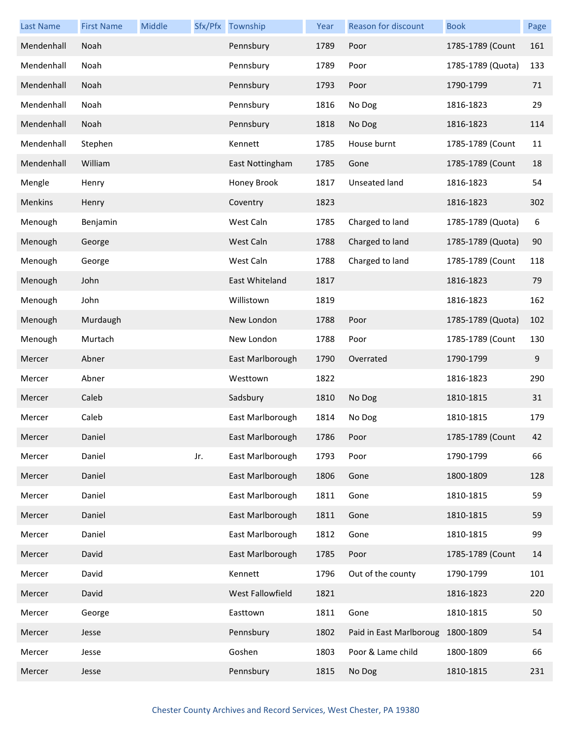| <b>Last Name</b> | <b>First Name</b> | Middle |     | Sfx/Pfx Township | Year | Reason for discount     | <b>Book</b>       | Page |
|------------------|-------------------|--------|-----|------------------|------|-------------------------|-------------------|------|
| Mendenhall       | Noah              |        |     | Pennsbury        | 1789 | Poor                    | 1785-1789 (Count  | 161  |
| Mendenhall       | Noah              |        |     | Pennsbury        | 1789 | Poor                    | 1785-1789 (Quota) | 133  |
| Mendenhall       | Noah              |        |     | Pennsbury        | 1793 | Poor                    | 1790-1799         | 71   |
| Mendenhall       | Noah              |        |     | Pennsbury        | 1816 | No Dog                  | 1816-1823         | 29   |
| Mendenhall       | Noah              |        |     | Pennsbury        | 1818 | No Dog                  | 1816-1823         | 114  |
| Mendenhall       | Stephen           |        |     | Kennett          | 1785 | House burnt             | 1785-1789 (Count  | 11   |
| Mendenhall       | William           |        |     | East Nottingham  | 1785 | Gone                    | 1785-1789 (Count  | 18   |
| Mengle           | Henry             |        |     | Honey Brook      | 1817 | Unseated land           | 1816-1823         | 54   |
| Menkins          | Henry             |        |     | Coventry         | 1823 |                         | 1816-1823         | 302  |
| Menough          | Benjamin          |        |     | West Caln        | 1785 | Charged to land         | 1785-1789 (Quota) | 6    |
| Menough          | George            |        |     | West Caln        | 1788 | Charged to land         | 1785-1789 (Quota) | 90   |
| Menough          | George            |        |     | West Caln        | 1788 | Charged to land         | 1785-1789 (Count  | 118  |
| Menough          | John              |        |     | East Whiteland   | 1817 |                         | 1816-1823         | 79   |
| Menough          | John              |        |     | Willistown       | 1819 |                         | 1816-1823         | 162  |
| Menough          | Murdaugh          |        |     | New London       | 1788 | Poor                    | 1785-1789 (Quota) | 102  |
| Menough          | Murtach           |        |     | New London       | 1788 | Poor                    | 1785-1789 (Count  | 130  |
| Mercer           | Abner             |        |     | East Marlborough | 1790 | Overrated               | 1790-1799         | 9    |
| Mercer           | Abner             |        |     | Westtown         | 1822 |                         | 1816-1823         | 290  |
| Mercer           | Caleb             |        |     | Sadsbury         | 1810 | No Dog                  | 1810-1815         | 31   |
| Mercer           | Caleb             |        |     | East Marlborough | 1814 | No Dog                  | 1810-1815         | 179  |
| Mercer           | Daniel            |        |     | East Marlborough | 1786 | Poor                    | 1785-1789 (Count  | 42   |
| Mercer           | Daniel            |        | Jr. | East Marlborough | 1793 | Poor                    | 1790-1799         | 66   |
| Mercer           | Daniel            |        |     | East Marlborough | 1806 | Gone                    | 1800-1809         | 128  |
| Mercer           | Daniel            |        |     | East Marlborough | 1811 | Gone                    | 1810-1815         | 59   |
| Mercer           | Daniel            |        |     | East Marlborough | 1811 | Gone                    | 1810-1815         | 59   |
| Mercer           | Daniel            |        |     | East Marlborough | 1812 | Gone                    | 1810-1815         | 99   |
| Mercer           | David             |        |     | East Marlborough | 1785 | Poor                    | 1785-1789 (Count  | 14   |
| Mercer           | David             |        |     | Kennett          | 1796 | Out of the county       | 1790-1799         | 101  |
| Mercer           | David             |        |     | West Fallowfield | 1821 |                         | 1816-1823         | 220  |
| Mercer           | George            |        |     | Easttown         | 1811 | Gone                    | 1810-1815         | 50   |
| Mercer           | Jesse             |        |     | Pennsbury        | 1802 | Paid in East Marlboroug | 1800-1809         | 54   |
| Mercer           | Jesse             |        |     | Goshen           | 1803 | Poor & Lame child       | 1800-1809         | 66   |
| Mercer           | Jesse             |        |     | Pennsbury        | 1815 | No Dog                  | 1810-1815         | 231  |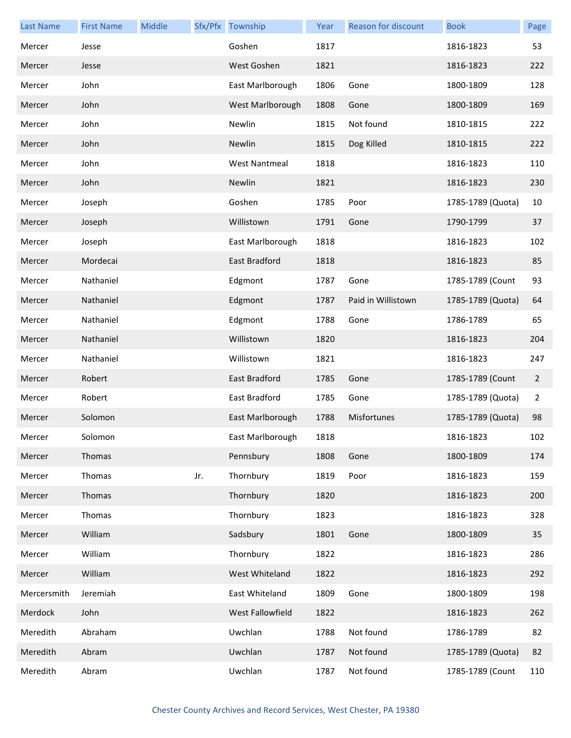| <b>Last Name</b> | <b>First Name</b> | Middle |     | Sfx/Pfx Township     | Year | Reason for discount | <b>Book</b>       | Page           |
|------------------|-------------------|--------|-----|----------------------|------|---------------------|-------------------|----------------|
| Mercer           | Jesse             |        |     | Goshen               | 1817 |                     | 1816-1823         | 53             |
| Mercer           | Jesse             |        |     | West Goshen          | 1821 |                     | 1816-1823         | 222            |
| Mercer           | John              |        |     | East Marlborough     | 1806 | Gone                | 1800-1809         | 128            |
| Mercer           | John              |        |     | West Marlborough     | 1808 | Gone                | 1800-1809         | 169            |
| Mercer           | John              |        |     | Newlin               | 1815 | Not found           | 1810-1815         | 222            |
| Mercer           | John              |        |     | Newlin               | 1815 | Dog Killed          | 1810-1815         | 222            |
| Mercer           | John              |        |     | <b>West Nantmeal</b> | 1818 |                     | 1816-1823         | 110            |
| Mercer           | John              |        |     | Newlin               | 1821 |                     | 1816-1823         | 230            |
| Mercer           | Joseph            |        |     | Goshen               | 1785 | Poor                | 1785-1789 (Quota) | 10             |
| Mercer           | Joseph            |        |     | Willistown           | 1791 | Gone                | 1790-1799         | 37             |
| Mercer           | Joseph            |        |     | East Marlborough     | 1818 |                     | 1816-1823         | 102            |
| Mercer           | Mordecai          |        |     | East Bradford        | 1818 |                     | 1816-1823         | 85             |
| Mercer           | Nathaniel         |        |     | Edgmont              | 1787 | Gone                | 1785-1789 (Count  | 93             |
| Mercer           | Nathaniel         |        |     | Edgmont              | 1787 | Paid in Willistown  | 1785-1789 (Quota) | 64             |
| Mercer           | Nathaniel         |        |     | Edgmont              | 1788 | Gone                | 1786-1789         | 65             |
| Mercer           | Nathaniel         |        |     | Willistown           | 1820 |                     | 1816-1823         | 204            |
| Mercer           | Nathaniel         |        |     | Willistown           | 1821 |                     | 1816-1823         | 247            |
| Mercer           | Robert            |        |     | East Bradford        | 1785 | Gone                | 1785-1789 (Count  | $\overline{2}$ |
| Mercer           | Robert            |        |     | East Bradford        | 1785 | Gone                | 1785-1789 (Quota) | 2              |
| Mercer           | Solomon           |        |     | East Marlborough     | 1788 | Misfortunes         | 1785-1789 (Quota) | 98             |
| Mercer           | Solomon           |        |     | East Marlborough     | 1818 |                     | 1816-1823         | 102            |
| Mercer           | Thomas            |        |     | Pennsbury            | 1808 | Gone                | 1800-1809         | 174            |
| Mercer           | Thomas            |        | Jr. | Thornbury            | 1819 | Poor                | 1816-1823         | 159            |
| Mercer           | Thomas            |        |     | Thornbury            | 1820 |                     | 1816-1823         | 200            |
| Mercer           | Thomas            |        |     | Thornbury            | 1823 |                     | 1816-1823         | 328            |
| Mercer           | William           |        |     | Sadsbury             | 1801 | Gone                | 1800-1809         | 35             |
| Mercer           | William           |        |     | Thornbury            | 1822 |                     | 1816-1823         | 286            |
| Mercer           | William           |        |     | West Whiteland       | 1822 |                     | 1816-1823         | 292            |
| Mercersmith      | Jeremiah          |        |     | East Whiteland       | 1809 | Gone                | 1800-1809         | 198            |
| Merdock          | John              |        |     | West Fallowfield     | 1822 |                     | 1816-1823         | 262            |
| Meredith         | Abraham           |        |     | Uwchlan              | 1788 | Not found           | 1786-1789         | 82             |
| Meredith         | Abram             |        |     | Uwchlan              | 1787 | Not found           | 1785-1789 (Quota) | 82             |
| Meredith         | Abram             |        |     | Uwchlan              | 1787 | Not found           | 1785-1789 (Count  | 110            |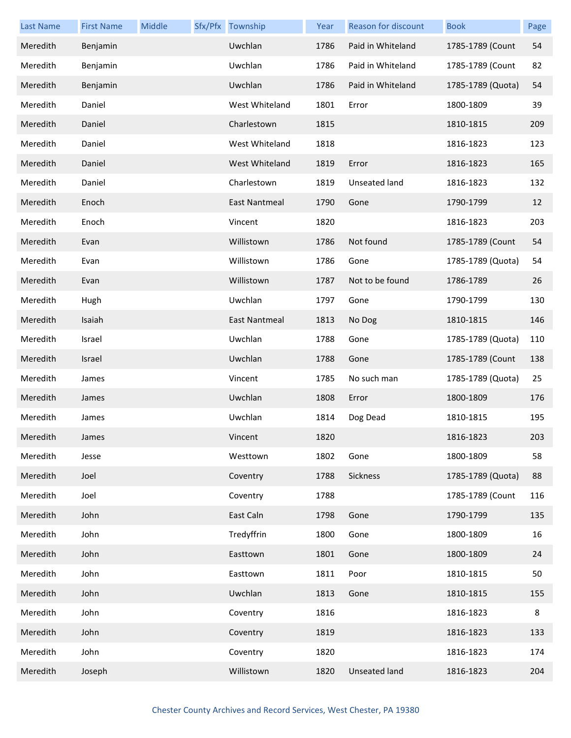| <b>Last Name</b> | <b>First Name</b> | Middle | Sfx/Pfx Township | Year | Reason for discount  | <b>Book</b>       | Page |
|------------------|-------------------|--------|------------------|------|----------------------|-------------------|------|
| Meredith         | Benjamin          |        | Uwchlan          | 1786 | Paid in Whiteland    | 1785-1789 (Count  | 54   |
| Meredith         | Benjamin          |        | Uwchlan          | 1786 | Paid in Whiteland    | 1785-1789 (Count  | 82   |
| Meredith         | Benjamin          |        | Uwchlan          | 1786 | Paid in Whiteland    | 1785-1789 (Quota) | 54   |
| Meredith         | Daniel            |        | West Whiteland   | 1801 | Error                | 1800-1809         | 39   |
| Meredith         | Daniel            |        | Charlestown      | 1815 |                      | 1810-1815         | 209  |
| Meredith         | Daniel            |        | West Whiteland   | 1818 |                      | 1816-1823         | 123  |
| Meredith         | Daniel            |        | West Whiteland   | 1819 | Error                | 1816-1823         | 165  |
| Meredith         | Daniel            |        | Charlestown      | 1819 | Unseated land        | 1816-1823         | 132  |
| Meredith         | Enoch             |        | East Nantmeal    | 1790 | Gone                 | 1790-1799         | 12   |
| Meredith         | Enoch             |        | Vincent          | 1820 |                      | 1816-1823         | 203  |
| Meredith         | Evan              |        | Willistown       | 1786 | Not found            | 1785-1789 (Count  | 54   |
| Meredith         | Evan              |        | Willistown       | 1786 | Gone                 | 1785-1789 (Quota) | 54   |
| Meredith         | Evan              |        | Willistown       | 1787 | Not to be found      | 1786-1789         | 26   |
| Meredith         | Hugh              |        | Uwchlan          | 1797 | Gone                 | 1790-1799         | 130  |
| Meredith         | Isaiah            |        | East Nantmeal    | 1813 | No Dog               | 1810-1815         | 146  |
| Meredith         | Israel            |        | Uwchlan          | 1788 | Gone                 | 1785-1789 (Quota) | 110  |
| Meredith         | Israel            |        | Uwchlan          | 1788 | Gone                 | 1785-1789 (Count  | 138  |
| Meredith         | James             |        | Vincent          | 1785 | No such man          | 1785-1789 (Quota) | 25   |
| Meredith         | James             |        | Uwchlan          | 1808 | Error                | 1800-1809         | 176  |
| Meredith         | James             |        | Uwchlan          | 1814 | Dog Dead             | 1810-1815         | 195  |
| Meredith         | James             |        | Vincent          | 1820 |                      | 1816-1823         | 203  |
| Meredith         | Jesse             |        | Westtown         | 1802 | Gone                 | 1800-1809         | 58   |
| Meredith         | Joel              |        | Coventry         | 1788 | Sickness             | 1785-1789 (Quota) | 88   |
| Meredith         | Joel              |        | Coventry         | 1788 |                      | 1785-1789 (Count  | 116  |
| Meredith         | John              |        | East Caln        | 1798 | Gone                 | 1790-1799         | 135  |
| Meredith         | John              |        | Tredyffrin       | 1800 | Gone                 | 1800-1809         | 16   |
| Meredith         | John              |        | Easttown         | 1801 | Gone                 | 1800-1809         | 24   |
| Meredith         | John              |        | Easttown         | 1811 | Poor                 | 1810-1815         | 50   |
| Meredith         | John              |        | Uwchlan          | 1813 | Gone                 | 1810-1815         | 155  |
| Meredith         | John              |        | Coventry         | 1816 |                      | 1816-1823         | 8    |
| Meredith         | John              |        | Coventry         | 1819 |                      | 1816-1823         | 133  |
| Meredith         | John              |        | Coventry         | 1820 |                      | 1816-1823         | 174  |
| Meredith         | Joseph            |        | Willistown       | 1820 | <b>Unseated land</b> | 1816-1823         | 204  |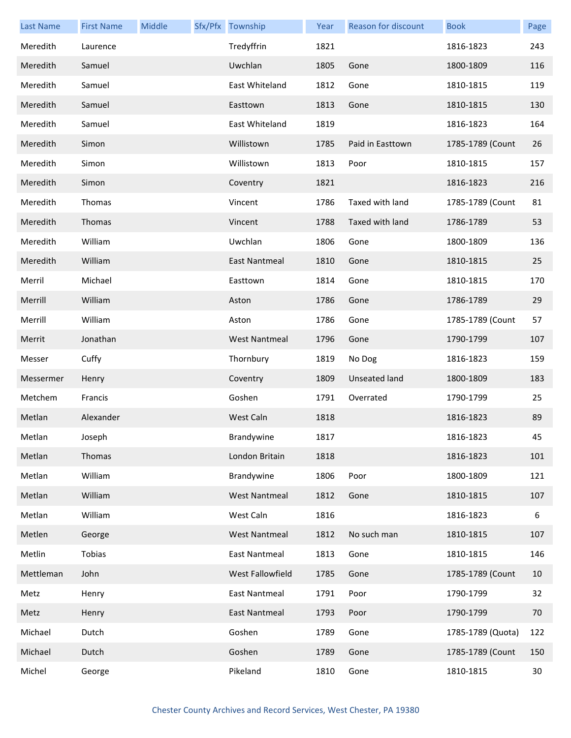| <b>Last Name</b> | <b>First Name</b> | Middle | Sfx/Pfx Township     | Year | Reason for discount | <b>Book</b>       | Page |
|------------------|-------------------|--------|----------------------|------|---------------------|-------------------|------|
| Meredith         | Laurence          |        | Tredyffrin           | 1821 |                     | 1816-1823         | 243  |
| Meredith         | Samuel            |        | Uwchlan              | 1805 | Gone                | 1800-1809         | 116  |
| Meredith         | Samuel            |        | East Whiteland       | 1812 | Gone                | 1810-1815         | 119  |
| Meredith         | Samuel            |        | Easttown             | 1813 | Gone                | 1810-1815         | 130  |
| Meredith         | Samuel            |        | East Whiteland       | 1819 |                     | 1816-1823         | 164  |
| Meredith         | Simon             |        | Willistown           | 1785 | Paid in Easttown    | 1785-1789 (Count  | 26   |
| Meredith         | Simon             |        | Willistown           | 1813 | Poor                | 1810-1815         | 157  |
| Meredith         | Simon             |        | Coventry             | 1821 |                     | 1816-1823         | 216  |
| Meredith         | Thomas            |        | Vincent              | 1786 | Taxed with land     | 1785-1789 (Count  | 81   |
| Meredith         | Thomas            |        | Vincent              | 1788 | Taxed with land     | 1786-1789         | 53   |
| Meredith         | William           |        | Uwchlan              | 1806 | Gone                | 1800-1809         | 136  |
| Meredith         | William           |        | East Nantmeal        | 1810 | Gone                | 1810-1815         | 25   |
| Merril           | Michael           |        | Easttown             | 1814 | Gone                | 1810-1815         | 170  |
| Merrill          | William           |        | Aston                | 1786 | Gone                | 1786-1789         | 29   |
| Merrill          | William           |        | Aston                | 1786 | Gone                | 1785-1789 (Count  | 57   |
| Merrit           | Jonathan          |        | <b>West Nantmeal</b> | 1796 | Gone                | 1790-1799         | 107  |
| Messer           | Cuffy             |        | Thornbury            | 1819 | No Dog              | 1816-1823         | 159  |
| Messermer        | Henry             |        | Coventry             | 1809 | Unseated land       | 1800-1809         | 183  |
| Metchem          | Francis           |        | Goshen               | 1791 | Overrated           | 1790-1799         | 25   |
| Metlan           | Alexander         |        | West Caln            | 1818 |                     | 1816-1823         | 89   |
| Metlan           | Joseph            |        | Brandywine           | 1817 |                     | 1816-1823         | 45   |
| Metlan           | Thomas            |        | London Britain       | 1818 |                     | 1816-1823         | 101  |
| Metlan           | William           |        | Brandywine           | 1806 | Poor                | 1800-1809         | 121  |
| Metlan           | William           |        | <b>West Nantmeal</b> | 1812 | Gone                | 1810-1815         | 107  |
| Metlan           | William           |        | West Caln            | 1816 |                     | 1816-1823         | 6    |
| Metlen           | George            |        | <b>West Nantmeal</b> | 1812 | No such man         | 1810-1815         | 107  |
| Metlin           | Tobias            |        | East Nantmeal        | 1813 | Gone                | 1810-1815         | 146  |
| Mettleman        | John              |        | West Fallowfield     | 1785 | Gone                | 1785-1789 (Count  | 10   |
| Metz             | Henry             |        | <b>East Nantmeal</b> | 1791 | Poor                | 1790-1799         | 32   |
| Metz             | Henry             |        | <b>East Nantmeal</b> | 1793 | Poor                | 1790-1799         | 70   |
| Michael          | Dutch             |        | Goshen               | 1789 | Gone                | 1785-1789 (Quota) | 122  |
| Michael          | Dutch             |        | Goshen               | 1789 | Gone                | 1785-1789 (Count  | 150  |
| Michel           | George            |        | Pikeland             | 1810 | Gone                | 1810-1815         | 30   |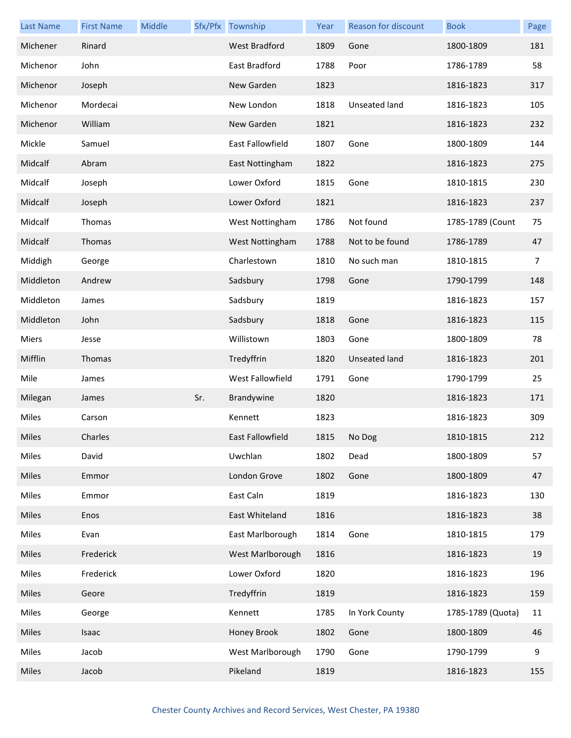| <b>Last Name</b> | <b>First Name</b> | Middle |     | Sfx/Pfx Township     | Year | <b>Reason for discount</b> | <b>Book</b>       | Page           |
|------------------|-------------------|--------|-----|----------------------|------|----------------------------|-------------------|----------------|
| Michener         | Rinard            |        |     | <b>West Bradford</b> | 1809 | Gone                       | 1800-1809         | 181            |
| Michenor         | John              |        |     | East Bradford        | 1788 | Poor                       | 1786-1789         | 58             |
| Michenor         | Joseph            |        |     | New Garden           | 1823 |                            | 1816-1823         | 317            |
| Michenor         | Mordecai          |        |     | New London           | 1818 | Unseated land              | 1816-1823         | 105            |
| Michenor         | William           |        |     | New Garden           | 1821 |                            | 1816-1823         | 232            |
| Mickle           | Samuel            |        |     | East Fallowfield     | 1807 | Gone                       | 1800-1809         | 144            |
| Midcalf          | Abram             |        |     | East Nottingham      | 1822 |                            | 1816-1823         | 275            |
| Midcalf          | Joseph            |        |     | Lower Oxford         | 1815 | Gone                       | 1810-1815         | 230            |
| Midcalf          | Joseph            |        |     | Lower Oxford         | 1821 |                            | 1816-1823         | 237            |
| Midcalf          | Thomas            |        |     | West Nottingham      | 1786 | Not found                  | 1785-1789 (Count  | 75             |
| Midcalf          | Thomas            |        |     | West Nottingham      | 1788 | Not to be found            | 1786-1789         | 47             |
| Middigh          | George            |        |     | Charlestown          | 1810 | No such man                | 1810-1815         | $\overline{7}$ |
| Middleton        | Andrew            |        |     | Sadsbury             | 1798 | Gone                       | 1790-1799         | 148            |
| Middleton        | James             |        |     | Sadsbury             | 1819 |                            | 1816-1823         | 157            |
| Middleton        | John              |        |     | Sadsbury             | 1818 | Gone                       | 1816-1823         | 115            |
| Miers            | Jesse             |        |     | Willistown           | 1803 | Gone                       | 1800-1809         | 78             |
| Mifflin          | Thomas            |        |     | Tredyffrin           | 1820 | Unseated land              | 1816-1823         | 201            |
| Mile             | James             |        |     | West Fallowfield     | 1791 | Gone                       | 1790-1799         | 25             |
| Milegan          | James             |        | Sr. | Brandywine           | 1820 |                            | 1816-1823         | 171            |
| Miles            | Carson            |        |     | Kennett              | 1823 |                            | 1816-1823         | 309            |
| Miles            | Charles           |        |     | East Fallowfield     | 1815 | No Dog                     | 1810-1815         | 212            |
| Miles            | David             |        |     | Uwchlan              | 1802 | Dead                       | 1800-1809         | 57             |
| Miles            | Emmor             |        |     | London Grove         | 1802 | Gone                       | 1800-1809         | 47             |
| Miles            | Emmor             |        |     | East Caln            | 1819 |                            | 1816-1823         | 130            |
| Miles            | Enos              |        |     | East Whiteland       | 1816 |                            | 1816-1823         | 38             |
| Miles            | Evan              |        |     | East Marlborough     | 1814 | Gone                       | 1810-1815         | 179            |
| Miles            | Frederick         |        |     | West Marlborough     | 1816 |                            | 1816-1823         | 19             |
| Miles            | Frederick         |        |     | Lower Oxford         | 1820 |                            | 1816-1823         | 196            |
| Miles            | Geore             |        |     | Tredyffrin           | 1819 |                            | 1816-1823         | 159            |
| Miles            | George            |        |     | Kennett              | 1785 | In York County             | 1785-1789 (Quota) | 11             |
| Miles            | Isaac             |        |     | Honey Brook          | 1802 | Gone                       | 1800-1809         | 46             |
| Miles            | Jacob             |        |     | West Marlborough     | 1790 | Gone                       | 1790-1799         | 9              |
| Miles            | Jacob             |        |     | Pikeland             | 1819 |                            | 1816-1823         | 155            |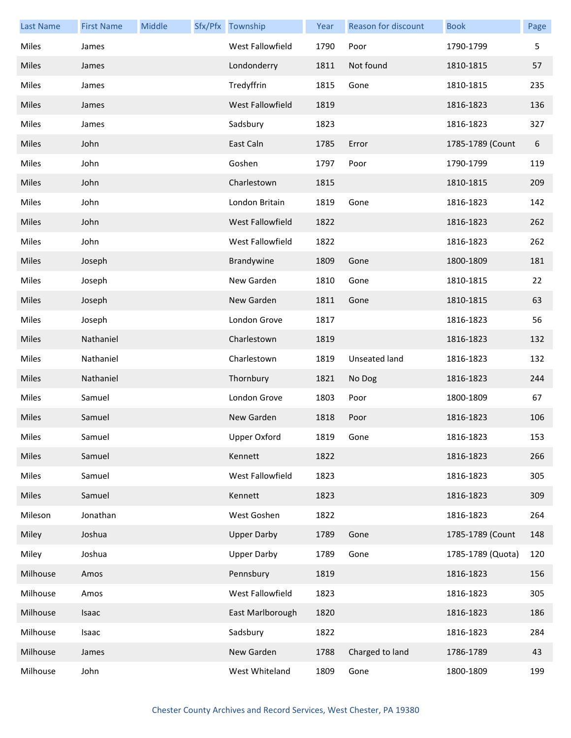| <b>Last Name</b> | <b>First Name</b> | Middle | Sfx/Pfx Township        | Year | Reason for discount | <b>Book</b>       | Page |
|------------------|-------------------|--------|-------------------------|------|---------------------|-------------------|------|
| Miles            | James             |        | West Fallowfield        | 1790 | Poor                | 1790-1799         | 5    |
| Miles            | James             |        | Londonderry             | 1811 | Not found           | 1810-1815         | 57   |
| Miles            | James             |        | Tredyffrin              | 1815 | Gone                | 1810-1815         | 235  |
| Miles            | James             |        | <b>West Fallowfield</b> | 1819 |                     | 1816-1823         | 136  |
| Miles            | James             |        | Sadsbury                | 1823 |                     | 1816-1823         | 327  |
| Miles            | John              |        | East Caln               | 1785 | Error               | 1785-1789 (Count  | 6    |
| Miles            | John              |        | Goshen                  | 1797 | Poor                | 1790-1799         | 119  |
| Miles            | John              |        | Charlestown             | 1815 |                     | 1810-1815         | 209  |
| Miles            | John              |        | London Britain          | 1819 | Gone                | 1816-1823         | 142  |
| Miles            | John              |        | West Fallowfield        | 1822 |                     | 1816-1823         | 262  |
| Miles            | John              |        | West Fallowfield        | 1822 |                     | 1816-1823         | 262  |
| Miles            | Joseph            |        | Brandywine              | 1809 | Gone                | 1800-1809         | 181  |
| Miles            | Joseph            |        | New Garden              | 1810 | Gone                | 1810-1815         | 22   |
| Miles            | Joseph            |        | New Garden              | 1811 | Gone                | 1810-1815         | 63   |
| Miles            | Joseph            |        | London Grove            | 1817 |                     | 1816-1823         | 56   |
| Miles            | Nathaniel         |        | Charlestown             | 1819 |                     | 1816-1823         | 132  |
| Miles            | Nathaniel         |        | Charlestown             | 1819 | Unseated land       | 1816-1823         | 132  |
| Miles            | Nathaniel         |        | Thornbury               | 1821 | No Dog              | 1816-1823         | 244  |
| Miles            | Samuel            |        | London Grove            | 1803 | Poor                | 1800-1809         | 67   |
| <b>Miles</b>     | Samuel            |        | New Garden              | 1818 | Poor                | 1816-1823         | 106  |
| Miles            | Samuel            |        | Upper Oxford            | 1819 | Gone                | 1816-1823         | 153  |
| <b>Miles</b>     | Samuel            |        | Kennett                 | 1822 |                     | 1816-1823         | 266  |
| Miles            | Samuel            |        | West Fallowfield        | 1823 |                     | 1816-1823         | 305  |
| Miles            | Samuel            |        | Kennett                 | 1823 |                     | 1816-1823         | 309  |
| Mileson          | Jonathan          |        | West Goshen             | 1822 |                     | 1816-1823         | 264  |
| Miley            | Joshua            |        | <b>Upper Darby</b>      | 1789 | Gone                | 1785-1789 (Count  | 148  |
| Miley            | Joshua            |        | <b>Upper Darby</b>      | 1789 | Gone                | 1785-1789 (Quota) | 120  |
| Milhouse         | Amos              |        | Pennsbury               | 1819 |                     | 1816-1823         | 156  |
| Milhouse         | Amos              |        | West Fallowfield        | 1823 |                     | 1816-1823         | 305  |
| Milhouse         | Isaac             |        | East Marlborough        | 1820 |                     | 1816-1823         | 186  |
| Milhouse         | Isaac             |        | Sadsbury                | 1822 |                     | 1816-1823         | 284  |
| Milhouse         | James             |        | New Garden              | 1788 | Charged to land     | 1786-1789         | 43   |
| Milhouse         | John              |        | West Whiteland          | 1809 | Gone                | 1800-1809         | 199  |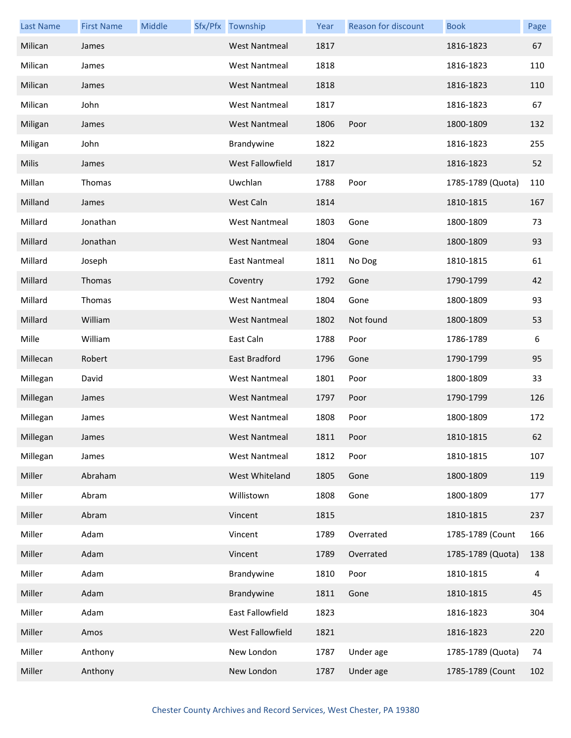| <b>Last Name</b> | <b>First Name</b> | Middle | Sfx/Pfx Township     | Year | <b>Reason for discount</b> | <b>Book</b>       | Page |
|------------------|-------------------|--------|----------------------|------|----------------------------|-------------------|------|
| Milican          | James             |        | <b>West Nantmeal</b> | 1817 |                            | 1816-1823         | 67   |
| Milican          | James             |        | <b>West Nantmeal</b> | 1818 |                            | 1816-1823         | 110  |
| Milican          | James             |        | <b>West Nantmeal</b> | 1818 |                            | 1816-1823         | 110  |
| Milican          | John              |        | <b>West Nantmeal</b> | 1817 |                            | 1816-1823         | 67   |
| Miligan          | James             |        | West Nantmeal        | 1806 | Poor                       | 1800-1809         | 132  |
| Miligan          | John              |        | Brandywine           | 1822 |                            | 1816-1823         | 255  |
| Milis            | James             |        | West Fallowfield     | 1817 |                            | 1816-1823         | 52   |
| Millan           | Thomas            |        | Uwchlan              | 1788 | Poor                       | 1785-1789 (Quota) | 110  |
| Milland          | James             |        | West Caln            | 1814 |                            | 1810-1815         | 167  |
| Millard          | Jonathan          |        | <b>West Nantmeal</b> | 1803 | Gone                       | 1800-1809         | 73   |
| Millard          | Jonathan          |        | <b>West Nantmeal</b> | 1804 | Gone                       | 1800-1809         | 93   |
| Millard          | Joseph            |        | East Nantmeal        | 1811 | No Dog                     | 1810-1815         | 61   |
| Millard          | Thomas            |        | Coventry             | 1792 | Gone                       | 1790-1799         | 42   |
| Millard          | Thomas            |        | <b>West Nantmeal</b> | 1804 | Gone                       | 1800-1809         | 93   |
| Millard          | William           |        | <b>West Nantmeal</b> | 1802 | Not found                  | 1800-1809         | 53   |
| Mille            | William           |        | East Caln            | 1788 | Poor                       | 1786-1789         | 6    |
| Millecan         | Robert            |        | East Bradford        | 1796 | Gone                       | 1790-1799         | 95   |
| Millegan         | David             |        | <b>West Nantmeal</b> | 1801 | Poor                       | 1800-1809         | 33   |
| Millegan         | James             |        | <b>West Nantmeal</b> | 1797 | Poor                       | 1790-1799         | 126  |
| Millegan         | James             |        | <b>West Nantmeal</b> | 1808 | Poor                       | 1800-1809         | 172  |
| Millegan         | James             |        | West Nantmeal        | 1811 | Poor                       | 1810-1815         | 62   |
| Millegan         | James             |        | <b>West Nantmeal</b> | 1812 | Poor                       | 1810-1815         | 107  |
| Miller           | Abraham           |        | West Whiteland       | 1805 | Gone                       | 1800-1809         | 119  |
| Miller           | Abram             |        | Willistown           | 1808 | Gone                       | 1800-1809         | 177  |
| Miller           | Abram             |        | Vincent              | 1815 |                            | 1810-1815         | 237  |
| Miller           | Adam              |        | Vincent              | 1789 | Overrated                  | 1785-1789 (Count  | 166  |
| Miller           | Adam              |        | Vincent              | 1789 | Overrated                  | 1785-1789 (Quota) | 138  |
| Miller           | Adam              |        | Brandywine           | 1810 | Poor                       | 1810-1815         | 4    |
| Miller           | Adam              |        | Brandywine           | 1811 | Gone                       | 1810-1815         | 45   |
| Miller           | Adam              |        | East Fallowfield     | 1823 |                            | 1816-1823         | 304  |
| Miller           | Amos              |        | West Fallowfield     | 1821 |                            | 1816-1823         | 220  |
| Miller           | Anthony           |        | New London           | 1787 | Under age                  | 1785-1789 (Quota) | 74   |
| Miller           | Anthony           |        | New London           | 1787 | Under age                  | 1785-1789 (Count  | 102  |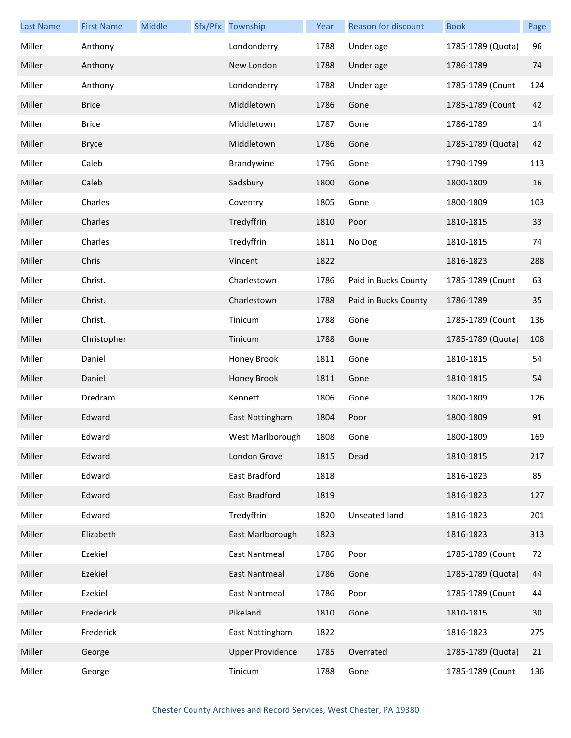| <b>Last Name</b> | <b>First Name</b> | Middle | Sfx/Pfx Township        | Year | Reason for discount  | <b>Book</b>       | Page |
|------------------|-------------------|--------|-------------------------|------|----------------------|-------------------|------|
| Miller           | Anthony           |        | Londonderry             | 1788 | Under age            | 1785-1789 (Quota) | 96   |
| Miller           | Anthony           |        | New London              | 1788 | Under age            | 1786-1789         | 74   |
| Miller           | Anthony           |        | Londonderry             | 1788 | Under age            | 1785-1789 (Count  | 124  |
| Miller           | <b>Brice</b>      |        | Middletown              | 1786 | Gone                 | 1785-1789 (Count  | 42   |
| Miller           | <b>Brice</b>      |        | Middletown              | 1787 | Gone                 | 1786-1789         | 14   |
| Miller           | <b>Bryce</b>      |        | Middletown              | 1786 | Gone                 | 1785-1789 (Quota) | 42   |
| Miller           | Caleb             |        | Brandywine              | 1796 | Gone                 | 1790-1799         | 113  |
| Miller           | Caleb             |        | Sadsbury                | 1800 | Gone                 | 1800-1809         | 16   |
| Miller           | Charles           |        | Coventry                | 1805 | Gone                 | 1800-1809         | 103  |
| Miller           | Charles           |        | Tredyffrin              | 1810 | Poor                 | 1810-1815         | 33   |
| Miller           | Charles           |        | Tredyffrin              | 1811 | No Dog               | 1810-1815         | 74   |
| Miller           | Chris             |        | Vincent                 | 1822 |                      | 1816-1823         | 288  |
| Miller           | Christ.           |        | Charlestown             | 1786 | Paid in Bucks County | 1785-1789 (Count  | 63   |
| Miller           | Christ.           |        | Charlestown             | 1788 | Paid in Bucks County | 1786-1789         | 35   |
| Miller           | Christ.           |        | Tinicum                 | 1788 | Gone                 | 1785-1789 (Count  | 136  |
| Miller           | Christopher       |        | Tinicum                 | 1788 | Gone                 | 1785-1789 (Quota) | 108  |
| Miller           | Daniel            |        | Honey Brook             | 1811 | Gone                 | 1810-1815         | 54   |
| Miller           | Daniel            |        | Honey Brook             | 1811 | Gone                 | 1810-1815         | 54   |
| Miller           | Dredram           |        | Kennett                 | 1806 | Gone                 | 1800-1809         | 126  |
| Miller           | Edward            |        | East Nottingham         | 1804 | Poor                 | 1800-1809         | 91   |
| Miller           | Edward            |        | West Marlborough        | 1808 | Gone                 | 1800-1809         | 169  |
| Miller           | Edward            |        | London Grove            | 1815 | Dead                 | 1810-1815         | 217  |
| Miller           | Edward            |        | East Bradford           | 1818 |                      | 1816-1823         | 85   |
| Miller           | Edward            |        | East Bradford           | 1819 |                      | 1816-1823         | 127  |
| Miller           | Edward            |        | Tredyffrin              | 1820 | Unseated land        | 1816-1823         | 201  |
| Miller           | Elizabeth         |        | East Marlborough        | 1823 |                      | 1816-1823         | 313  |
| Miller           | Ezekiel           |        | <b>East Nantmeal</b>    | 1786 | Poor                 | 1785-1789 (Count  | 72   |
| Miller           | Ezekiel           |        | <b>East Nantmeal</b>    | 1786 | Gone                 | 1785-1789 (Quota) | 44   |
| Miller           | Ezekiel           |        | <b>East Nantmeal</b>    | 1786 | Poor                 | 1785-1789 (Count  | 44   |
| Miller           | Frederick         |        | Pikeland                | 1810 | Gone                 | 1810-1815         | 30   |
| Miller           | Frederick         |        | East Nottingham         | 1822 |                      | 1816-1823         | 275  |
| Miller           | George            |        | <b>Upper Providence</b> | 1785 | Overrated            | 1785-1789 (Quota) | 21   |
| Miller           | George            |        | Tinicum                 | 1788 | Gone                 | 1785-1789 (Count  | 136  |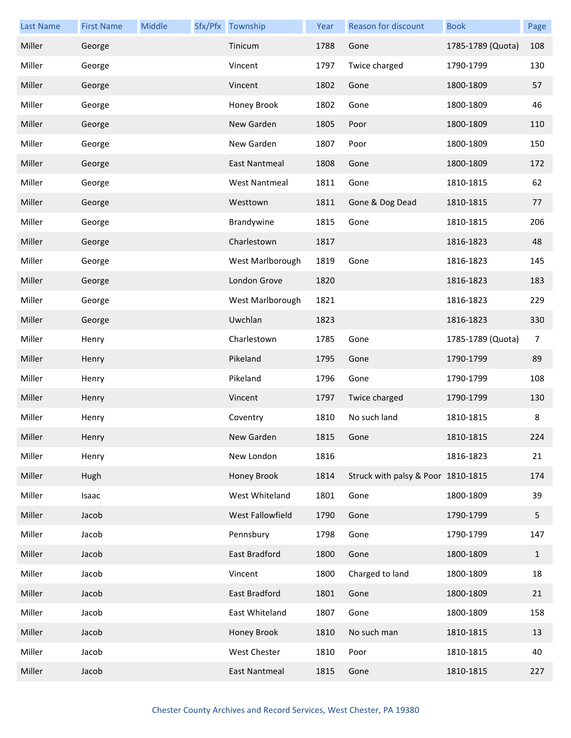| <b>Last Name</b> | <b>First Name</b> | Middle | Sfx/Pfx Township     | Year | Reason for discount                | <b>Book</b>       | Page         |
|------------------|-------------------|--------|----------------------|------|------------------------------------|-------------------|--------------|
| Miller           | George            |        | Tinicum              | 1788 | Gone                               | 1785-1789 (Quota) | 108          |
| Miller           | George            |        | Vincent              | 1797 | Twice charged                      | 1790-1799         | 130          |
| Miller           | George            |        | Vincent              | 1802 | Gone                               | 1800-1809         | 57           |
| Miller           | George            |        | Honey Brook          | 1802 | Gone                               | 1800-1809         | 46           |
| Miller           | George            |        | New Garden           | 1805 | Poor                               | 1800-1809         | 110          |
| Miller           | George            |        | New Garden           | 1807 | Poor                               | 1800-1809         | 150          |
| Miller           | George            |        | East Nantmeal        | 1808 | Gone                               | 1800-1809         | 172          |
| Miller           | George            |        | <b>West Nantmeal</b> | 1811 | Gone                               | 1810-1815         | 62           |
| Miller           | George            |        | Westtown             | 1811 | Gone & Dog Dead                    | 1810-1815         | 77           |
| Miller           | George            |        | Brandywine           | 1815 | Gone                               | 1810-1815         | 206          |
| Miller           | George            |        | Charlestown          | 1817 |                                    | 1816-1823         | 48           |
| Miller           | George            |        | West Marlborough     | 1819 | Gone                               | 1816-1823         | 145          |
| Miller           | George            |        | London Grove         | 1820 |                                    | 1816-1823         | 183          |
| Miller           | George            |        | West Marlborough     | 1821 |                                    | 1816-1823         | 229          |
| Miller           | George            |        | Uwchlan              | 1823 |                                    | 1816-1823         | 330          |
| Miller           | Henry             |        | Charlestown          | 1785 | Gone                               | 1785-1789 (Quota) | 7            |
| Miller           | Henry             |        | Pikeland             | 1795 | Gone                               | 1790-1799         | 89           |
| Miller           | Henry             |        | Pikeland             | 1796 | Gone                               | 1790-1799         | 108          |
| Miller           | Henry             |        | Vincent              | 1797 | Twice charged                      | 1790-1799         | 130          |
| Miller           | Henry             |        | Coventry             | 1810 | No such land                       | 1810-1815         | 8            |
| Miller           | Henry             |        | New Garden           | 1815 | Gone                               | 1810-1815         | 224          |
| Miller           | Henry             |        | New London           | 1816 |                                    | 1816-1823         | 21           |
| Miller           | Hugh              |        | Honey Brook          | 1814 | Struck with palsy & Poor 1810-1815 |                   | 174          |
| Miller           | Isaac             |        | West Whiteland       | 1801 | Gone                               | 1800-1809         | 39           |
| Miller           | Jacob             |        | West Fallowfield     | 1790 | Gone                               | 1790-1799         | 5            |
| Miller           | Jacob             |        | Pennsbury            | 1798 | Gone                               | 1790-1799         | 147          |
| Miller           | Jacob             |        | East Bradford        | 1800 | Gone                               | 1800-1809         | $\mathbf{1}$ |
| Miller           | Jacob             |        | Vincent              | 1800 | Charged to land                    | 1800-1809         | 18           |
| Miller           | Jacob             |        | East Bradford        | 1801 | Gone                               | 1800-1809         | 21           |
| Miller           | Jacob             |        | East Whiteland       | 1807 | Gone                               | 1800-1809         | 158          |
| Miller           | Jacob             |        | Honey Brook          | 1810 | No such man                        | 1810-1815         | 13           |
| Miller           | Jacob             |        | West Chester         | 1810 | Poor                               | 1810-1815         | 40           |
| Miller           | Jacob             |        | <b>East Nantmeal</b> | 1815 | Gone                               | 1810-1815         | 227          |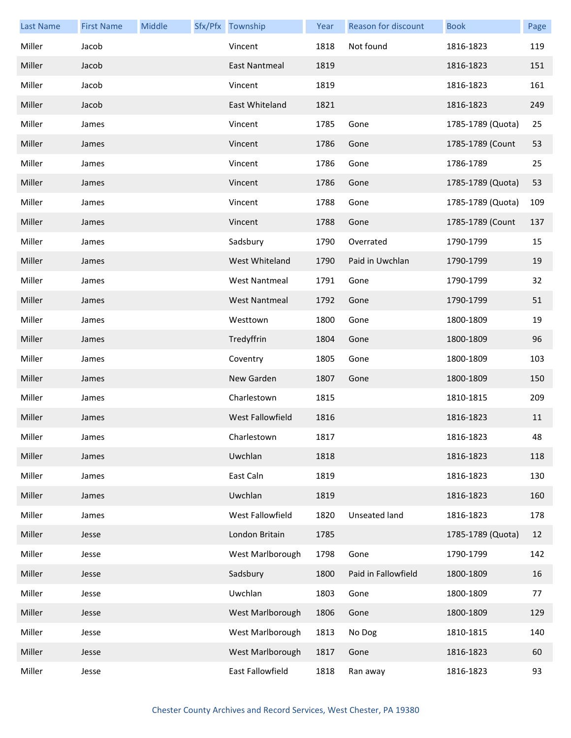| <b>Last Name</b> | <b>First Name</b> | Middle | Sfx/Pfx Township        | Year | Reason for discount  | <b>Book</b>       | Page |
|------------------|-------------------|--------|-------------------------|------|----------------------|-------------------|------|
| Miller           | Jacob             |        | Vincent                 | 1818 | Not found            | 1816-1823         | 119  |
| Miller           | Jacob             |        | East Nantmeal           | 1819 |                      | 1816-1823         | 151  |
| Miller           | Jacob             |        | Vincent                 | 1819 |                      | 1816-1823         | 161  |
| Miller           | Jacob             |        | East Whiteland          | 1821 |                      | 1816-1823         | 249  |
| Miller           | James             |        | Vincent                 | 1785 | Gone                 | 1785-1789 (Quota) | 25   |
| Miller           | James             |        | Vincent                 | 1786 | Gone                 | 1785-1789 (Count  | 53   |
| Miller           | James             |        | Vincent                 | 1786 | Gone                 | 1786-1789         | 25   |
| Miller           | James             |        | Vincent                 | 1786 | Gone                 | 1785-1789 (Quota) | 53   |
| Miller           | James             |        | Vincent                 | 1788 | Gone                 | 1785-1789 (Quota) | 109  |
| Miller           | James             |        | Vincent                 | 1788 | Gone                 | 1785-1789 (Count  | 137  |
| Miller           | James             |        | Sadsbury                | 1790 | Overrated            | 1790-1799         | 15   |
| Miller           | James             |        | West Whiteland          | 1790 | Paid in Uwchlan      | 1790-1799         | 19   |
| Miller           | James             |        | <b>West Nantmeal</b>    | 1791 | Gone                 | 1790-1799         | 32   |
| Miller           | James             |        | <b>West Nantmeal</b>    | 1792 | Gone                 | 1790-1799         | 51   |
| Miller           | James             |        | Westtown                | 1800 | Gone                 | 1800-1809         | 19   |
| Miller           | James             |        | Tredyffrin              | 1804 | Gone                 | 1800-1809         | 96   |
| Miller           | James             |        | Coventry                | 1805 | Gone                 | 1800-1809         | 103  |
| Miller           | James             |        | New Garden              | 1807 | Gone                 | 1800-1809         | 150  |
| Miller           | James             |        | Charlestown             | 1815 |                      | 1810-1815         | 209  |
| Miller           | James             |        | <b>West Fallowfield</b> | 1816 |                      | 1816-1823         | 11   |
| Miller           | James             |        | Charlestown             | 1817 |                      | 1816-1823         | 48   |
| Miller           | James             |        | Uwchlan                 | 1818 |                      | 1816-1823         | 118  |
| Miller           | James             |        | East Caln               | 1819 |                      | 1816-1823         | 130  |
| Miller           | James             |        | Uwchlan                 | 1819 |                      | 1816-1823         | 160  |
| Miller           | James             |        | West Fallowfield        | 1820 | <b>Unseated land</b> | 1816-1823         | 178  |
| Miller           | Jesse             |        | London Britain          | 1785 |                      | 1785-1789 (Quota) | 12   |
| Miller           | Jesse             |        | West Marlborough        | 1798 | Gone                 | 1790-1799         | 142  |
| Miller           | Jesse             |        | Sadsbury                | 1800 | Paid in Fallowfield  | 1800-1809         | 16   |
| Miller           | Jesse             |        | Uwchlan                 | 1803 | Gone                 | 1800-1809         | 77   |
| Miller           | Jesse             |        | West Marlborough        | 1806 | Gone                 | 1800-1809         | 129  |
| Miller           | Jesse             |        | West Marlborough        | 1813 | No Dog               | 1810-1815         | 140  |
| Miller           | Jesse             |        | West Marlborough        | 1817 | Gone                 | 1816-1823         | 60   |
| Miller           | Jesse             |        | East Fallowfield        | 1818 | Ran away             | 1816-1823         | 93   |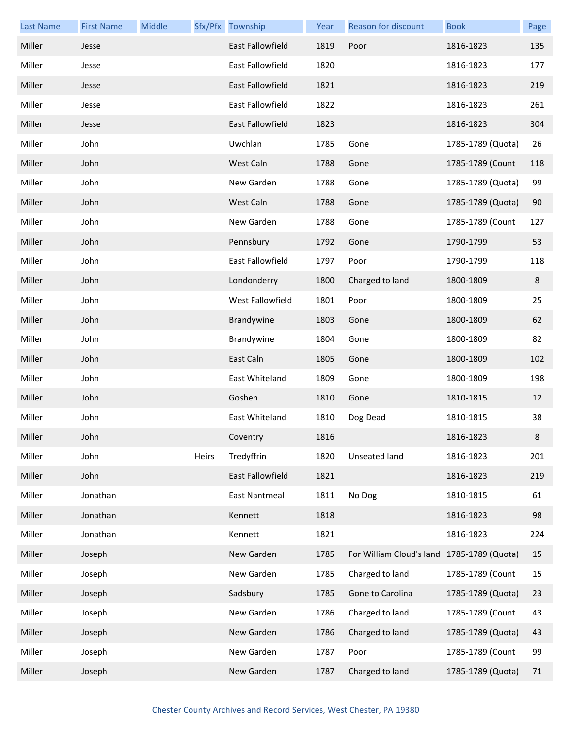| <b>Last Name</b> | <b>First Name</b> | Middle |       | Sfx/Pfx Township     | Year | <b>Reason for discount</b>                 | <b>Book</b>       | Page |
|------------------|-------------------|--------|-------|----------------------|------|--------------------------------------------|-------------------|------|
| Miller           | Jesse             |        |       | East Fallowfield     | 1819 | Poor                                       | 1816-1823         | 135  |
| Miller           | Jesse             |        |       | East Fallowfield     | 1820 |                                            | 1816-1823         | 177  |
| Miller           | Jesse             |        |       | East Fallowfield     | 1821 |                                            | 1816-1823         | 219  |
| Miller           | Jesse             |        |       | East Fallowfield     | 1822 |                                            | 1816-1823         | 261  |
| Miller           | Jesse             |        |       | East Fallowfield     | 1823 |                                            | 1816-1823         | 304  |
| Miller           | John              |        |       | Uwchlan              | 1785 | Gone                                       | 1785-1789 (Quota) | 26   |
| Miller           | John              |        |       | West Caln            | 1788 | Gone                                       | 1785-1789 (Count  | 118  |
| Miller           | John              |        |       | New Garden           | 1788 | Gone                                       | 1785-1789 (Quota) | 99   |
| Miller           | John              |        |       | West Caln            | 1788 | Gone                                       | 1785-1789 (Quota) | 90   |
| Miller           | John              |        |       | New Garden           | 1788 | Gone                                       | 1785-1789 (Count  | 127  |
| Miller           | John              |        |       | Pennsbury            | 1792 | Gone                                       | 1790-1799         | 53   |
| Miller           | John              |        |       | East Fallowfield     | 1797 | Poor                                       | 1790-1799         | 118  |
| Miller           | John              |        |       | Londonderry          | 1800 | Charged to land                            | 1800-1809         | 8    |
| Miller           | John              |        |       | West Fallowfield     | 1801 | Poor                                       | 1800-1809         | 25   |
| Miller           | John              |        |       | Brandywine           | 1803 | Gone                                       | 1800-1809         | 62   |
| Miller           | John              |        |       | Brandywine           | 1804 | Gone                                       | 1800-1809         | 82   |
| Miller           | John              |        |       | East Caln            | 1805 | Gone                                       | 1800-1809         | 102  |
| Miller           | John              |        |       | East Whiteland       | 1809 | Gone                                       | 1800-1809         | 198  |
| Miller           | John              |        |       | Goshen               | 1810 | Gone                                       | 1810-1815         | 12   |
| Miller           | John              |        |       | East Whiteland       | 1810 | Dog Dead                                   | 1810-1815         | 38   |
| Miller           | John              |        |       | Coventry             | 1816 |                                            | 1816-1823         | 8    |
| Miller           | John              |        | Heirs | Tredyffrin           | 1820 | Unseated land                              | 1816-1823         | 201  |
| Miller           | John              |        |       | East Fallowfield     | 1821 |                                            | 1816-1823         | 219  |
| Miller           | Jonathan          |        |       | <b>East Nantmeal</b> | 1811 | No Dog                                     | 1810-1815         | 61   |
| Miller           | Jonathan          |        |       | Kennett              | 1818 |                                            | 1816-1823         | 98   |
| Miller           | Jonathan          |        |       | Kennett              | 1821 |                                            | 1816-1823         | 224  |
| Miller           | Joseph            |        |       | New Garden           | 1785 | For William Cloud's land 1785-1789 (Quota) |                   | 15   |
| Miller           | Joseph            |        |       | New Garden           | 1785 | Charged to land                            | 1785-1789 (Count  | 15   |
| Miller           | Joseph            |        |       | Sadsbury             | 1785 | Gone to Carolina                           | 1785-1789 (Quota) | 23   |
| Miller           | Joseph            |        |       | New Garden           | 1786 | Charged to land                            | 1785-1789 (Count  | 43   |
| Miller           | Joseph            |        |       | New Garden           | 1786 | Charged to land                            | 1785-1789 (Quota) | 43   |
| Miller           | Joseph            |        |       | New Garden           | 1787 | Poor                                       | 1785-1789 (Count  | 99   |
| Miller           | Joseph            |        |       | New Garden           | 1787 | Charged to land                            | 1785-1789 (Quota) | 71   |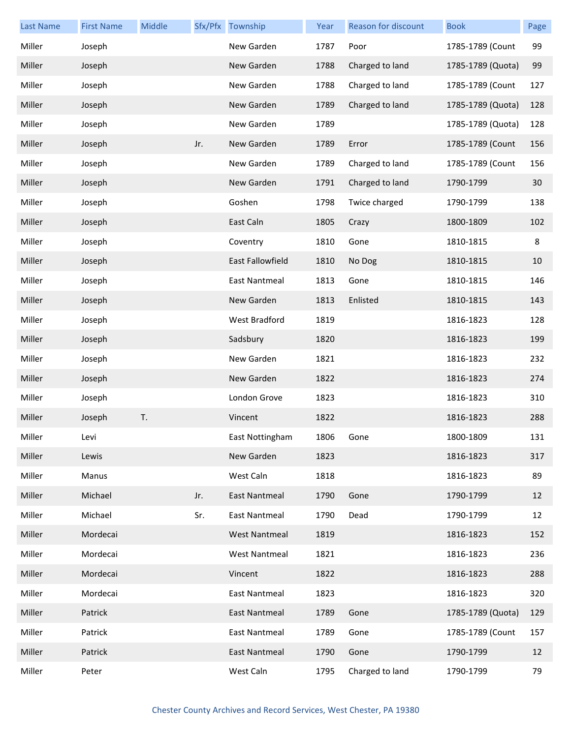| <b>Last Name</b> | <b>First Name</b> | Middle |     | Sfx/Pfx Township     | Year | <b>Reason for discount</b> | <b>Book</b>       | Page |
|------------------|-------------------|--------|-----|----------------------|------|----------------------------|-------------------|------|
| Miller           | Joseph            |        |     | New Garden           | 1787 | Poor                       | 1785-1789 (Count  | 99   |
| Miller           | Joseph            |        |     | New Garden           | 1788 | Charged to land            | 1785-1789 (Quota) | 99   |
| Miller           | Joseph            |        |     | New Garden           | 1788 | Charged to land            | 1785-1789 (Count  | 127  |
| Miller           | Joseph            |        |     | New Garden           | 1789 | Charged to land            | 1785-1789 (Quota) | 128  |
| Miller           | Joseph            |        |     | New Garden           | 1789 |                            | 1785-1789 (Quota) | 128  |
| Miller           | Joseph            |        | Jr. | New Garden           | 1789 | Error                      | 1785-1789 (Count  | 156  |
| Miller           | Joseph            |        |     | New Garden           | 1789 | Charged to land            | 1785-1789 (Count  | 156  |
| Miller           | Joseph            |        |     | New Garden           | 1791 | Charged to land            | 1790-1799         | 30   |
| Miller           | Joseph            |        |     | Goshen               | 1798 | Twice charged              | 1790-1799         | 138  |
| Miller           | Joseph            |        |     | East Caln            | 1805 | Crazy                      | 1800-1809         | 102  |
| Miller           | Joseph            |        |     | Coventry             | 1810 | Gone                       | 1810-1815         | 8    |
| Miller           | Joseph            |        |     | East Fallowfield     | 1810 | No Dog                     | 1810-1815         | 10   |
| Miller           | Joseph            |        |     | East Nantmeal        | 1813 | Gone                       | 1810-1815         | 146  |
| Miller           | Joseph            |        |     | New Garden           | 1813 | Enlisted                   | 1810-1815         | 143  |
| Miller           | Joseph            |        |     | West Bradford        | 1819 |                            | 1816-1823         | 128  |
| Miller           | Joseph            |        |     | Sadsbury             | 1820 |                            | 1816-1823         | 199  |
| Miller           | Joseph            |        |     | New Garden           | 1821 |                            | 1816-1823         | 232  |
| Miller           | Joseph            |        |     | New Garden           | 1822 |                            | 1816-1823         | 274  |
| Miller           | Joseph            |        |     | London Grove         | 1823 |                            | 1816-1823         | 310  |
| Miller           | Joseph            | T.     |     | Vincent              | 1822 |                            | 1816-1823         | 288  |
| Miller           | Levi              |        |     | East Nottingham      | 1806 | Gone                       | 1800-1809         | 131  |
| Miller           | Lewis             |        |     | New Garden           | 1823 |                            | 1816-1823         | 317  |
| Miller           | Manus             |        |     | West Caln            | 1818 |                            | 1816-1823         | 89   |
| Miller           | Michael           |        | Jr. | <b>East Nantmeal</b> | 1790 | Gone                       | 1790-1799         | 12   |
| Miller           | Michael           |        | Sr. | East Nantmeal        | 1790 | Dead                       | 1790-1799         | 12   |
| Miller           | Mordecai          |        |     | <b>West Nantmeal</b> | 1819 |                            | 1816-1823         | 152  |
| Miller           | Mordecai          |        |     | <b>West Nantmeal</b> | 1821 |                            | 1816-1823         | 236  |
| Miller           | Mordecai          |        |     | Vincent              | 1822 |                            | 1816-1823         | 288  |
| Miller           | Mordecai          |        |     | <b>East Nantmeal</b> | 1823 |                            | 1816-1823         | 320  |
| Miller           | Patrick           |        |     | East Nantmeal        | 1789 | Gone                       | 1785-1789 (Quota) | 129  |
| Miller           | Patrick           |        |     | East Nantmeal        | 1789 | Gone                       | 1785-1789 (Count  | 157  |
| Miller           | Patrick           |        |     | <b>East Nantmeal</b> | 1790 | Gone                       | 1790-1799         | 12   |
| Miller           | Peter             |        |     | West Caln            | 1795 | Charged to land            | 1790-1799         | 79   |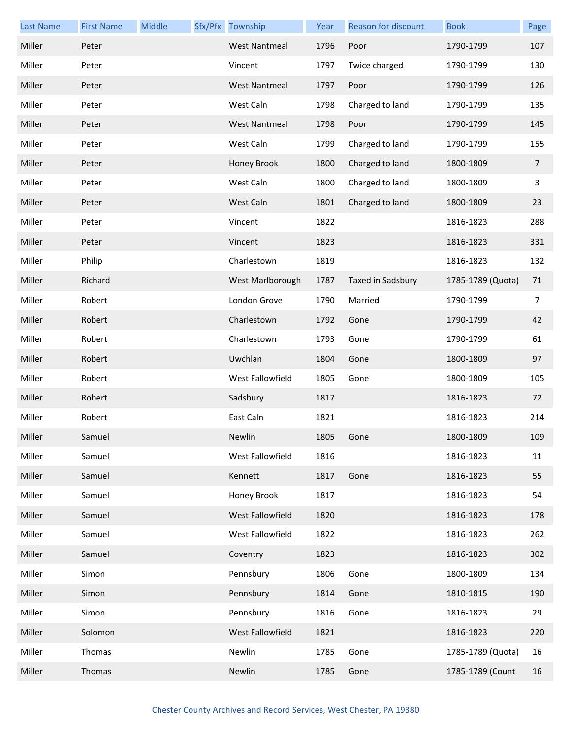| <b>Last Name</b> | <b>First Name</b> | Middle | Sfx/Pfx Township     | Year | Reason for discount | <b>Book</b>       | Page           |
|------------------|-------------------|--------|----------------------|------|---------------------|-------------------|----------------|
| Miller           | Peter             |        | <b>West Nantmeal</b> | 1796 | Poor                | 1790-1799         | 107            |
| Miller           | Peter             |        | Vincent              | 1797 | Twice charged       | 1790-1799         | 130            |
| Miller           | Peter             |        | <b>West Nantmeal</b> | 1797 | Poor                | 1790-1799         | 126            |
| Miller           | Peter             |        | West Caln            | 1798 | Charged to land     | 1790-1799         | 135            |
| Miller           | Peter             |        | <b>West Nantmeal</b> | 1798 | Poor                | 1790-1799         | 145            |
| Miller           | Peter             |        | West Caln            | 1799 | Charged to land     | 1790-1799         | 155            |
| Miller           | Peter             |        | Honey Brook          | 1800 | Charged to land     | 1800-1809         | $\overline{7}$ |
| Miller           | Peter             |        | West Caln            | 1800 | Charged to land     | 1800-1809         | 3              |
| Miller           | Peter             |        | West Caln            | 1801 | Charged to land     | 1800-1809         | 23             |
| Miller           | Peter             |        | Vincent              | 1822 |                     | 1816-1823         | 288            |
| Miller           | Peter             |        | Vincent              | 1823 |                     | 1816-1823         | 331            |
| Miller           | Philip            |        | Charlestown          | 1819 |                     | 1816-1823         | 132            |
| Miller           | Richard           |        | West Marlborough     | 1787 | Taxed in Sadsbury   | 1785-1789 (Quota) | 71             |
| Miller           | Robert            |        | London Grove         | 1790 | Married             | 1790-1799         | $\overline{7}$ |
| Miller           | Robert            |        | Charlestown          | 1792 | Gone                | 1790-1799         | 42             |
| Miller           | Robert            |        | Charlestown          | 1793 | Gone                | 1790-1799         | 61             |
| Miller           | Robert            |        | Uwchlan              | 1804 | Gone                | 1800-1809         | 97             |
| Miller           | Robert            |        | West Fallowfield     | 1805 | Gone                | 1800-1809         | 105            |
| Miller           | Robert            |        | Sadsbury             | 1817 |                     | 1816-1823         | 72             |
| Miller           | Robert            |        | East Caln            | 1821 |                     | 1816-1823         | 214            |
| Miller           | Samuel            |        | Newlin               | 1805 | Gone                | 1800-1809         | 109            |
| Miller           | Samuel            |        | West Fallowfield     | 1816 |                     | 1816-1823         | 11             |
| Miller           | Samuel            |        | Kennett              | 1817 | Gone                | 1816-1823         | 55             |
| Miller           | Samuel            |        | Honey Brook          | 1817 |                     | 1816-1823         | 54             |
| Miller           | Samuel            |        | West Fallowfield     | 1820 |                     | 1816-1823         | 178            |
| Miller           | Samuel            |        | West Fallowfield     | 1822 |                     | 1816-1823         | 262            |
| Miller           | Samuel            |        | Coventry             | 1823 |                     | 1816-1823         | 302            |
| Miller           | Simon             |        | Pennsbury            | 1806 | Gone                | 1800-1809         | 134            |
| Miller           | Simon             |        | Pennsbury            | 1814 | Gone                | 1810-1815         | 190            |
| Miller           | Simon             |        | Pennsbury            | 1816 | Gone                | 1816-1823         | 29             |
| Miller           | Solomon           |        | West Fallowfield     | 1821 |                     | 1816-1823         | 220            |
| Miller           | Thomas            |        | Newlin               | 1785 | Gone                | 1785-1789 (Quota) | 16             |
| Miller           | Thomas            |        | Newlin               | 1785 | Gone                | 1785-1789 (Count  | 16             |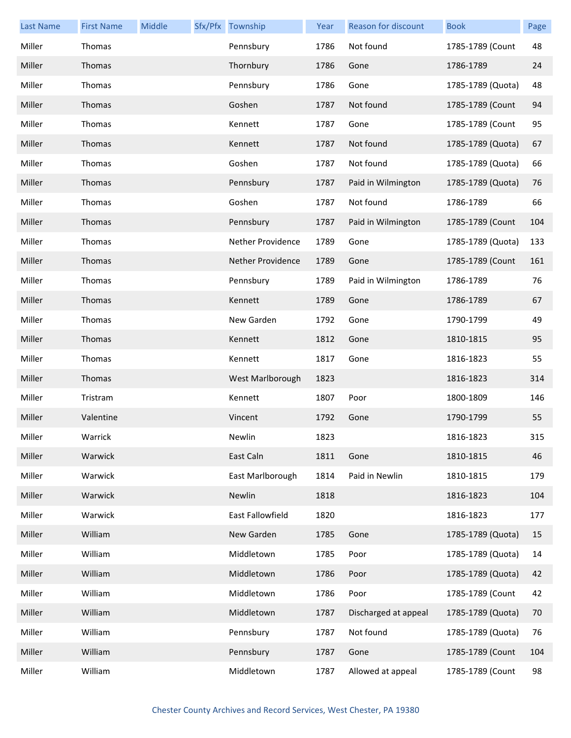| <b>Last Name</b> | <b>First Name</b> | Middle | Sfx/Pfx Township  | Year | Reason for discount  | <b>Book</b>       | Page |
|------------------|-------------------|--------|-------------------|------|----------------------|-------------------|------|
| Miller           | Thomas            |        | Pennsbury         | 1786 | Not found            | 1785-1789 (Count  | 48   |
| Miller           | Thomas            |        | Thornbury         | 1786 | Gone                 | 1786-1789         | 24   |
| Miller           | Thomas            |        | Pennsbury         | 1786 | Gone                 | 1785-1789 (Quota) | 48   |
| Miller           | Thomas            |        | Goshen            | 1787 | Not found            | 1785-1789 (Count  | 94   |
| Miller           | Thomas            |        | Kennett           | 1787 | Gone                 | 1785-1789 (Count  | 95   |
| Miller           | Thomas            |        | Kennett           | 1787 | Not found            | 1785-1789 (Quota) | 67   |
| Miller           | Thomas            |        | Goshen            | 1787 | Not found            | 1785-1789 (Quota) | 66   |
| Miller           | Thomas            |        | Pennsbury         | 1787 | Paid in Wilmington   | 1785-1789 (Quota) | 76   |
| Miller           | Thomas            |        | Goshen            | 1787 | Not found            | 1786-1789         | 66   |
| Miller           | Thomas            |        | Pennsbury         | 1787 | Paid in Wilmington   | 1785-1789 (Count  | 104  |
| Miller           | Thomas            |        | Nether Providence | 1789 | Gone                 | 1785-1789 (Quota) | 133  |
| Miller           | Thomas            |        | Nether Providence | 1789 | Gone                 | 1785-1789 (Count  | 161  |
| Miller           | Thomas            |        | Pennsbury         | 1789 | Paid in Wilmington   | 1786-1789         | 76   |
| Miller           | Thomas            |        | Kennett           | 1789 | Gone                 | 1786-1789         | 67   |
| Miller           | Thomas            |        | New Garden        | 1792 | Gone                 | 1790-1799         | 49   |
| Miller           | Thomas            |        | Kennett           | 1812 | Gone                 | 1810-1815         | 95   |
| Miller           | Thomas            |        | Kennett           | 1817 | Gone                 | 1816-1823         | 55   |
| Miller           | Thomas            |        | West Marlborough  | 1823 |                      | 1816-1823         | 314  |
| Miller           | Tristram          |        | Kennett           | 1807 | Poor                 | 1800-1809         | 146  |
| Miller           | Valentine         |        | Vincent           | 1792 | Gone                 | 1790-1799         | 55   |
| Miller           | Warrick           |        | Newlin            | 1823 |                      | 1816-1823         | 315  |
| Miller           | Warwick           |        | East Caln         | 1811 | Gone                 | 1810-1815         | 46   |
| Miller           | Warwick           |        | East Marlborough  | 1814 | Paid in Newlin       | 1810-1815         | 179  |
| Miller           | Warwick           |        | Newlin            | 1818 |                      | 1816-1823         | 104  |
| Miller           | Warwick           |        | East Fallowfield  | 1820 |                      | 1816-1823         | 177  |
| Miller           | William           |        | New Garden        | 1785 | Gone                 | 1785-1789 (Quota) | 15   |
| Miller           | William           |        | Middletown        | 1785 | Poor                 | 1785-1789 (Quota) | 14   |
| Miller           | William           |        | Middletown        | 1786 | Poor                 | 1785-1789 (Quota) | 42   |
| Miller           | William           |        | Middletown        | 1786 | Poor                 | 1785-1789 (Count  | 42   |
| Miller           | William           |        | Middletown        | 1787 | Discharged at appeal | 1785-1789 (Quota) | 70   |
| Miller           | William           |        | Pennsbury         | 1787 | Not found            | 1785-1789 (Quota) | 76   |
| Miller           | William           |        | Pennsbury         | 1787 | Gone                 | 1785-1789 (Count  | 104  |
| Miller           | William           |        | Middletown        | 1787 | Allowed at appeal    | 1785-1789 (Count  | 98   |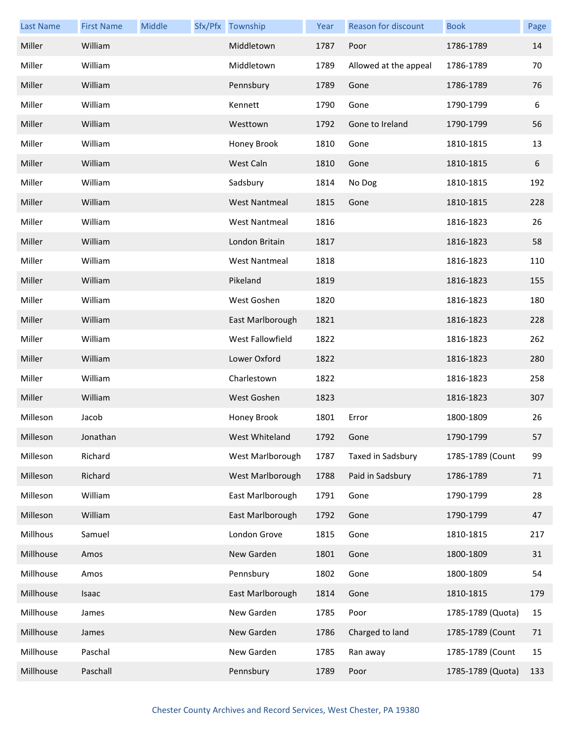| <b>Last Name</b> | <b>First Name</b> | Middle | Sfx/Pfx Township     | Year | Reason for discount   | <b>Book</b>       | Page |
|------------------|-------------------|--------|----------------------|------|-----------------------|-------------------|------|
| Miller           | William           |        | Middletown           | 1787 | Poor                  | 1786-1789         | 14   |
| Miller           | William           |        | Middletown           | 1789 | Allowed at the appeal | 1786-1789         | 70   |
| Miller           | William           |        | Pennsbury            | 1789 | Gone                  | 1786-1789         | 76   |
| Miller           | William           |        | Kennett              | 1790 | Gone                  | 1790-1799         | 6    |
| Miller           | William           |        | Westtown             | 1792 | Gone to Ireland       | 1790-1799         | 56   |
| Miller           | William           |        | Honey Brook          | 1810 | Gone                  | 1810-1815         | 13   |
| Miller           | William           |        | West Caln            | 1810 | Gone                  | 1810-1815         | 6    |
| Miller           | William           |        | Sadsbury             | 1814 | No Dog                | 1810-1815         | 192  |
| Miller           | William           |        | <b>West Nantmeal</b> | 1815 | Gone                  | 1810-1815         | 228  |
| Miller           | William           |        | <b>West Nantmeal</b> | 1816 |                       | 1816-1823         | 26   |
| Miller           | William           |        | London Britain       | 1817 |                       | 1816-1823         | 58   |
| Miller           | William           |        | <b>West Nantmeal</b> | 1818 |                       | 1816-1823         | 110  |
| Miller           | William           |        | Pikeland             | 1819 |                       | 1816-1823         | 155  |
| Miller           | William           |        | West Goshen          | 1820 |                       | 1816-1823         | 180  |
| Miller           | William           |        | East Marlborough     | 1821 |                       | 1816-1823         | 228  |
| Miller           | William           |        | West Fallowfield     | 1822 |                       | 1816-1823         | 262  |
| Miller           | William           |        | Lower Oxford         | 1822 |                       | 1816-1823         | 280  |
| Miller           | William           |        | Charlestown          | 1822 |                       | 1816-1823         | 258  |
| Miller           | William           |        | West Goshen          | 1823 |                       | 1816-1823         | 307  |
| Milleson         | Jacob             |        | Honey Brook          | 1801 | Error                 | 1800-1809         | 26   |
| Milleson         | Jonathan          |        | West Whiteland       | 1792 | Gone                  | 1790-1799         | 57   |
| Milleson         | Richard           |        | West Marlborough     | 1787 | Taxed in Sadsbury     | 1785-1789 (Count  | 99   |
| Milleson         | Richard           |        | West Marlborough     | 1788 | Paid in Sadsbury      | 1786-1789         | 71   |
| Milleson         | William           |        | East Marlborough     | 1791 | Gone                  | 1790-1799         | 28   |
| Milleson         | William           |        | East Marlborough     | 1792 | Gone                  | 1790-1799         | 47   |
| Millhous         | Samuel            |        | London Grove         | 1815 | Gone                  | 1810-1815         | 217  |
| Millhouse        | Amos              |        | New Garden           | 1801 | Gone                  | 1800-1809         | 31   |
| Millhouse        | Amos              |        | Pennsbury            | 1802 | Gone                  | 1800-1809         | 54   |
| Millhouse        | Isaac             |        | East Marlborough     | 1814 | Gone                  | 1810-1815         | 179  |
| Millhouse        | James             |        | New Garden           | 1785 | Poor                  | 1785-1789 (Quota) | 15   |
| Millhouse        | James             |        | New Garden           | 1786 | Charged to land       | 1785-1789 (Count  | 71   |
| Millhouse        | Paschal           |        | New Garden           | 1785 | Ran away              | 1785-1789 (Count  | 15   |
| Millhouse        | Paschall          |        | Pennsbury            | 1789 | Poor                  | 1785-1789 (Quota) | 133  |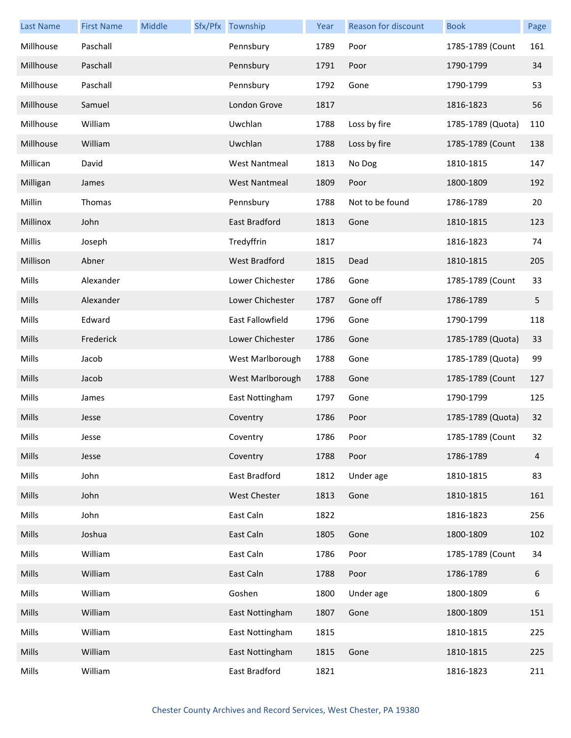| <b>Last Name</b> | <b>First Name</b> | Middle | Sfx/Pfx Township     | Year | Reason for discount | <b>Book</b>       | Page           |
|------------------|-------------------|--------|----------------------|------|---------------------|-------------------|----------------|
| Millhouse        | Paschall          |        | Pennsbury            | 1789 | Poor                | 1785-1789 (Count  | 161            |
| Millhouse        | Paschall          |        | Pennsbury            | 1791 | Poor                | 1790-1799         | 34             |
| Millhouse        | Paschall          |        | Pennsbury            | 1792 | Gone                | 1790-1799         | 53             |
| Millhouse        | Samuel            |        | London Grove         | 1817 |                     | 1816-1823         | 56             |
| Millhouse        | William           |        | Uwchlan              | 1788 | Loss by fire        | 1785-1789 (Quota) | 110            |
| Millhouse        | William           |        | Uwchlan              | 1788 | Loss by fire        | 1785-1789 (Count  | 138            |
| Millican         | David             |        | <b>West Nantmeal</b> | 1813 | No Dog              | 1810-1815         | 147            |
| Milligan         | James             |        | <b>West Nantmeal</b> | 1809 | Poor                | 1800-1809         | 192            |
| Millin           | Thomas            |        | Pennsbury            | 1788 | Not to be found     | 1786-1789         | 20             |
| Millinox         | John              |        | <b>East Bradford</b> | 1813 | Gone                | 1810-1815         | 123            |
| Millis           | Joseph            |        | Tredyffrin           | 1817 |                     | 1816-1823         | 74             |
| Millison         | Abner             |        | <b>West Bradford</b> | 1815 | Dead                | 1810-1815         | 205            |
| Mills            | Alexander         |        | Lower Chichester     | 1786 | Gone                | 1785-1789 (Count  | 33             |
| Mills            | Alexander         |        | Lower Chichester     | 1787 | Gone off            | 1786-1789         | 5              |
| Mills            | Edward            |        | East Fallowfield     | 1796 | Gone                | 1790-1799         | 118            |
| Mills            | Frederick         |        | Lower Chichester     | 1786 | Gone                | 1785-1789 (Quota) | 33             |
| Mills            | Jacob             |        | West Marlborough     | 1788 | Gone                | 1785-1789 (Quota) | 99             |
| Mills            | Jacob             |        | West Marlborough     | 1788 | Gone                | 1785-1789 (Count  | 127            |
| Mills            | James             |        | East Nottingham      | 1797 | Gone                | 1790-1799         | 125            |
| Mills            | Jesse             |        | Coventry             | 1786 | Poor                | 1785-1789 (Quota) | 32             |
| Mills            | Jesse             |        | Coventry             | 1786 | Poor                | 1785-1789 (Count  | 32             |
| Mills            | Jesse             |        | Coventry             | 1788 | Poor                | 1786-1789         | $\overline{4}$ |
| Mills            | John              |        | East Bradford        | 1812 | Under age           | 1810-1815         | 83             |
| Mills            | John              |        | West Chester         | 1813 | Gone                | 1810-1815         | 161            |
| Mills            | John              |        | East Caln            | 1822 |                     | 1816-1823         | 256            |
| Mills            | Joshua            |        | East Caln            | 1805 | Gone                | 1800-1809         | 102            |
| Mills            | William           |        | East Caln            | 1786 | Poor                | 1785-1789 (Count  | 34             |
| Mills            | William           |        | East Caln            | 1788 | Poor                | 1786-1789         | 6              |
| Mills            | William           |        | Goshen               | 1800 | Under age           | 1800-1809         | 6              |
| Mills            | William           |        | East Nottingham      | 1807 | Gone                | 1800-1809         | 151            |
| Mills            | William           |        | East Nottingham      | 1815 |                     | 1810-1815         | 225            |
| Mills            | William           |        | East Nottingham      | 1815 | Gone                | 1810-1815         | 225            |
| Mills            | William           |        | East Bradford        | 1821 |                     | 1816-1823         | 211            |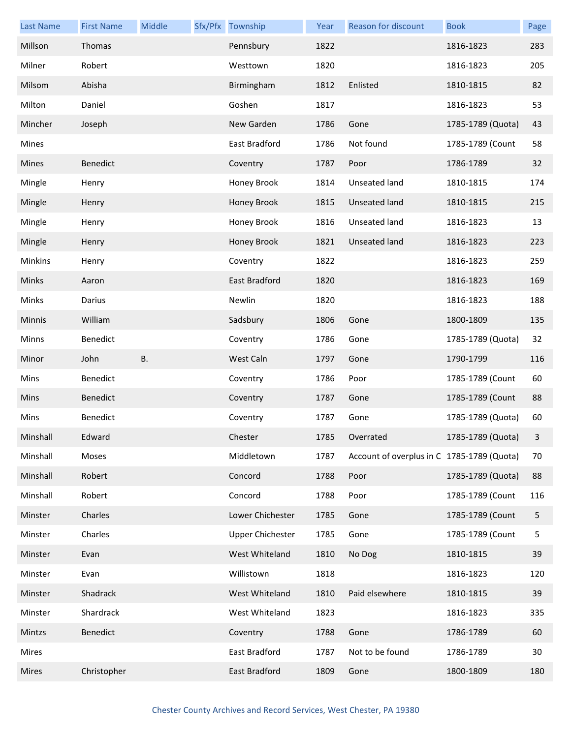| <b>Last Name</b> | <b>First Name</b> | Middle    | Sfx/Pfx Township        | Year | Reason for discount                        | <b>Book</b>       | Page         |
|------------------|-------------------|-----------|-------------------------|------|--------------------------------------------|-------------------|--------------|
| Millson          | Thomas            |           | Pennsbury               | 1822 |                                            | 1816-1823         | 283          |
| Milner           | Robert            |           | Westtown                | 1820 |                                            | 1816-1823         | 205          |
| Milsom           | Abisha            |           | Birmingham              | 1812 | Enlisted                                   | 1810-1815         | 82           |
| Milton           | Daniel            |           | Goshen                  | 1817 |                                            | 1816-1823         | 53           |
| Mincher          | Joseph            |           | New Garden              | 1786 | Gone                                       | 1785-1789 (Quota) | 43           |
| Mines            |                   |           | East Bradford           | 1786 | Not found                                  | 1785-1789 (Count  | 58           |
| Mines            | Benedict          |           | Coventry                | 1787 | Poor                                       | 1786-1789         | 32           |
| Mingle           | Henry             |           | Honey Brook             | 1814 | Unseated land                              | 1810-1815         | 174          |
| Mingle           | Henry             |           | Honey Brook             | 1815 | Unseated land                              | 1810-1815         | 215          |
| Mingle           | Henry             |           | Honey Brook             | 1816 | Unseated land                              | 1816-1823         | 13           |
| Mingle           | Henry             |           | Honey Brook             | 1821 | Unseated land                              | 1816-1823         | 223          |
| Minkins          | Henry             |           | Coventry                | 1822 |                                            | 1816-1823         | 259          |
| Minks            | Aaron             |           | East Bradford           | 1820 |                                            | 1816-1823         | 169          |
| Minks            | Darius            |           | Newlin                  | 1820 |                                            | 1816-1823         | 188          |
| Minnis           | William           |           | Sadsbury                | 1806 | Gone                                       | 1800-1809         | 135          |
| Minns            | Benedict          |           | Coventry                | 1786 | Gone                                       | 1785-1789 (Quota) | 32           |
| Minor            | John              | <b>B.</b> | West Caln               | 1797 | Gone                                       | 1790-1799         | 116          |
| Mins             | Benedict          |           | Coventry                | 1786 | Poor                                       | 1785-1789 (Count  | 60           |
| Mins             | Benedict          |           | Coventry                | 1787 | Gone                                       | 1785-1789 (Count  | 88           |
| Mins             | Benedict          |           | Coventry                | 1787 | Gone                                       | 1785-1789 (Quota) | 60           |
| Minshall         | Edward            |           | Chester                 | 1785 | Overrated                                  | 1785-1789 (Quota) | $\mathbf{3}$ |
| Minshall         | Moses             |           | Middletown              | 1787 | Account of overplus in C 1785-1789 (Quota) |                   | 70           |
| Minshall         | Robert            |           | Concord                 | 1788 | Poor                                       | 1785-1789 (Quota) | 88           |
| Minshall         | Robert            |           | Concord                 | 1788 | Poor                                       | 1785-1789 (Count  | 116          |
| Minster          | Charles           |           | Lower Chichester        | 1785 | Gone                                       | 1785-1789 (Count  | 5            |
| Minster          | Charles           |           | <b>Upper Chichester</b> | 1785 | Gone                                       | 1785-1789 (Count  | 5            |
| Minster          | Evan              |           | West Whiteland          | 1810 | No Dog                                     | 1810-1815         | 39           |
| Minster          | Evan              |           | Willistown              | 1818 |                                            | 1816-1823         | 120          |
| Minster          |                   |           |                         | 1810 | Paid elsewhere                             | 1810-1815         | 39           |
|                  | Shadrack          |           | West Whiteland          |      |                                            |                   |              |
| Minster          | Shardrack         |           | West Whiteland          | 1823 |                                            | 1816-1823         | 335          |
| Mintzs           | Benedict          |           | Coventry                | 1788 | Gone                                       | 1786-1789         | 60           |
| Mires            |                   |           | East Bradford           | 1787 | Not to be found                            | 1786-1789         | 30           |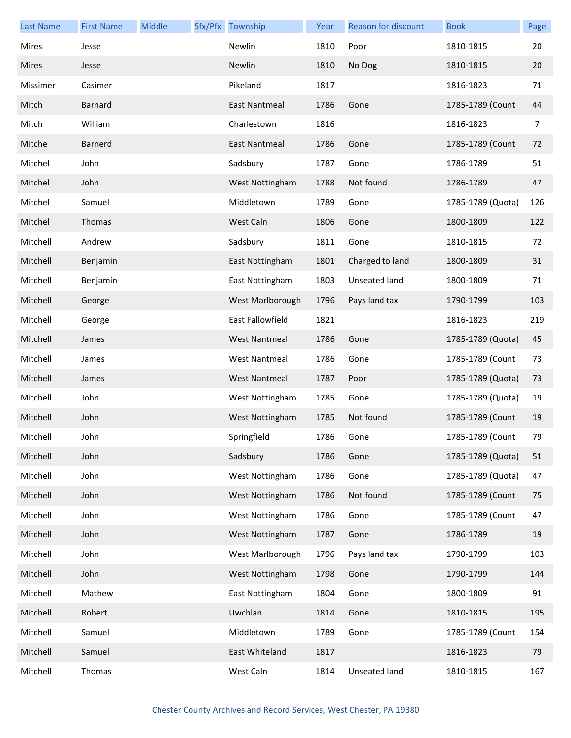| Last Name    | <b>First Name</b> | Middle | Sfx/Pfx Township     | Year | <b>Reason for discount</b> | <b>Book</b>       | Page |
|--------------|-------------------|--------|----------------------|------|----------------------------|-------------------|------|
| Mires        | Jesse             |        | Newlin               | 1810 | Poor                       | 1810-1815         | 20   |
| <b>Mires</b> | Jesse             |        | Newlin               | 1810 | No Dog                     | 1810-1815         | 20   |
| Missimer     | Casimer           |        | Pikeland             | 1817 |                            | 1816-1823         | 71   |
| Mitch        | <b>Barnard</b>    |        | East Nantmeal        | 1786 | Gone                       | 1785-1789 (Count  | 44   |
| Mitch        | William           |        | Charlestown          | 1816 |                            | 1816-1823         | 7    |
| Mitche       | Barnerd           |        | East Nantmeal        | 1786 | Gone                       | 1785-1789 (Count  | 72   |
| Mitchel      | John              |        | Sadsbury             | 1787 | Gone                       | 1786-1789         | 51   |
| Mitchel      | John              |        | West Nottingham      | 1788 | Not found                  | 1786-1789         | 47   |
| Mitchel      | Samuel            |        | Middletown           | 1789 | Gone                       | 1785-1789 (Quota) | 126  |
| Mitchel      | Thomas            |        | West Caln            | 1806 | Gone                       | 1800-1809         | 122  |
| Mitchell     | Andrew            |        | Sadsbury             | 1811 | Gone                       | 1810-1815         | 72   |
| Mitchell     | Benjamin          |        | East Nottingham      | 1801 | Charged to land            | 1800-1809         | 31   |
| Mitchell     | Benjamin          |        | East Nottingham      | 1803 | Unseated land              | 1800-1809         | 71   |
| Mitchell     | George            |        | West Marlborough     | 1796 | Pays land tax              | 1790-1799         | 103  |
| Mitchell     | George            |        | East Fallowfield     | 1821 |                            | 1816-1823         | 219  |
| Mitchell     | James             |        | <b>West Nantmeal</b> | 1786 | Gone                       | 1785-1789 (Quota) | 45   |
| Mitchell     | James             |        | <b>West Nantmeal</b> | 1786 | Gone                       | 1785-1789 (Count  | 73   |
| Mitchell     | James             |        | <b>West Nantmeal</b> | 1787 | Poor                       | 1785-1789 (Quota) | 73   |
| Mitchell     | John              |        | West Nottingham      | 1785 | Gone                       | 1785-1789 (Quota) | 19   |
| Mitchell     | John              |        | West Nottingham      | 1785 | Not found                  | 1785-1789 (Count  | 19   |
| Mitchell     | John              |        | Springfield          | 1786 | Gone                       | 1785-1789 (Count  | 79   |
| Mitchell     | John              |        | Sadsbury             | 1786 | Gone                       | 1785-1789 (Quota) | 51   |
| Mitchell     | John              |        | West Nottingham      | 1786 | Gone                       | 1785-1789 (Quota) | 47   |
| Mitchell     | John              |        | West Nottingham      | 1786 | Not found                  | 1785-1789 (Count  | 75   |
| Mitchell     | John              |        | West Nottingham      | 1786 | Gone                       | 1785-1789 (Count  | 47   |
| Mitchell     | John              |        | West Nottingham      | 1787 | Gone                       | 1786-1789         | 19   |
| Mitchell     | John              |        | West Marlborough     | 1796 | Pays land tax              | 1790-1799         | 103  |
| Mitchell     | John              |        | West Nottingham      | 1798 | Gone                       | 1790-1799         | 144  |
| Mitchell     | Mathew            |        | East Nottingham      | 1804 | Gone                       | 1800-1809         | 91   |
| Mitchell     | Robert            |        | Uwchlan              | 1814 | Gone                       | 1810-1815         | 195  |
| Mitchell     | Samuel            |        | Middletown           | 1789 | Gone                       | 1785-1789 (Count  | 154  |
| Mitchell     | Samuel            |        | East Whiteland       | 1817 |                            | 1816-1823         | 79   |
| Mitchell     | Thomas            |        | West Caln            | 1814 | Unseated land              | 1810-1815         | 167  |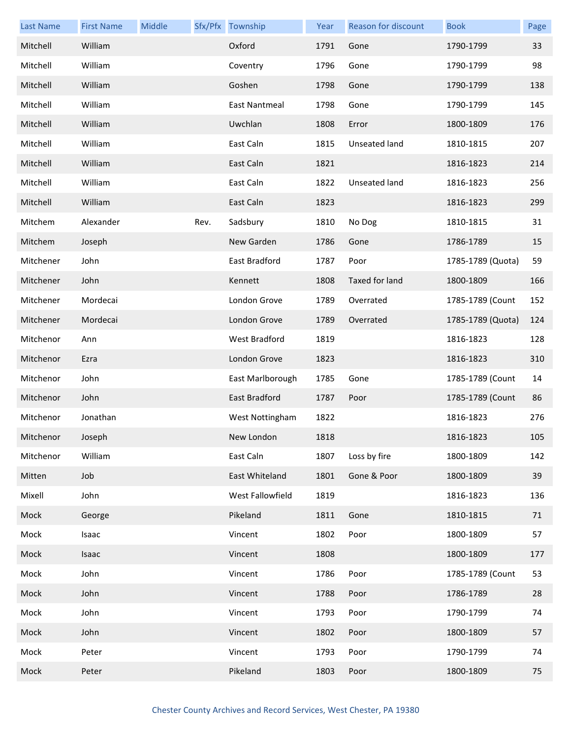| <b>Last Name</b> | <b>First Name</b> | Middle |      | Sfx/Pfx Township     | Year | <b>Reason for discount</b> | <b>Book</b>       | Page |
|------------------|-------------------|--------|------|----------------------|------|----------------------------|-------------------|------|
| Mitchell         | William           |        |      | Oxford               | 1791 | Gone                       | 1790-1799         | 33   |
| Mitchell         | William           |        |      | Coventry             | 1796 | Gone                       | 1790-1799         | 98   |
| Mitchell         | William           |        |      | Goshen               | 1798 | Gone                       | 1790-1799         | 138  |
| Mitchell         | William           |        |      | East Nantmeal        | 1798 | Gone                       | 1790-1799         | 145  |
| Mitchell         | William           |        |      | Uwchlan              | 1808 | Error                      | 1800-1809         | 176  |
| Mitchell         | William           |        |      | East Caln            | 1815 | Unseated land              | 1810-1815         | 207  |
| Mitchell         | William           |        |      | East Caln            | 1821 |                            | 1816-1823         | 214  |
| Mitchell         | William           |        |      | East Caln            | 1822 | Unseated land              | 1816-1823         | 256  |
| Mitchell         | William           |        |      | East Caln            | 1823 |                            | 1816-1823         | 299  |
| Mitchem          | Alexander         |        | Rev. | Sadsbury             | 1810 | No Dog                     | 1810-1815         | 31   |
| Mitchem          | Joseph            |        |      | New Garden           | 1786 | Gone                       | 1786-1789         | 15   |
| Mitchener        | John              |        |      | East Bradford        | 1787 | Poor                       | 1785-1789 (Quota) | 59   |
| Mitchener        | John              |        |      | Kennett              | 1808 | Taxed for land             | 1800-1809         | 166  |
| Mitchener        | Mordecai          |        |      | London Grove         | 1789 | Overrated                  | 1785-1789 (Count  | 152  |
| Mitchener        | Mordecai          |        |      | London Grove         | 1789 | Overrated                  | 1785-1789 (Quota) | 124  |
| Mitchenor        | Ann               |        |      | <b>West Bradford</b> | 1819 |                            | 1816-1823         | 128  |
| Mitchenor        | Ezra              |        |      | London Grove         | 1823 |                            | 1816-1823         | 310  |
| Mitchenor        | John              |        |      | East Marlborough     | 1785 | Gone                       | 1785-1789 (Count  | 14   |
| Mitchenor        | John              |        |      | East Bradford        | 1787 | Poor                       | 1785-1789 (Count  | 86   |
| Mitchenor        | Jonathan          |        |      | West Nottingham      | 1822 |                            | 1816-1823         | 276  |
| Mitchenor        | Joseph            |        |      | New London           | 1818 |                            | 1816-1823         | 105  |
| Mitchenor        | William           |        |      | East Caln            | 1807 | Loss by fire               | 1800-1809         | 142  |
| Mitten           | Job               |        |      | East Whiteland       | 1801 | Gone & Poor                | 1800-1809         | 39   |
| Mixell           | John              |        |      | West Fallowfield     | 1819 |                            | 1816-1823         | 136  |
| Mock             | George            |        |      | Pikeland             | 1811 | Gone                       | 1810-1815         | 71   |
| Mock             | Isaac             |        |      | Vincent              | 1802 | Poor                       | 1800-1809         | 57   |
| Mock             | Isaac             |        |      | Vincent              | 1808 |                            | 1800-1809         | 177  |
| Mock             | John              |        |      | Vincent              | 1786 | Poor                       | 1785-1789 (Count  | 53   |
| Mock             | John              |        |      | Vincent              | 1788 | Poor                       | 1786-1789         | 28   |
| Mock             | John              |        |      | Vincent              | 1793 | Poor                       | 1790-1799         | 74   |
| Mock             | John              |        |      | Vincent              | 1802 | Poor                       | 1800-1809         | 57   |
| Mock             | Peter             |        |      | Vincent              | 1793 | Poor                       | 1790-1799         | 74   |
| Mock             | Peter             |        |      | Pikeland             | 1803 | Poor                       | 1800-1809         | 75   |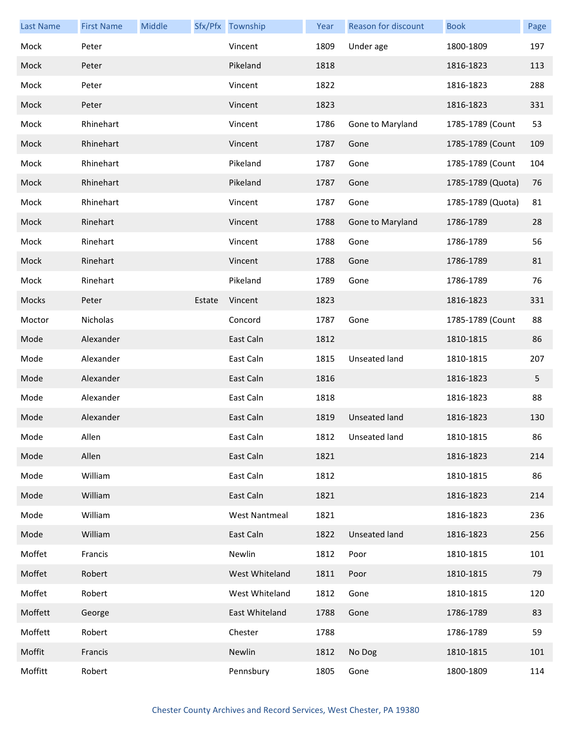| <b>Last Name</b> | <b>First Name</b> | Middle |        | Sfx/Pfx Township     | Year | Reason for discount | <b>Book</b>       | Page |
|------------------|-------------------|--------|--------|----------------------|------|---------------------|-------------------|------|
| Mock             | Peter             |        |        | Vincent              | 1809 | Under age           | 1800-1809         | 197  |
| Mock             | Peter             |        |        | Pikeland             | 1818 |                     | 1816-1823         | 113  |
| Mock             | Peter             |        |        | Vincent              | 1822 |                     | 1816-1823         | 288  |
| Mock             | Peter             |        |        | Vincent              | 1823 |                     | 1816-1823         | 331  |
| Mock             | Rhinehart         |        |        | Vincent              | 1786 | Gone to Maryland    | 1785-1789 (Count  | 53   |
| Mock             | Rhinehart         |        |        | Vincent              | 1787 | Gone                | 1785-1789 (Count  | 109  |
| Mock             | Rhinehart         |        |        | Pikeland             | 1787 | Gone                | 1785-1789 (Count  | 104  |
| Mock             | Rhinehart         |        |        | Pikeland             | 1787 | Gone                | 1785-1789 (Quota) | 76   |
| Mock             | Rhinehart         |        |        | Vincent              | 1787 | Gone                | 1785-1789 (Quota) | 81   |
| Mock             | Rinehart          |        |        | Vincent              | 1788 | Gone to Maryland    | 1786-1789         | 28   |
| Mock             | Rinehart          |        |        | Vincent              | 1788 | Gone                | 1786-1789         | 56   |
| Mock             | Rinehart          |        |        | Vincent              | 1788 | Gone                | 1786-1789         | 81   |
| Mock             | Rinehart          |        |        | Pikeland             | 1789 | Gone                | 1786-1789         | 76   |
| Mocks            | Peter             |        | Estate | Vincent              | 1823 |                     | 1816-1823         | 331  |
| Moctor           | Nicholas          |        |        | Concord              | 1787 | Gone                | 1785-1789 (Count  | 88   |
| Mode             | Alexander         |        |        | East Caln            | 1812 |                     | 1810-1815         | 86   |
| Mode             | Alexander         |        |        | East Caln            | 1815 | Unseated land       | 1810-1815         | 207  |
| Mode             | Alexander         |        |        | East Caln            | 1816 |                     | 1816-1823         | 5    |
| Mode             | Alexander         |        |        | East Caln            | 1818 |                     | 1816-1823         | 88   |
| Mode             | Alexander         |        |        | East Caln            | 1819 | Unseated land       | 1816-1823         | 130  |
| Mode             | Allen             |        |        | East Caln            |      | 1812 Unseated land  | 1810-1815         | 86   |
| Mode             | Allen             |        |        | East Caln            | 1821 |                     | 1816-1823         | 214  |
| Mode             | William           |        |        | East Caln            | 1812 |                     | 1810-1815         | 86   |
| Mode             | William           |        |        | East Caln            | 1821 |                     | 1816-1823         | 214  |
| Mode             | William           |        |        | <b>West Nantmeal</b> | 1821 |                     | 1816-1823         | 236  |
| Mode             | William           |        |        | East Caln            | 1822 | Unseated land       | 1816-1823         | 256  |
| Moffet           | Francis           |        |        | Newlin               | 1812 | Poor                | 1810-1815         | 101  |
| Moffet           | Robert            |        |        | West Whiteland       | 1811 | Poor                | 1810-1815         | 79   |
| Moffet           | Robert            |        |        | West Whiteland       | 1812 | Gone                | 1810-1815         | 120  |
| Moffett          | George            |        |        | East Whiteland       | 1788 | Gone                | 1786-1789         | 83   |
| Moffett          | Robert            |        |        | Chester              | 1788 |                     | 1786-1789         | 59   |
| Moffit           | Francis           |        |        | Newlin               | 1812 | No Dog              | 1810-1815         | 101  |
| Moffitt          | Robert            |        |        | Pennsbury            | 1805 | Gone                | 1800-1809         | 114  |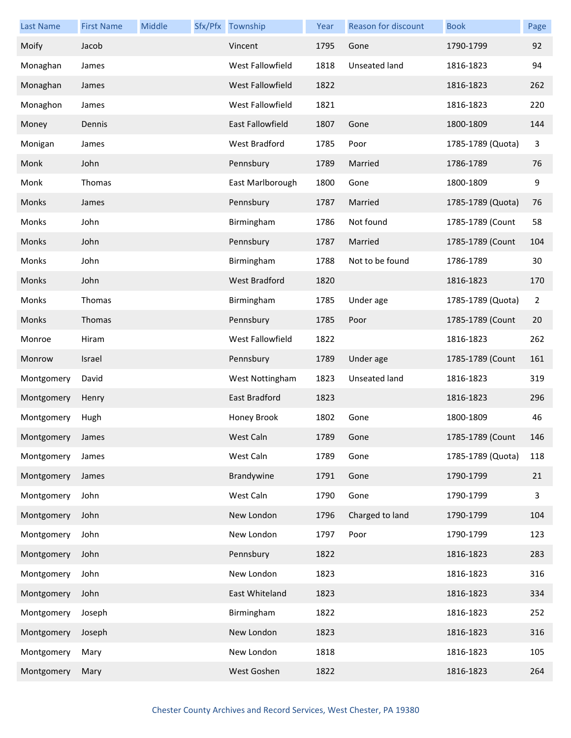| <b>Last Name</b> | <b>First Name</b> | Middle | Sfx/Pfx Township        | Year | Reason for discount | <b>Book</b>       | Page           |
|------------------|-------------------|--------|-------------------------|------|---------------------|-------------------|----------------|
| Moify            | Jacob             |        | Vincent                 | 1795 | Gone                | 1790-1799         | 92             |
| Monaghan         | James             |        | West Fallowfield        | 1818 | Unseated land       | 1816-1823         | 94             |
| Monaghan         | James             |        | West Fallowfield        | 1822 |                     | 1816-1823         | 262            |
| Monaghon         | James             |        | West Fallowfield        | 1821 |                     | 1816-1823         | 220            |
| Money            | Dennis            |        | <b>East Fallowfield</b> | 1807 | Gone                | 1800-1809         | 144            |
| Monigan          | James             |        | West Bradford           | 1785 | Poor                | 1785-1789 (Quota) | 3              |
| Monk             | John              |        | Pennsbury               | 1789 | Married             | 1786-1789         | 76             |
| Monk             | Thomas            |        | East Marlborough        | 1800 | Gone                | 1800-1809         | 9              |
| Monks            | James             |        | Pennsbury               | 1787 | Married             | 1785-1789 (Quota) | 76             |
| Monks            | John              |        | Birmingham              | 1786 | Not found           | 1785-1789 (Count  | 58             |
| Monks            | John              |        | Pennsbury               | 1787 | Married             | 1785-1789 (Count  | 104            |
| Monks            | John              |        | Birmingham              | 1788 | Not to be found     | 1786-1789         | 30             |
| Monks            | John              |        | <b>West Bradford</b>    | 1820 |                     | 1816-1823         | 170            |
| Monks            | Thomas            |        | Birmingham              | 1785 | Under age           | 1785-1789 (Quota) | $\overline{2}$ |
| Monks            | Thomas            |        | Pennsbury               | 1785 | Poor                | 1785-1789 (Count  | 20             |
| Monroe           | Hiram             |        | West Fallowfield        | 1822 |                     | 1816-1823         | 262            |
| Monrow           | Israel            |        | Pennsbury               | 1789 | Under age           | 1785-1789 (Count  | 161            |
| Montgomery       | David             |        | West Nottingham         | 1823 | Unseated land       | 1816-1823         | 319            |
| Montgomery       | Henry             |        | East Bradford           | 1823 |                     | 1816-1823         | 296            |
| Montgomery       | Hugh              |        | Honey Brook             | 1802 | Gone                | 1800-1809         | 46             |
| Montgomery James |                   |        | West Caln               | 1789 | Gone                | 1785-1789 (Count  | 146            |
| Montgomery       | James             |        | West Caln               | 1789 | Gone                | 1785-1789 (Quota) | 118            |
| Montgomery       | James             |        | Brandywine              | 1791 | Gone                | 1790-1799         | 21             |
| Montgomery       | John              |        | West Caln               | 1790 | Gone                | 1790-1799         | 3              |
| Montgomery       | John              |        | New London              | 1796 | Charged to land     | 1790-1799         | 104            |
| Montgomery       | John              |        | New London              | 1797 | Poor                | 1790-1799         | 123            |
| Montgomery       | John              |        | Pennsbury               | 1822 |                     | 1816-1823         | 283            |
| Montgomery       | John              |        | New London              | 1823 |                     | 1816-1823         | 316            |
| Montgomery       | John              |        | East Whiteland          | 1823 |                     | 1816-1823         | 334            |
| Montgomery       | Joseph            |        | Birmingham              | 1822 |                     | 1816-1823         | 252            |
| Montgomery       | Joseph            |        | New London              | 1823 |                     | 1816-1823         | 316            |
| Montgomery       | Mary              |        | New London              | 1818 |                     | 1816-1823         | 105            |
| Montgomery       | Mary              |        | West Goshen             | 1822 |                     | 1816-1823         | 264            |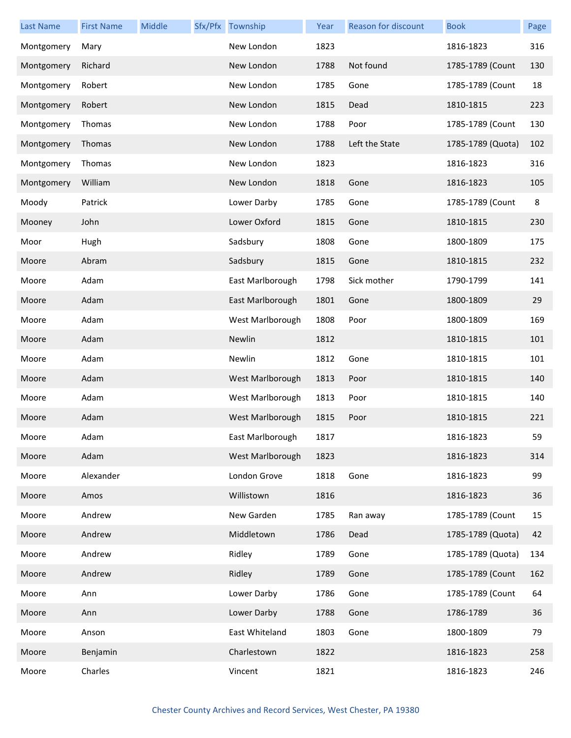| <b>Last Name</b> | <b>First Name</b> | Middle | Sfx/Pfx Township | Year | Reason for discount | <b>Book</b>       | Page    |
|------------------|-------------------|--------|------------------|------|---------------------|-------------------|---------|
| Montgomery       | Mary              |        | New London       | 1823 |                     | 1816-1823         | 316     |
| Montgomery       | Richard           |        | New London       | 1788 | Not found           | 1785-1789 (Count  | 130     |
| Montgomery       | Robert            |        | New London       | 1785 | Gone                | 1785-1789 (Count  | 18      |
| Montgomery       | Robert            |        | New London       | 1815 | Dead                | 1810-1815         | 223     |
| Montgomery       | Thomas            |        | New London       | 1788 | Poor                | 1785-1789 (Count  | 130     |
| Montgomery       | Thomas            |        | New London       | 1788 | Left the State      | 1785-1789 (Quota) | 102     |
| Montgomery       | Thomas            |        | New London       | 1823 |                     | 1816-1823         | 316     |
| Montgomery       | William           |        | New London       | 1818 | Gone                | 1816-1823         | 105     |
| Moody            | Patrick           |        | Lower Darby      | 1785 | Gone                | 1785-1789 (Count  | $\bf 8$ |
| Mooney           | John              |        | Lower Oxford     | 1815 | Gone                | 1810-1815         | 230     |
| Moor             | Hugh              |        | Sadsbury         | 1808 | Gone                | 1800-1809         | 175     |
| Moore            | Abram             |        | Sadsbury         | 1815 | Gone                | 1810-1815         | 232     |
| Moore            | Adam              |        | East Marlborough | 1798 | Sick mother         | 1790-1799         | 141     |
| Moore            | Adam              |        | East Marlborough | 1801 | Gone                | 1800-1809         | 29      |
| Moore            | Adam              |        | West Marlborough | 1808 | Poor                | 1800-1809         | 169     |
| Moore            | Adam              |        | Newlin           | 1812 |                     | 1810-1815         | 101     |
| Moore            | Adam              |        | Newlin           | 1812 | Gone                | 1810-1815         | 101     |
| Moore            | Adam              |        | West Marlborough | 1813 | Poor                | 1810-1815         | 140     |
| Moore            | Adam              |        | West Marlborough | 1813 | Poor                | 1810-1815         | 140     |
| Moore            | Adam              |        | West Marlborough | 1815 | Poor                | 1810-1815         | 221     |
| Moore            | Adam              |        | East Marlborough | 1817 |                     | 1816-1823         | 59      |
| Moore            | Adam              |        | West Marlborough | 1823 |                     | 1816-1823         | 314     |
| Moore            | Alexander         |        | London Grove     | 1818 | Gone                | 1816-1823         | 99      |
| Moore            | Amos              |        | Willistown       | 1816 |                     | 1816-1823         | 36      |
| Moore            | Andrew            |        | New Garden       | 1785 | Ran away            | 1785-1789 (Count  | 15      |
| Moore            | Andrew            |        | Middletown       | 1786 | Dead                | 1785-1789 (Quota) | 42      |
| Moore            | Andrew            |        | Ridley           | 1789 | Gone                | 1785-1789 (Quota) | 134     |
| Moore            | Andrew            |        | Ridley           | 1789 | Gone                | 1785-1789 (Count  | 162     |
| Moore            | Ann               |        | Lower Darby      | 1786 | Gone                | 1785-1789 (Count  | 64      |
| Moore            | Ann               |        | Lower Darby      | 1788 | Gone                | 1786-1789         | 36      |
| Moore            | Anson             |        | East Whiteland   | 1803 | Gone                | 1800-1809         | 79      |
| Moore            | Benjamin          |        | Charlestown      | 1822 |                     | 1816-1823         | 258     |
| Moore            | Charles           |        | Vincent          | 1821 |                     | 1816-1823         | 246     |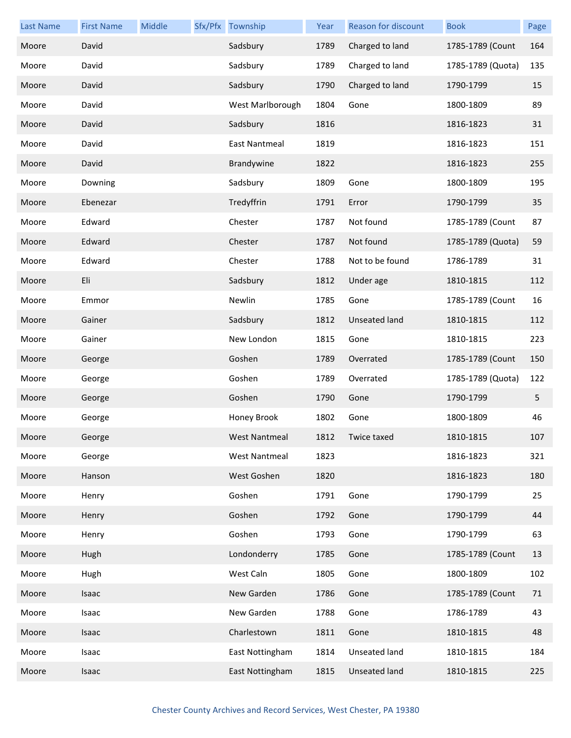| <b>Last Name</b> | <b>First Name</b> | Middle | Sfx/Pfx Township     | Year | Reason for discount  | <b>Book</b>       | Page |
|------------------|-------------------|--------|----------------------|------|----------------------|-------------------|------|
| Moore            | David             |        | Sadsbury             | 1789 | Charged to land      | 1785-1789 (Count  | 164  |
| Moore            | David             |        | Sadsbury             | 1789 | Charged to land      | 1785-1789 (Quota) | 135  |
| Moore            | David             |        | Sadsbury             | 1790 | Charged to land      | 1790-1799         | 15   |
| Moore            | David             |        | West Marlborough     | 1804 | Gone                 | 1800-1809         | 89   |
| Moore            | David             |        | Sadsbury             | 1816 |                      | 1816-1823         | 31   |
| Moore            | David             |        | East Nantmeal        | 1819 |                      | 1816-1823         | 151  |
| Moore            | David             |        | Brandywine           | 1822 |                      | 1816-1823         | 255  |
| Moore            | Downing           |        | Sadsbury             | 1809 | Gone                 | 1800-1809         | 195  |
| Moore            | Ebenezar          |        | Tredyffrin           | 1791 | Error                | 1790-1799         | 35   |
| Moore            | Edward            |        | Chester              | 1787 | Not found            | 1785-1789 (Count  | 87   |
| Moore            | Edward            |        | Chester              | 1787 | Not found            | 1785-1789 (Quota) | 59   |
| Moore            | Edward            |        | Chester              | 1788 | Not to be found      | 1786-1789         | 31   |
| Moore            | Eli               |        | Sadsbury             | 1812 | Under age            | 1810-1815         | 112  |
| Moore            | Emmor             |        | Newlin               | 1785 | Gone                 | 1785-1789 (Count  | 16   |
| Moore            | Gainer            |        | Sadsbury             | 1812 | <b>Unseated land</b> | 1810-1815         | 112  |
| Moore            | Gainer            |        | New London           | 1815 | Gone                 | 1810-1815         | 223  |
| Moore            | George            |        | Goshen               | 1789 | Overrated            | 1785-1789 (Count  | 150  |
| Moore            | George            |        | Goshen               | 1789 | Overrated            | 1785-1789 (Quota) | 122  |
| Moore            | George            |        | Goshen               | 1790 | Gone                 | 1790-1799         | 5    |
| Moore            | George            |        | Honey Brook          | 1802 | Gone                 | 1800-1809         | 46   |
| Moore            | George            |        | <b>West Nantmeal</b> | 1812 | Twice taxed          | 1810-1815         | 107  |
| Moore            | George            |        | <b>West Nantmeal</b> | 1823 |                      | 1816-1823         | 321  |
| Moore            | Hanson            |        | West Goshen          | 1820 |                      | 1816-1823         | 180  |
| Moore            | Henry             |        | Goshen               | 1791 | Gone                 | 1790-1799         | 25   |
| Moore            | Henry             |        | Goshen               | 1792 | Gone                 | 1790-1799         | 44   |
| Moore            | Henry             |        | Goshen               | 1793 | Gone                 | 1790-1799         | 63   |
| Moore            | Hugh              |        | Londonderry          | 1785 | Gone                 | 1785-1789 (Count  | 13   |
| Moore            | Hugh              |        | West Caln            | 1805 | Gone                 | 1800-1809         | 102  |
| Moore            | Isaac             |        | New Garden           | 1786 | Gone                 | 1785-1789 (Count  | 71   |
| Moore            | Isaac             |        | New Garden           | 1788 | Gone                 | 1786-1789         | 43   |
| Moore            | Isaac             |        | Charlestown          | 1811 | Gone                 | 1810-1815         | 48   |
| Moore            | Isaac             |        | East Nottingham      | 1814 | Unseated land        | 1810-1815         | 184  |
| Moore            | Isaac             |        | East Nottingham      | 1815 | Unseated land        | 1810-1815         | 225  |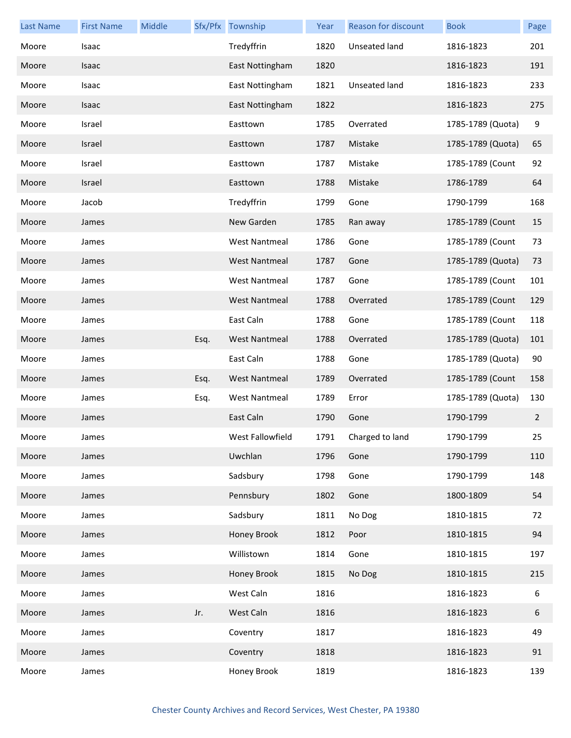| <b>Last Name</b> | <b>First Name</b> | Middle |      | Sfx/Pfx Township     | Year | Reason for discount | <b>Book</b>       | Page             |
|------------------|-------------------|--------|------|----------------------|------|---------------------|-------------------|------------------|
| Moore            | Isaac             |        |      | Tredyffrin           | 1820 | Unseated land       | 1816-1823         | 201              |
| Moore            | Isaac             |        |      | East Nottingham      | 1820 |                     | 1816-1823         | 191              |
| Moore            | Isaac             |        |      | East Nottingham      | 1821 | Unseated land       | 1816-1823         | 233              |
| Moore            | Isaac             |        |      | East Nottingham      | 1822 |                     | 1816-1823         | 275              |
| Moore            | Israel            |        |      | Easttown             | 1785 | Overrated           | 1785-1789 (Quota) | $\boldsymbol{9}$ |
| Moore            | Israel            |        |      | Easttown             | 1787 | Mistake             | 1785-1789 (Quota) | 65               |
| Moore            | Israel            |        |      | Easttown             | 1787 | Mistake             | 1785-1789 (Count  | 92               |
| Moore            | Israel            |        |      | Easttown             | 1788 | Mistake             | 1786-1789         | 64               |
| Moore            | Jacob             |        |      | Tredyffrin           | 1799 | Gone                | 1790-1799         | 168              |
| Moore            | James             |        |      | New Garden           | 1785 | Ran away            | 1785-1789 (Count  | 15               |
| Moore            | James             |        |      | <b>West Nantmeal</b> | 1786 | Gone                | 1785-1789 (Count  | 73               |
| Moore            | James             |        |      | <b>West Nantmeal</b> | 1787 | Gone                | 1785-1789 (Quota) | 73               |
| Moore            | James             |        |      | <b>West Nantmeal</b> | 1787 | Gone                | 1785-1789 (Count  | 101              |
| Moore            | James             |        |      | <b>West Nantmeal</b> | 1788 | Overrated           | 1785-1789 (Count  | 129              |
| Moore            | James             |        |      | East Caln            | 1788 | Gone                | 1785-1789 (Count  | 118              |
| Moore            | James             |        | Esq. | <b>West Nantmeal</b> | 1788 | Overrated           | 1785-1789 (Quota) | 101              |
| Moore            | James             |        |      | East Caln            | 1788 | Gone                | 1785-1789 (Quota) | 90               |
| Moore            | James             |        | Esq. | <b>West Nantmeal</b> | 1789 | Overrated           | 1785-1789 (Count  | 158              |
| Moore            | James             |        | Esq. | <b>West Nantmeal</b> | 1789 | Error               | 1785-1789 (Quota) | 130              |
| Moore            | James             |        |      | East Caln            | 1790 | Gone                | 1790-1799         | $\overline{2}$   |
| Moore            | James             |        |      | West Fallowfield     | 1791 | Charged to land     | 1790-1799         | 25               |
| Moore            | James             |        |      | Uwchlan              | 1796 | Gone                | 1790-1799         | 110              |
| Moore            | James             |        |      | Sadsbury             | 1798 | Gone                | 1790-1799         | 148              |
| Moore            | James             |        |      | Pennsbury            | 1802 | Gone                | 1800-1809         | 54               |
| Moore            | James             |        |      | Sadsbury             | 1811 | No Dog              | 1810-1815         | 72               |
| Moore            | James             |        |      | Honey Brook          | 1812 | Poor                | 1810-1815         | 94               |
| Moore            | James             |        |      | Willistown           | 1814 | Gone                | 1810-1815         | 197              |
| Moore            | James             |        |      | Honey Brook          | 1815 | No Dog              | 1810-1815         | 215              |
| Moore            | James             |        |      | West Caln            | 1816 |                     | 1816-1823         | 6                |
| Moore            | James             |        | Jr.  | West Caln            | 1816 |                     | 1816-1823         | 6                |
| Moore            | James             |        |      | Coventry             | 1817 |                     | 1816-1823         | 49               |
| Moore            | James             |        |      | Coventry             | 1818 |                     | 1816-1823         | 91               |
| Moore            | James             |        |      | Honey Brook          | 1819 |                     | 1816-1823         | 139              |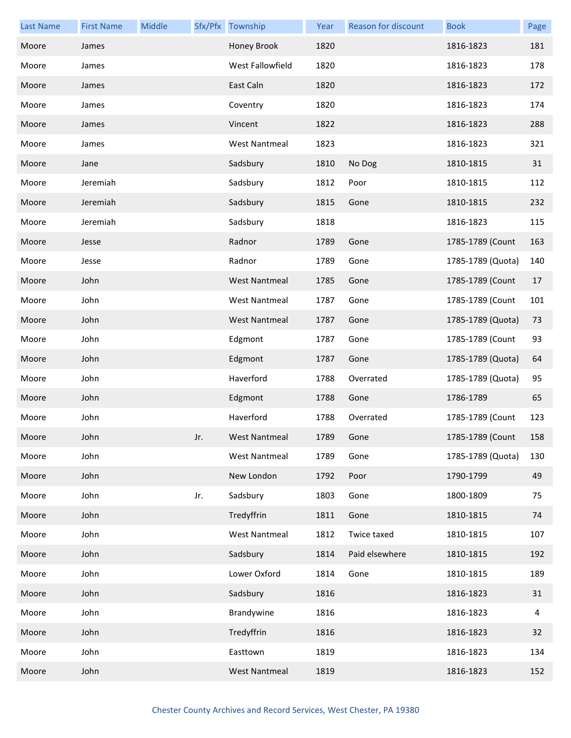| <b>Last Name</b> | <b>First Name</b> | Middle |     | Sfx/Pfx Township     | Year | Reason for discount | <b>Book</b>       | Page |
|------------------|-------------------|--------|-----|----------------------|------|---------------------|-------------------|------|
| Moore            | James             |        |     | Honey Brook          | 1820 |                     | 1816-1823         | 181  |
| Moore            | James             |        |     | West Fallowfield     | 1820 |                     | 1816-1823         | 178  |
| Moore            | James             |        |     | East Caln            | 1820 |                     | 1816-1823         | 172  |
| Moore            | James             |        |     | Coventry             | 1820 |                     | 1816-1823         | 174  |
| Moore            | James             |        |     | Vincent              | 1822 |                     | 1816-1823         | 288  |
| Moore            | James             |        |     | <b>West Nantmeal</b> | 1823 |                     | 1816-1823         | 321  |
| Moore            | Jane              |        |     | Sadsbury             | 1810 | No Dog              | 1810-1815         | 31   |
| Moore            | Jeremiah          |        |     | Sadsbury             | 1812 | Poor                | 1810-1815         | 112  |
| Moore            | Jeremiah          |        |     | Sadsbury             | 1815 | Gone                | 1810-1815         | 232  |
| Moore            | Jeremiah          |        |     | Sadsbury             | 1818 |                     | 1816-1823         | 115  |
| Moore            | Jesse             |        |     | Radnor               | 1789 | Gone                | 1785-1789 (Count  | 163  |
| Moore            | Jesse             |        |     | Radnor               | 1789 | Gone                | 1785-1789 (Quota) | 140  |
| Moore            | John              |        |     | <b>West Nantmeal</b> | 1785 | Gone                | 1785-1789 (Count  | 17   |
| Moore            | John              |        |     | <b>West Nantmeal</b> | 1787 | Gone                | 1785-1789 (Count  | 101  |
| Moore            | John              |        |     | <b>West Nantmeal</b> | 1787 | Gone                | 1785-1789 (Quota) | 73   |
| Moore            | John              |        |     | Edgmont              | 1787 | Gone                | 1785-1789 (Count  | 93   |
| Moore            | John              |        |     | Edgmont              | 1787 | Gone                | 1785-1789 (Quota) | 64   |
| Moore            | John              |        |     | Haverford            | 1788 | Overrated           | 1785-1789 (Quota) | 95   |
| Moore            | John              |        |     | Edgmont              | 1788 | Gone                | 1786-1789         | 65   |
| Moore            | John              |        |     | Haverford            | 1788 | Overrated           | 1785-1789 (Count  | 123  |
| Moore            | John              |        | Jr. | West Nantmeal        | 1789 | Gone                | 1785-1789 (Count  | 158  |
| Moore            | John              |        |     | <b>West Nantmeal</b> | 1789 | Gone                | 1785-1789 (Quota) | 130  |
| Moore            | John              |        |     | New London           | 1792 | Poor                | 1790-1799         | 49   |
| Moore            | John              |        | Jr. | Sadsbury             | 1803 | Gone                | 1800-1809         | 75   |
| Moore            | John              |        |     | Tredyffrin           | 1811 | Gone                | 1810-1815         | 74   |
| Moore            | John              |        |     | <b>West Nantmeal</b> | 1812 | Twice taxed         | 1810-1815         | 107  |
| Moore            | John              |        |     | Sadsbury             | 1814 | Paid elsewhere      | 1810-1815         | 192  |
| Moore            | John              |        |     | Lower Oxford         | 1814 | Gone                | 1810-1815         | 189  |
| Moore            | John              |        |     | Sadsbury             | 1816 |                     | 1816-1823         | 31   |
| Moore            | John              |        |     | Brandywine           | 1816 |                     | 1816-1823         | 4    |
| Moore            | John              |        |     | Tredyffrin           | 1816 |                     | 1816-1823         | 32   |
| Moore            | John              |        |     | Easttown             | 1819 |                     | 1816-1823         | 134  |
| Moore            | John              |        |     | <b>West Nantmeal</b> | 1819 |                     | 1816-1823         | 152  |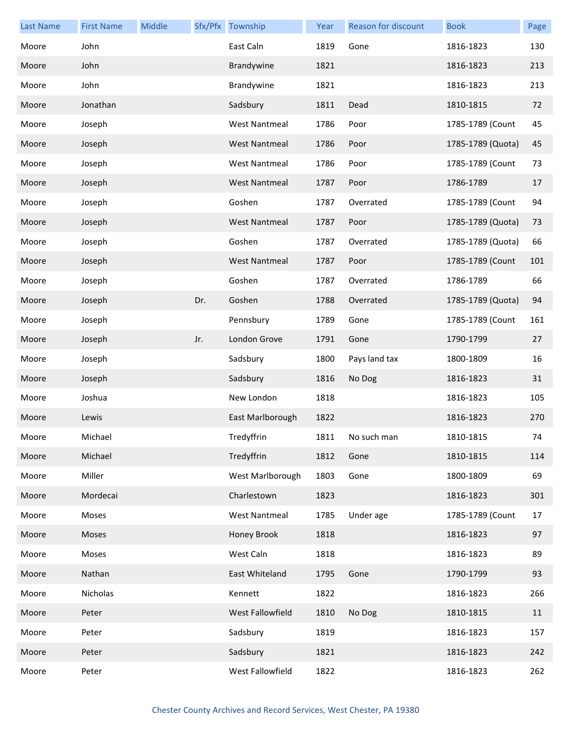| <b>Last Name</b> | <b>First Name</b> | Middle |     | Sfx/Pfx Township     | Year | Reason for discount | <b>Book</b>       | Page |
|------------------|-------------------|--------|-----|----------------------|------|---------------------|-------------------|------|
| Moore            | John              |        |     | East Caln            | 1819 | Gone                | 1816-1823         | 130  |
| Moore            | John              |        |     | Brandywine           | 1821 |                     | 1816-1823         | 213  |
| Moore            | John              |        |     | Brandywine           | 1821 |                     | 1816-1823         | 213  |
| Moore            | Jonathan          |        |     | Sadsbury             | 1811 | Dead                | 1810-1815         | 72   |
| Moore            | Joseph            |        |     | <b>West Nantmeal</b> | 1786 | Poor                | 1785-1789 (Count  | 45   |
| Moore            | Joseph            |        |     | <b>West Nantmeal</b> | 1786 | Poor                | 1785-1789 (Quota) | 45   |
| Moore            | Joseph            |        |     | <b>West Nantmeal</b> | 1786 | Poor                | 1785-1789 (Count  | 73   |
| Moore            | Joseph            |        |     | <b>West Nantmeal</b> | 1787 | Poor                | 1786-1789         | 17   |
| Moore            | Joseph            |        |     | Goshen               | 1787 | Overrated           | 1785-1789 (Count  | 94   |
| Moore            | Joseph            |        |     | <b>West Nantmeal</b> | 1787 | Poor                | 1785-1789 (Quota) | 73   |
| Moore            | Joseph            |        |     | Goshen               | 1787 | Overrated           | 1785-1789 (Quota) | 66   |
| Moore            | Joseph            |        |     | <b>West Nantmeal</b> | 1787 | Poor                | 1785-1789 (Count  | 101  |
| Moore            | Joseph            |        |     | Goshen               | 1787 | Overrated           | 1786-1789         | 66   |
| Moore            | Joseph            |        | Dr. | Goshen               | 1788 | Overrated           | 1785-1789 (Quota) | 94   |
| Moore            | Joseph            |        |     | Pennsbury            | 1789 | Gone                | 1785-1789 (Count  | 161  |
| Moore            | Joseph            |        | Jr. | London Grove         | 1791 | Gone                | 1790-1799         | 27   |
| Moore            | Joseph            |        |     | Sadsbury             | 1800 | Pays land tax       | 1800-1809         | 16   |
| Moore            | Joseph            |        |     | Sadsbury             | 1816 | No Dog              | 1816-1823         | 31   |
| Moore            | Joshua            |        |     | New London           | 1818 |                     | 1816-1823         | 105  |
| Moore            | Lewis             |        |     | East Marlborough     | 1822 |                     | 1816-1823         | 270  |
| Moore            | Michael           |        |     | Tredyffrin           | 1811 | No such man         | 1810-1815         | 74   |
| Moore            | Michael           |        |     | Tredyffrin           | 1812 | Gone                | 1810-1815         | 114  |
| Moore            | Miller            |        |     | West Marlborough     | 1803 | Gone                | 1800-1809         | 69   |
| Moore            | Mordecai          |        |     | Charlestown          | 1823 |                     | 1816-1823         | 301  |
| Moore            | Moses             |        |     | <b>West Nantmeal</b> | 1785 | Under age           | 1785-1789 (Count  | 17   |
| Moore            | Moses             |        |     | Honey Brook          | 1818 |                     | 1816-1823         | 97   |
| Moore            | Moses             |        |     | West Caln            | 1818 |                     | 1816-1823         | 89   |
| Moore            | Nathan            |        |     | East Whiteland       | 1795 | Gone                | 1790-1799         | 93   |
| Moore            | Nicholas          |        |     | Kennett              | 1822 |                     | 1816-1823         | 266  |
| Moore            | Peter             |        |     | West Fallowfield     | 1810 | No Dog              | 1810-1815         | 11   |
| Moore            | Peter             |        |     | Sadsbury             | 1819 |                     | 1816-1823         | 157  |
| Moore            | Peter             |        |     | Sadsbury             | 1821 |                     | 1816-1823         | 242  |
| Moore            | Peter             |        |     | West Fallowfield     | 1822 |                     | 1816-1823         | 262  |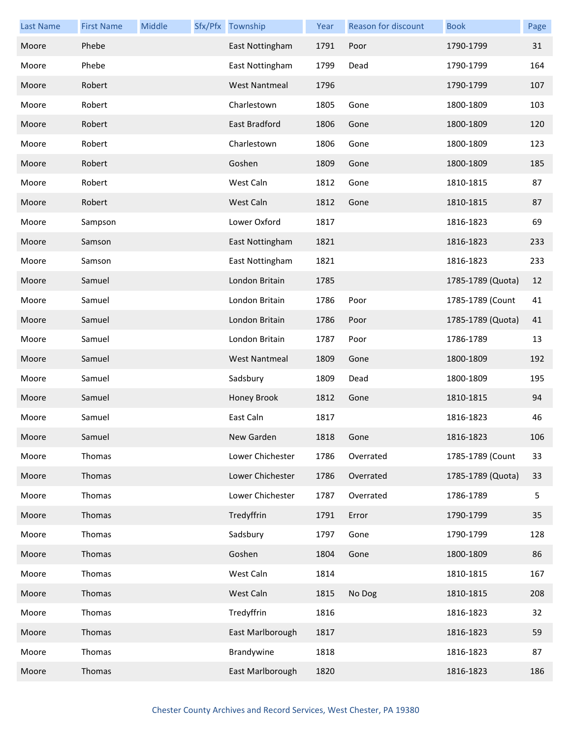| <b>Last Name</b> | <b>First Name</b> | Middle | Sfx/Pfx Township     | Year | <b>Reason for discount</b> | <b>Book</b>       | Page |
|------------------|-------------------|--------|----------------------|------|----------------------------|-------------------|------|
| Moore            | Phebe             |        | East Nottingham      | 1791 | Poor                       | 1790-1799         | 31   |
| Moore            | Phebe             |        | East Nottingham      | 1799 | Dead                       | 1790-1799         | 164  |
| Moore            | Robert            |        | <b>West Nantmeal</b> | 1796 |                            | 1790-1799         | 107  |
| Moore            | Robert            |        | Charlestown          | 1805 | Gone                       | 1800-1809         | 103  |
| Moore            | Robert            |        | East Bradford        | 1806 | Gone                       | 1800-1809         | 120  |
| Moore            | Robert            |        | Charlestown          | 1806 | Gone                       | 1800-1809         | 123  |
| Moore            | Robert            |        | Goshen               | 1809 | Gone                       | 1800-1809         | 185  |
| Moore            | Robert            |        | West Caln            | 1812 | Gone                       | 1810-1815         | 87   |
| Moore            | Robert            |        | West Caln            | 1812 | Gone                       | 1810-1815         | 87   |
| Moore            | Sampson           |        | Lower Oxford         | 1817 |                            | 1816-1823         | 69   |
| Moore            | Samson            |        | East Nottingham      | 1821 |                            | 1816-1823         | 233  |
| Moore            | Samson            |        | East Nottingham      | 1821 |                            | 1816-1823         | 233  |
| Moore            | Samuel            |        | London Britain       | 1785 |                            | 1785-1789 (Quota) | 12   |
| Moore            | Samuel            |        | London Britain       | 1786 | Poor                       | 1785-1789 (Count  | 41   |
| Moore            | Samuel            |        | London Britain       | 1786 | Poor                       | 1785-1789 (Quota) | 41   |
| Moore            | Samuel            |        | London Britain       | 1787 | Poor                       | 1786-1789         | 13   |
| Moore            | Samuel            |        | <b>West Nantmeal</b> | 1809 | Gone                       | 1800-1809         | 192  |
| Moore            | Samuel            |        | Sadsbury             | 1809 | Dead                       | 1800-1809         | 195  |
| Moore            | Samuel            |        | Honey Brook          | 1812 | Gone                       | 1810-1815         | 94   |
| Moore            | Samuel            |        | East Caln            | 1817 |                            | 1816-1823         | 46   |
| Moore            | Samuel            |        | New Garden           | 1818 | Gone                       | 1816-1823         | 106  |
| Moore            | Thomas            |        | Lower Chichester     | 1786 | Overrated                  | 1785-1789 (Count  | 33   |
| Moore            | Thomas            |        | Lower Chichester     | 1786 | Overrated                  | 1785-1789 (Quota) | 33   |
| Moore            | Thomas            |        | Lower Chichester     | 1787 | Overrated                  | 1786-1789         | 5    |
| Moore            | Thomas            |        | Tredyffrin           | 1791 | Error                      | 1790-1799         | 35   |
| Moore            | Thomas            |        | Sadsbury             | 1797 | Gone                       | 1790-1799         | 128  |
| Moore            | Thomas            |        | Goshen               | 1804 | Gone                       | 1800-1809         | 86   |
| Moore            | Thomas            |        | West Caln            | 1814 |                            | 1810-1815         | 167  |
| Moore            | Thomas            |        | West Caln            | 1815 | No Dog                     | 1810-1815         | 208  |
| Moore            | Thomas            |        | Tredyffrin           | 1816 |                            | 1816-1823         | 32   |
| Moore            | Thomas            |        | East Marlborough     | 1817 |                            | 1816-1823         | 59   |
| Moore            | Thomas            |        | Brandywine           | 1818 |                            | 1816-1823         | 87   |
| Moore            | Thomas            |        | East Marlborough     | 1820 |                            | 1816-1823         | 186  |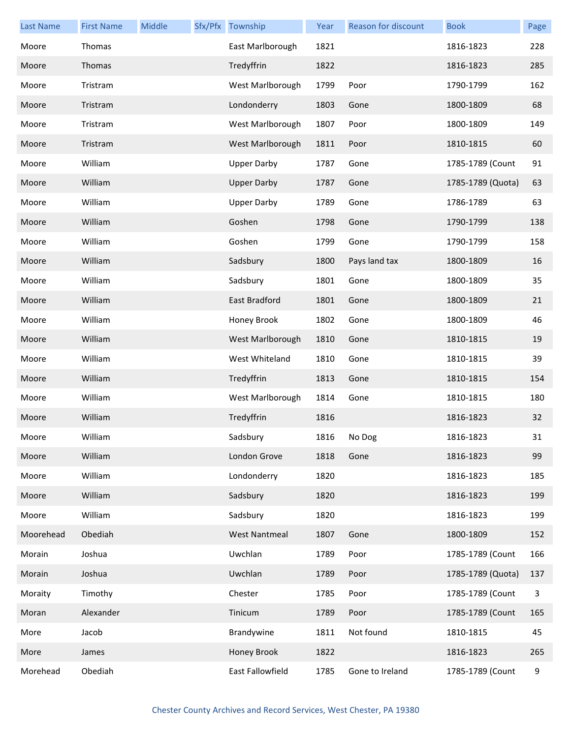| <b>Last Name</b> | <b>First Name</b> | Middle | Sfx/Pfx Township     | Year | Reason for discount | <b>Book</b>       | Page |
|------------------|-------------------|--------|----------------------|------|---------------------|-------------------|------|
| Moore            | Thomas            |        | East Marlborough     | 1821 |                     | 1816-1823         | 228  |
| Moore            | Thomas            |        | Tredyffrin           | 1822 |                     | 1816-1823         | 285  |
| Moore            | Tristram          |        | West Marlborough     | 1799 | Poor                | 1790-1799         | 162  |
| Moore            | Tristram          |        | Londonderry          | 1803 | Gone                | 1800-1809         | 68   |
| Moore            | Tristram          |        | West Marlborough     | 1807 | Poor                | 1800-1809         | 149  |
| Moore            | Tristram          |        | West Marlborough     | 1811 | Poor                | 1810-1815         | 60   |
| Moore            | William           |        | <b>Upper Darby</b>   | 1787 | Gone                | 1785-1789 (Count  | 91   |
| Moore            | William           |        | <b>Upper Darby</b>   | 1787 | Gone                | 1785-1789 (Quota) | 63   |
| Moore            | William           |        | <b>Upper Darby</b>   | 1789 | Gone                | 1786-1789         | 63   |
| Moore            | William           |        | Goshen               | 1798 | Gone                | 1790-1799         | 138  |
| Moore            | William           |        | Goshen               | 1799 | Gone                | 1790-1799         | 158  |
| Moore            | William           |        | Sadsbury             | 1800 | Pays land tax       | 1800-1809         | 16   |
| Moore            | William           |        | Sadsbury             | 1801 | Gone                | 1800-1809         | 35   |
| Moore            | William           |        | East Bradford        | 1801 | Gone                | 1800-1809         | 21   |
| Moore            | William           |        | Honey Brook          | 1802 | Gone                | 1800-1809         | 46   |
| Moore            | William           |        | West Marlborough     | 1810 | Gone                | 1810-1815         | 19   |
| Moore            | William           |        | West Whiteland       | 1810 | Gone                | 1810-1815         | 39   |
| Moore            | William           |        | Tredyffrin           | 1813 | Gone                | 1810-1815         | 154  |
| Moore            | William           |        | West Marlborough     | 1814 | Gone                | 1810-1815         | 180  |
| Moore            | William           |        | Tredyffrin           | 1816 |                     | 1816-1823         | 32   |
| Moore            | William           |        | Sadsbury             | 1816 | No Dog              | 1816-1823         | 31   |
| Moore            | William           |        | London Grove         | 1818 | Gone                | 1816-1823         | 99   |
| Moore            | William           |        | Londonderry          | 1820 |                     | 1816-1823         | 185  |
| Moore            | William           |        | Sadsbury             | 1820 |                     | 1816-1823         | 199  |
| Moore            | William           |        | Sadsbury             | 1820 |                     | 1816-1823         | 199  |
| Moorehead        | Obediah           |        | <b>West Nantmeal</b> | 1807 | Gone                | 1800-1809         | 152  |
| Morain           | Joshua            |        | Uwchlan              | 1789 | Poor                | 1785-1789 (Count  | 166  |
| Morain           | Joshua            |        | Uwchlan              | 1789 | Poor                | 1785-1789 (Quota) | 137  |
| Moraity          | Timothy           |        | Chester              | 1785 | Poor                | 1785-1789 (Count  | 3    |
| Moran            | Alexander         |        | Tinicum              | 1789 | Poor                | 1785-1789 (Count  | 165  |
| More             | Jacob             |        | Brandywine           | 1811 | Not found           | 1810-1815         | 45   |
| More             | James             |        | Honey Brook          | 1822 |                     | 1816-1823         | 265  |
| Morehead         | Obediah           |        | East Fallowfield     | 1785 | Gone to Ireland     | 1785-1789 (Count  | 9    |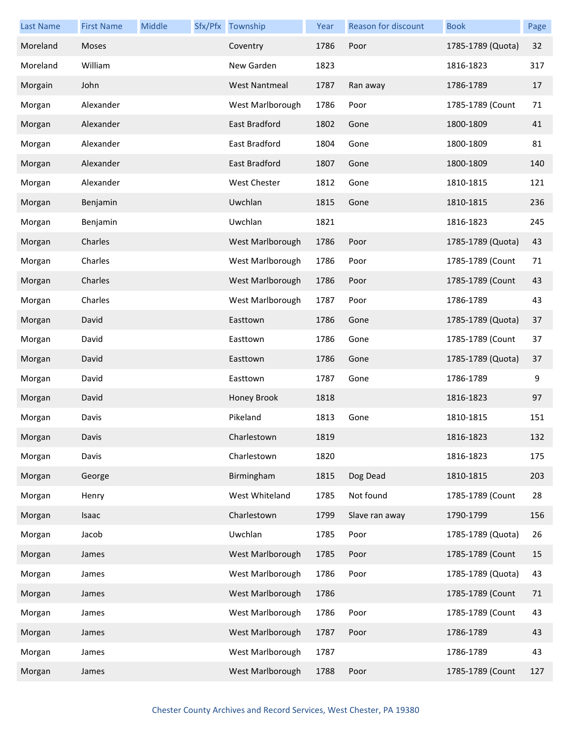| <b>Last Name</b> | <b>First Name</b> | Middle | Sfx/Pfx Township     | Year | Reason for discount | <b>Book</b>       | Page |
|------------------|-------------------|--------|----------------------|------|---------------------|-------------------|------|
| Moreland         | Moses             |        | Coventry             | 1786 | Poor                | 1785-1789 (Quota) | 32   |
| Moreland         | William           |        | New Garden           | 1823 |                     | 1816-1823         | 317  |
| Morgain          | John              |        | <b>West Nantmeal</b> | 1787 | Ran away            | 1786-1789         | 17   |
| Morgan           | Alexander         |        | West Marlborough     | 1786 | Poor                | 1785-1789 (Count  | 71   |
| Morgan           | Alexander         |        | East Bradford        | 1802 | Gone                | 1800-1809         | 41   |
| Morgan           | Alexander         |        | East Bradford        | 1804 | Gone                | 1800-1809         | 81   |
| Morgan           | Alexander         |        | East Bradford        | 1807 | Gone                | 1800-1809         | 140  |
| Morgan           | Alexander         |        | West Chester         | 1812 | Gone                | 1810-1815         | 121  |
| Morgan           | Benjamin          |        | Uwchlan              | 1815 | Gone                | 1810-1815         | 236  |
| Morgan           | Benjamin          |        | Uwchlan              | 1821 |                     | 1816-1823         | 245  |
| Morgan           | Charles           |        | West Marlborough     | 1786 | Poor                | 1785-1789 (Quota) | 43   |
| Morgan           | Charles           |        | West Marlborough     | 1786 | Poor                | 1785-1789 (Count  | 71   |
| Morgan           | Charles           |        | West Marlborough     | 1786 | Poor                | 1785-1789 (Count  | 43   |
| Morgan           | Charles           |        | West Marlborough     | 1787 | Poor                | 1786-1789         | 43   |
| Morgan           | David             |        | Easttown             | 1786 | Gone                | 1785-1789 (Quota) | 37   |
| Morgan           | David             |        | Easttown             | 1786 | Gone                | 1785-1789 (Count  | 37   |
| Morgan           | David             |        | Easttown             | 1786 | Gone                | 1785-1789 (Quota) | 37   |
| Morgan           | David             |        | Easttown             | 1787 | Gone                | 1786-1789         | 9    |
| Morgan           | David             |        | Honey Brook          | 1818 |                     | 1816-1823         | 97   |
| Morgan           | Davis             |        | Pikeland             | 1813 | Gone                | 1810-1815         | 151  |
| Morgan           | Davis             |        | Charlestown          | 1819 |                     | 1816-1823         | 132  |
| Morgan           | Davis             |        | Charlestown          | 1820 |                     | 1816-1823         | 175  |
| Morgan           | George            |        | Birmingham           | 1815 | Dog Dead            | 1810-1815         | 203  |
| Morgan           | Henry             |        | West Whiteland       | 1785 | Not found           | 1785-1789 (Count  | 28   |
| Morgan           | Isaac             |        | Charlestown          | 1799 | Slave ran away      | 1790-1799         | 156  |
| Morgan           | Jacob             |        | Uwchlan              | 1785 | Poor                | 1785-1789 (Quota) | 26   |
| Morgan           | James             |        | West Marlborough     | 1785 | Poor                | 1785-1789 (Count  | 15   |
| Morgan           | James             |        | West Marlborough     | 1786 | Poor                | 1785-1789 (Quota) | 43   |
| Morgan           | James             |        | West Marlborough     | 1786 |                     | 1785-1789 (Count  | 71   |
| Morgan           | James             |        | West Marlborough     | 1786 | Poor                | 1785-1789 (Count  | 43   |
| Morgan           | James             |        | West Marlborough     | 1787 | Poor                | 1786-1789         | 43   |
| Morgan           | James             |        | West Marlborough     | 1787 |                     | 1786-1789         | 43   |
| Morgan           | James             |        | West Marlborough     | 1788 | Poor                | 1785-1789 (Count  | 127  |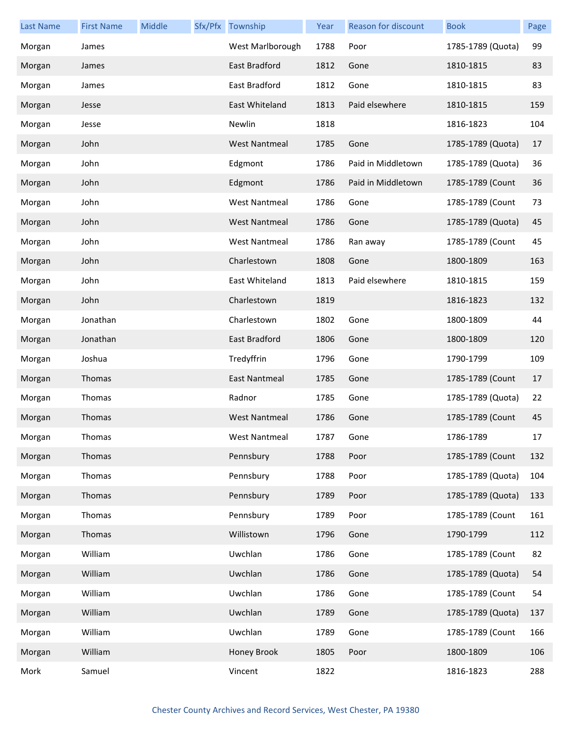| Last Name | <b>First Name</b> | Middle | Sfx/Pfx Township     | Year | Reason for discount | <b>Book</b>       | Page |
|-----------|-------------------|--------|----------------------|------|---------------------|-------------------|------|
| Morgan    | James             |        | West Marlborough     | 1788 | Poor                | 1785-1789 (Quota) | 99   |
| Morgan    | James             |        | East Bradford        | 1812 | Gone                | 1810-1815         | 83   |
| Morgan    | James             |        | East Bradford        | 1812 | Gone                | 1810-1815         | 83   |
| Morgan    | Jesse             |        | East Whiteland       | 1813 | Paid elsewhere      | 1810-1815         | 159  |
| Morgan    | Jesse             |        | Newlin               | 1818 |                     | 1816-1823         | 104  |
| Morgan    | John              |        | <b>West Nantmeal</b> | 1785 | Gone                | 1785-1789 (Quota) | 17   |
| Morgan    | John              |        | Edgmont              | 1786 | Paid in Middletown  | 1785-1789 (Quota) | 36   |
| Morgan    | John              |        | Edgmont              | 1786 | Paid in Middletown  | 1785-1789 (Count  | 36   |
| Morgan    | John              |        | <b>West Nantmeal</b> | 1786 | Gone                | 1785-1789 (Count  | 73   |
| Morgan    | John              |        | <b>West Nantmeal</b> | 1786 | Gone                | 1785-1789 (Quota) | 45   |
| Morgan    | John              |        | <b>West Nantmeal</b> | 1786 | Ran away            | 1785-1789 (Count  | 45   |
| Morgan    | John              |        | Charlestown          | 1808 | Gone                | 1800-1809         | 163  |
| Morgan    | John              |        | East Whiteland       | 1813 | Paid elsewhere      | 1810-1815         | 159  |
| Morgan    | John              |        | Charlestown          | 1819 |                     | 1816-1823         | 132  |
| Morgan    | Jonathan          |        | Charlestown          | 1802 | Gone                | 1800-1809         | 44   |
| Morgan    | Jonathan          |        | East Bradford        | 1806 | Gone                | 1800-1809         | 120  |
| Morgan    | Joshua            |        | Tredyffrin           | 1796 | Gone                | 1790-1799         | 109  |
| Morgan    | Thomas            |        | East Nantmeal        | 1785 | Gone                | 1785-1789 (Count  | 17   |
| Morgan    | Thomas            |        | Radnor               | 1785 | Gone                | 1785-1789 (Quota) | 22   |
| Morgan    | Thomas            |        | <b>West Nantmeal</b> | 1786 | Gone                | 1785-1789 (Count  | 45   |
| Morgan    | Thomas            |        | West Nantmeal        | 1787 | Gone                | 1786-1789         | 17   |
| Morgan    | Thomas            |        | Pennsbury            | 1788 | Poor                | 1785-1789 (Count  | 132  |
| Morgan    | Thomas            |        | Pennsbury            | 1788 | Poor                | 1785-1789 (Quota) | 104  |
| Morgan    | Thomas            |        | Pennsbury            | 1789 | Poor                | 1785-1789 (Quota) | 133  |
| Morgan    | Thomas            |        | Pennsbury            | 1789 | Poor                | 1785-1789 (Count  | 161  |
| Morgan    | Thomas            |        | Willistown           | 1796 | Gone                | 1790-1799         | 112  |
| Morgan    | William           |        | Uwchlan              | 1786 | Gone                | 1785-1789 (Count  | 82   |
| Morgan    | William           |        | Uwchlan              | 1786 | Gone                | 1785-1789 (Quota) | 54   |
| Morgan    | William           |        | Uwchlan              | 1786 | Gone                | 1785-1789 (Count  | 54   |
| Morgan    | William           |        | Uwchlan              | 1789 | Gone                | 1785-1789 (Quota) | 137  |
| Morgan    | William           |        | Uwchlan              | 1789 | Gone                | 1785-1789 (Count  | 166  |
| Morgan    | William           |        | Honey Brook          | 1805 | Poor                | 1800-1809         | 106  |
| Mork      | Samuel            |        | Vincent              | 1822 |                     | 1816-1823         | 288  |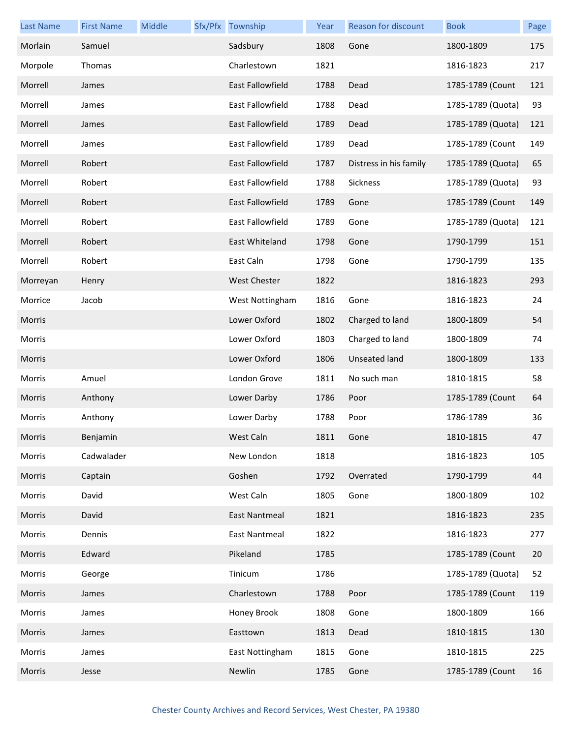| <b>Last Name</b> | <b>First Name</b> | Middle | Sfx/Pfx Township        | Year | Reason for discount    | <b>Book</b>       | Page |
|------------------|-------------------|--------|-------------------------|------|------------------------|-------------------|------|
| Morlain          | Samuel            |        | Sadsbury                | 1808 | Gone                   | 1800-1809         | 175  |
| Morpole          | Thomas            |        | Charlestown             | 1821 |                        | 1816-1823         | 217  |
| Morrell          | James             |        | East Fallowfield        | 1788 | Dead                   | 1785-1789 (Count  | 121  |
| Morrell          | James             |        | East Fallowfield        | 1788 | Dead                   | 1785-1789 (Quota) | 93   |
| Morrell          | James             |        | <b>East Fallowfield</b> | 1789 | Dead                   | 1785-1789 (Quota) | 121  |
| Morrell          | James             |        | <b>East Fallowfield</b> | 1789 | Dead                   | 1785-1789 (Count  | 149  |
| Morrell          | Robert            |        | East Fallowfield        | 1787 | Distress in his family | 1785-1789 (Quota) | 65   |
| Morrell          | Robert            |        | <b>East Fallowfield</b> | 1788 | Sickness               | 1785-1789 (Quota) | 93   |
| Morrell          | Robert            |        | <b>East Fallowfield</b> | 1789 | Gone                   | 1785-1789 (Count  | 149  |
| Morrell          | Robert            |        | <b>East Fallowfield</b> | 1789 | Gone                   | 1785-1789 (Quota) | 121  |
| Morrell          | Robert            |        | East Whiteland          | 1798 | Gone                   | 1790-1799         | 151  |
| Morrell          | Robert            |        | East Caln               | 1798 | Gone                   | 1790-1799         | 135  |
| Morreyan         | Henry             |        | <b>West Chester</b>     | 1822 |                        | 1816-1823         | 293  |
| Morrice          | Jacob             |        | West Nottingham         | 1816 | Gone                   | 1816-1823         | 24   |
| Morris           |                   |        | Lower Oxford            | 1802 | Charged to land        | 1800-1809         | 54   |
| Morris           |                   |        | Lower Oxford            | 1803 | Charged to land        | 1800-1809         | 74   |
| Morris           |                   |        | Lower Oxford            | 1806 | Unseated land          | 1800-1809         | 133  |
| Morris           | Amuel             |        | London Grove            | 1811 | No such man            | 1810-1815         | 58   |
| Morris           | Anthony           |        | Lower Darby             | 1786 | Poor                   | 1785-1789 (Count  | 64   |
| Morris           | Anthony           |        | Lower Darby             | 1788 | Poor                   | 1786-1789         | 36   |
| Morris           | Benjamin          |        | West Caln               | 1811 | Gone                   | 1810-1815         | 47   |
| Morris           | Cadwalader        |        | New London              | 1818 |                        | 1816-1823         | 105  |
| Morris           | Captain           |        | Goshen                  | 1792 | Overrated              | 1790-1799         | 44   |
| Morris           | David             |        | West Caln               | 1805 | Gone                   | 1800-1809         | 102  |
| Morris           | David             |        | <b>East Nantmeal</b>    | 1821 |                        | 1816-1823         | 235  |
| Morris           | Dennis            |        | <b>East Nantmeal</b>    | 1822 |                        | 1816-1823         | 277  |
| Morris           | Edward            |        | Pikeland                | 1785 |                        | 1785-1789 (Count  | 20   |
| Morris           | George            |        | Tinicum                 | 1786 |                        | 1785-1789 (Quota) | 52   |
| Morris           | James             |        | Charlestown             | 1788 | Poor                   | 1785-1789 (Count  | 119  |
| Morris           | James             |        | Honey Brook             | 1808 | Gone                   | 1800-1809         | 166  |
| Morris           | James             |        | Easttown                | 1813 | Dead                   | 1810-1815         | 130  |
| Morris           | James             |        | East Nottingham         | 1815 | Gone                   | 1810-1815         | 225  |
| Morris           | Jesse             |        | Newlin                  | 1785 | Gone                   | 1785-1789 (Count  | 16   |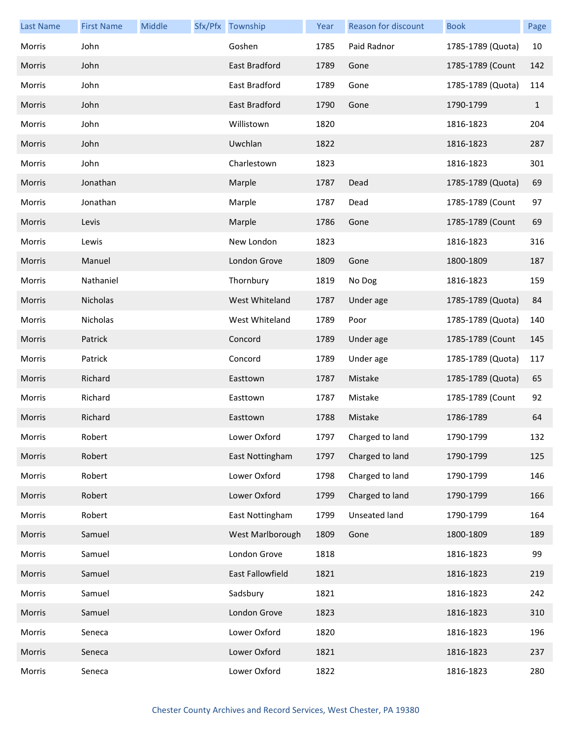| <b>Last Name</b> | <b>First Name</b> | Middle | Sfx/Pfx Township | Year | Reason for discount | <b>Book</b>       | Page         |
|------------------|-------------------|--------|------------------|------|---------------------|-------------------|--------------|
| Morris           | John              |        | Goshen           | 1785 | Paid Radnor         | 1785-1789 (Quota) | 10           |
| Morris           | John              |        | East Bradford    | 1789 | Gone                | 1785-1789 (Count  | 142          |
| Morris           | John              |        | East Bradford    | 1789 | Gone                | 1785-1789 (Quota) | 114          |
| Morris           | John              |        | East Bradford    | 1790 | Gone                | 1790-1799         | $\mathbf{1}$ |
| Morris           | John              |        | Willistown       | 1820 |                     | 1816-1823         | 204          |
| Morris           | John              |        | Uwchlan          | 1822 |                     | 1816-1823         | 287          |
| Morris           | John              |        | Charlestown      | 1823 |                     | 1816-1823         | 301          |
| Morris           | Jonathan          |        | Marple           | 1787 | Dead                | 1785-1789 (Quota) | 69           |
| Morris           | Jonathan          |        | Marple           | 1787 | Dead                | 1785-1789 (Count  | 97           |
| Morris           | Levis             |        | Marple           | 1786 | Gone                | 1785-1789 (Count  | 69           |
| Morris           | Lewis             |        | New London       | 1823 |                     | 1816-1823         | 316          |
| Morris           | Manuel            |        | London Grove     | 1809 | Gone                | 1800-1809         | 187          |
| Morris           | Nathaniel         |        | Thornbury        | 1819 | No Dog              | 1816-1823         | 159          |
| Morris           | Nicholas          |        | West Whiteland   | 1787 | Under age           | 1785-1789 (Quota) | 84           |
| Morris           | Nicholas          |        | West Whiteland   | 1789 | Poor                | 1785-1789 (Quota) | 140          |
| Morris           | Patrick           |        | Concord          | 1789 | Under age           | 1785-1789 (Count  | 145          |
| Morris           | Patrick           |        | Concord          | 1789 | Under age           | 1785-1789 (Quota) | 117          |
| Morris           | Richard           |        | Easttown         | 1787 | Mistake             | 1785-1789 (Quota) | 65           |
| Morris           | Richard           |        | Easttown         | 1787 | Mistake             | 1785-1789 (Count  | 92           |
| Morris           | Richard           |        | Easttown         | 1788 | Mistake             | 1786-1789         | 64           |
| Morris           | Robert            |        | Lower Oxford     | 1797 | Charged to land     | 1790-1799         | 132          |
| Morris           | Robert            |        | East Nottingham  | 1797 | Charged to land     | 1790-1799         | 125          |
| Morris           | Robert            |        | Lower Oxford     | 1798 | Charged to land     | 1790-1799         | 146          |
| Morris           | Robert            |        | Lower Oxford     | 1799 | Charged to land     | 1790-1799         | 166          |
| Morris           | Robert            |        | East Nottingham  | 1799 | Unseated land       | 1790-1799         | 164          |
| Morris           | Samuel            |        | West Marlborough | 1809 | Gone                | 1800-1809         | 189          |
| Morris           | Samuel            |        | London Grove     | 1818 |                     | 1816-1823         | 99           |
| Morris           | Samuel            |        | East Fallowfield | 1821 |                     | 1816-1823         | 219          |
| Morris           | Samuel            |        | Sadsbury         | 1821 |                     | 1816-1823         | 242          |
| Morris           | Samuel            |        | London Grove     | 1823 |                     | 1816-1823         | 310          |
| Morris           | Seneca            |        | Lower Oxford     | 1820 |                     | 1816-1823         | 196          |
| Morris           | Seneca            |        | Lower Oxford     | 1821 |                     | 1816-1823         | 237          |
| Morris           | Seneca            |        | Lower Oxford     | 1822 |                     | 1816-1823         | 280          |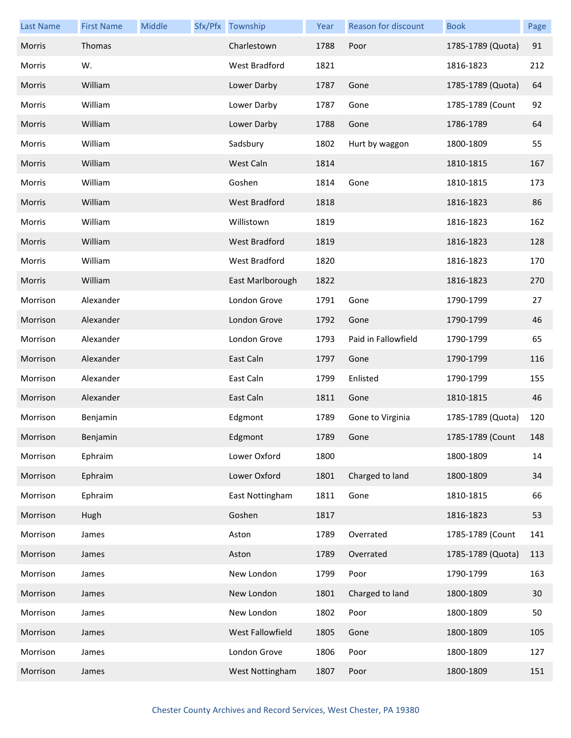| <b>Last Name</b> | <b>First Name</b> | Middle | Sfx/Pfx Township     | Year | Reason for discount | <b>Book</b>       | Page |
|------------------|-------------------|--------|----------------------|------|---------------------|-------------------|------|
| Morris           | Thomas            |        | Charlestown          | 1788 | Poor                | 1785-1789 (Quota) | 91   |
| Morris           | W.                |        | <b>West Bradford</b> | 1821 |                     | 1816-1823         | 212  |
| Morris           | William           |        | Lower Darby          | 1787 | Gone                | 1785-1789 (Quota) | 64   |
| Morris           | William           |        | Lower Darby          | 1787 | Gone                | 1785-1789 (Count  | 92   |
| Morris           | William           |        | Lower Darby          | 1788 | Gone                | 1786-1789         | 64   |
| Morris           | William           |        | Sadsbury             | 1802 | Hurt by waggon      | 1800-1809         | 55   |
| Morris           | William           |        | West Caln            | 1814 |                     | 1810-1815         | 167  |
| Morris           | William           |        | Goshen               | 1814 | Gone                | 1810-1815         | 173  |
| Morris           | William           |        | <b>West Bradford</b> | 1818 |                     | 1816-1823         | 86   |
| Morris           | William           |        | Willistown           | 1819 |                     | 1816-1823         | 162  |
| Morris           | William           |        | West Bradford        | 1819 |                     | 1816-1823         | 128  |
| Morris           | William           |        | West Bradford        | 1820 |                     | 1816-1823         | 170  |
| Morris           | William           |        | East Marlborough     | 1822 |                     | 1816-1823         | 270  |
| Morrison         | Alexander         |        | London Grove         | 1791 | Gone                | 1790-1799         | 27   |
| Morrison         | Alexander         |        | London Grove         | 1792 | Gone                | 1790-1799         | 46   |
| Morrison         | Alexander         |        | London Grove         | 1793 | Paid in Fallowfield | 1790-1799         | 65   |
| Morrison         | Alexander         |        | East Caln            | 1797 | Gone                | 1790-1799         | 116  |
| Morrison         | Alexander         |        | East Caln            | 1799 | Enlisted            | 1790-1799         | 155  |
| Morrison         | Alexander         |        | East Caln            | 1811 | Gone                | 1810-1815         | 46   |
| Morrison         | Benjamin          |        | Edgmont              | 1789 | Gone to Virginia    | 1785-1789 (Quota) | 120  |
| Morrison         | Benjamin          |        | Edgmont              | 1789 | Gone                | 1785-1789 (Count  | 148  |
| Morrison         | Ephraim           |        | Lower Oxford         | 1800 |                     | 1800-1809         | 14   |
| Morrison         | Ephraim           |        | Lower Oxford         | 1801 | Charged to land     | 1800-1809         | 34   |
| Morrison         | Ephraim           |        | East Nottingham      | 1811 | Gone                | 1810-1815         | 66   |
| Morrison         | Hugh              |        | Goshen               | 1817 |                     | 1816-1823         | 53   |
| Morrison         | James             |        | Aston                | 1789 | Overrated           | 1785-1789 (Count  | 141  |
| Morrison         | James             |        | Aston                | 1789 | Overrated           | 1785-1789 (Quota) | 113  |
| Morrison         | James             |        | New London           | 1799 | Poor                | 1790-1799         | 163  |
| Morrison         | James             |        | New London           | 1801 | Charged to land     | 1800-1809         | 30   |
| Morrison         | James             |        | New London           | 1802 | Poor                | 1800-1809         | 50   |
| Morrison         | James             |        | West Fallowfield     | 1805 | Gone                | 1800-1809         | 105  |
| Morrison         | James             |        | London Grove         | 1806 | Poor                | 1800-1809         | 127  |
| Morrison         | James             |        | West Nottingham      | 1807 | Poor                | 1800-1809         | 151  |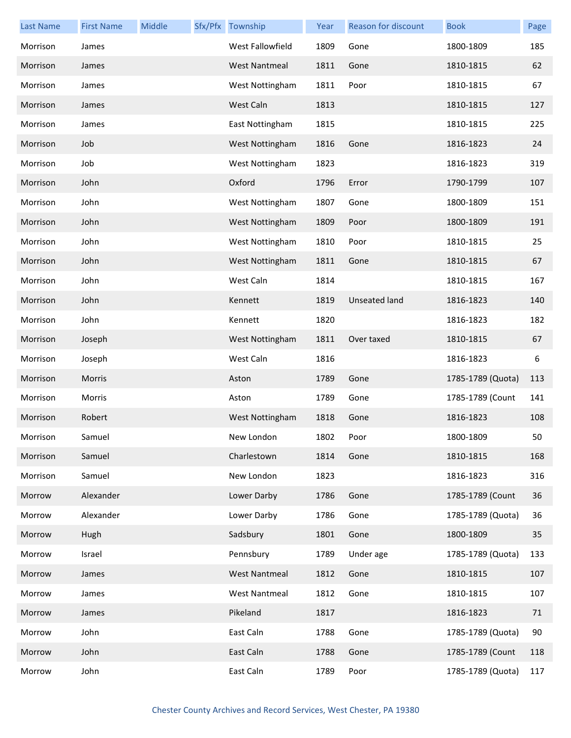| <b>Last Name</b> | <b>First Name</b> | Middle | Sfx/Pfx Township     | Year | <b>Reason for discount</b> | <b>Book</b>       | Page |
|------------------|-------------------|--------|----------------------|------|----------------------------|-------------------|------|
| Morrison         | James             |        | West Fallowfield     | 1809 | Gone                       | 1800-1809         | 185  |
| Morrison         | James             |        | <b>West Nantmeal</b> | 1811 | Gone                       | 1810-1815         | 62   |
| Morrison         | James             |        | West Nottingham      | 1811 | Poor                       | 1810-1815         | 67   |
| Morrison         | James             |        | West Caln            | 1813 |                            | 1810-1815         | 127  |
| Morrison         | James             |        | East Nottingham      | 1815 |                            | 1810-1815         | 225  |
| Morrison         | Job               |        | West Nottingham      | 1816 | Gone                       | 1816-1823         | 24   |
| Morrison         | Job               |        | West Nottingham      | 1823 |                            | 1816-1823         | 319  |
| Morrison         | John              |        | Oxford               | 1796 | Error                      | 1790-1799         | 107  |
| Morrison         | John              |        | West Nottingham      | 1807 | Gone                       | 1800-1809         | 151  |
| Morrison         | John              |        | West Nottingham      | 1809 | Poor                       | 1800-1809         | 191  |
| Morrison         | John              |        | West Nottingham      | 1810 | Poor                       | 1810-1815         | 25   |
| Morrison         | John              |        | West Nottingham      | 1811 | Gone                       | 1810-1815         | 67   |
| Morrison         | John              |        | West Caln            | 1814 |                            | 1810-1815         | 167  |
| Morrison         | John              |        | Kennett              | 1819 | Unseated land              | 1816-1823         | 140  |
| Morrison         | John              |        | Kennett              | 1820 |                            | 1816-1823         | 182  |
| Morrison         | Joseph            |        | West Nottingham      | 1811 | Over taxed                 | 1810-1815         | 67   |
| Morrison         | Joseph            |        | West Caln            | 1816 |                            | 1816-1823         | 6    |
| Morrison         | Morris            |        | Aston                | 1789 | Gone                       | 1785-1789 (Quota) | 113  |
| Morrison         | Morris            |        | Aston                | 1789 | Gone                       | 1785-1789 (Count  | 141  |
| Morrison         | Robert            |        | West Nottingham      | 1818 | Gone                       | 1816-1823         | 108  |
| Morrison         | Samuel            |        | New London           | 1802 | Poor                       | 1800-1809         | 50   |
| Morrison         | Samuel            |        | Charlestown          | 1814 | Gone                       | 1810-1815         | 168  |
| Morrison         | Samuel            |        | New London           | 1823 |                            | 1816-1823         | 316  |
| Morrow           | Alexander         |        | Lower Darby          | 1786 | Gone                       | 1785-1789 (Count  | 36   |
| Morrow           | Alexander         |        | Lower Darby          | 1786 | Gone                       | 1785-1789 (Quota) | 36   |
| Morrow           | Hugh              |        | Sadsbury             | 1801 | Gone                       | 1800-1809         | 35   |
| Morrow           | Israel            |        | Pennsbury            | 1789 | Under age                  | 1785-1789 (Quota) | 133  |
| Morrow           | James             |        | <b>West Nantmeal</b> | 1812 | Gone                       | 1810-1815         | 107  |
| Morrow           | James             |        | <b>West Nantmeal</b> | 1812 | Gone                       | 1810-1815         | 107  |
| Morrow           | James             |        | Pikeland             | 1817 |                            | 1816-1823         | 71   |
| Morrow           | John              |        | East Caln            | 1788 | Gone                       | 1785-1789 (Quota) | 90   |
| Morrow           | John              |        | East Caln            | 1788 | Gone                       | 1785-1789 (Count  | 118  |
| Morrow           | John              |        | East Caln            | 1789 | Poor                       | 1785-1789 (Quota) | 117  |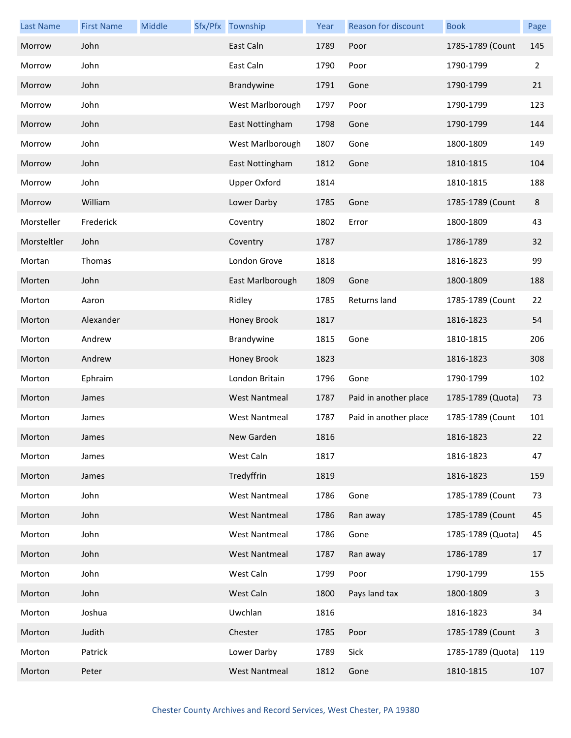| <b>Last Name</b> | <b>First Name</b> | Middle | Sfx/Pfx Township     | Year | Reason for discount   | <b>Book</b>       | Page         |
|------------------|-------------------|--------|----------------------|------|-----------------------|-------------------|--------------|
| Morrow           | John              |        | East Caln            | 1789 | Poor                  | 1785-1789 (Count  | 145          |
| Morrow           | John              |        | East Caln            | 1790 | Poor                  | 1790-1799         | 2            |
| Morrow           | John              |        | Brandywine           | 1791 | Gone                  | 1790-1799         | 21           |
| Morrow           | John              |        | West Marlborough     | 1797 | Poor                  | 1790-1799         | 123          |
| Morrow           | John              |        | East Nottingham      | 1798 | Gone                  | 1790-1799         | 144          |
| Morrow           | John              |        | West Marlborough     | 1807 | Gone                  | 1800-1809         | 149          |
| Morrow           | John              |        | East Nottingham      | 1812 | Gone                  | 1810-1815         | 104          |
| Morrow           | John              |        | <b>Upper Oxford</b>  | 1814 |                       | 1810-1815         | 188          |
| Morrow           | William           |        | Lower Darby          | 1785 | Gone                  | 1785-1789 (Count  | 8            |
| Morsteller       | Frederick         |        | Coventry             | 1802 | Error                 | 1800-1809         | 43           |
| Morsteltler      | John              |        | Coventry             | 1787 |                       | 1786-1789         | 32           |
| Mortan           | Thomas            |        | London Grove         | 1818 |                       | 1816-1823         | 99           |
| Morten           | John              |        | East Marlborough     | 1809 | Gone                  | 1800-1809         | 188          |
| Morton           | Aaron             |        | Ridley               | 1785 | Returns land          | 1785-1789 (Count  | 22           |
| Morton           | Alexander         |        | Honey Brook          | 1817 |                       | 1816-1823         | 54           |
| Morton           | Andrew            |        | Brandywine           | 1815 | Gone                  | 1810-1815         | 206          |
| Morton           | Andrew            |        | Honey Brook          | 1823 |                       | 1816-1823         | 308          |
| Morton           | Ephraim           |        | London Britain       | 1796 | Gone                  | 1790-1799         | 102          |
| Morton           | James             |        | <b>West Nantmeal</b> | 1787 | Paid in another place | 1785-1789 (Quota) | 73           |
| Morton           | James             |        | West Nantmeal        | 1787 | Paid in another place | 1785-1789 (Count  | 101          |
| Morton           | James             |        | New Garden           | 1816 |                       | 1816-1823         | 22           |
| Morton           | James             |        | West Caln            | 1817 |                       | 1816-1823         | 47           |
| Morton           | James             |        | Tredyffrin           | 1819 |                       | 1816-1823         | 159          |
| Morton           | John              |        | <b>West Nantmeal</b> | 1786 | Gone                  | 1785-1789 (Count  | 73           |
| Morton           | John              |        | <b>West Nantmeal</b> | 1786 | Ran away              | 1785-1789 (Count  | 45           |
| Morton           | John              |        | <b>West Nantmeal</b> | 1786 | Gone                  | 1785-1789 (Quota) | 45           |
| Morton           | John              |        | <b>West Nantmeal</b> | 1787 | Ran away              | 1786-1789         | 17           |
| Morton           | John              |        | West Caln            | 1799 | Poor                  | 1790-1799         | 155          |
| Morton           | John              |        | West Caln            | 1800 | Pays land tax         | 1800-1809         | 3            |
| Morton           | Joshua            |        | Uwchlan              | 1816 |                       | 1816-1823         | 34           |
| Morton           | Judith            |        | Chester              | 1785 | Poor                  | 1785-1789 (Count  | $\mathbf{3}$ |
| Morton           | Patrick           |        | Lower Darby          | 1789 | Sick                  | 1785-1789 (Quota) | 119          |
| Morton           | Peter             |        | <b>West Nantmeal</b> | 1812 | Gone                  | 1810-1815         | 107          |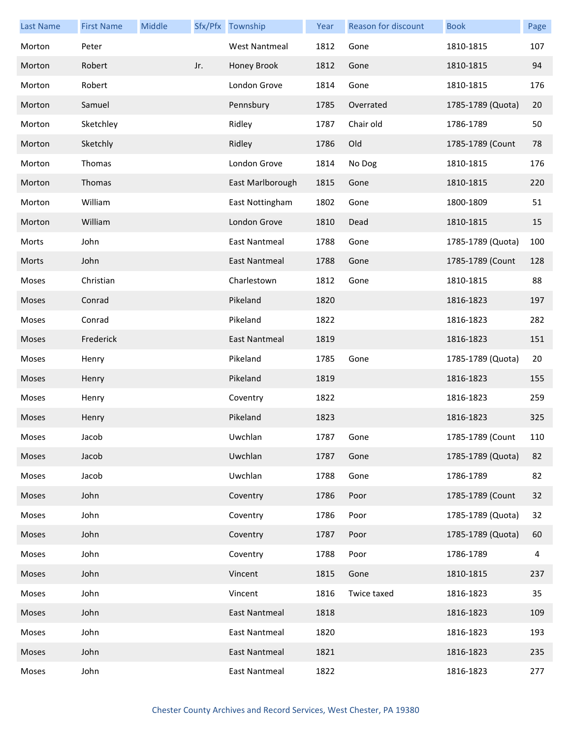| <b>Last Name</b> | <b>First Name</b> | Middle |     | Sfx/Pfx Township     | Year | Reason for discount | <b>Book</b>       | Page |
|------------------|-------------------|--------|-----|----------------------|------|---------------------|-------------------|------|
| Morton           | Peter             |        |     | <b>West Nantmeal</b> | 1812 | Gone                | 1810-1815         | 107  |
| Morton           | Robert            |        | Jr. | Honey Brook          | 1812 | Gone                | 1810-1815         | 94   |
| Morton           | Robert            |        |     | London Grove         | 1814 | Gone                | 1810-1815         | 176  |
| Morton           | Samuel            |        |     | Pennsbury            | 1785 | Overrated           | 1785-1789 (Quota) | 20   |
| Morton           | Sketchley         |        |     | Ridley               | 1787 | Chair old           | 1786-1789         | 50   |
| Morton           | Sketchly          |        |     | Ridley               | 1786 | Old                 | 1785-1789 (Count  | 78   |
| Morton           | Thomas            |        |     | London Grove         | 1814 | No Dog              | 1810-1815         | 176  |
| Morton           | Thomas            |        |     | East Marlborough     | 1815 | Gone                | 1810-1815         | 220  |
| Morton           | William           |        |     | East Nottingham      | 1802 | Gone                | 1800-1809         | 51   |
| Morton           | William           |        |     | London Grove         | 1810 | Dead                | 1810-1815         | 15   |
| Morts            | John              |        |     | East Nantmeal        | 1788 | Gone                | 1785-1789 (Quota) | 100  |
| Morts            | John              |        |     | East Nantmeal        | 1788 | Gone                | 1785-1789 (Count  | 128  |
| Moses            | Christian         |        |     | Charlestown          | 1812 | Gone                | 1810-1815         | 88   |
| Moses            | Conrad            |        |     | Pikeland             | 1820 |                     | 1816-1823         | 197  |
| Moses            | Conrad            |        |     | Pikeland             | 1822 |                     | 1816-1823         | 282  |
| Moses            | Frederick         |        |     | <b>East Nantmeal</b> | 1819 |                     | 1816-1823         | 151  |
| Moses            | Henry             |        |     | Pikeland             | 1785 | Gone                | 1785-1789 (Quota) | 20   |
| Moses            | Henry             |        |     | Pikeland             | 1819 |                     | 1816-1823         | 155  |
| Moses            | Henry             |        |     | Coventry             | 1822 |                     | 1816-1823         | 259  |
| Moses            | Henry             |        |     | Pikeland             | 1823 |                     | 1816-1823         | 325  |
| Moses            | Jacob             |        |     | Uwchlan              | 1787 | Gone                | 1785-1789 (Count  | 110  |
| Moses            | Jacob             |        |     | Uwchlan              | 1787 | Gone                | 1785-1789 (Quota) | 82   |
| Moses            | Jacob             |        |     | Uwchlan              | 1788 | Gone                | 1786-1789         | 82   |
| Moses            | John              |        |     | Coventry             | 1786 | Poor                | 1785-1789 (Count  | 32   |
| Moses            | John              |        |     | Coventry             | 1786 | Poor                | 1785-1789 (Quota) | 32   |
| Moses            | John              |        |     | Coventry             | 1787 | Poor                | 1785-1789 (Quota) | 60   |
| Moses            | John              |        |     | Coventry             | 1788 | Poor                | 1786-1789         | 4    |
| Moses            | John              |        |     | Vincent              | 1815 | Gone                | 1810-1815         | 237  |
| Moses            | John              |        |     | Vincent              | 1816 | Twice taxed         | 1816-1823         | 35   |
| Moses            | John              |        |     | <b>East Nantmeal</b> | 1818 |                     | 1816-1823         | 109  |
| Moses            | John              |        |     | East Nantmeal        | 1820 |                     | 1816-1823         | 193  |
| Moses            | John              |        |     | East Nantmeal        | 1821 |                     | 1816-1823         | 235  |
| Moses            | John              |        |     | East Nantmeal        | 1822 |                     | 1816-1823         | 277  |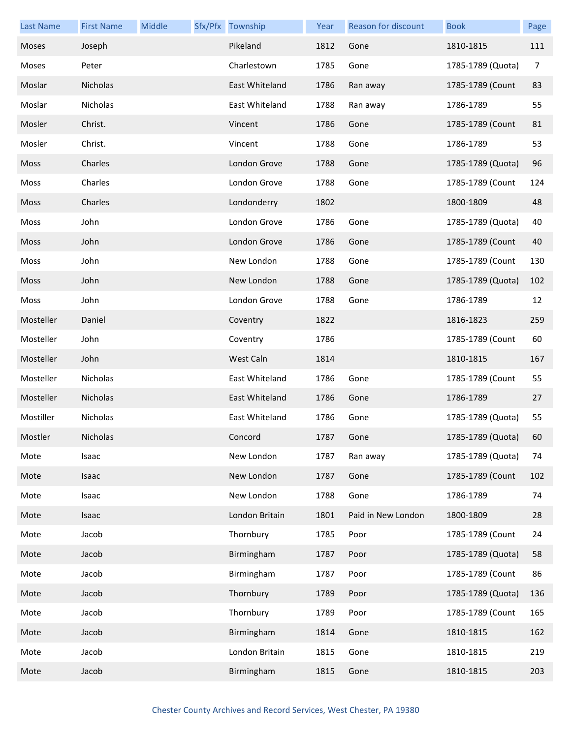| <b>Last Name</b> | <b>First Name</b> | Middle | Sfx/Pfx Township | Year | <b>Reason for discount</b> | <b>Book</b>       | Page |
|------------------|-------------------|--------|------------------|------|----------------------------|-------------------|------|
| Moses            | Joseph            |        | Pikeland         | 1812 | Gone                       | 1810-1815         | 111  |
| Moses            | Peter             |        | Charlestown      | 1785 | Gone                       | 1785-1789 (Quota) | 7    |
| Moslar           | Nicholas          |        | East Whiteland   | 1786 | Ran away                   | 1785-1789 (Count  | 83   |
| Moslar           | Nicholas          |        | East Whiteland   | 1788 | Ran away                   | 1786-1789         | 55   |
| Mosler           | Christ.           |        | Vincent          | 1786 | Gone                       | 1785-1789 (Count  | 81   |
| Mosler           | Christ.           |        | Vincent          | 1788 | Gone                       | 1786-1789         | 53   |
| Moss             | Charles           |        | London Grove     | 1788 | Gone                       | 1785-1789 (Quota) | 96   |
| Moss             | Charles           |        | London Grove     | 1788 | Gone                       | 1785-1789 (Count  | 124  |
| <b>Moss</b>      | Charles           |        | Londonderry      | 1802 |                            | 1800-1809         | 48   |
| Moss             | John              |        | London Grove     | 1786 | Gone                       | 1785-1789 (Quota) | 40   |
| Moss             | John              |        | London Grove     | 1786 | Gone                       | 1785-1789 (Count  | 40   |
| Moss             | John              |        | New London       | 1788 | Gone                       | 1785-1789 (Count  | 130  |
| Moss             | John              |        | New London       | 1788 | Gone                       | 1785-1789 (Quota) | 102  |
| Moss             | John              |        | London Grove     | 1788 | Gone                       | 1786-1789         | 12   |
| Mosteller        | Daniel            |        | Coventry         | 1822 |                            | 1816-1823         | 259  |
| Mosteller        | John              |        | Coventry         | 1786 |                            | 1785-1789 (Count  | 60   |
| Mosteller        | John              |        | West Caln        | 1814 |                            | 1810-1815         | 167  |
| Mosteller        | Nicholas          |        | East Whiteland   | 1786 | Gone                       | 1785-1789 (Count  | 55   |
| Mosteller        | Nicholas          |        | East Whiteland   | 1786 | Gone                       | 1786-1789         | 27   |
| Mostiller        | Nicholas          |        | East Whiteland   | 1786 | Gone                       | 1785-1789 (Quota) | 55   |
| Mostler          | Nicholas          |        | Concord          | 1787 | Gone                       | 1785-1789 (Quota) | 60   |
| Mote             | Isaac             |        | New London       | 1787 | Ran away                   | 1785-1789 (Quota) | 74   |
| Mote             | Isaac             |        | New London       | 1787 | Gone                       | 1785-1789 (Count  | 102  |
| Mote             | Isaac             |        | New London       | 1788 | Gone                       | 1786-1789         | 74   |
| Mote             | Isaac             |        | London Britain   | 1801 | Paid in New London         | 1800-1809         | 28   |
| Mote             | Jacob             |        | Thornbury        | 1785 | Poor                       | 1785-1789 (Count  | 24   |
| Mote             | Jacob             |        | Birmingham       | 1787 | Poor                       | 1785-1789 (Quota) | 58   |
| Mote             | Jacob             |        | Birmingham       | 1787 | Poor                       | 1785-1789 (Count  | 86   |
| Mote             | Jacob             |        | Thornbury        | 1789 | Poor                       | 1785-1789 (Quota) | 136  |
| Mote             | Jacob             |        | Thornbury        | 1789 | Poor                       | 1785-1789 (Count  | 165  |
| Mote             | Jacob             |        | Birmingham       | 1814 | Gone                       | 1810-1815         | 162  |
| Mote             | Jacob             |        | London Britain   | 1815 | Gone                       | 1810-1815         | 219  |
| Mote             | Jacob             |        | Birmingham       | 1815 | Gone                       | 1810-1815         | 203  |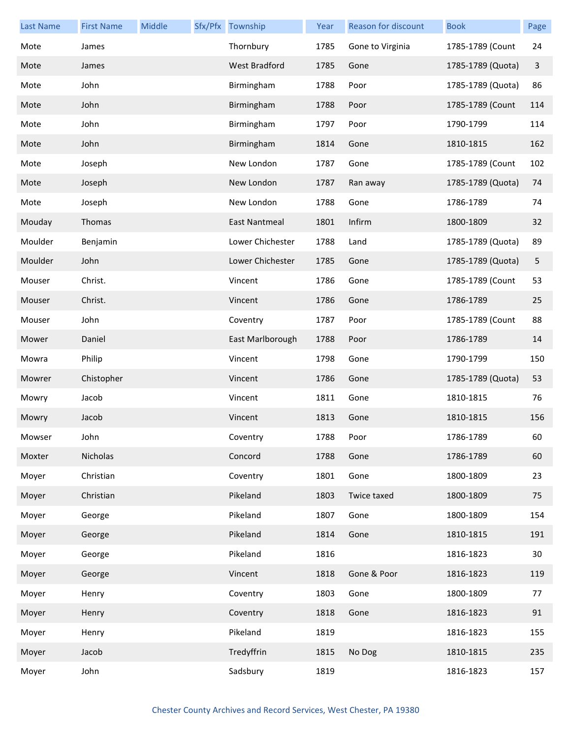| <b>Last Name</b> | <b>First Name</b> | Middle | Sfx/Pfx Township     | Year | Reason for discount | <b>Book</b>       | Page |
|------------------|-------------------|--------|----------------------|------|---------------------|-------------------|------|
| Mote             | James             |        | Thornbury            | 1785 | Gone to Virginia    | 1785-1789 (Count  | 24   |
| Mote             | James             |        | <b>West Bradford</b> | 1785 | Gone                | 1785-1789 (Quota) | 3    |
| Mote             | John              |        | Birmingham           | 1788 | Poor                | 1785-1789 (Quota) | 86   |
| Mote             | John              |        | Birmingham           | 1788 | Poor                | 1785-1789 (Count  | 114  |
| Mote             | John              |        | Birmingham           | 1797 | Poor                | 1790-1799         | 114  |
| Mote             | John              |        | Birmingham           | 1814 | Gone                | 1810-1815         | 162  |
| Mote             | Joseph            |        | New London           | 1787 | Gone                | 1785-1789 (Count  | 102  |
| Mote             | Joseph            |        | New London           | 1787 | Ran away            | 1785-1789 (Quota) | 74   |
| Mote             | Joseph            |        | New London           | 1788 | Gone                | 1786-1789         | 74   |
| Mouday           | Thomas            |        | East Nantmeal        | 1801 | Infirm              | 1800-1809         | 32   |
| Moulder          | Benjamin          |        | Lower Chichester     | 1788 | Land                | 1785-1789 (Quota) | 89   |
| Moulder          | John              |        | Lower Chichester     | 1785 | Gone                | 1785-1789 (Quota) | 5    |
| Mouser           | Christ.           |        | Vincent              | 1786 | Gone                | 1785-1789 (Count  | 53   |
| Mouser           | Christ.           |        | Vincent              | 1786 | Gone                | 1786-1789         | 25   |
| Mouser           | John              |        | Coventry             | 1787 | Poor                | 1785-1789 (Count  | 88   |
| Mower            | Daniel            |        | East Marlborough     | 1788 | Poor                | 1786-1789         | 14   |
| Mowra            | Philip            |        | Vincent              | 1798 | Gone                | 1790-1799         | 150  |
| Mowrer           | Chistopher        |        | Vincent              | 1786 | Gone                | 1785-1789 (Quota) | 53   |
| Mowry            | Jacob             |        | Vincent              | 1811 | Gone                | 1810-1815         | 76   |
| Mowry            | Jacob             |        | Vincent              | 1813 | Gone                | 1810-1815         | 156  |
| Mowser           | John              |        | Coventry             | 1788 | Poor                | 1786-1789         | 60   |
| Moxter           | Nicholas          |        | Concord              | 1788 | Gone                | 1786-1789         | 60   |
| Moyer            | Christian         |        | Coventry             | 1801 | Gone                | 1800-1809         | 23   |
| Moyer            | Christian         |        | Pikeland             | 1803 | Twice taxed         | 1800-1809         | 75   |
| Moyer            | George            |        | Pikeland             | 1807 | Gone                | 1800-1809         | 154  |
| Moyer            | George            |        | Pikeland             | 1814 | Gone                | 1810-1815         | 191  |
| Moyer            | George            |        | Pikeland             | 1816 |                     | 1816-1823         | 30   |
| Moyer            | George            |        | Vincent              | 1818 | Gone & Poor         | 1816-1823         | 119  |
| Moyer            | Henry             |        | Coventry             | 1803 | Gone                | 1800-1809         | 77   |
| Moyer            | Henry             |        | Coventry             | 1818 | Gone                | 1816-1823         | 91   |
| Moyer            | Henry             |        | Pikeland             | 1819 |                     | 1816-1823         | 155  |
| Moyer            | Jacob             |        | Tredyffrin           | 1815 | No Dog              | 1810-1815         | 235  |
| Moyer            | John              |        | Sadsbury             | 1819 |                     | 1816-1823         | 157  |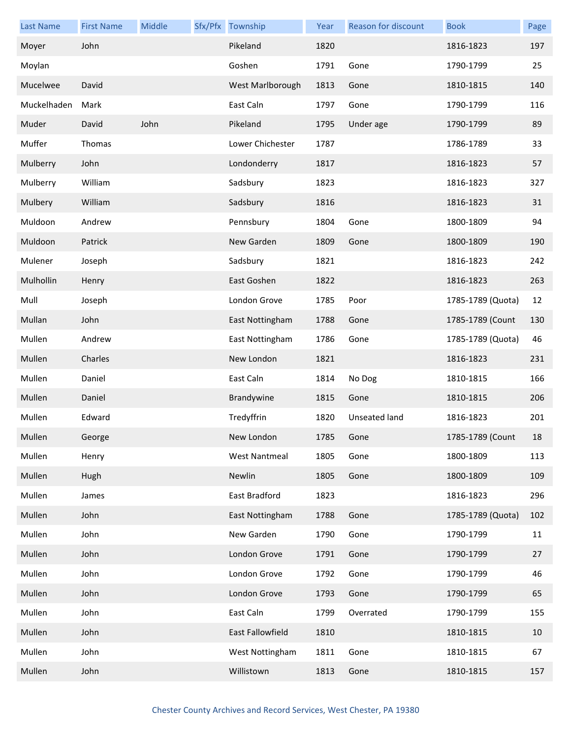| <b>Last Name</b> | <b>First Name</b> | Middle | Sfx/Pfx Township     | Year | Reason for discount | <b>Book</b>       | Page |
|------------------|-------------------|--------|----------------------|------|---------------------|-------------------|------|
| Moyer            | John              |        | Pikeland             | 1820 |                     | 1816-1823         | 197  |
| Moylan           |                   |        | Goshen               | 1791 | Gone                | 1790-1799         | 25   |
| Mucelwee         | David             |        | West Marlborough     | 1813 | Gone                | 1810-1815         | 140  |
| Muckelhaden      | Mark              |        | East Caln            | 1797 | Gone                | 1790-1799         | 116  |
| Muder            | David             | John   | Pikeland             | 1795 | Under age           | 1790-1799         | 89   |
| Muffer           | Thomas            |        | Lower Chichester     | 1787 |                     | 1786-1789         | 33   |
| Mulberry         | John              |        | Londonderry          | 1817 |                     | 1816-1823         | 57   |
| Mulberry         | William           |        | Sadsbury             | 1823 |                     | 1816-1823         | 327  |
| Mulbery          | William           |        | Sadsbury             | 1816 |                     | 1816-1823         | 31   |
| Muldoon          | Andrew            |        | Pennsbury            | 1804 | Gone                | 1800-1809         | 94   |
| Muldoon          | Patrick           |        | New Garden           | 1809 | Gone                | 1800-1809         | 190  |
| Mulener          | Joseph            |        | Sadsbury             | 1821 |                     | 1816-1823         | 242  |
| Mulhollin        | Henry             |        | East Goshen          | 1822 |                     | 1816-1823         | 263  |
| Mull             | Joseph            |        | London Grove         | 1785 | Poor                | 1785-1789 (Quota) | 12   |
| Mullan           | John              |        | East Nottingham      | 1788 | Gone                | 1785-1789 (Count  | 130  |
| Mullen           | Andrew            |        | East Nottingham      | 1786 | Gone                | 1785-1789 (Quota) | 46   |
| Mullen           | Charles           |        | New London           | 1821 |                     | 1816-1823         | 231  |
| Mullen           | Daniel            |        | East Caln            | 1814 | No Dog              | 1810-1815         | 166  |
| Mullen           | Daniel            |        | Brandywine           | 1815 | Gone                | 1810-1815         | 206  |
| Mullen           | Edward            |        | Tredyffrin           | 1820 | Unseated land       | 1816-1823         | 201  |
| Mullen           | George            |        | New London           | 1785 | Gone                | 1785-1789 (Count  | 18   |
| Mullen           | Henry             |        | <b>West Nantmeal</b> | 1805 | Gone                | 1800-1809         | 113  |
| Mullen           | Hugh              |        | Newlin               | 1805 | Gone                | 1800-1809         | 109  |
| Mullen           | James             |        | East Bradford        | 1823 |                     | 1816-1823         | 296  |
| Mullen           | John              |        | East Nottingham      | 1788 | Gone                | 1785-1789 (Quota) | 102  |
| Mullen           | John              |        | New Garden           | 1790 | Gone                | 1790-1799         | 11   |
| Mullen           | John              |        | London Grove         | 1791 | Gone                | 1790-1799         | 27   |
| Mullen           | John              |        | London Grove         | 1792 | Gone                | 1790-1799         | 46   |
| Mullen           | John              |        | London Grove         | 1793 | Gone                | 1790-1799         | 65   |
| Mullen           | John              |        | East Caln            | 1799 | Overrated           | 1790-1799         | 155  |
| Mullen           | John              |        | East Fallowfield     | 1810 |                     | 1810-1815         | 10   |
| Mullen           | John              |        | West Nottingham      | 1811 | Gone                | 1810-1815         | 67   |
| Mullen           | John              |        | Willistown           | 1813 | Gone                | 1810-1815         | 157  |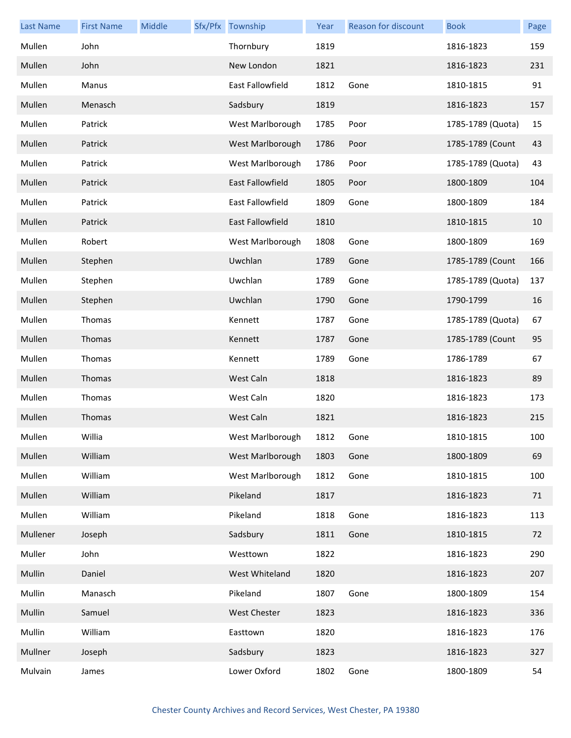| <b>Last Name</b> | <b>First Name</b> | Middle | Sfx/Pfx Township    | Year | Reason for discount | <b>Book</b>       | Page |
|------------------|-------------------|--------|---------------------|------|---------------------|-------------------|------|
| Mullen           | John              |        | Thornbury           | 1819 |                     | 1816-1823         | 159  |
| Mullen           | John              |        | New London          | 1821 |                     | 1816-1823         | 231  |
| Mullen           | Manus             |        | East Fallowfield    | 1812 | Gone                | 1810-1815         | 91   |
| Mullen           | Menasch           |        | Sadsbury            | 1819 |                     | 1816-1823         | 157  |
| Mullen           | Patrick           |        | West Marlborough    | 1785 | Poor                | 1785-1789 (Quota) | 15   |
| Mullen           | Patrick           |        | West Marlborough    | 1786 | Poor                | 1785-1789 (Count  | 43   |
| Mullen           | Patrick           |        | West Marlborough    | 1786 | Poor                | 1785-1789 (Quota) | 43   |
| Mullen           | Patrick           |        | East Fallowfield    | 1805 | Poor                | 1800-1809         | 104  |
| Mullen           | Patrick           |        | East Fallowfield    | 1809 | Gone                | 1800-1809         | 184  |
| Mullen           | Patrick           |        | East Fallowfield    | 1810 |                     | 1810-1815         | 10   |
| Mullen           | Robert            |        | West Marlborough    | 1808 | Gone                | 1800-1809         | 169  |
| Mullen           | Stephen           |        | Uwchlan             | 1789 | Gone                | 1785-1789 (Count  | 166  |
| Mullen           | Stephen           |        | Uwchlan             | 1789 | Gone                | 1785-1789 (Quota) | 137  |
| Mullen           | Stephen           |        | Uwchlan             | 1790 | Gone                | 1790-1799         | 16   |
| Mullen           | Thomas            |        | Kennett             | 1787 | Gone                | 1785-1789 (Quota) | 67   |
| Mullen           | Thomas            |        | Kennett             | 1787 | Gone                | 1785-1789 (Count  | 95   |
| Mullen           | Thomas            |        | Kennett             | 1789 | Gone                | 1786-1789         | 67   |
| Mullen           | Thomas            |        | West Caln           | 1818 |                     | 1816-1823         | 89   |
| Mullen           | Thomas            |        | West Caln           | 1820 |                     | 1816-1823         | 173  |
| Mullen           | Thomas            |        | West Caln           | 1821 |                     | 1816-1823         | 215  |
| Mullen           | Willia            |        | West Marlborough    | 1812 | Gone                | 1810-1815         | 100  |
| Mullen           | William           |        | West Marlborough    | 1803 | Gone                | 1800-1809         | 69   |
| Mullen           | William           |        | West Marlborough    | 1812 | Gone                | 1810-1815         | 100  |
| Mullen           | William           |        | Pikeland            | 1817 |                     | 1816-1823         | 71   |
| Mullen           | William           |        | Pikeland            | 1818 | Gone                | 1816-1823         | 113  |
| Mullener         | Joseph            |        | Sadsbury            | 1811 | Gone                | 1810-1815         | 72   |
| Muller           | John              |        | Westtown            | 1822 |                     | 1816-1823         | 290  |
| Mullin           | Daniel            |        | West Whiteland      | 1820 |                     | 1816-1823         | 207  |
| Mullin           | Manasch           |        | Pikeland            | 1807 | Gone                | 1800-1809         | 154  |
| Mullin           | Samuel            |        | <b>West Chester</b> | 1823 |                     | 1816-1823         | 336  |
| Mullin           | William           |        | Easttown            | 1820 |                     | 1816-1823         | 176  |
| Mullner          | Joseph            |        | Sadsbury            | 1823 |                     | 1816-1823         | 327  |
| Mulvain          | James             |        | Lower Oxford        | 1802 | Gone                | 1800-1809         | 54   |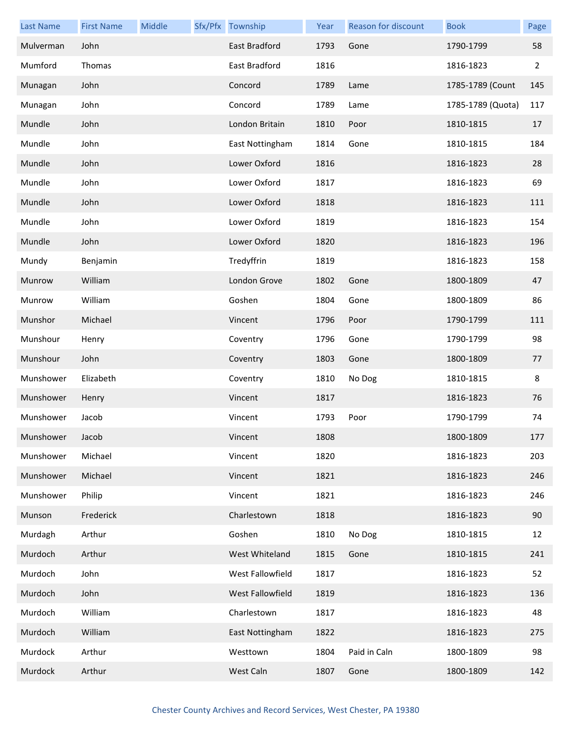| <b>Last Name</b> | <b>First Name</b> | Middle | Sfx/Pfx Township | Year | Reason for discount | <b>Book</b>       | Page           |
|------------------|-------------------|--------|------------------|------|---------------------|-------------------|----------------|
| Mulverman        | John              |        | East Bradford    | 1793 | Gone                | 1790-1799         | 58             |
| Mumford          | Thomas            |        | East Bradford    | 1816 |                     | 1816-1823         | $\overline{2}$ |
| Munagan          | John              |        | Concord          | 1789 | Lame                | 1785-1789 (Count  | 145            |
| Munagan          | John              |        | Concord          | 1789 | Lame                | 1785-1789 (Quota) | 117            |
| Mundle           | John              |        | London Britain   | 1810 | Poor                | 1810-1815         | 17             |
| Mundle           | John              |        | East Nottingham  | 1814 | Gone                | 1810-1815         | 184            |
| Mundle           | John              |        | Lower Oxford     | 1816 |                     | 1816-1823         | 28             |
| Mundle           | John              |        | Lower Oxford     | 1817 |                     | 1816-1823         | 69             |
| Mundle           | John              |        | Lower Oxford     | 1818 |                     | 1816-1823         | 111            |
| Mundle           | John              |        | Lower Oxford     | 1819 |                     | 1816-1823         | 154            |
| Mundle           | John              |        | Lower Oxford     | 1820 |                     | 1816-1823         | 196            |
| Mundy            | Benjamin          |        | Tredyffrin       | 1819 |                     | 1816-1823         | 158            |
| Munrow           | William           |        | London Grove     | 1802 | Gone                | 1800-1809         | 47             |
| Munrow           | William           |        | Goshen           | 1804 | Gone                | 1800-1809         | 86             |
| Munshor          | Michael           |        | Vincent          | 1796 | Poor                | 1790-1799         | 111            |
| Munshour         | Henry             |        | Coventry         | 1796 | Gone                | 1790-1799         | 98             |
| Munshour         | John              |        | Coventry         | 1803 | Gone                | 1800-1809         | 77             |
| Munshower        | Elizabeth         |        | Coventry         | 1810 | No Dog              | 1810-1815         | 8              |
| Munshower        | Henry             |        | Vincent          | 1817 |                     | 1816-1823         | 76             |
| Munshower        | Jacob             |        | Vincent          | 1793 | Poor                | 1790-1799         | 74             |
| Munshower        | Jacob             |        | Vincent          | 1808 |                     | 1800-1809         | 177            |
| Munshower        | Michael           |        | Vincent          | 1820 |                     | 1816-1823         | 203            |
| Munshower        | Michael           |        | Vincent          | 1821 |                     | 1816-1823         | 246            |
| Munshower        | Philip            |        | Vincent          | 1821 |                     | 1816-1823         | 246            |
| Munson           | Frederick         |        | Charlestown      | 1818 |                     | 1816-1823         | 90             |
| Murdagh          | Arthur            |        | Goshen           | 1810 | No Dog              | 1810-1815         | 12             |
| Murdoch          | Arthur            |        | West Whiteland   | 1815 | Gone                | 1810-1815         | 241            |
| Murdoch          | John              |        | West Fallowfield | 1817 |                     | 1816-1823         | 52             |
| Murdoch          | John              |        | West Fallowfield | 1819 |                     | 1816-1823         | 136            |
| Murdoch          | William           |        | Charlestown      | 1817 |                     | 1816-1823         | 48             |
| Murdoch          | William           |        | East Nottingham  | 1822 |                     | 1816-1823         | 275            |
| Murdock          | Arthur            |        | Westtown         | 1804 | Paid in Caln        | 1800-1809         | 98             |
| Murdock          | Arthur            |        | West Caln        | 1807 | Gone                | 1800-1809         | 142            |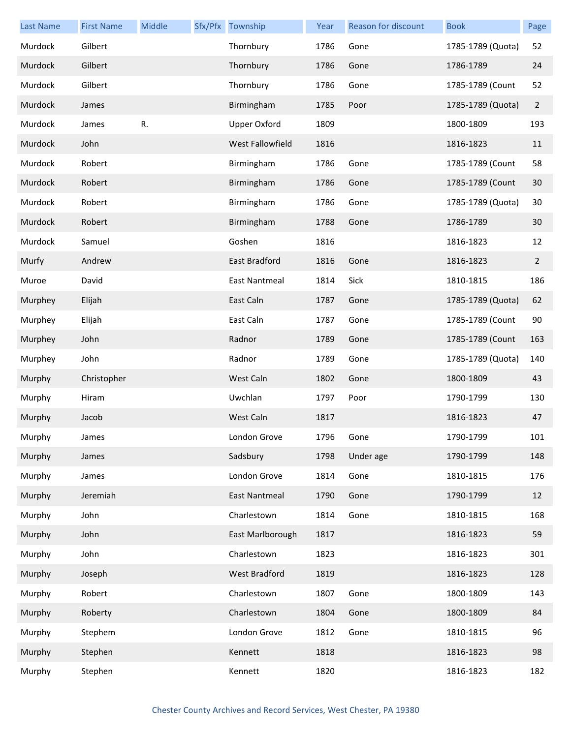| <b>Last Name</b> | <b>First Name</b> | Middle | Sfx/Pfx Township    | Year | Reason for discount | <b>Book</b>       | Page           |
|------------------|-------------------|--------|---------------------|------|---------------------|-------------------|----------------|
| Murdock          | Gilbert           |        | Thornbury           | 1786 | Gone                | 1785-1789 (Quota) | 52             |
| Murdock          | Gilbert           |        | Thornbury           | 1786 | Gone                | 1786-1789         | 24             |
| Murdock          | Gilbert           |        | Thornbury           | 1786 | Gone                | 1785-1789 (Count  | 52             |
| Murdock          | James             |        | Birmingham          | 1785 | Poor                | 1785-1789 (Quota) | $\overline{2}$ |
| Murdock          | James             | R.     | <b>Upper Oxford</b> | 1809 |                     | 1800-1809         | 193            |
| Murdock          | John              |        | West Fallowfield    | 1816 |                     | 1816-1823         | 11             |
| Murdock          | Robert            |        | Birmingham          | 1786 | Gone                | 1785-1789 (Count  | 58             |
| Murdock          | Robert            |        | Birmingham          | 1786 | Gone                | 1785-1789 (Count  | 30             |
| Murdock          | Robert            |        | Birmingham          | 1786 | Gone                | 1785-1789 (Quota) | 30             |
| Murdock          | Robert            |        | Birmingham          | 1788 | Gone                | 1786-1789         | 30             |
| Murdock          | Samuel            |        | Goshen              | 1816 |                     | 1816-1823         | 12             |
| Murfy            | Andrew            |        | East Bradford       | 1816 | Gone                | 1816-1823         | $\mathbf{2}$   |
| Muroe            | David             |        | East Nantmeal       | 1814 | Sick                | 1810-1815         | 186            |
| Murphey          | Elijah            |        | East Caln           | 1787 | Gone                | 1785-1789 (Quota) | 62             |
| Murphey          | Elijah            |        | East Caln           | 1787 | Gone                | 1785-1789 (Count  | $90\,$         |
| Murphey          | John              |        | Radnor              | 1789 | Gone                | 1785-1789 (Count  | 163            |
| Murphey          | John              |        | Radnor              | 1789 | Gone                | 1785-1789 (Quota) | 140            |
| Murphy           | Christopher       |        | West Caln           | 1802 | Gone                | 1800-1809         | 43             |
| Murphy           | Hiram             |        | Uwchlan             | 1797 | Poor                | 1790-1799         | 130            |
| Murphy           | Jacob             |        | West Caln           | 1817 |                     | 1816-1823         | 47             |
| Murphy           | James             |        | London Grove        | 1796 | Gone                | 1790-1799         | 101            |
| Murphy           | James             |        | Sadsbury            | 1798 | Under age           | 1790-1799         | 148            |
| Murphy           | James             |        | London Grove        | 1814 | Gone                | 1810-1815         | 176            |
| Murphy           | Jeremiah          |        | East Nantmeal       | 1790 | Gone                | 1790-1799         | 12             |
| Murphy           | John              |        | Charlestown         | 1814 | Gone                | 1810-1815         | 168            |
| Murphy           | John              |        | East Marlborough    | 1817 |                     | 1816-1823         | 59             |
| Murphy           | John              |        | Charlestown         | 1823 |                     | 1816-1823         | 301            |
| Murphy           | Joseph            |        | West Bradford       | 1819 |                     | 1816-1823         | 128            |
| Murphy           | Robert            |        | Charlestown         | 1807 | Gone                | 1800-1809         | 143            |
| Murphy           | Roberty           |        | Charlestown         | 1804 | Gone                | 1800-1809         | 84             |
| Murphy           | Stephem           |        | London Grove        | 1812 | Gone                | 1810-1815         | 96             |
| Murphy           | Stephen           |        | Kennett             | 1818 |                     | 1816-1823         | 98             |
| Murphy           | Stephen           |        | Kennett             | 1820 |                     | 1816-1823         | 182            |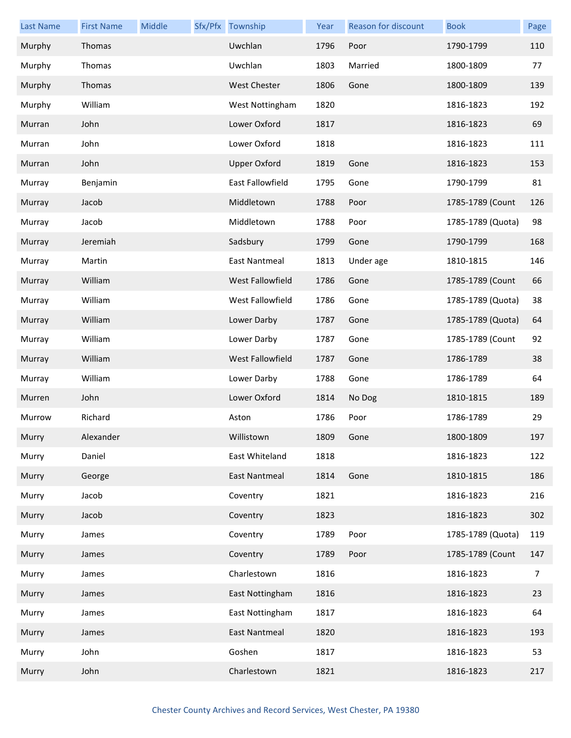| <b>Last Name</b> | <b>First Name</b> | Middle | Sfx/Pfx Township    | Year | Reason for discount | <b>Book</b>       | Page |
|------------------|-------------------|--------|---------------------|------|---------------------|-------------------|------|
| Murphy           | Thomas            |        | Uwchlan             | 1796 | Poor                | 1790-1799         | 110  |
| Murphy           | Thomas            |        | Uwchlan             | 1803 | Married             | 1800-1809         | 77   |
| Murphy           | Thomas            |        | <b>West Chester</b> | 1806 | Gone                | 1800-1809         | 139  |
| Murphy           | William           |        | West Nottingham     | 1820 |                     | 1816-1823         | 192  |
| Murran           | John              |        | Lower Oxford        | 1817 |                     | 1816-1823         | 69   |
| Murran           | John              |        | Lower Oxford        | 1818 |                     | 1816-1823         | 111  |
| Murran           | John              |        | <b>Upper Oxford</b> | 1819 | Gone                | 1816-1823         | 153  |
| Murray           | Benjamin          |        | East Fallowfield    | 1795 | Gone                | 1790-1799         | 81   |
| Murray           | Jacob             |        | Middletown          | 1788 | Poor                | 1785-1789 (Count  | 126  |
| Murray           | Jacob             |        | Middletown          | 1788 | Poor                | 1785-1789 (Quota) | 98   |
| Murray           | Jeremiah          |        | Sadsbury            | 1799 | Gone                | 1790-1799         | 168  |
| Murray           | Martin            |        | East Nantmeal       | 1813 | Under age           | 1810-1815         | 146  |
| Murray           | William           |        | West Fallowfield    | 1786 | Gone                | 1785-1789 (Count  | 66   |
| Murray           | William           |        | West Fallowfield    | 1786 | Gone                | 1785-1789 (Quota) | 38   |
| Murray           | William           |        | Lower Darby         | 1787 | Gone                | 1785-1789 (Quota) | 64   |
| Murray           | William           |        | Lower Darby         | 1787 | Gone                | 1785-1789 (Count  | 92   |
| Murray           | William           |        | West Fallowfield    | 1787 | Gone                | 1786-1789         | 38   |
| Murray           | William           |        | Lower Darby         | 1788 | Gone                | 1786-1789         | 64   |
| Murren           | John              |        | Lower Oxford        | 1814 | No Dog              | 1810-1815         | 189  |
| Murrow           | Richard           |        | Aston               | 1786 | Poor                | 1786-1789         | 29   |
| Murry            | Alexander         |        | Willistown          | 1809 | Gone                | 1800-1809         | 197  |
| Murry            | Daniel            |        | East Whiteland      | 1818 |                     | 1816-1823         | 122  |
| Murry            | George            |        | East Nantmeal       | 1814 | Gone                | 1810-1815         | 186  |
| Murry            | Jacob             |        | Coventry            | 1821 |                     | 1816-1823         | 216  |
| Murry            | Jacob             |        | Coventry            | 1823 |                     | 1816-1823         | 302  |
| Murry            | James             |        | Coventry            | 1789 | Poor                | 1785-1789 (Quota) | 119  |
| Murry            | James             |        | Coventry            | 1789 | Poor                | 1785-1789 (Count  | 147  |
| Murry            | James             |        | Charlestown         | 1816 |                     | 1816-1823         | 7    |
| Murry            | James             |        | East Nottingham     | 1816 |                     | 1816-1823         | 23   |
| Murry            | James             |        | East Nottingham     | 1817 |                     | 1816-1823         | 64   |
| Murry            | James             |        | East Nantmeal       | 1820 |                     | 1816-1823         | 193  |
| Murry            | John              |        | Goshen              | 1817 |                     | 1816-1823         | 53   |
| Murry            | John              |        | Charlestown         | 1821 |                     | 1816-1823         | 217  |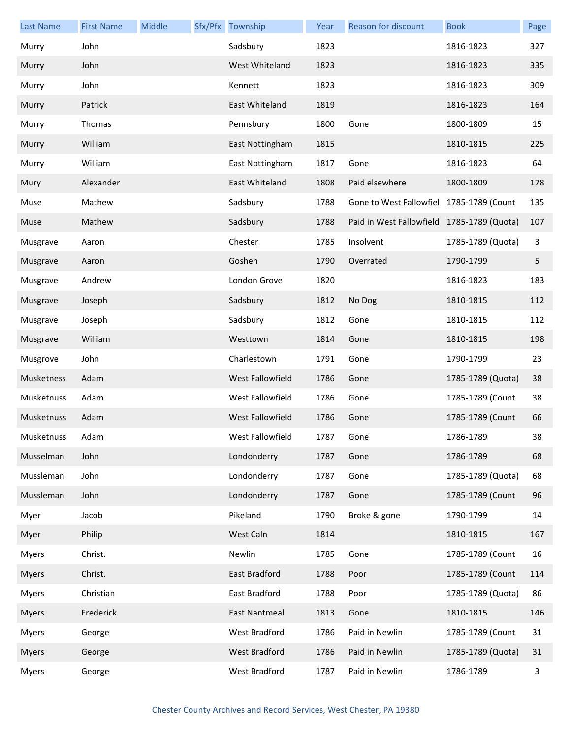| <b>Last Name</b> | <b>First Name</b> | Middle | Sfx/Pfx Township | Year | Reason for discount                        | <b>Book</b>       | Page |
|------------------|-------------------|--------|------------------|------|--------------------------------------------|-------------------|------|
| Murry            | John              |        | Sadsbury         | 1823 |                                            | 1816-1823         | 327  |
| Murry            | John              |        | West Whiteland   | 1823 |                                            | 1816-1823         | 335  |
| Murry            | John              |        | Kennett          | 1823 |                                            | 1816-1823         | 309  |
| Murry            | Patrick           |        | East Whiteland   | 1819 |                                            | 1816-1823         | 164  |
| Murry            | Thomas            |        | Pennsbury        | 1800 | Gone                                       | 1800-1809         | 15   |
| Murry            | William           |        | East Nottingham  | 1815 |                                            | 1810-1815         | 225  |
| Murry            | William           |        | East Nottingham  | 1817 | Gone                                       | 1816-1823         | 64   |
| Mury             | Alexander         |        | East Whiteland   | 1808 | Paid elsewhere                             | 1800-1809         | 178  |
| Muse             | Mathew            |        | Sadsbury         | 1788 | Gone to West Fallowfiel 1785-1789 (Count   |                   | 135  |
| Muse             | Mathew            |        | Sadsbury         | 1788 | Paid in West Fallowfield 1785-1789 (Quota) |                   | 107  |
| Musgrave         | Aaron             |        | Chester          | 1785 | Insolvent                                  | 1785-1789 (Quota) | 3    |
| Musgrave         | Aaron             |        | Goshen           | 1790 | Overrated                                  | 1790-1799         | 5    |
| Musgrave         | Andrew            |        | London Grove     | 1820 |                                            | 1816-1823         | 183  |
| Musgrave         | Joseph            |        | Sadsbury         | 1812 | No Dog                                     | 1810-1815         | 112  |
| Musgrave         | Joseph            |        | Sadsbury         | 1812 | Gone                                       | 1810-1815         | 112  |
| Musgrave         | William           |        | Westtown         | 1814 | Gone                                       | 1810-1815         | 198  |
| Musgrove         | John              |        | Charlestown      | 1791 | Gone                                       | 1790-1799         | 23   |
| Musketness       | Adam              |        | West Fallowfield | 1786 | Gone                                       | 1785-1789 (Quota) | 38   |
| Musketnuss       | Adam              |        | West Fallowfield | 1786 | Gone                                       | 1785-1789 (Count  | 38   |
| Musketnuss       | Adam              |        | West Fallowfield | 1786 | Gone                                       | 1785-1789 (Count  | 66   |
| Musketnuss       | Adam              |        | West Fallowfield | 1787 | Gone                                       | 1786-1789         | 38   |
| Musselman        | John              |        | Londonderry      | 1787 | Gone                                       | 1786-1789         | 68   |
| Mussleman        | John              |        | Londonderry      | 1787 | Gone                                       | 1785-1789 (Quota) | 68   |
| Mussleman        | John              |        | Londonderry      | 1787 | Gone                                       | 1785-1789 (Count  | 96   |
| Myer             | Jacob             |        | Pikeland         | 1790 | Broke & gone                               | 1790-1799         | 14   |
| Myer             | Philip            |        | West Caln        | 1814 |                                            | 1810-1815         | 167  |
| <b>Myers</b>     | Christ.           |        | Newlin           | 1785 | Gone                                       | 1785-1789 (Count  | 16   |
| <b>Myers</b>     | Christ.           |        | East Bradford    | 1788 | Poor                                       | 1785-1789 (Count  | 114  |
| <b>Myers</b>     | Christian         |        | East Bradford    | 1788 | Poor                                       | 1785-1789 (Quota) | 86   |
| <b>Myers</b>     | Frederick         |        | East Nantmeal    | 1813 | Gone                                       | 1810-1815         | 146  |
| <b>Myers</b>     | George            |        | West Bradford    | 1786 | Paid in Newlin                             | 1785-1789 (Count  | 31   |
| <b>Myers</b>     | George            |        | West Bradford    | 1786 | Paid in Newlin                             | 1785-1789 (Quota) | 31   |
| <b>Myers</b>     | George            |        | West Bradford    | 1787 | Paid in Newlin                             | 1786-1789         | 3    |